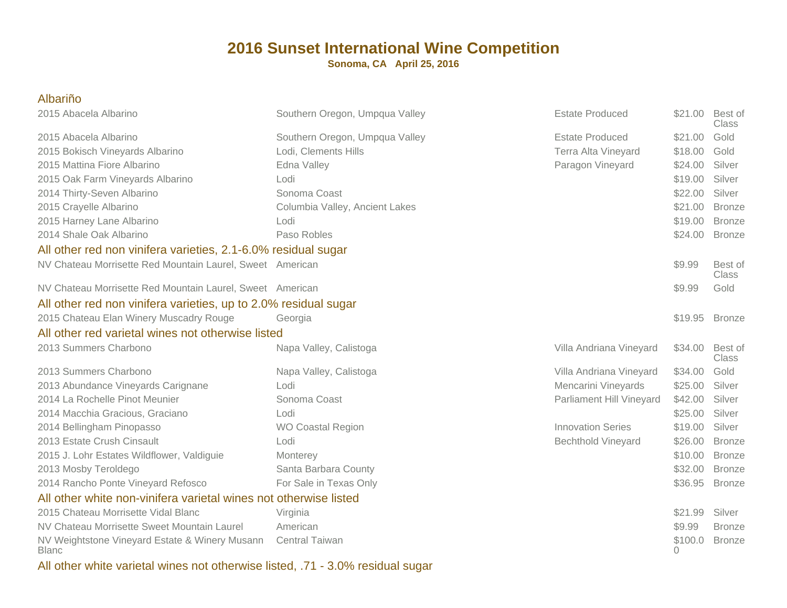**Sonoma, CA April 25, 2016**

| <b>Albariño</b>                                                  |                                |                           |                 |                         |
|------------------------------------------------------------------|--------------------------------|---------------------------|-----------------|-------------------------|
| 2015 Abacela Albarino                                            | Southern Oregon, Umpqua Valley | <b>Estate Produced</b>    | \$21.00 Best of | Class                   |
| 2015 Abacela Albarino                                            | Southern Oregon, Umpqua Valley | <b>Estate Produced</b>    | \$21.00         | Gold                    |
| 2015 Bokisch Vineyards Albarino                                  | Lodi, Clements Hills           | Terra Alta Vineyard       | \$18.00         | Gold                    |
| 2015 Mattina Fiore Albarino                                      | Edna Valley                    | Paragon Vineyard          | \$24.00         | Silver                  |
| 2015 Oak Farm Vineyards Albarino                                 | Lodi                           |                           | \$19.00         | Silver                  |
| 2014 Thirty-Seven Albarino                                       | Sonoma Coast                   |                           | \$22.00         | Silver                  |
| 2015 Crayelle Albarino                                           | Columbia Valley, Ancient Lakes |                           | \$21.00         | <b>Bronze</b>           |
| 2015 Harney Lane Albarino                                        | Lodi                           |                           | \$19.00         | <b>Bronze</b>           |
| 2014 Shale Oak Albarino                                          | Paso Robles                    |                           | \$24.00         | <b>Bronze</b>           |
| All other red non vinifera varieties, 2.1-6.0% residual sugar    |                                |                           |                 |                         |
| NV Chateau Morrisette Red Mountain Laurel, Sweet American        |                                |                           | \$9.99          | Best of<br><b>Class</b> |
| NV Chateau Morrisette Red Mountain Laurel, Sweet American        |                                |                           | \$9.99          | Gold                    |
| All other red non vinifera varieties, up to 2.0% residual sugar  |                                |                           |                 |                         |
| 2015 Chateau Elan Winery Muscadry Rouge                          | Georgia                        |                           | \$19.95         | <b>Bronze</b>           |
| All other red varietal wines not otherwise listed                |                                |                           |                 |                         |
| 2013 Summers Charbono                                            | Napa Valley, Calistoga         | Villa Andriana Vineyard   | \$34.00         | Best of<br>Class        |
| 2013 Summers Charbono                                            | Napa Valley, Calistoga         | Villa Andriana Vineyard   | \$34.00         | Gold                    |
| 2013 Abundance Vineyards Carignane                               | Lodi                           | Mencarini Vineyards       | \$25.00         | Silver                  |
| 2014 La Rochelle Pinot Meunier                                   | Sonoma Coast                   | Parliament Hill Vineyard  | \$42.00         | Silver                  |
| 2014 Macchia Gracious, Graciano                                  | Lodi                           |                           | \$25.00         | Silver                  |
| 2014 Bellingham Pinopasso                                        | <b>WO Coastal Region</b>       | <b>Innovation Series</b>  | \$19.00         | Silver                  |
| 2013 Estate Crush Cinsault                                       | Lodi                           | <b>Bechthold Vineyard</b> | \$26.00         | <b>Bronze</b>           |
| 2015 J. Lohr Estates Wildflower, Valdiguie                       | Monterey                       |                           | \$10.00         | <b>Bronze</b>           |
| 2013 Mosby Teroldego                                             | Santa Barbara County           |                           | \$32.00         | <b>Bronze</b>           |
| 2014 Rancho Ponte Vineyard Refosco                               | For Sale in Texas Only         |                           | \$36.95         | <b>Bronze</b>           |
| All other white non-vinifera varietal wines not otherwise listed |                                |                           |                 |                         |
| 2015 Chateau Morrisette Vidal Blanc                              | Virginia                       |                           | \$21.99         | Silver                  |
| NV Chateau Morrisette Sweet Mountain Laurel                      | American                       |                           | \$9.99          | <b>Bronze</b>           |
| NV Weightstone Vineyard Estate & Winery Musann<br><b>Blanc</b>   | <b>Central Taiwan</b>          |                           | \$100.0<br>0    | <b>Bronze</b>           |

All other white varietal wines not otherwise listed, .71 - 3.0% residual sugar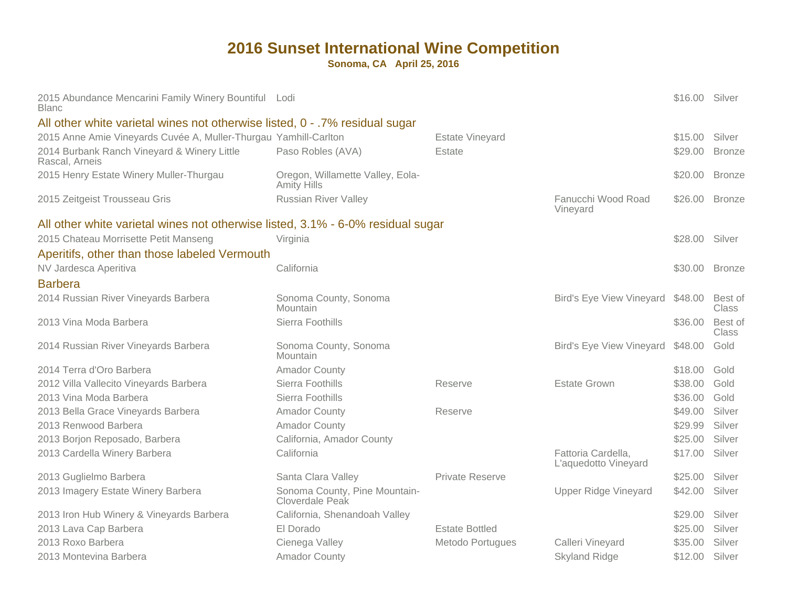| 2015 Abundance Mencarini Family Winery Bountiful Lodi<br>Blanc                  |                                                        |                        |                                            | \$16.00 Silver |                         |
|---------------------------------------------------------------------------------|--------------------------------------------------------|------------------------|--------------------------------------------|----------------|-------------------------|
| All other white varietal wines not otherwise listed, 0 - .7% residual sugar     |                                                        |                        |                                            |                |                         |
| 2015 Anne Amie Vineyards Cuvée A, Muller-Thurgau Yamhill-Carlton                |                                                        | <b>Estate Vineyard</b> |                                            | \$15.00        | Silver                  |
| 2014 Burbank Ranch Vineyard & Winery Little<br>Rascal, Arneis                   | Paso Robles (AVA)                                      | Estate                 |                                            | \$29.00        | <b>Bronze</b>           |
| 2015 Henry Estate Winery Muller-Thurgau                                         | Oregon, Willamette Valley, Eola-<br><b>Amity Hills</b> |                        |                                            | \$20.00        | <b>Bronze</b>           |
| 2015 Zeitgeist Trousseau Gris                                                   | <b>Russian River Valley</b>                            |                        | Fanucchi Wood Road<br>Vineyard             | \$26.00 Bronze |                         |
| All other white varietal wines not otherwise listed, 3.1% - 6-0% residual sugar |                                                        |                        |                                            |                |                         |
| 2015 Chateau Morrisette Petit Manseng                                           | Virginia                                               |                        |                                            | \$28.00 Silver |                         |
| Aperitifs, other than those labeled Vermouth                                    |                                                        |                        |                                            |                |                         |
| NV Jardesca Aperitiva                                                           | California                                             |                        |                                            | \$30.00 Bronze |                         |
| <b>Barbera</b>                                                                  |                                                        |                        |                                            |                |                         |
| 2014 Russian River Vineyards Barbera                                            | Sonoma County, Sonoma<br>Mountain                      |                        | Bird's Eye View Vineyard \$48.00           |                | Best of<br>Class        |
| 2013 Vina Moda Barbera                                                          | Sierra Foothills                                       |                        |                                            | \$36.00        | Best of<br><b>Class</b> |
| 2014 Russian River Vineyards Barbera                                            | Sonoma County, Sonoma<br>Mountain                      |                        | <b>Bird's Eye View Vineyard</b>            | \$48.00        | Gold                    |
| 2014 Terra d'Oro Barbera                                                        | <b>Amador County</b>                                   |                        |                                            | \$18.00        | Gold                    |
| 2012 Villa Vallecito Vineyards Barbera                                          | Sierra Foothills                                       | Reserve                | <b>Estate Grown</b>                        | \$38.00        | Gold                    |
| 2013 Vina Moda Barbera                                                          | Sierra Foothills                                       |                        |                                            | \$36.00        | Gold                    |
| 2013 Bella Grace Vineyards Barbera                                              | <b>Amador County</b>                                   | Reserve                |                                            | \$49.00        | Silver                  |
| 2013 Renwood Barbera                                                            | <b>Amador County</b>                                   |                        |                                            | \$29.99        | Silver                  |
| 2013 Borjon Reposado, Barbera                                                   | California, Amador County                              |                        |                                            | \$25.00        | Silver                  |
| 2013 Cardella Winery Barbera                                                    | California                                             |                        | Fattoria Cardella,<br>L'aquedotto Vineyard | \$17.00        | Silver                  |
| 2013 Guglielmo Barbera                                                          | Santa Clara Valley                                     | <b>Private Reserve</b> |                                            | \$25.00        | Silver                  |
| 2013 Imagery Estate Winery Barbera                                              | Sonoma County, Pine Mountain-<br>Cloverdale Peak       |                        | <b>Upper Ridge Vineyard</b>                | \$42.00        | Silver                  |
| 2013 Iron Hub Winery & Vineyards Barbera                                        | California, Shenandoah Valley                          |                        |                                            | \$29.00        | Silver                  |
| 2013 Lava Cap Barbera                                                           | El Dorado                                              | <b>Estate Bottled</b>  |                                            | \$25.00        | Silver                  |
| 2013 Roxo Barbera                                                               | Cienega Valley                                         | Metodo Portugues       | Calleri Vineyard                           | \$35.00        | Silver                  |
| 2013 Montevina Barbera                                                          | <b>Amador County</b>                                   |                        | <b>Skyland Ridge</b>                       | \$12.00        | Silver                  |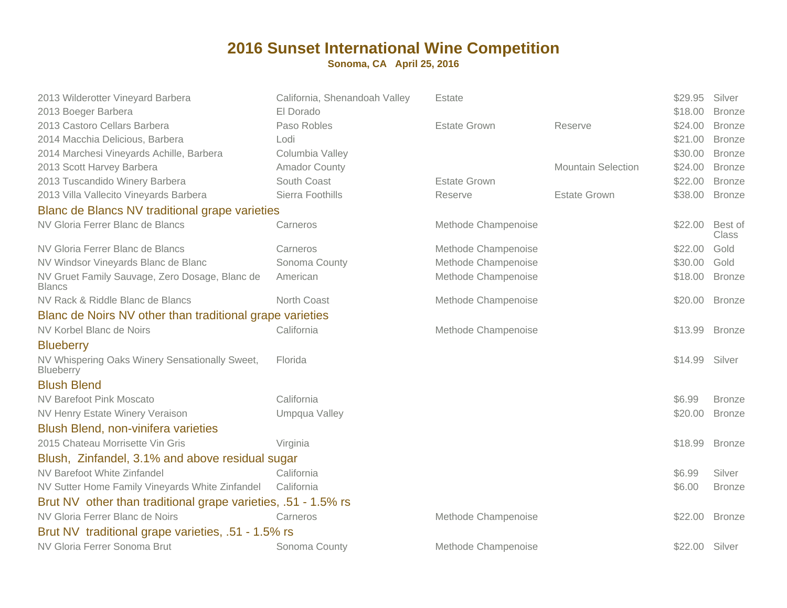| 2013 Wilderotter Vineyard Barbera                                                  | California, Shenandoah Valley<br>El Dorado | Estate              |                           | \$29.95<br>\$18.00 | Silver                         |
|------------------------------------------------------------------------------------|--------------------------------------------|---------------------|---------------------------|--------------------|--------------------------------|
| 2013 Boeger Barbera<br>2013 Castoro Cellars Barbera                                | Paso Robles                                | <b>Estate Grown</b> |                           | \$24.00            | <b>Bronze</b>                  |
| 2014 Macchia Delicious, Barbera                                                    | Lodi                                       |                     | Reserve                   | \$21.00            | <b>Bronze</b><br><b>Bronze</b> |
| 2014 Marchesi Vineyards Achille, Barbera                                           | Columbia Valley                            |                     |                           | \$30.00            | <b>Bronze</b>                  |
| 2013 Scott Harvey Barbera                                                          | <b>Amador County</b>                       |                     | <b>Mountain Selection</b> | \$24.00            | <b>Bronze</b>                  |
| 2013 Tuscandido Winery Barbera                                                     | South Coast                                | <b>Estate Grown</b> |                           | \$22.00            | <b>Bronze</b>                  |
| 2013 Villa Vallecito Vineyards Barbera                                             | Sierra Foothills                           | Reserve             | <b>Estate Grown</b>       | \$38.00            | <b>Bronze</b>                  |
|                                                                                    |                                            |                     |                           |                    |                                |
| Blanc de Blancs NV traditional grape varieties<br>NV Gloria Ferrer Blanc de Blancs |                                            |                     |                           |                    |                                |
|                                                                                    | Carneros                                   | Methode Champenoise |                           | \$22.00            | Best of<br>Class               |
| NV Gloria Ferrer Blanc de Blancs                                                   | Carneros                                   | Methode Champenoise |                           | \$22.00            | Gold                           |
| NV Windsor Vineyards Blanc de Blanc                                                | Sonoma County                              | Methode Champenoise |                           | \$30.00            | Gold                           |
| NV Gruet Family Sauvage, Zero Dosage, Blanc de<br><b>Blancs</b>                    | American                                   | Methode Champenoise |                           | \$18.00            | <b>Bronze</b>                  |
| NV Rack & Riddle Blanc de Blancs                                                   | North Coast                                | Methode Champenoise |                           | \$20.00            | <b>Bronze</b>                  |
| Blanc de Noirs NV other than traditional grape varieties                           |                                            |                     |                           |                    |                                |
| NV Korbel Blanc de Noirs                                                           | California                                 | Methode Champenoise |                           | \$13.99            | <b>Bronze</b>                  |
| <b>Blueberry</b>                                                                   |                                            |                     |                           |                    |                                |
| NV Whispering Oaks Winery Sensationally Sweet,<br>Blueberry                        | Florida                                    |                     |                           | \$14.99            | Silver                         |
| <b>Blush Blend</b>                                                                 |                                            |                     |                           |                    |                                |
| <b>NV Barefoot Pink Moscato</b>                                                    | California                                 |                     |                           | \$6.99             | <b>Bronze</b>                  |
| NV Henry Estate Winery Veraison                                                    | Umpqua Valley                              |                     |                           | \$20.00            | <b>Bronze</b>                  |
| <b>Blush Blend, non-vinifera varieties</b>                                         |                                            |                     |                           |                    |                                |
| 2015 Chateau Morrisette Vin Gris                                                   | Virginia                                   |                     |                           | \$18.99            | <b>Bronze</b>                  |
| Blush, Zinfandel, 3.1% and above residual sugar                                    |                                            |                     |                           |                    |                                |
| NV Barefoot White Zinfandel                                                        | California                                 |                     |                           | \$6.99             | Silver                         |
| NV Sutter Home Family Vineyards White Zinfandel                                    | California                                 |                     |                           | \$6.00             | <b>Bronze</b>                  |
| Brut NV other than traditional grape varieties, .51 - 1.5% rs                      |                                            |                     |                           |                    |                                |
| NV Gloria Ferrer Blanc de Noirs                                                    | Carneros                                   | Methode Champenoise |                           | \$22.00            | <b>Bronze</b>                  |
| Brut NV traditional grape varieties, .51 - 1.5% rs                                 |                                            |                     |                           |                    |                                |
| NV Gloria Ferrer Sonoma Brut                                                       | Sonoma County                              | Methode Champenoise |                           | \$22.00 Silver     |                                |
|                                                                                    |                                            |                     |                           |                    |                                |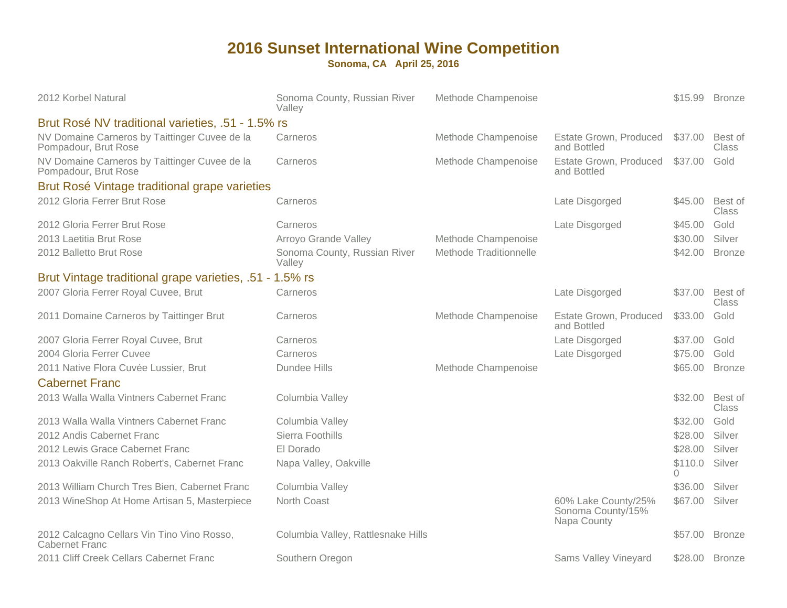| 2012 Korbel Natural                                                   | Sonoma County, Russian River<br>Valley | Methode Champenoise    |                                                         | \$15.99             | <b>Bronze</b>           |
|-----------------------------------------------------------------------|----------------------------------------|------------------------|---------------------------------------------------------|---------------------|-------------------------|
| Brut Rosé NV traditional varieties, .51 - 1.5% rs                     |                                        |                        |                                                         |                     |                         |
| NV Domaine Carneros by Taittinger Cuvee de la<br>Pompadour, Brut Rose | Carneros                               | Methode Champenoise    | Estate Grown, Produced<br>and Bottled                   | \$37.00             | Best of<br><b>Class</b> |
| NV Domaine Carneros by Taittinger Cuvee de la<br>Pompadour, Brut Rose | Carneros                               | Methode Champenoise    | Estate Grown, Produced<br>and Bottled                   | \$37.00             | Gold                    |
| Brut Rosé Vintage traditional grape varieties                         |                                        |                        |                                                         |                     |                         |
| 2012 Gloria Ferrer Brut Rose                                          | Carneros                               |                        | Late Disgorged                                          | \$45.00             | Best of<br>Class        |
| 2012 Gloria Ferrer Brut Rose                                          | Carneros                               |                        | Late Disgorged                                          | \$45.00             | Gold                    |
| 2013 Laetitia Brut Rose                                               | Arroyo Grande Valley                   | Methode Champenoise    |                                                         | \$30.00             | Silver                  |
| 2012 Balletto Brut Rose                                               | Sonoma County, Russian River<br>Valley | Methode Traditionnelle |                                                         | \$42.00             | <b>Bronze</b>           |
| Brut Vintage traditional grape varieties, .51 - 1.5% rs               |                                        |                        |                                                         |                     |                         |
| 2007 Gloria Ferrer Royal Cuvee, Brut                                  | Carneros                               |                        | Late Disgorged                                          | \$37.00             | Best of<br>Class        |
| 2011 Domaine Carneros by Taittinger Brut                              | Carneros                               | Methode Champenoise    | Estate Grown, Produced<br>and Bottled                   | \$33.00             | Gold                    |
| 2007 Gloria Ferrer Royal Cuvee, Brut                                  | Carneros                               |                        | Late Disgorged                                          | \$37.00             | Gold                    |
| 2004 Gloria Ferrer Cuvee                                              | Carneros                               |                        | Late Disgorged                                          | \$75.00             | Gold                    |
| 2011 Native Flora Cuvée Lussier, Brut<br><b>Cabernet Franc</b>        | Dundee Hills                           | Methode Champenoise    |                                                         | \$65.00             | <b>Bronze</b>           |
| 2013 Walla Walla Vintners Cabernet Franc                              | Columbia Valley                        |                        |                                                         | \$32.00             | Best of<br>Class        |
| 2013 Walla Walla Vintners Cabernet Franc                              | Columbia Valley                        |                        |                                                         | \$32.00             | Gold                    |
| 2012 Andis Cabernet Franc                                             | Sierra Foothills                       |                        |                                                         | \$28.00             | Silver                  |
| 2012 Lewis Grace Cabernet Franc                                       | El Dorado                              |                        |                                                         | \$28.00             | Silver                  |
| 2013 Oakville Ranch Robert's, Cabernet Franc                          | Napa Valley, Oakville                  |                        |                                                         | \$110.0<br>$\Omega$ | Silver                  |
| 2013 William Church Tres Bien, Cabernet Franc                         | Columbia Valley                        |                        |                                                         | \$36.00             | Silver                  |
| 2013 WineShop At Home Artisan 5, Masterpiece                          | North Coast                            |                        | 60% Lake County/25%<br>Sonoma County/15%<br>Napa County | \$67.00             | Silver                  |
| 2012 Calcagno Cellars Vin Tino Vino Rosso,<br><b>Cabernet Franc</b>   | Columbia Valley, Rattlesnake Hills     |                        |                                                         | \$57.00             | <b>Bronze</b>           |
| 2011 Cliff Creek Cellars Cabernet Franc                               | Southern Oregon                        |                        | Sams Valley Vineyard                                    | \$28.00             | <b>Bronze</b>           |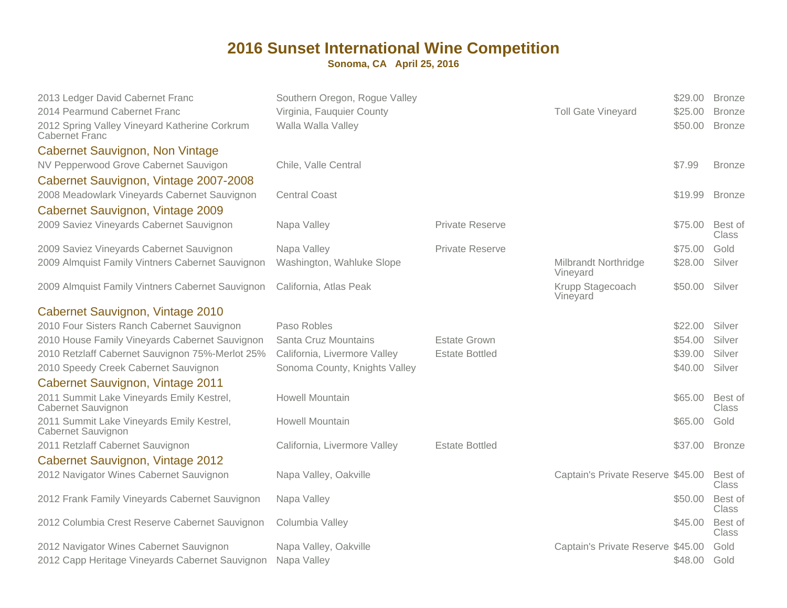| 2013 Ledger David Cabernet Franc<br>2014 Pearmund Cabernet Franc<br>2012 Spring Valley Vineyard Katherine Corkrum<br><b>Cabernet Franc</b> | Southern Oregon, Rogue Valley<br>Virginia, Fauquier County<br>Walla Walla Valley |                        | <b>Toll Gate Vineyard</b>               | \$29.00<br>\$25.00<br>\$50.00 | <b>Bronze</b><br><b>Bronze</b><br><b>Bronze</b> |
|--------------------------------------------------------------------------------------------------------------------------------------------|----------------------------------------------------------------------------------|------------------------|-----------------------------------------|-------------------------------|-------------------------------------------------|
| <b>Cabernet Sauvignon, Non Vintage</b>                                                                                                     |                                                                                  |                        |                                         |                               |                                                 |
| NV Pepperwood Grove Cabernet Sauvigon                                                                                                      | Chile, Valle Central                                                             |                        |                                         | \$7.99                        | <b>Bronze</b>                                   |
| Cabernet Sauvignon, Vintage 2007-2008                                                                                                      |                                                                                  |                        |                                         |                               |                                                 |
| 2008 Meadowlark Vineyards Cabernet Sauvignon                                                                                               | <b>Central Coast</b>                                                             |                        |                                         | \$19.99                       | <b>Bronze</b>                                   |
| Cabernet Sauvignon, Vintage 2009                                                                                                           |                                                                                  |                        |                                         |                               |                                                 |
| 2009 Saviez Vineyards Cabernet Sauvignon                                                                                                   | Napa Valley                                                                      | <b>Private Reserve</b> |                                         | \$75.00                       | Best of<br>Class                                |
| 2009 Saviez Vineyards Cabernet Sauvignon                                                                                                   | Napa Valley                                                                      | <b>Private Reserve</b> |                                         | \$75.00                       | Gold                                            |
| 2009 Almquist Family Vintners Cabernet Sauvignon                                                                                           | Washington, Wahluke Slope                                                        |                        | <b>Milbrandt Northridge</b><br>Vineyard | \$28.00                       | Silver                                          |
| 2009 Almquist Family Vintners Cabernet Sauvignon                                                                                           | California, Atlas Peak                                                           |                        | Krupp Stagecoach<br>Vineyard            | \$50.00                       | Silver                                          |
| Cabernet Sauvignon, Vintage 2010                                                                                                           |                                                                                  |                        |                                         |                               |                                                 |
| 2010 Four Sisters Ranch Cabernet Sauvignon                                                                                                 | Paso Robles                                                                      |                        |                                         | \$22.00                       | Silver                                          |
| 2010 House Family Vineyards Cabernet Sauvignon                                                                                             | Santa Cruz Mountains                                                             | <b>Estate Grown</b>    |                                         | \$54.00                       | Silver                                          |
| 2010 Retzlaff Cabernet Sauvignon 75%-Merlot 25%                                                                                            | California, Livermore Valley                                                     | <b>Estate Bottled</b>  |                                         | \$39.00                       | Silver                                          |
| 2010 Speedy Creek Cabernet Sauvignon                                                                                                       | Sonoma County, Knights Valley                                                    |                        |                                         | \$40.00                       | Silver                                          |
| Cabernet Sauvignon, Vintage 2011                                                                                                           |                                                                                  |                        |                                         |                               |                                                 |
| 2011 Summit Lake Vineyards Emily Kestrel,<br>Cabernet Sauvignon                                                                            | <b>Howell Mountain</b>                                                           |                        |                                         | \$65.00                       | Best of<br>Class                                |
| 2011 Summit Lake Vineyards Emily Kestrel,<br>Cabernet Sauvignon                                                                            | <b>Howell Mountain</b>                                                           |                        |                                         | \$65.00                       | Gold                                            |
| 2011 Retzlaff Cabernet Sauvignon                                                                                                           | California, Livermore Valley                                                     | <b>Estate Bottled</b>  |                                         | \$37.00                       | <b>Bronze</b>                                   |
| Cabernet Sauvignon, Vintage 2012                                                                                                           |                                                                                  |                        |                                         |                               |                                                 |
| 2012 Navigator Wines Cabernet Sauvignon                                                                                                    | Napa Valley, Oakville                                                            |                        | Captain's Private Reserve \$45.00       |                               | Best of<br>Class                                |
| 2012 Frank Family Vineyards Cabernet Sauvignon                                                                                             | Napa Valley                                                                      |                        |                                         | \$50.00                       | Best of<br><b>Class</b>                         |
| 2012 Columbia Crest Reserve Cabernet Sauvignon                                                                                             | Columbia Valley                                                                  |                        |                                         | \$45.00                       | Best of<br>Class                                |
| 2012 Navigator Wines Cabernet Sauvignon                                                                                                    | Napa Valley, Oakville                                                            |                        | Captain's Private Reserve \$45.00       |                               | Gold                                            |
| 2012 Capp Heritage Vineyards Cabernet Sauvignon                                                                                            | Napa Valley                                                                      |                        |                                         | \$48.00                       | Gold                                            |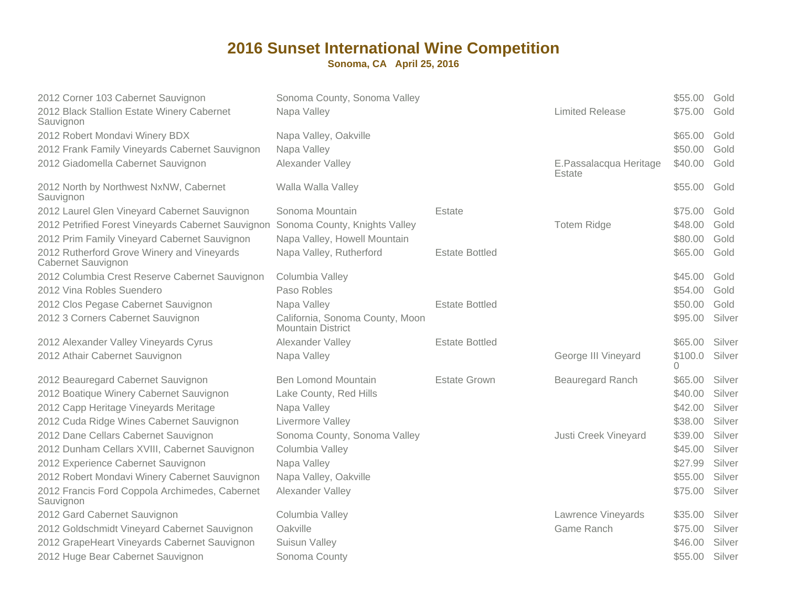| 2012 Corner 103 Cabernet Sauvignon<br>2012 Black Stallion Estate Winery Cabernet<br>Sauvignon | Sonoma County, Sonoma Valley<br>Napa Valley                 |                       | <b>Limited Release</b>           | \$55.00<br>\$75.00 | Gold<br>Gold |
|-----------------------------------------------------------------------------------------------|-------------------------------------------------------------|-----------------------|----------------------------------|--------------------|--------------|
| 2012 Robert Mondavi Winery BDX                                                                | Napa Valley, Oakville                                       |                       |                                  | \$65.00            | Gold         |
| 2012 Frank Family Vineyards Cabernet Sauvignon                                                | Napa Valley                                                 |                       |                                  | \$50.00            | Gold         |
| 2012 Giadomella Cabernet Sauvignon                                                            | Alexander Valley                                            |                       | E.Passalacqua Heritage<br>Estate | \$40.00            | Gold         |
| 2012 North by Northwest NxNW, Cabernet<br>Sauvignon                                           | Walla Walla Valley                                          |                       |                                  | \$55.00            | Gold         |
| 2012 Laurel Glen Vineyard Cabernet Sauvignon                                                  | Sonoma Mountain                                             | Estate                |                                  | \$75.00            | Gold         |
| 2012 Petrified Forest Vineyards Cabernet Sauvignon                                            | Sonoma County, Knights Valley                               |                       | <b>Totem Ridge</b>               | \$48.00            | Gold         |
| 2012 Prim Family Vineyard Cabernet Sauvignon                                                  | Napa Valley, Howell Mountain                                |                       |                                  | \$80.00            | Gold         |
| 2012 Rutherford Grove Winery and Vineyards<br>Cabernet Sauvignon                              | Napa Valley, Rutherford                                     | <b>Estate Bottled</b> |                                  | \$65.00            | Gold         |
| 2012 Columbia Crest Reserve Cabernet Sauvignon                                                | Columbia Valley                                             |                       |                                  | \$45.00            | Gold         |
| 2012 Vina Robles Suendero                                                                     | Paso Robles                                                 |                       |                                  | \$54.00            | Gold         |
| 2012 Clos Pegase Cabernet Sauvignon                                                           | Napa Valley                                                 | <b>Estate Bottled</b> |                                  | \$50.00            | Gold         |
| 2012 3 Corners Cabernet Sauvignon                                                             | California, Sonoma County, Moon<br><b>Mountain District</b> |                       |                                  | \$95.00            | Silver       |
| 2012 Alexander Valley Vineyards Cyrus                                                         | Alexander Valley                                            | <b>Estate Bottled</b> |                                  | \$65.00            | Silver       |
| 2012 Athair Cabernet Sauvignon                                                                | Napa Valley                                                 |                       | George III Vineyard              | \$100.0<br>0       | Silver       |
| 2012 Beauregard Cabernet Sauvignon                                                            | <b>Ben Lomond Mountain</b>                                  | <b>Estate Grown</b>   | Beauregard Ranch                 | \$65.00            | Silver       |
| 2012 Boatique Winery Cabernet Sauvignon                                                       | Lake County, Red Hills                                      |                       |                                  | \$40.00            | Silver       |
| 2012 Capp Heritage Vineyards Meritage                                                         | Napa Valley                                                 |                       |                                  | \$42.00            | Silver       |
| 2012 Cuda Ridge Wines Cabernet Sauvignon                                                      | Livermore Valley                                            |                       |                                  | \$38.00            | Silver       |
| 2012 Dane Cellars Cabernet Sauvignon                                                          | Sonoma County, Sonoma Valley                                |                       | Justi Creek Vineyard             | \$39.00            | Silver       |
| 2012 Dunham Cellars XVIII, Cabernet Sauvignon                                                 | Columbia Valley                                             |                       |                                  | \$45.00            | Silver       |
| 2012 Experience Cabernet Sauvignon                                                            | Napa Valley                                                 |                       |                                  | \$27.99            | Silver       |
| 2012 Robert Mondavi Winery Cabernet Sauvignon                                                 | Napa Valley, Oakville                                       |                       |                                  | \$55.00            | Silver       |
| 2012 Francis Ford Coppola Archimedes, Cabernet<br>Sauvignon                                   | Alexander Valley                                            |                       |                                  | \$75.00            | Silver       |
| 2012 Gard Cabernet Sauvignon                                                                  | Columbia Valley                                             |                       | Lawrence Vineyards               | \$35.00            | Silver       |
| 2012 Goldschmidt Vineyard Cabernet Sauvignon                                                  | Oakville                                                    |                       | Game Ranch                       | \$75.00            | Silver       |
| 2012 GrapeHeart Vineyards Cabernet Sauvignon                                                  | Suisun Valley                                               |                       |                                  | \$46.00            | Silver       |
| 2012 Huge Bear Cabernet Sauvignon                                                             | Sonoma County                                               |                       |                                  | \$55.00            | Silver       |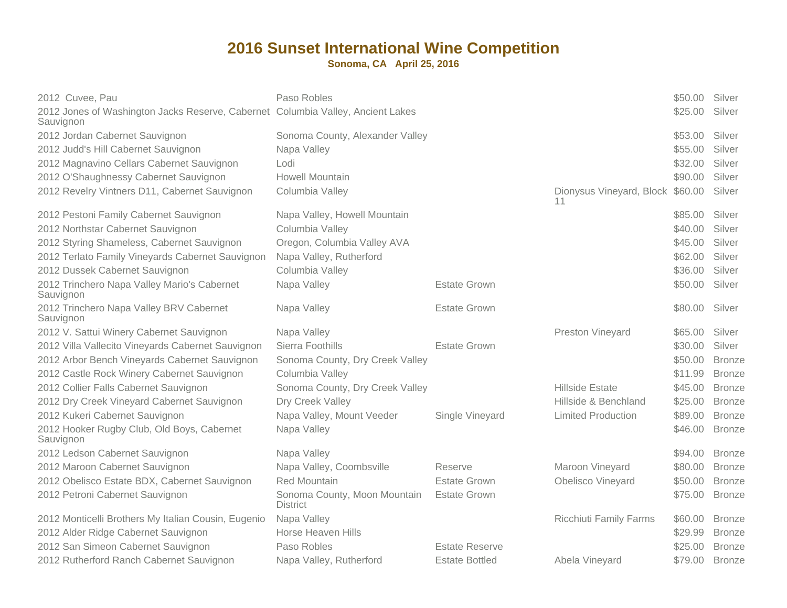| 2012 Cuvee, Pau                                                                              | Paso Robles                                     |                       |                                        | \$50.00 | Silver        |
|----------------------------------------------------------------------------------------------|-------------------------------------------------|-----------------------|----------------------------------------|---------|---------------|
| 2012 Jones of Washington Jacks Reserve, Cabernet Columbia Valley, Ancient Lakes<br>Sauvignon |                                                 |                       |                                        | \$25.00 | Silver        |
| 2012 Jordan Cabernet Sauvignon                                                               | Sonoma County, Alexander Valley                 |                       |                                        | \$53.00 | Silver        |
| 2012 Judd's Hill Cabernet Sauvignon                                                          | Napa Valley                                     |                       |                                        | \$55.00 | Silver        |
| 2012 Magnavino Cellars Cabernet Sauvignon                                                    | Lodi                                            |                       |                                        | \$32.00 | Silver        |
| 2012 O'Shaughnessy Cabernet Sauvignon                                                        | <b>Howell Mountain</b>                          |                       |                                        | \$90.00 | Silver        |
| 2012 Revelry Vintners D11, Cabernet Sauvignon                                                | Columbia Valley                                 |                       | Dionysus Vineyard, Block \$60.00<br>11 |         | Silver        |
| 2012 Pestoni Family Cabernet Sauvignon                                                       | Napa Valley, Howell Mountain                    |                       |                                        | \$85,00 | Silver        |
| 2012 Northstar Cabernet Sauvignon                                                            | Columbia Valley                                 |                       |                                        | \$40.00 | Silver        |
| 2012 Styring Shameless, Cabernet Sauvignon                                                   | Oregon, Columbia Valley AVA                     |                       |                                        | \$45.00 | Silver        |
| 2012 Terlato Family Vineyards Cabernet Sauvignon                                             | Napa Valley, Rutherford                         |                       |                                        | \$62.00 | Silver        |
| 2012 Dussek Cabernet Sauvignon                                                               | Columbia Valley                                 |                       |                                        | \$36.00 | Silver        |
| 2012 Trinchero Napa Valley Mario's Cabernet<br>Sauvignon                                     | Napa Valley                                     | <b>Estate Grown</b>   |                                        | \$50.00 | Silver        |
| 2012 Trinchero Napa Valley BRV Cabernet<br>Sauvignon                                         | Napa Valley                                     | <b>Estate Grown</b>   |                                        | \$80.00 | Silver        |
| 2012 V. Sattui Winery Cabernet Sauvignon                                                     | Napa Valley                                     |                       | Preston Vineyard                       | \$65.00 | Silver        |
| 2012 Villa Vallecito Vineyards Cabernet Sauvignon                                            | Sierra Foothills                                | Estate Grown          |                                        | \$30.00 | Silver        |
| 2012 Arbor Bench Vineyards Cabernet Sauvignon                                                | Sonoma County, Dry Creek Valley                 |                       |                                        | \$50.00 | <b>Bronze</b> |
| 2012 Castle Rock Winery Cabernet Sauvignon                                                   | Columbia Valley                                 |                       |                                        | \$11.99 | <b>Bronze</b> |
| 2012 Collier Falls Cabernet Sauvignon                                                        | Sonoma County, Dry Creek Valley                 |                       | <b>Hillside Estate</b>                 | \$45.00 | <b>Bronze</b> |
| 2012 Dry Creek Vineyard Cabernet Sauvignon                                                   | Dry Creek Valley                                |                       | Hillside & Benchland                   | \$25.00 | <b>Bronze</b> |
| 2012 Kukeri Cabernet Sauvignon                                                               | Napa Valley, Mount Veeder                       | Single Vineyard       | <b>Limited Production</b>              | \$89.00 | <b>Bronze</b> |
| 2012 Hooker Rugby Club, Old Boys, Cabernet<br>Sauvignon                                      | Napa Valley                                     |                       |                                        | \$46.00 | <b>Bronze</b> |
| 2012 Ledson Cabernet Sauvignon                                                               | Napa Valley                                     |                       |                                        | \$94.00 | <b>Bronze</b> |
| 2012 Maroon Cabernet Sauvignon                                                               | Napa Valley, Coombsville                        | Reserve               | Maroon Vineyard                        | \$80.00 | <b>Bronze</b> |
| 2012 Obelisco Estate BDX, Cabernet Sauvignon                                                 | <b>Red Mountain</b>                             | <b>Estate Grown</b>   | Obelisco Vineyard                      | \$50.00 | <b>Bronze</b> |
| 2012 Petroni Cabernet Sauvignon                                                              | Sonoma County, Moon Mountain<br><b>District</b> | <b>Estate Grown</b>   |                                        | \$75.00 | <b>Bronze</b> |
| 2012 Monticelli Brothers My Italian Cousin, Eugenio                                          | Napa Valley                                     |                       | <b>Ricchiuti Family Farms</b>          | \$60.00 | <b>Bronze</b> |
| 2012 Alder Ridge Cabernet Sauvignon                                                          | Horse Heaven Hills                              |                       |                                        | \$29.99 | <b>Bronze</b> |
| 2012 San Simeon Cabernet Sauvignon                                                           | Paso Robles                                     | <b>Estate Reserve</b> |                                        | \$25.00 | <b>Bronze</b> |
| 2012 Rutherford Ranch Cabernet Sauvignon                                                     | Napa Valley, Rutherford                         | <b>Estate Bottled</b> | Abela Vineyard                         | \$79.00 | <b>Bronze</b> |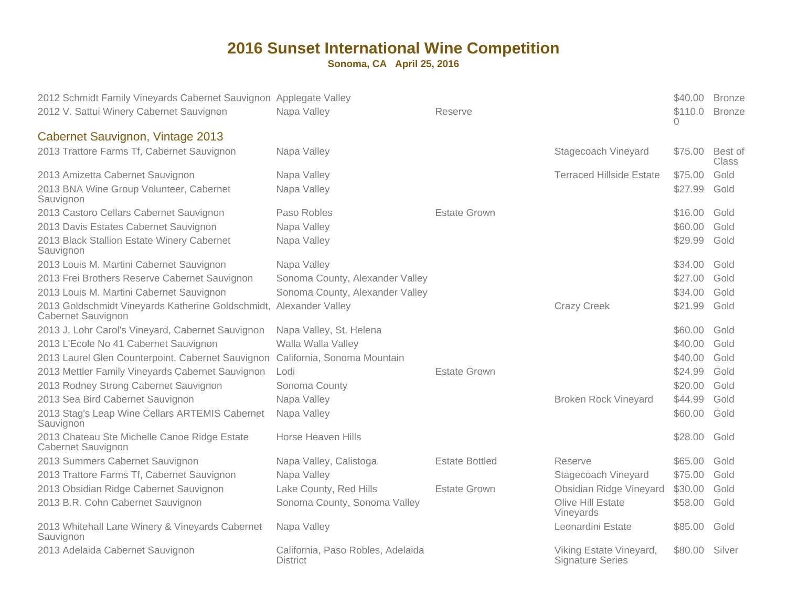| 2012 Schmidt Family Vineyards Cabernet Sauvignon Applegate Valley<br>2012 V. Sattui Winery Cabernet Sauvignon | Napa Valley                                          | Reserve               |                                                    | \$40.00<br>\$110.0<br>0 | <b>Bronze</b><br><b>Bronze</b> |
|---------------------------------------------------------------------------------------------------------------|------------------------------------------------------|-----------------------|----------------------------------------------------|-------------------------|--------------------------------|
| Cabernet Sauvignon, Vintage 2013                                                                              |                                                      |                       |                                                    |                         |                                |
| 2013 Trattore Farms Tf, Cabernet Sauvignon                                                                    | Napa Valley                                          |                       | Stagecoach Vineyard                                | \$75.00                 | Best of<br><b>Class</b>        |
| 2013 Amizetta Cabernet Sauvignon                                                                              | Napa Valley                                          |                       | <b>Terraced Hillside Estate</b>                    | \$75.00                 | Gold                           |
| 2013 BNA Wine Group Volunteer, Cabernet<br>Sauvignon                                                          | Napa Valley                                          |                       |                                                    | \$27.99                 | Gold                           |
| 2013 Castoro Cellars Cabernet Sauvignon                                                                       | Paso Robles                                          | <b>Estate Grown</b>   |                                                    | \$16.00                 | Gold                           |
| 2013 Davis Estates Cabernet Sauvignon                                                                         | Napa Valley                                          |                       |                                                    | \$60.00                 | Gold                           |
| 2013 Black Stallion Estate Winery Cabernet<br>Sauvignon                                                       | Napa Valley                                          |                       |                                                    | \$29.99                 | Gold                           |
| 2013 Louis M. Martini Cabernet Sauvignon                                                                      | Napa Valley                                          |                       |                                                    | \$34.00                 | Gold                           |
| 2013 Frei Brothers Reserve Cabernet Sauvignon                                                                 | Sonoma County, Alexander Valley                      |                       |                                                    | \$27.00                 | Gold                           |
| 2013 Louis M. Martini Cabernet Sauvignon                                                                      | Sonoma County, Alexander Valley                      |                       |                                                    | \$34.00                 | Gold                           |
| 2013 Goldschmidt Vineyards Katherine Goldschmidt, Alexander Valley<br>Cabernet Sauvignon                      |                                                      |                       | <b>Crazy Creek</b>                                 | \$21.99                 | Gold                           |
| 2013 J. Lohr Carol's Vineyard, Cabernet Sauvignon                                                             | Napa Valley, St. Helena                              |                       |                                                    | \$60.00                 | Gold                           |
| 2013 L'Ecole No 41 Cabernet Sauvignon                                                                         | Walla Walla Valley                                   |                       |                                                    | \$40.00                 | Gold                           |
| 2013 Laurel Glen Counterpoint, Cabernet Sauvignon                                                             | California, Sonoma Mountain                          |                       |                                                    | \$40.00                 | Gold                           |
| 2013 Mettler Family Vineyards Cabernet Sauvignon                                                              | Lodi                                                 | <b>Estate Grown</b>   |                                                    | \$24.99                 | Gold                           |
| 2013 Rodney Strong Cabernet Sauvignon                                                                         | Sonoma County                                        |                       |                                                    | \$20.00                 | Gold                           |
| 2013 Sea Bird Cabernet Sauvignon                                                                              | Napa Valley                                          |                       | <b>Broken Rock Vineyard</b>                        | \$44.99                 | Gold                           |
| 2013 Stag's Leap Wine Cellars ARTEMIS Cabernet<br>Sauvignon                                                   | Napa Valley                                          |                       |                                                    | \$60.00                 | Gold                           |
| 2013 Chateau Ste Michelle Canoe Ridge Estate<br>Cabernet Sauvignon                                            | <b>Horse Heaven Hills</b>                            |                       |                                                    | \$28.00                 | Gold                           |
| 2013 Summers Cabernet Sauvignon                                                                               | Napa Valley, Calistoga                               | <b>Estate Bottled</b> | Reserve                                            | \$65.00                 | Gold                           |
| 2013 Trattore Farms Tf, Cabernet Sauvignon                                                                    | Napa Valley                                          |                       | Stagecoach Vineyard                                | \$75.00                 | Gold                           |
| 2013 Obsidian Ridge Cabernet Sauvignon                                                                        | Lake County, Red Hills                               | <b>Estate Grown</b>   | Obsidian Ridge Vineyard                            | \$30.00                 | Gold                           |
| 2013 B.R. Cohn Cabernet Sauvignon                                                                             | Sonoma County, Sonoma Valley                         |                       | Olive Hill Estate<br>Vineyards                     | \$58.00                 | Gold                           |
| 2013 Whitehall Lane Winery & Vineyards Cabernet<br>Sauvignon                                                  | Napa Valley                                          |                       | Leonardini Estate                                  | \$85.00                 | Gold                           |
| 2013 Adelaida Cabernet Sauvignon                                                                              | California, Paso Robles, Adelaida<br><b>District</b> |                       | Viking Estate Vineyard,<br><b>Signature Series</b> | \$80.00                 | Silver                         |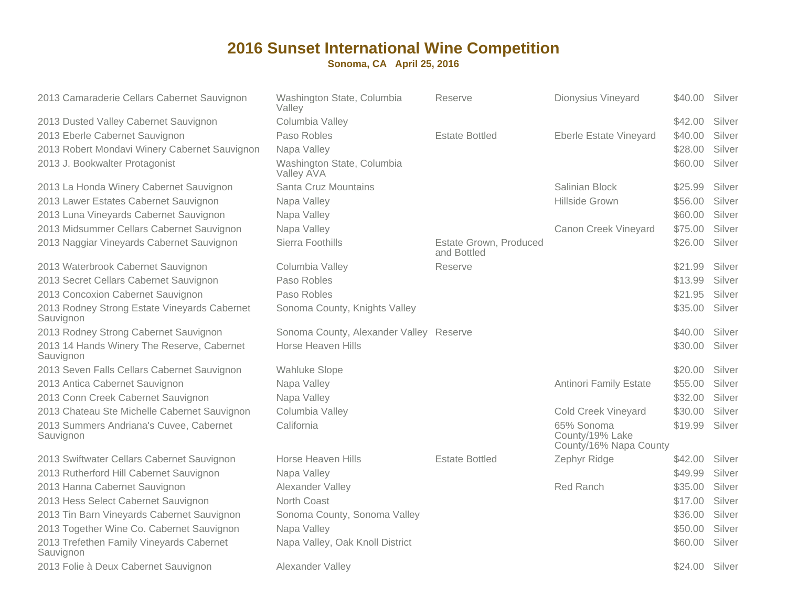| 2013 Camaraderie Cellars Cabernet Sauvignon               | Washington State, Columbia<br>Valley     | Reserve                               | Dionysius Vineyard                                      | \$40.00 | Silver |
|-----------------------------------------------------------|------------------------------------------|---------------------------------------|---------------------------------------------------------|---------|--------|
| 2013 Dusted Valley Cabernet Sauvignon                     | Columbia Valley                          |                                       |                                                         | \$42.00 | Silver |
| 2013 Eberle Cabernet Sauvignon                            | Paso Robles                              | <b>Estate Bottled</b>                 | <b>Eberle Estate Vineyard</b>                           | \$40.00 | Silver |
| 2013 Robert Mondavi Winery Cabernet Sauvignon             | Napa Valley                              |                                       |                                                         | \$28.00 | Silver |
| 2013 J. Bookwalter Protagonist                            | Washington State, Columbia<br>Valley AVA |                                       |                                                         | \$60.00 | Silver |
| 2013 La Honda Winery Cabernet Sauvignon                   | Santa Cruz Mountains                     |                                       | Salinian Block                                          | \$25.99 | Silver |
| 2013 Lawer Estates Cabernet Sauvignon                     | Napa Valley                              |                                       | Hillside Grown                                          | \$56.00 | Silver |
| 2013 Luna Vineyards Cabernet Sauvignon                    | Napa Valley                              |                                       |                                                         | \$60.00 | Silver |
| 2013 Midsummer Cellars Cabernet Sauvignon                 | Napa Valley                              |                                       | Canon Creek Vineyard                                    | \$75.00 | Silver |
| 2013 Naggiar Vineyards Cabernet Sauvignon                 | Sierra Foothills                         | Estate Grown, Produced<br>and Bottled |                                                         | \$26.00 | Silver |
| 2013 Waterbrook Cabernet Sauvignon                        | Columbia Valley                          | Reserve                               |                                                         | \$21.99 | Silver |
| 2013 Secret Cellars Cabernet Sauvignon                    | Paso Robles                              |                                       |                                                         | \$13.99 | Silver |
| 2013 Concoxion Cabernet Sauvignon                         | Paso Robles                              |                                       |                                                         | \$21.95 | Silver |
| 2013 Rodney Strong Estate Vineyards Cabernet<br>Sauvignon | Sonoma County, Knights Valley            |                                       |                                                         | \$35.00 | Silver |
| 2013 Rodney Strong Cabernet Sauvignon                     | Sonoma County, Alexander Valley Reserve  |                                       |                                                         | \$40.00 | Silver |
| 2013 14 Hands Winery The Reserve, Cabernet<br>Sauvignon   | <b>Horse Heaven Hills</b>                |                                       |                                                         | \$30.00 | Silver |
| 2013 Seven Falls Cellars Cabernet Sauvignon               | <b>Wahluke Slope</b>                     |                                       |                                                         | \$20.00 | Silver |
| 2013 Antica Cabernet Sauvignon                            | Napa Valley                              |                                       | <b>Antinori Family Estate</b>                           | \$55.00 | Silver |
| 2013 Conn Creek Cabernet Sauvignon                        | Napa Valley                              |                                       |                                                         | \$32.00 | Silver |
| 2013 Chateau Ste Michelle Cabernet Sauvignon              | Columbia Valley                          |                                       | <b>Cold Creek Vineyard</b>                              | \$30.00 | Silver |
| 2013 Summers Andriana's Cuvee, Cabernet<br>Sauvignon      | California                               |                                       | 65% Sonoma<br>County/19% Lake<br>County/16% Napa County | \$19.99 | Silver |
| 2013 Swiftwater Cellars Cabernet Sauvignon                | Horse Heaven Hills                       | <b>Estate Bottled</b>                 | Zephyr Ridge                                            | \$42.00 | Silver |
| 2013 Rutherford Hill Cabernet Sauvignon                   | Napa Valley                              |                                       |                                                         | \$49.99 | Silver |
| 2013 Hanna Cabernet Sauvignon                             | Alexander Valley                         |                                       | Red Ranch                                               | \$35.00 | Silver |
| 2013 Hess Select Cabernet Sauvignon                       | North Coast                              |                                       |                                                         | \$17.00 | Silver |
| 2013 Tin Barn Vineyards Cabernet Sauvignon                | Sonoma County, Sonoma Valley             |                                       |                                                         | \$36.00 | Silver |
| 2013 Together Wine Co. Cabernet Sauvignon                 | Napa Valley                              |                                       |                                                         | \$50.00 | Silver |
| 2013 Trefethen Family Vineyards Cabernet<br>Sauvignon     | Napa Valley, Oak Knoll District          |                                       |                                                         | \$60.00 | Silver |
| 2013 Folie à Deux Cabernet Sauvignon                      | Alexander Valley                         |                                       |                                                         | \$24.00 | Silver |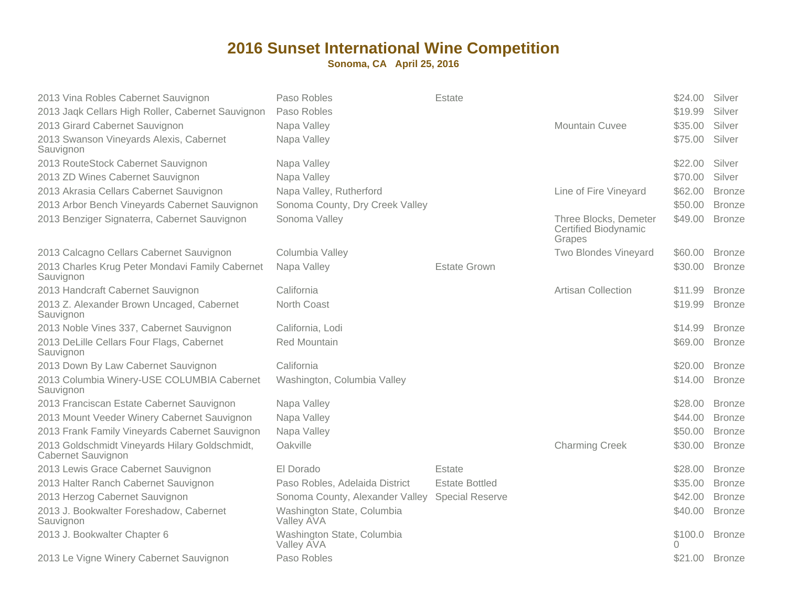| 2013 Vina Robles Cabernet Sauvignon<br>2013 Jaqk Cellars High Roller, Cabernet Sauvignon<br>2013 Girard Cabernet Sauvignon<br>2013 Swanson Vineyards Alexis, Cabernet<br>Sauvignon | Paso Robles<br>Paso Robles<br>Napa Valley<br>Napa Valley | Estate                 | <b>Mountain Cuvee</b>                                          | \$24.00<br>\$19.99<br>\$35.00<br>\$75.00 | Silver<br>Silver<br>Silver<br>Silver |
|------------------------------------------------------------------------------------------------------------------------------------------------------------------------------------|----------------------------------------------------------|------------------------|----------------------------------------------------------------|------------------------------------------|--------------------------------------|
| 2013 RouteStock Cabernet Sauvignon                                                                                                                                                 | Napa Valley                                              |                        |                                                                | \$22.00                                  | Silver                               |
| 2013 ZD Wines Cabernet Sauvignon                                                                                                                                                   | Napa Valley                                              |                        |                                                                | \$70.00                                  | Silver                               |
| 2013 Akrasia Cellars Cabernet Sauvignon                                                                                                                                            | Napa Valley, Rutherford                                  |                        | Line of Fire Vineyard                                          | \$62.00                                  | <b>Bronze</b>                        |
| 2013 Arbor Bench Vineyards Cabernet Sauvignon                                                                                                                                      | Sonoma County, Dry Creek Valley                          |                        |                                                                | \$50.00                                  | <b>Bronze</b>                        |
| 2013 Benziger Signaterra, Cabernet Sauvignon                                                                                                                                       | Sonoma Valley                                            |                        | Three Blocks, Demeter<br><b>Certified Biodynamic</b><br>Grapes | \$49.00                                  | <b>Bronze</b>                        |
| 2013 Calcagno Cellars Cabernet Sauvignon                                                                                                                                           | Columbia Valley                                          |                        | <b>Two Blondes Vineyard</b>                                    | \$60.00                                  | <b>Bronze</b>                        |
| 2013 Charles Krug Peter Mondavi Family Cabernet<br>Sauvignon                                                                                                                       | Napa Valley                                              | <b>Estate Grown</b>    |                                                                | \$30.00                                  | <b>Bronze</b>                        |
| 2013 Handcraft Cabernet Sauvignon                                                                                                                                                  | California                                               |                        | <b>Artisan Collection</b>                                      | \$11.99                                  | <b>Bronze</b>                        |
| 2013 Z. Alexander Brown Uncaged, Cabernet<br>Sauvignon                                                                                                                             | North Coast                                              |                        |                                                                | \$19.99                                  | <b>Bronze</b>                        |
| 2013 Noble Vines 337, Cabernet Sauvignon                                                                                                                                           | California, Lodi                                         |                        |                                                                | \$14.99                                  | <b>Bronze</b>                        |
| 2013 DeLille Cellars Four Flags, Cabernet<br>Sauvignon                                                                                                                             | <b>Red Mountain</b>                                      |                        |                                                                | \$69.00                                  | <b>Bronze</b>                        |
| 2013 Down By Law Cabernet Sauvignon                                                                                                                                                | California                                               |                        |                                                                | \$20.00                                  | <b>Bronze</b>                        |
| 2013 Columbia Winery-USE COLUMBIA Cabernet<br>Sauvignon                                                                                                                            | Washington, Columbia Valley                              |                        |                                                                | \$14.00                                  | <b>Bronze</b>                        |
| 2013 Franciscan Estate Cabernet Sauvignon                                                                                                                                          | Napa Valley                                              |                        |                                                                | \$28.00                                  | <b>Bronze</b>                        |
| 2013 Mount Veeder Winery Cabernet Sauvignon                                                                                                                                        | Napa Valley                                              |                        |                                                                | \$44.00                                  | <b>Bronze</b>                        |
| 2013 Frank Family Vineyards Cabernet Sauvignon                                                                                                                                     | Napa Valley                                              |                        |                                                                | \$50.00                                  | <b>Bronze</b>                        |
| 2013 Goldschmidt Vineyards Hilary Goldschmidt,<br>Cabernet Sauvignon                                                                                                               | Oakville                                                 |                        | <b>Charming Creek</b>                                          | \$30.00                                  | <b>Bronze</b>                        |
| 2013 Lewis Grace Cabernet Sauvignon                                                                                                                                                | El Dorado                                                | Estate                 |                                                                | \$28.00                                  | <b>Bronze</b>                        |
| 2013 Halter Ranch Cabernet Sauvignon                                                                                                                                               | Paso Robles, Adelaida District                           | <b>Estate Bottled</b>  |                                                                | \$35.00                                  | <b>Bronze</b>                        |
| 2013 Herzog Cabernet Sauvignon                                                                                                                                                     | Sonoma County, Alexander Valley                          | <b>Special Reserve</b> |                                                                | \$42.00                                  | <b>Bronze</b>                        |
| 2013 J. Bookwalter Foreshadow, Cabernet<br>Sauvignon                                                                                                                               | Washington State, Columbia<br>Valley AVA                 |                        |                                                                | \$40.00                                  | <b>Bronze</b>                        |
| 2013 J. Bookwalter Chapter 6                                                                                                                                                       | Washington State, Columbia<br>Valley AVA                 |                        |                                                                | \$100.0<br>Λ                             | <b>Bronze</b>                        |
| 2013 Le Vigne Winery Cabernet Sauvignon                                                                                                                                            | Paso Robles                                              |                        |                                                                | \$21.00                                  | <b>Bronze</b>                        |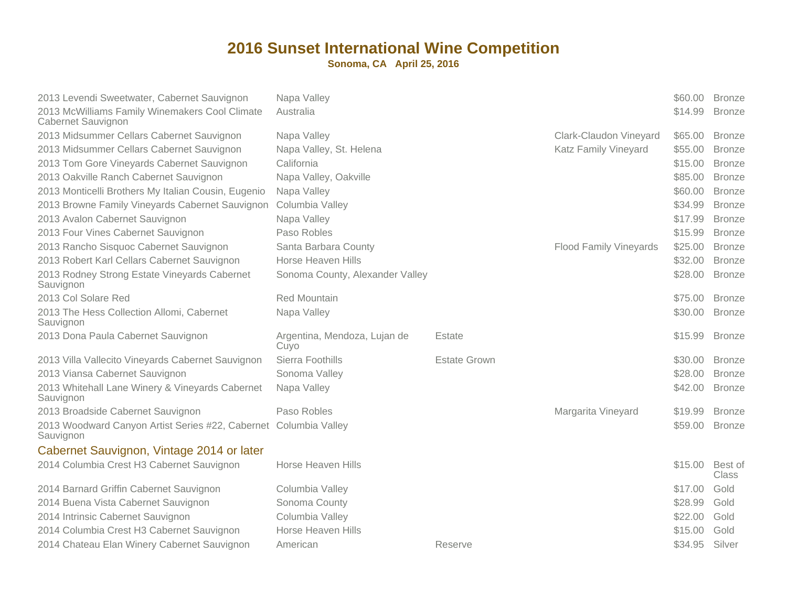| 2013 McWilliams Family Winemakers Cool Climate<br>Australia<br>\$14.99<br><b>Bronze</b><br>Cabernet Sauvignon<br>2013 Midsummer Cellars Cabernet Sauvignon<br>Napa Valley<br><b>Clark-Claudon Vineyard</b><br>\$65,00<br><b>Bronze</b> |  |
|----------------------------------------------------------------------------------------------------------------------------------------------------------------------------------------------------------------------------------------|--|
|                                                                                                                                                                                                                                        |  |
|                                                                                                                                                                                                                                        |  |
| 2013 Midsummer Cellars Cabernet Sauvignon<br>Napa Valley, St. Helena<br><b>Katz Family Vineyard</b><br>\$55.00<br><b>Bronze</b>                                                                                                        |  |
| California<br>2013 Tom Gore Vineyards Cabernet Sauvignon<br>\$15.00<br><b>Bronze</b>                                                                                                                                                   |  |
| 2013 Oakville Ranch Cabernet Sauvignon<br>\$85.00<br>Napa Valley, Oakville<br><b>Bronze</b>                                                                                                                                            |  |
| 2013 Monticelli Brothers My Italian Cousin, Eugenio<br>\$60.00<br><b>Bronze</b><br>Napa Valley                                                                                                                                         |  |
| 2013 Browne Family Vineyards Cabernet Sauvignon<br>Columbia Valley<br>\$34.99<br><b>Bronze</b>                                                                                                                                         |  |
| 2013 Avalon Cabernet Sauvignon<br>Napa Valley<br>\$17.99<br><b>Bronze</b>                                                                                                                                                              |  |
| Paso Robles<br>2013 Four Vines Cabernet Sauvignon<br>\$15.99<br><b>Bronze</b>                                                                                                                                                          |  |
| 2013 Rancho Sisquoc Cabernet Sauvignon<br>Santa Barbara County<br><b>Flood Family Vineyards</b><br>\$25.00<br><b>Bronze</b>                                                                                                            |  |
| 2013 Robert Karl Cellars Cabernet Sauvignon<br>Horse Heaven Hills<br>\$32.00<br><b>Bronze</b>                                                                                                                                          |  |
| 2013 Rodney Strong Estate Vineyards Cabernet<br>Sonoma County, Alexander Valley<br>\$28.00<br><b>Bronze</b><br>Sauvignon                                                                                                               |  |
| 2013 Col Solare Red<br><b>Red Mountain</b><br>\$75.00<br><b>Bronze</b>                                                                                                                                                                 |  |
| 2013 The Hess Collection Allomi, Cabernet<br>Napa Valley<br>\$30.00<br><b>Bronze</b><br>Sauvignon                                                                                                                                      |  |
| 2013 Dona Paula Cabernet Sauvignon<br>\$15.99<br>Argentina, Mendoza, Lujan de<br>Estate<br><b>Bronze</b><br>Cuyo                                                                                                                       |  |
| Sierra Foothills<br>2013 Villa Vallecito Vineyards Cabernet Sauvignon<br><b>Estate Grown</b><br>\$30.00<br><b>Bronze</b>                                                                                                               |  |
| 2013 Viansa Cabernet Sauvignon<br>Sonoma Valley<br>\$28.00<br><b>Bronze</b>                                                                                                                                                            |  |
| 2013 Whitehall Lane Winery & Vineyards Cabernet<br>Napa Valley<br>\$42.00<br><b>Bronze</b><br>Sauvignon                                                                                                                                |  |
| 2013 Broadside Cabernet Sauvignon<br>Paso Robles<br>Margarita Vineyard<br>\$19.99<br><b>Bronze</b>                                                                                                                                     |  |
| 2013 Woodward Canyon Artist Series #22, Cabernet Columbia Valley<br>\$59.00<br><b>Bronze</b><br>Sauvignon                                                                                                                              |  |
| Cabernet Sauvignon, Vintage 2014 or later                                                                                                                                                                                              |  |
| 2014 Columbia Crest H3 Cabernet Sauvignon<br>Horse Heaven Hills<br>\$15.00<br>Best of<br><b>Class</b>                                                                                                                                  |  |
| 2014 Barnard Griffin Cabernet Sauvignon<br>Gold<br>\$17.00<br>Columbia Valley                                                                                                                                                          |  |
| 2014 Buena Vista Cabernet Sauvignon<br>Sonoma County<br>\$28.99<br>Gold                                                                                                                                                                |  |
| 2014 Intrinsic Cabernet Sauvignon<br>Columbia Valley<br>\$22.00<br>Gold                                                                                                                                                                |  |
| 2014 Columbia Crest H3 Cabernet Sauvignon<br>Horse Heaven Hills<br>Gold<br>\$15.00                                                                                                                                                     |  |
| 2014 Chateau Elan Winery Cabernet Sauvignon<br>\$34.95<br>Silver<br>Reserve<br>American                                                                                                                                                |  |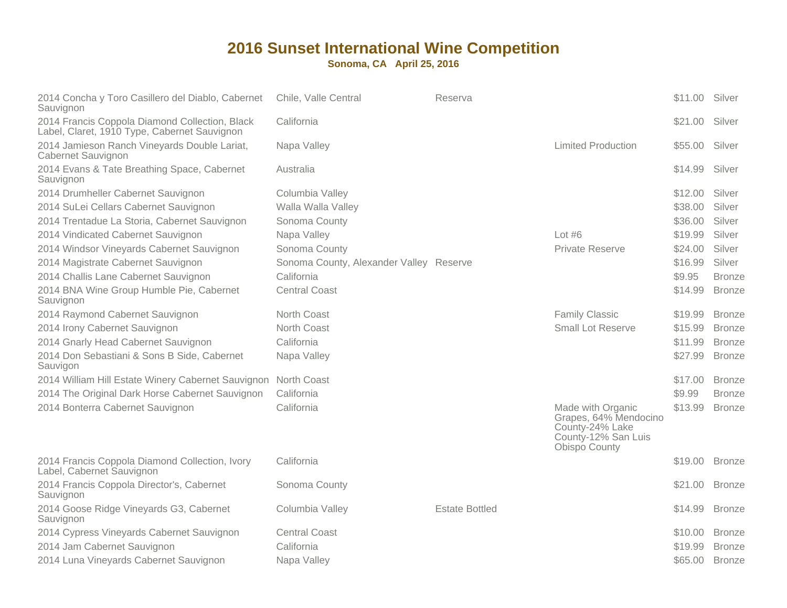| 2014 Concha y Toro Casillero del Diablo, Cabernet<br>Sauvignon                                 | Chile, Valle Central                    | Reserva               |                                                                                                       | \$11.00 | Silver        |
|------------------------------------------------------------------------------------------------|-----------------------------------------|-----------------------|-------------------------------------------------------------------------------------------------------|---------|---------------|
| 2014 Francis Coppola Diamond Collection, Black<br>Label, Claret, 1910 Type, Cabernet Sauvignon | California                              |                       |                                                                                                       | \$21.00 | Silver        |
| 2014 Jamieson Ranch Vineyards Double Lariat,<br>Cabernet Sauvignon                             | Napa Valley                             |                       | <b>Limited Production</b>                                                                             | \$55.00 | Silver        |
| 2014 Evans & Tate Breathing Space, Cabernet<br>Sauvignon                                       | Australia                               |                       |                                                                                                       | \$14.99 | Silver        |
| 2014 Drumheller Cabernet Sauvignon                                                             | Columbia Valley                         |                       |                                                                                                       | \$12.00 | Silver        |
| 2014 SuLei Cellars Cabernet Sauvignon                                                          | Walla Walla Valley                      |                       |                                                                                                       | \$38.00 | Silver        |
| 2014 Trentadue La Storia, Cabernet Sauvignon                                                   | Sonoma County                           |                       |                                                                                                       | \$36.00 | Silver        |
| 2014 Vindicated Cabernet Sauvignon                                                             | Napa Valley                             |                       | Lot $#6$                                                                                              | \$19.99 | Silver        |
| 2014 Windsor Vineyards Cabernet Sauvignon                                                      | Sonoma County                           |                       | <b>Private Reserve</b>                                                                                | \$24.00 | Silver        |
| 2014 Magistrate Cabernet Sauvignon                                                             | Sonoma County, Alexander Valley Reserve |                       |                                                                                                       | \$16.99 | Silver        |
| 2014 Challis Lane Cabernet Sauvignon                                                           | California                              |                       |                                                                                                       | \$9.95  | <b>Bronze</b> |
| 2014 BNA Wine Group Humble Pie, Cabernet<br>Sauvignon                                          | <b>Central Coast</b>                    |                       |                                                                                                       | \$14.99 | <b>Bronze</b> |
| 2014 Raymond Cabernet Sauvignon                                                                | North Coast                             |                       | <b>Family Classic</b>                                                                                 | \$19.99 | <b>Bronze</b> |
| 2014 Irony Cabernet Sauvignon                                                                  | North Coast                             |                       | <b>Small Lot Reserve</b>                                                                              | \$15.99 | <b>Bronze</b> |
| 2014 Gnarly Head Cabernet Sauvignon                                                            | California                              |                       |                                                                                                       | \$11.99 | <b>Bronze</b> |
| 2014 Don Sebastiani & Sons B Side, Cabernet<br>Sauvigon                                        | Napa Valley                             |                       |                                                                                                       | \$27.99 | <b>Bronze</b> |
| 2014 William Hill Estate Winery Cabernet Sauvignon                                             | North Coast                             |                       |                                                                                                       | \$17.00 | <b>Bronze</b> |
| 2014 The Original Dark Horse Cabernet Sauvignon                                                | California                              |                       |                                                                                                       | \$9.99  | <b>Bronze</b> |
| 2014 Bonterra Cabernet Sauvignon                                                               | California                              |                       | Made with Organic<br>Grapes, 64% Mendocino<br>County-24% Lake<br>County-12% San Luis<br>Obispo County | \$13.99 | <b>Bronze</b> |
| 2014 Francis Coppola Diamond Collection, Ivory<br>Label, Cabernet Sauvignon                    | California                              |                       |                                                                                                       | \$19.00 | <b>Bronze</b> |
| 2014 Francis Coppola Director's, Cabernet<br>Sauvignon                                         | Sonoma County                           |                       |                                                                                                       | \$21.00 | <b>Bronze</b> |
| 2014 Goose Ridge Vineyards G3, Cabernet<br>Sauvignon                                           | Columbia Valley                         | <b>Estate Bottled</b> |                                                                                                       | \$14.99 | <b>Bronze</b> |
| 2014 Cypress Vineyards Cabernet Sauvignon                                                      | <b>Central Coast</b>                    |                       |                                                                                                       | \$10.00 | <b>Bronze</b> |
| 2014 Jam Cabernet Sauvignon                                                                    | California                              |                       |                                                                                                       | \$19.99 | <b>Bronze</b> |
| 2014 Luna Vineyards Cabernet Sauvignon                                                         | Napa Valley                             |                       |                                                                                                       | \$65.00 | <b>Bronze</b> |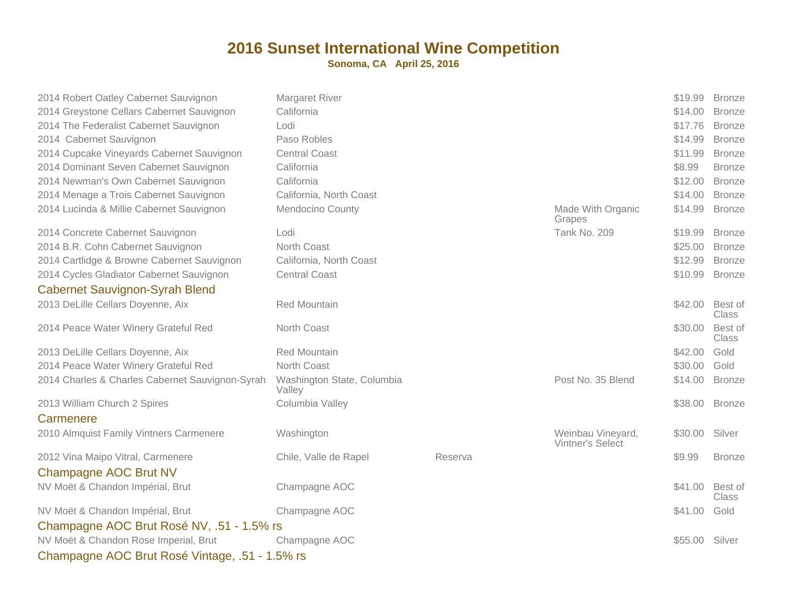| 2014 Robert Oatley Cabernet Sauvignon           | Margaret River                       |         |                                       | \$19.99 | <b>Bronze</b>           |
|-------------------------------------------------|--------------------------------------|---------|---------------------------------------|---------|-------------------------|
| 2014 Greystone Cellars Cabernet Sauvignon       | California                           |         |                                       | \$14.00 | <b>Bronze</b>           |
| 2014 The Federalist Cabernet Sauvignon          | Lodi                                 |         |                                       | \$17.76 | <b>Bronze</b>           |
| 2014 Cabernet Sauvignon                         | Paso Robles                          |         |                                       | \$14.99 | <b>Bronze</b>           |
| 2014 Cupcake Vineyards Cabernet Sauvignon       | <b>Central Coast</b>                 |         |                                       | \$11.99 | <b>Bronze</b>           |
| 2014 Dominant Seven Cabernet Sauvignon          | California                           |         |                                       | \$8.99  | <b>Bronze</b>           |
| 2014 Newman's Own Cabernet Sauvignon            | California                           |         |                                       | \$12.00 | <b>Bronze</b>           |
| 2014 Menage a Trois Cabernet Sauvignon          | California, North Coast              |         |                                       | \$14.00 | <b>Bronze</b>           |
| 2014 Lucinda & Millie Cabernet Sauvignon        | Mendocino County                     |         | Made With Organic<br>Grapes           | \$14.99 | <b>Bronze</b>           |
| 2014 Concrete Cabernet Sauvignon                | Lodi                                 |         | <b>Tank No. 209</b>                   | \$19.99 | <b>Bronze</b>           |
| 2014 B.R. Cohn Cabernet Sauvignon               | North Coast                          |         |                                       | \$25.00 | <b>Bronze</b>           |
| 2014 Cartlidge & Browne Cabernet Sauvignon      | California, North Coast              |         |                                       | \$12.99 | <b>Bronze</b>           |
| 2014 Cycles Gladiator Cabernet Sauvignon        | <b>Central Coast</b>                 |         |                                       | \$10.99 | <b>Bronze</b>           |
| <b>Cabernet Sauvignon-Syrah Blend</b>           |                                      |         |                                       |         |                         |
| 2013 DeLille Cellars Doyenne, Aix               | <b>Red Mountain</b>                  |         |                                       | \$42.00 | Best of<br><b>Class</b> |
| 2014 Peace Water Winery Grateful Red            | North Coast                          |         |                                       | \$30.00 | Best of<br><b>Class</b> |
| 2013 DeLille Cellars Doyenne, Aix               | <b>Red Mountain</b>                  |         |                                       | \$42.00 | Gold                    |
| 2014 Peace Water Winery Grateful Red            | North Coast                          |         |                                       | \$30.00 | Gold                    |
| 2014 Charles & Charles Cabernet Sauvignon-Syrah | Washington State, Columbia<br>Valley |         | Post No. 35 Blend                     | \$14.00 | <b>Bronze</b>           |
| 2013 William Church 2 Spires                    | Columbia Valley                      |         |                                       | \$38.00 | <b>Bronze</b>           |
| Carmenere                                       |                                      |         |                                       |         |                         |
| 2010 Almquist Family Vintners Carmenere         | Washington                           |         | Weinbau Vineyard,<br>Vintner's Select | \$30.00 | Silver                  |
| 2012 Vina Maipo Vitral, Carmenere               | Chile, Valle de Rapel                | Reserva |                                       | \$9.99  | <b>Bronze</b>           |
| <b>Champagne AOC Brut NV</b>                    |                                      |         |                                       |         |                         |
| NV Moët & Chandon Impérial, Brut                | Champagne AOC                        |         |                                       | \$41.00 | Best of<br><b>Class</b> |
| NV Moët & Chandon Impérial, Brut                | Champagne AOC                        |         |                                       | \$41.00 | Gold                    |
| Champagne AOC Brut Rosé NV, .51 - 1.5% rs       |                                      |         |                                       |         |                         |
| NV Moët & Chandon Rose Imperial, Brut           | Champagne AOC                        |         |                                       | \$55.00 | Silver                  |
|                                                 |                                      |         |                                       |         |                         |
| Champagne AOC Brut Rosé Vintage, .51 - 1.5% rs  |                                      |         |                                       |         |                         |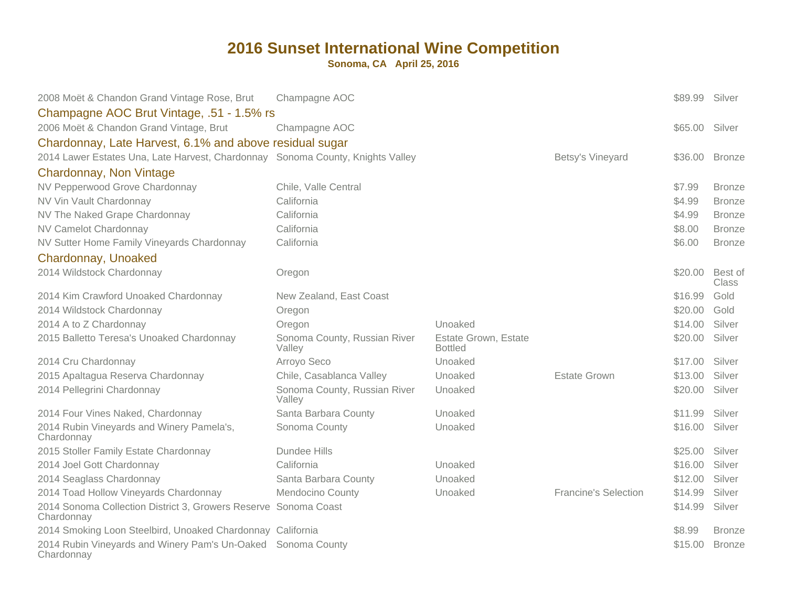| 2008 Moët & Chandon Grand Vintage Rose, Brut                                   | Champagne AOC                          |                                        |                             | \$89.99        | Silver                  |
|--------------------------------------------------------------------------------|----------------------------------------|----------------------------------------|-----------------------------|----------------|-------------------------|
| Champagne AOC Brut Vintage, .51 - 1.5% rs                                      |                                        |                                        |                             |                |                         |
| 2006 Moët & Chandon Grand Vintage, Brut                                        | Champagne AOC                          |                                        |                             | \$65.00 Silver |                         |
| Chardonnay, Late Harvest, 6.1% and above residual sugar                        |                                        |                                        |                             |                |                         |
| 2014 Lawer Estates Una, Late Harvest, Chardonnay Sonoma County, Knights Valley |                                        |                                        | Betsy's Vineyard            | \$36.00        | <b>Bronze</b>           |
| Chardonnay, Non Vintage                                                        |                                        |                                        |                             |                |                         |
| NV Pepperwood Grove Chardonnay                                                 | Chile, Valle Central                   |                                        |                             | \$7.99         | <b>Bronze</b>           |
| NV Vin Vault Chardonnay                                                        | California                             |                                        |                             | \$4.99         | <b>Bronze</b>           |
| NV The Naked Grape Chardonnay                                                  | California                             |                                        |                             | \$4.99         | <b>Bronze</b>           |
| NV Camelot Chardonnay                                                          | California                             |                                        |                             | \$8.00         | <b>Bronze</b>           |
| NV Sutter Home Family Vineyards Chardonnay                                     | California                             |                                        |                             | \$6.00         | <b>Bronze</b>           |
| Chardonnay, Unoaked                                                            |                                        |                                        |                             |                |                         |
| 2014 Wildstock Chardonnay                                                      | Oregon                                 |                                        |                             | \$20.00        | Best of<br><b>Class</b> |
| 2014 Kim Crawford Unoaked Chardonnay                                           | New Zealand, East Coast                |                                        |                             | \$16.99        | Gold                    |
| 2014 Wildstock Chardonnay                                                      | Oregon                                 |                                        |                             | \$20.00        | Gold                    |
| 2014 A to Z Chardonnay                                                         | Oregon                                 | Unoaked                                |                             | \$14.00        | Silver                  |
| 2015 Balletto Teresa's Unoaked Chardonnay                                      | Sonoma County, Russian River<br>Valley | Estate Grown, Estate<br><b>Bottled</b> |                             | \$20.00        | Silver                  |
| 2014 Cru Chardonnay                                                            | Arroyo Seco                            | Unoaked                                |                             | \$17.00        | Silver                  |
| 2015 Apaltagua Reserva Chardonnay                                              | Chile, Casablanca Valley               | Unoaked                                | <b>Estate Grown</b>         | \$13.00        | Silver                  |
| 2014 Pellegrini Chardonnay                                                     | Sonoma County, Russian River<br>Valley | Unoaked                                |                             | \$20.00        | Silver                  |
| 2014 Four Vines Naked, Chardonnay                                              | Santa Barbara County                   | Unoaked                                |                             | \$11.99        | Silver                  |
| 2014 Rubin Vineyards and Winery Pamela's,<br>Chardonnay                        | Sonoma County                          | Unoaked                                |                             | \$16.00        | Silver                  |
| 2015 Stoller Family Estate Chardonnay                                          | Dundee Hills                           |                                        |                             | \$25.00        | Silver                  |
| 2014 Joel Gott Chardonnay                                                      | California                             | Unoaked                                |                             | \$16.00        | Silver                  |
| 2014 Seaglass Chardonnay                                                       | Santa Barbara County                   | Unoaked                                |                             | \$12.00        | Silver                  |
| 2014 Toad Hollow Vineyards Chardonnay                                          | <b>Mendocino County</b>                | Unoaked                                | <b>Francine's Selection</b> | \$14.99        | Silver                  |
| 2014 Sonoma Collection District 3, Growers Reserve Sonoma Coast<br>Chardonnay  |                                        |                                        |                             | \$14.99        | Silver                  |
| 2014 Smoking Loon Steelbird, Unoaked Chardonnay California                     |                                        |                                        |                             | \$8.99         | <b>Bronze</b>           |
| 2014 Rubin Vineyards and Winery Pam's Un-Oaked Sonoma County<br>Chardonnay     |                                        |                                        |                             | \$15.00        | <b>Bronze</b>           |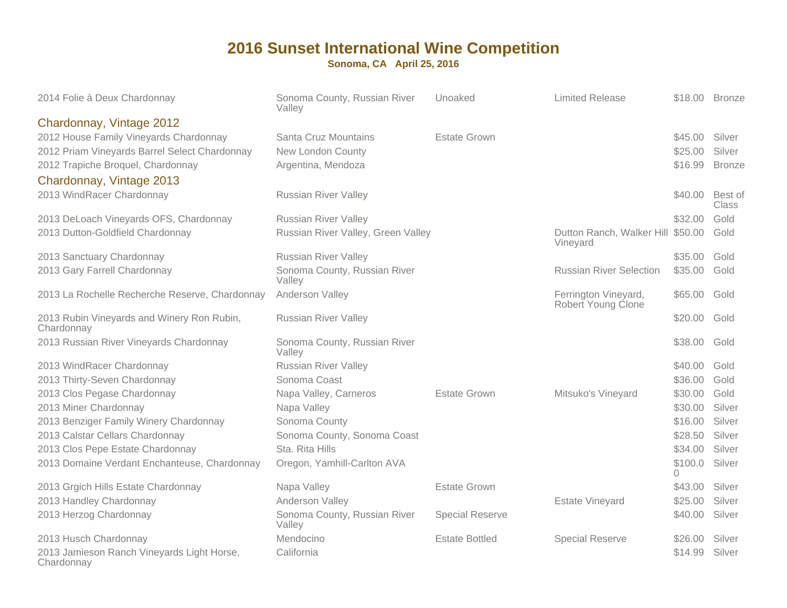| 2014 Folie à Deux Chardonnay                                                                                                                                                                                          | Sonoma County, Russian River<br>Valley                                                                                                 | Unoaked                | <b>Limited Release</b>                        |                                                                     | \$18.00 Bronze                                         |
|-----------------------------------------------------------------------------------------------------------------------------------------------------------------------------------------------------------------------|----------------------------------------------------------------------------------------------------------------------------------------|------------------------|-----------------------------------------------|---------------------------------------------------------------------|--------------------------------------------------------|
| Chardonnay, Vintage 2012<br>2012 House Family Vineyards Chardonnay<br>2012 Priam Vineyards Barrel Select Chardonnay<br>2012 Trapiche Broquel, Chardonnay<br>Chardonnay, Vintage 2013                                  | Santa Cruz Mountains<br>New London County<br>Argentina, Mendoza                                                                        | <b>Estate Grown</b>    |                                               | \$45.00<br>\$25.00<br>\$16.99                                       | Silver<br>Silver<br><b>Bronze</b>                      |
| 2013 WindRacer Chardonnay                                                                                                                                                                                             | <b>Russian River Valley</b>                                                                                                            |                        |                                               | \$40.00                                                             | Best of<br><b>Class</b>                                |
| 2013 DeLoach Vineyards OFS, Chardonnay<br>2013 Dutton-Goldfield Chardonnay                                                                                                                                            | <b>Russian River Valley</b><br>Russian River Valley, Green Valley                                                                      |                        | Dutton Ranch, Walker Hill \$50.00<br>Vineyard | \$32.00                                                             | Gold<br>Gold                                           |
| 2013 Sanctuary Chardonnay<br>2013 Gary Farrell Chardonnay                                                                                                                                                             | <b>Russian River Valley</b><br>Sonoma County, Russian River<br>Valley                                                                  |                        | <b>Russian River Selection</b>                | \$35.00<br>\$35.00                                                  | Gold<br>Gold                                           |
| 2013 La Rochelle Recherche Reserve, Chardonnay                                                                                                                                                                        | Anderson Valley                                                                                                                        |                        | Ferrington Vineyard,<br>Robert Young Clone    | \$65.00                                                             | Gold                                                   |
| 2013 Rubin Vineyards and Winery Ron Rubin,<br>Chardonnay                                                                                                                                                              | <b>Russian River Valley</b>                                                                                                            |                        |                                               | \$20.00                                                             | Gold                                                   |
| 2013 Russian River Vineyards Chardonnay                                                                                                                                                                               | Sonoma County, Russian River<br>Valley                                                                                                 |                        |                                               | \$38.00                                                             | Gold                                                   |
| 2013 WindRacer Chardonnay<br>2013 Thirty-Seven Chardonnay                                                                                                                                                             | <b>Russian River Valley</b><br>Sonoma Coast                                                                                            |                        |                                               | \$40.00<br>\$36.00                                                  | Gold<br>Gold                                           |
| 2013 Clos Pegase Chardonnay<br>2013 Miner Chardonnay<br>2013 Benziger Family Winery Chardonnay<br>2013 Calstar Cellars Chardonnay<br>2013 Clos Pepe Estate Chardonnay<br>2013 Domaine Verdant Enchanteuse, Chardonnay | Napa Valley, Carneros<br>Napa Valley<br>Sonoma County<br>Sonoma County, Sonoma Coast<br>Sta, Rita Hills<br>Oregon, Yamhill-Carlton AVA | <b>Estate Grown</b>    | Mitsuko's Vineyard                            | \$30.00<br>\$30.00<br>\$16.00<br>\$28.50<br>\$34.00<br>\$100.0<br>0 | Gold<br>Silver<br>Silver<br>Silver<br>Silver<br>Silver |
| 2013 Grgich Hills Estate Chardonnay<br>2013 Handley Chardonnay                                                                                                                                                        | Napa Valley<br>Anderson Valley                                                                                                         | <b>Estate Grown</b>    | <b>Estate Vineyard</b>                        | \$43.00<br>\$25.00                                                  | Silver<br>Silver                                       |
| 2013 Herzog Chardonnay                                                                                                                                                                                                | Sonoma County, Russian River<br>Valley                                                                                                 | <b>Special Reserve</b> |                                               | \$40.00                                                             | Silver                                                 |
| 2013 Husch Chardonnay<br>2013 Jamieson Ranch Vineyards Light Horse,<br>Chardonnay                                                                                                                                     | Mendocino<br>California                                                                                                                | <b>Estate Bottled</b>  | <b>Special Reserve</b>                        | \$26.00<br>\$14.99                                                  | Silver<br>Silver                                       |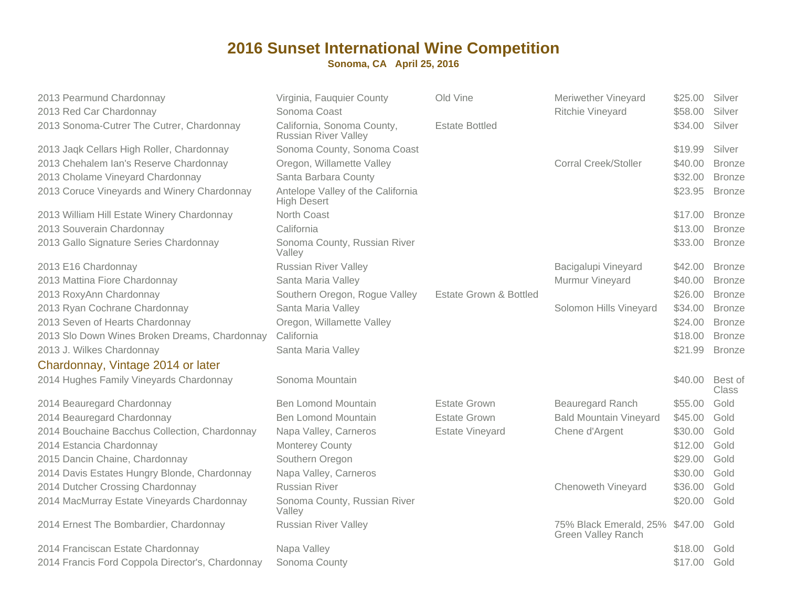| 2013 Pearmund Chardonnay                         | Virginia, Fauquier County                                 | Old Vine               | Meriwether Vineyard                                         | \$25.00         | Silver        |
|--------------------------------------------------|-----------------------------------------------------------|------------------------|-------------------------------------------------------------|-----------------|---------------|
| 2013 Red Car Chardonnay                          | Sonoma Coast                                              |                        | Ritchie Vineyard                                            | \$58.00         | Silver        |
| 2013 Sonoma-Cutrer The Cutrer, Chardonnay        | California, Sonoma County,<br><b>Russian River Valley</b> | <b>Estate Bottled</b>  |                                                             | \$34.00         | Silver        |
| 2013 Jaqk Cellars High Roller, Chardonnay        | Sonoma County, Sonoma Coast                               |                        |                                                             | \$19.99         | Silver        |
| 2013 Chehalem Ian's Reserve Chardonnay           | Oregon, Willamette Valley                                 |                        | <b>Corral Creek/Stoller</b>                                 | \$40.00         | <b>Bronze</b> |
| 2013 Cholame Vineyard Chardonnay                 | Santa Barbara County                                      |                        |                                                             | \$32.00         | <b>Bronze</b> |
| 2013 Coruce Vineyards and Winery Chardonnay      | Antelope Valley of the California<br><b>High Desert</b>   |                        |                                                             | \$23.95         | <b>Bronze</b> |
| 2013 William Hill Estate Winery Chardonnay       | North Coast                                               |                        |                                                             | \$17.00         | <b>Bronze</b> |
| 2013 Souverain Chardonnay                        | California                                                |                        |                                                             | \$13.00         | <b>Bronze</b> |
| 2013 Gallo Signature Series Chardonnay           | Sonoma County, Russian River<br>Valley                    |                        |                                                             | \$33.00         | <b>Bronze</b> |
| 2013 E16 Chardonnay                              | <b>Russian River Valley</b>                               |                        | Bacigalupi Vineyard                                         | \$42.00         | <b>Bronze</b> |
| 2013 Mattina Fiore Chardonnay                    | Santa Maria Valley                                        |                        | Murmur Vineyard                                             | \$40.00         | <b>Bronze</b> |
| 2013 RoxyAnn Chardonnay                          | Southern Oregon, Rogue Valley                             | Estate Grown & Bottled |                                                             | \$26.00         | <b>Bronze</b> |
| 2013 Ryan Cochrane Chardonnay                    | Santa Maria Valley                                        |                        | Solomon Hills Vineyard                                      | \$34.00         | <b>Bronze</b> |
| 2013 Seven of Hearts Chardonnay                  | Oregon, Willamette Valley                                 |                        |                                                             | \$24.00         | <b>Bronze</b> |
| 2013 Slo Down Wines Broken Dreams, Chardonnay    | California                                                |                        |                                                             | \$18.00         | <b>Bronze</b> |
| 2013 J. Wilkes Chardonnay                        | Santa Maria Valley                                        |                        |                                                             | \$21.99         | <b>Bronze</b> |
| Chardonnay, Vintage 2014 or later                |                                                           |                        |                                                             |                 |               |
| 2014 Hughes Family Vineyards Chardonnay          | Sonoma Mountain                                           |                        |                                                             | \$40.00 Best of | <b>Class</b>  |
| 2014 Beauregard Chardonnay                       | <b>Ben Lomond Mountain</b>                                | <b>Estate Grown</b>    | <b>Beauregard Ranch</b>                                     | \$55.00         | Gold          |
| 2014 Beauregard Chardonnay                       | <b>Ben Lomond Mountain</b>                                | <b>Estate Grown</b>    | <b>Bald Mountain Vineyard</b>                               | \$45.00         | Gold          |
| 2014 Bouchaine Bacchus Collection, Chardonnay    | Napa Valley, Carneros                                     | <b>Estate Vineyard</b> | Chene d'Argent                                              | \$30.00         | Gold          |
| 2014 Estancia Chardonnay                         | Monterey County                                           |                        |                                                             | \$12.00         | Gold          |
| 2015 Dancin Chaine, Chardonnay                   | Southern Oregon                                           |                        |                                                             | \$29.00         | Gold          |
| 2014 Davis Estates Hungry Blonde, Chardonnay     | Napa Valley, Carneros                                     |                        |                                                             | \$30.00         | Gold          |
| 2014 Dutcher Crossing Chardonnay                 | <b>Russian River</b>                                      |                        | Chenoweth Vineyard                                          | \$36.00         | Gold          |
| 2014 MacMurray Estate Vineyards Chardonnay       | Sonoma County, Russian River<br>Valley                    |                        |                                                             | \$20.00         | Gold          |
| 2014 Ernest The Bombardier, Chardonnay           | <b>Russian River Valley</b>                               |                        | 75% Black Emerald, 25% \$47.00<br><b>Green Valley Ranch</b> |                 | Gold          |
| 2014 Franciscan Estate Chardonnay                | Napa Valley                                               |                        |                                                             | \$18.00         | Gold          |
| 2014 Francis Ford Coppola Director's, Chardonnay | Sonoma County                                             |                        |                                                             | \$17.00 Gold    |               |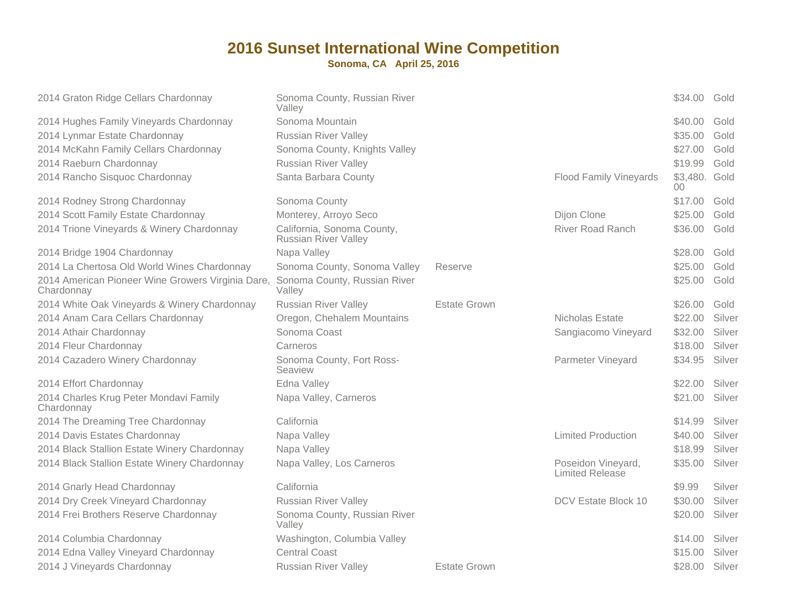| 2014 Graton Ridge Cellars Chardonnay                            | Sonoma County, Russian River<br>Valley                    |                     |                                       | \$34.00 Gold            |        |
|-----------------------------------------------------------------|-----------------------------------------------------------|---------------------|---------------------------------------|-------------------------|--------|
| 2014 Hughes Family Vineyards Chardonnay                         | Sonoma Mountain                                           |                     |                                       | \$40.00                 | Gold   |
| 2014 Lynmar Estate Chardonnay                                   | <b>Russian River Valley</b>                               |                     |                                       | \$35.00                 | Gold   |
| 2014 McKahn Family Cellars Chardonnay                           | Sonoma County, Knights Valley                             |                     |                                       | \$27.00                 | Gold   |
| 2014 Raeburn Chardonnay                                         | <b>Russian River Valley</b>                               |                     |                                       | \$19.99                 | Gold   |
| 2014 Rancho Sisquoc Chardonnay                                  | Santa Barbara County                                      |                     | <b>Flood Family Vineyards</b>         | \$3,480. Gold<br>$00\,$ |        |
| 2014 Rodney Strong Chardonnay                                   | Sonoma County                                             |                     |                                       | \$17.00                 | Gold   |
| 2014 Scott Family Estate Chardonnay                             | Monterey, Arroyo Seco                                     |                     | Dijon Clone                           | \$25.00                 | Gold   |
| 2014 Trione Vineyards & Winery Chardonnay                       | California, Sonoma County,<br><b>Russian River Valley</b> |                     | <b>River Road Ranch</b>               | \$36.00                 | Gold   |
| 2014 Bridge 1904 Chardonnay                                     | Napa Valley                                               |                     |                                       | \$28.00                 | Gold   |
| 2014 La Chertosa Old World Wines Chardonnay                     | Sonoma County, Sonoma Valley                              | Reserve             |                                       | \$25.00                 | Gold   |
| 2014 American Pioneer Wine Growers Virginia Dare,<br>Chardonnay | Sonoma County, Russian River<br>Valley                    |                     |                                       | \$25.00                 | Gold   |
| 2014 White Oak Vineyards & Winery Chardonnay                    | <b>Russian River Valley</b>                               | <b>Estate Grown</b> |                                       | \$26.00                 | Gold   |
| 2014 Anam Cara Cellars Chardonnay                               | Oregon, Chehalem Mountains                                |                     | Nicholas Estate                       | \$22.00                 | Silver |
| 2014 Athair Chardonnay                                          | Sonoma Coast                                              |                     | Sangiacomo Vineyard                   | \$32.00                 | Silver |
| 2014 Fleur Chardonnay                                           | Carneros                                                  |                     |                                       | \$18.00                 | Silver |
| 2014 Cazadero Winery Chardonnay                                 | Sonoma County, Fort Ross-<br>Seaview                      |                     | <b>Parmeter Vineyard</b>              | \$34.95                 | Silver |
| 2014 Effort Chardonnay                                          | Edna Valley                                               |                     |                                       | \$22.00                 | Silver |
| 2014 Charles Krug Peter Mondavi Family<br>Chardonnay            | Napa Valley, Carneros                                     |                     |                                       | \$21.00                 | Silver |
| 2014 The Dreaming Tree Chardonnay                               | California                                                |                     |                                       | \$14.99                 | Silver |
| 2014 Davis Estates Chardonnay                                   | Napa Valley                                               |                     | <b>Limited Production</b>             | \$40.00                 | Silver |
| 2014 Black Stallion Estate Winery Chardonnay                    | Napa Valley                                               |                     |                                       | \$18.99                 | Silver |
| 2014 Black Stallion Estate Winery Chardonnay                    | Napa Valley, Los Carneros                                 |                     | Poseidon Vineyard,<br>Limited Release | \$35.00                 | Silver |
| 2014 Gnarly Head Chardonnay                                     | California                                                |                     |                                       | \$9.99                  | Silver |
| 2014 Dry Creek Vineyard Chardonnay                              | <b>Russian River Valley</b>                               |                     | DCV Estate Block 10                   | \$30.00                 | Silver |
| 2014 Frei Brothers Reserve Chardonnay                           | Sonoma County, Russian River<br>Valley                    |                     |                                       | \$20.00                 | Silver |
| 2014 Columbia Chardonnay                                        | Washington, Columbia Valley                               |                     |                                       | \$14.00                 | Silver |
| 2014 Edna Valley Vineyard Chardonnay                            | <b>Central Coast</b>                                      |                     |                                       | \$15.00                 | Silver |
| 2014 J Vineyards Chardonnay                                     | <b>Russian River Valley</b>                               | Estate Grown        |                                       | \$28.00                 | Silver |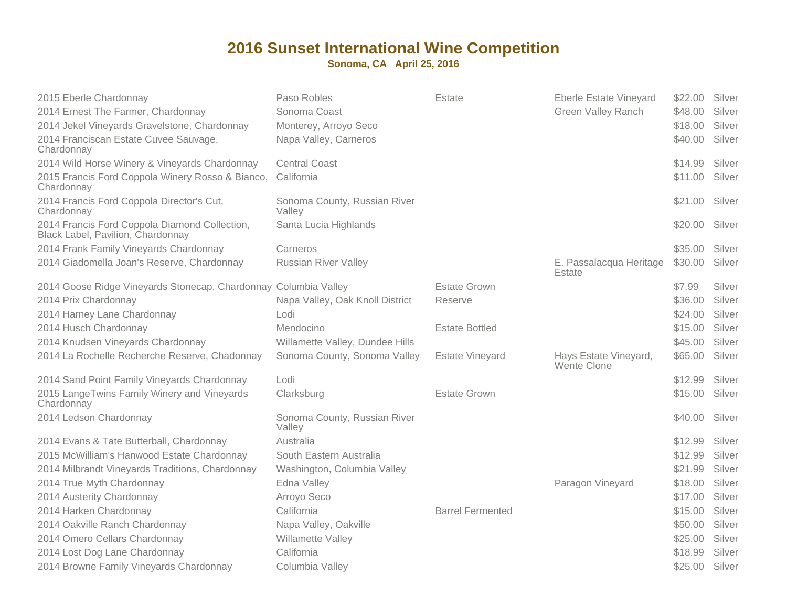| 2015 Eberle Chardonnay                                                             | Paso Robles                            | Estate                  | Eberle Estate Vineyard               | \$22.00 | Silver |
|------------------------------------------------------------------------------------|----------------------------------------|-------------------------|--------------------------------------|---------|--------|
| 2014 Ernest The Farmer, Chardonnay                                                 | Sonoma Coast                           |                         | <b>Green Valley Ranch</b>            | \$48.00 | Silver |
| 2014 Jekel Vineyards Gravelstone, Chardonnay                                       | Monterey, Arroyo Seco                  |                         |                                      | \$18.00 | Silver |
| 2014 Franciscan Estate Cuvee Sauvage,<br>Chardonnay                                | Napa Valley, Carneros                  |                         |                                      | \$40.00 | Silver |
| 2014 Wild Horse Winery & Vineyards Chardonnay                                      | <b>Central Coast</b>                   |                         |                                      | \$14.99 | Silver |
| 2015 Francis Ford Coppola Winery Rosso & Bianco,<br>Chardonnay                     | California                             |                         |                                      | \$11.00 | Silver |
| 2014 Francis Ford Coppola Director's Cut,<br>Chardonnay                            | Sonoma County, Russian River<br>Valley |                         |                                      | \$21.00 | Silver |
| 2014 Francis Ford Coppola Diamond Collection,<br>Black Label, Pavilion, Chardonnay | Santa Lucia Highlands                  |                         |                                      | \$20.00 | Silver |
| 2014 Frank Family Vineyards Chardonnay                                             | Carneros                               |                         |                                      | \$35.00 | Silver |
| 2014 Giadomella Joan's Reserve, Chardonnay                                         | <b>Russian River Valley</b>            |                         | E. Passalacqua Heritage<br>Estate    | \$30.00 | Silver |
| 2014 Goose Ridge Vineyards Stonecap, Chardonnay Columbia Valley                    |                                        | <b>Estate Grown</b>     |                                      | \$7.99  | Silver |
| 2014 Prix Chardonnay                                                               | Napa Valley, Oak Knoll District        | Reserve                 |                                      | \$36.00 | Silver |
| 2014 Harney Lane Chardonnay                                                        | Lodi                                   |                         |                                      | \$24.00 | Silver |
| 2014 Husch Chardonnay                                                              | Mendocino                              | <b>Estate Bottled</b>   |                                      | \$15.00 | Silver |
| 2014 Knudsen Vineyards Chardonnay                                                  | Willamette Valley, Dundee Hills        |                         |                                      | \$45.00 | Silver |
| 2014 La Rochelle Recherche Reserve, Chadonnay                                      | Sonoma County, Sonoma Valley           | <b>Estate Vineyard</b>  | Hays Estate Vineyard,<br>Wente Clone | \$65.00 | Silver |
| 2014 Sand Point Family Vineyards Chardonnay                                        | Lodi                                   |                         |                                      | \$12.99 | Silver |
| 2015 LangeTwins Family Winery and Vineyards<br>Chardonnay                          | Clarksburg                             | <b>Estate Grown</b>     |                                      | \$15.00 | Silver |
| 2014 Ledson Chardonnay                                                             | Sonoma County, Russian River<br>Valley |                         |                                      | \$40.00 | Silver |
| 2014 Evans & Tate Butterball, Chardonnay                                           | Australia                              |                         |                                      | \$12.99 | Silver |
| 2015 McWilliam's Hanwood Estate Chardonnay                                         | South Eastern Australia                |                         |                                      | \$12.99 | Silver |
| 2014 Milbrandt Vineyards Traditions, Chardonnay                                    | Washington, Columbia Valley            |                         |                                      | \$21.99 | Silver |
| 2014 True Myth Chardonnay                                                          | Edna Valley                            |                         | Paragon Vineyard                     | \$18.00 | Silver |
| 2014 Austerity Chardonnay                                                          | Arroyo Seco                            |                         |                                      | \$17.00 | Silver |
| 2014 Harken Chardonnay                                                             | California                             | <b>Barrel Fermented</b> |                                      | \$15.00 | Silver |
| 2014 Oakville Ranch Chardonnay                                                     | Napa Valley, Oakville                  |                         |                                      | \$50.00 | Silver |
| 2014 Omero Cellars Chardonnay                                                      | Willamette Valley                      |                         |                                      | \$25.00 | Silver |
| 2014 Lost Dog Lane Chardonnay                                                      | California                             |                         |                                      | \$18.99 | Silver |
| 2014 Browne Family Vineyards Chardonnay                                            | Columbia Valley                        |                         |                                      | \$25.00 | Silver |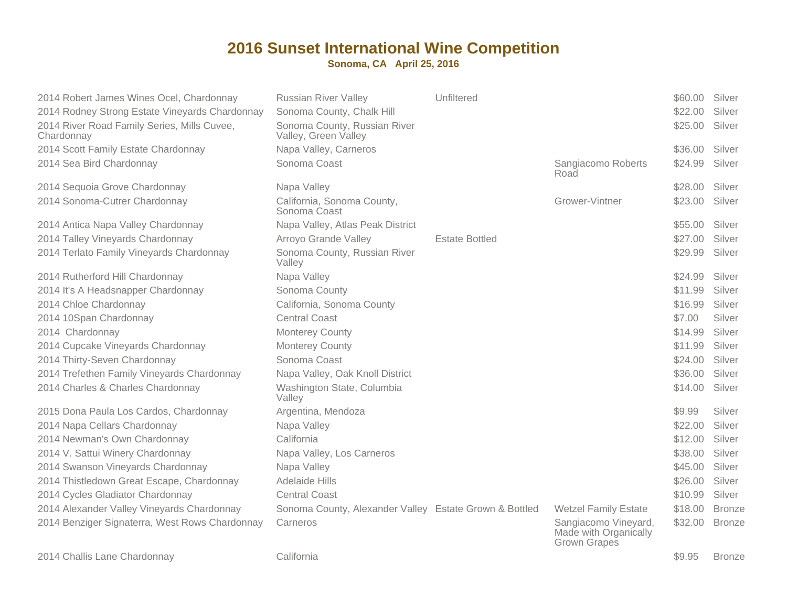| 2014 Robert James Wines Ocel, Chardonnay<br>2014 Rodney Strong Estate Vineyards Chardonnay<br>2014 River Road Family Series, Mills Cuvee,<br>Chardonnay | <b>Russian River Valley</b><br>Sonoma County, Chalk Hill<br>Sonoma County, Russian River<br>Valley, Green Valley | Unfiltered            |                                                                      | \$60.00<br>\$22.00<br>\$25.00 | Silver<br>Silver<br>Silver |
|---------------------------------------------------------------------------------------------------------------------------------------------------------|------------------------------------------------------------------------------------------------------------------|-----------------------|----------------------------------------------------------------------|-------------------------------|----------------------------|
| 2014 Scott Family Estate Chardonnay                                                                                                                     | Napa Valley, Carneros                                                                                            |                       |                                                                      | \$36.00                       | Silver                     |
| 2014 Sea Bird Chardonnay                                                                                                                                | Sonoma Coast                                                                                                     |                       | Sangiacomo Roberts<br>Road                                           | \$24.99                       | Silver                     |
| 2014 Sequoia Grove Chardonnay                                                                                                                           | Napa Valley                                                                                                      |                       |                                                                      | \$28.00                       | Silver                     |
| 2014 Sonoma-Cutrer Chardonnay                                                                                                                           | California, Sonoma County,<br>Sonoma Coast                                                                       |                       | Grower-Vintner                                                       | \$23.00                       | Silver                     |
| 2014 Antica Napa Valley Chardonnay                                                                                                                      | Napa Valley, Atlas Peak District                                                                                 |                       |                                                                      | \$55.00                       | Silver                     |
| 2014 Talley Vineyards Chardonnay                                                                                                                        | Arroyo Grande Valley                                                                                             | <b>Estate Bottled</b> |                                                                      | \$27.00                       | Silver                     |
| 2014 Terlato Family Vineyards Chardonnay                                                                                                                | Sonoma County, Russian River<br>Valley                                                                           |                       |                                                                      | \$29.99                       | Silver                     |
| 2014 Rutherford Hill Chardonnay                                                                                                                         | Napa Valley                                                                                                      |                       |                                                                      | \$24.99                       | Silver                     |
| 2014 It's A Headsnapper Chardonnay                                                                                                                      | Sonoma County                                                                                                    |                       |                                                                      | \$11.99                       | Silver                     |
| 2014 Chloe Chardonnay                                                                                                                                   | California, Sonoma County                                                                                        |                       |                                                                      | \$16.99                       | Silver                     |
| 2014 10Span Chardonnay                                                                                                                                  | <b>Central Coast</b>                                                                                             |                       |                                                                      | \$7.00                        | Silver                     |
| 2014 Chardonnay                                                                                                                                         | <b>Monterey County</b>                                                                                           |                       |                                                                      | \$14.99                       | Silver                     |
| 2014 Cupcake Vineyards Chardonnay                                                                                                                       | Monterey County                                                                                                  |                       |                                                                      | \$11.99                       | Silver                     |
| 2014 Thirty-Seven Chardonnay                                                                                                                            | Sonoma Coast                                                                                                     |                       |                                                                      | \$24.00                       | Silver                     |
| 2014 Trefethen Family Vineyards Chardonnay                                                                                                              | Napa Valley, Oak Knoll District                                                                                  |                       |                                                                      | \$36.00                       | Silver                     |
| 2014 Charles & Charles Chardonnay                                                                                                                       | Washington State, Columbia<br>Valley                                                                             |                       |                                                                      | \$14.00                       | Silver                     |
| 2015 Dona Paula Los Cardos, Chardonnay                                                                                                                  | Argentina, Mendoza                                                                                               |                       |                                                                      | \$9.99                        | Silver                     |
| 2014 Napa Cellars Chardonnay                                                                                                                            | Napa Valley                                                                                                      |                       |                                                                      | \$22.00                       | Silver                     |
| 2014 Newman's Own Chardonnay                                                                                                                            | California                                                                                                       |                       |                                                                      | \$12.00                       | Silver                     |
| 2014 V. Sattui Winery Chardonnay                                                                                                                        | Napa Valley, Los Carneros                                                                                        |                       |                                                                      | \$38.00                       | Silver                     |
| 2014 Swanson Vineyards Chardonnay                                                                                                                       | Napa Valley                                                                                                      |                       |                                                                      | \$45.00                       | Silver                     |
| 2014 Thistledown Great Escape, Chardonnay                                                                                                               | Adelaide Hills                                                                                                   |                       |                                                                      | \$26.00                       | Silver                     |
| 2014 Cycles Gladiator Chardonnay                                                                                                                        | <b>Central Coast</b>                                                                                             |                       |                                                                      | \$10.99                       | Silver                     |
| 2014 Alexander Valley Vineyards Chardonnay                                                                                                              | Sonoma County, Alexander Valley Estate Grown & Bottled                                                           |                       | <b>Wetzel Family Estate</b>                                          | \$18.00                       | <b>Bronze</b>              |
| 2014 Benziger Signaterra, West Rows Chardonnay                                                                                                          | Carneros                                                                                                         |                       | Sangiacomo Vineyard,<br>Made with Organically<br><b>Grown Grapes</b> | \$32.00                       | <b>Bronze</b>              |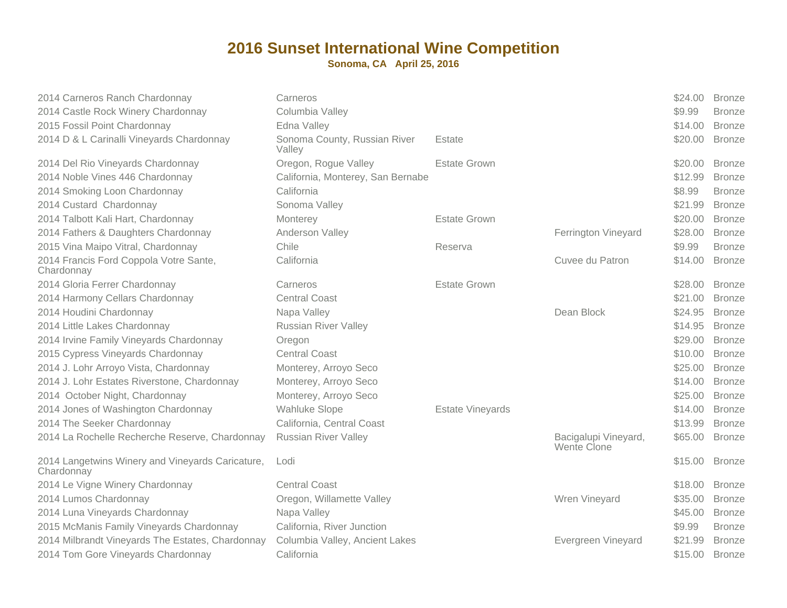| 2014 Carneros Ranch Chardonnay                                 | Carneros                               |                         |                                     | \$24.00 | <b>Bronze</b> |
|----------------------------------------------------------------|----------------------------------------|-------------------------|-------------------------------------|---------|---------------|
| 2014 Castle Rock Winery Chardonnay                             | Columbia Valley                        |                         |                                     | \$9.99  | <b>Bronze</b> |
| 2015 Fossil Point Chardonnay                                   | Edna Valley                            |                         |                                     | \$14.00 | <b>Bronze</b> |
| 2014 D & L Carinalli Vineyards Chardonnay                      | Sonoma County, Russian River<br>Valley | Estate                  |                                     | \$20.00 | <b>Bronze</b> |
| 2014 Del Rio Vineyards Chardonnay                              | Oregon, Rogue Valley                   | <b>Estate Grown</b>     |                                     | \$20.00 | <b>Bronze</b> |
| 2014 Noble Vines 446 Chardonnay                                | California, Monterey, San Bernabe      |                         |                                     | \$12.99 | <b>Bronze</b> |
| 2014 Smoking Loon Chardonnay                                   | California                             |                         |                                     | \$8.99  | <b>Bronze</b> |
| 2014 Custard Chardonnay                                        | Sonoma Valley                          |                         |                                     | \$21.99 | <b>Bronze</b> |
| 2014 Talbott Kali Hart, Chardonnay                             | Monterey                               | <b>Estate Grown</b>     |                                     | \$20.00 | <b>Bronze</b> |
| 2014 Fathers & Daughters Chardonnay                            | Anderson Valley                        |                         | Ferrington Vineyard                 | \$28.00 | <b>Bronze</b> |
| 2015 Vina Maipo Vitral, Chardonnay                             | Chile                                  | Reserva                 |                                     | \$9.99  | <b>Bronze</b> |
| 2014 Francis Ford Coppola Votre Sante,<br>Chardonnay           | California                             |                         | Cuvee du Patron                     | \$14.00 | <b>Bronze</b> |
| 2014 Gloria Ferrer Chardonnay                                  | Carneros                               | <b>Estate Grown</b>     |                                     | \$28.00 | <b>Bronze</b> |
| 2014 Harmony Cellars Chardonnay                                | <b>Central Coast</b>                   |                         |                                     | \$21.00 | <b>Bronze</b> |
| 2014 Houdini Chardonnay                                        | Napa Valley                            |                         | Dean Block                          | \$24.95 | <b>Bronze</b> |
| 2014 Little Lakes Chardonnay                                   | <b>Russian River Valley</b>            |                         |                                     | \$14.95 | <b>Bronze</b> |
| 2014 Irvine Family Vineyards Chardonnay                        | Oregon                                 |                         |                                     | \$29.00 | <b>Bronze</b> |
| 2015 Cypress Vineyards Chardonnay                              | <b>Central Coast</b>                   |                         |                                     | \$10.00 | <b>Bronze</b> |
| 2014 J. Lohr Arroyo Vista, Chardonnay                          | Monterey, Arroyo Seco                  |                         |                                     | \$25.00 | <b>Bronze</b> |
| 2014 J. Lohr Estates Riverstone, Chardonnay                    | Monterey, Arroyo Seco                  |                         |                                     | \$14.00 | <b>Bronze</b> |
| 2014 October Night, Chardonnay                                 | Monterey, Arroyo Seco                  |                         |                                     | \$25.00 | <b>Bronze</b> |
| 2014 Jones of Washington Chardonnay                            | <b>Wahluke Slope</b>                   | <b>Estate Vineyards</b> |                                     | \$14.00 | <b>Bronze</b> |
| 2014 The Seeker Chardonnay                                     | California, Central Coast              |                         |                                     | \$13.99 | <b>Bronze</b> |
| 2014 La Rochelle Recherche Reserve, Chardonnay                 | <b>Russian River Valley</b>            |                         | Bacigalupi Vineyard,<br>Wente Clone | \$65.00 | <b>Bronze</b> |
| 2014 Langetwins Winery and Vineyards Caricature,<br>Chardonnay | Lodi                                   |                         |                                     | \$15.00 | <b>Bronze</b> |
| 2014 Le Vigne Winery Chardonnay                                | <b>Central Coast</b>                   |                         |                                     | \$18.00 | <b>Bronze</b> |
| 2014 Lumos Chardonnay                                          | Oregon, Willamette Valley              |                         | Wren Vineyard                       | \$35.00 | <b>Bronze</b> |
| 2014 Luna Vineyards Chardonnay                                 | Napa Valley                            |                         |                                     | \$45.00 | <b>Bronze</b> |
| 2015 McManis Family Vineyards Chardonnay                       | California, River Junction             |                         |                                     | \$9.99  | <b>Bronze</b> |
| 2014 Milbrandt Vineyards The Estates, Chardonnay               | Columbia Valley, Ancient Lakes         |                         | Evergreen Vineyard                  | \$21.99 | <b>Bronze</b> |
| 2014 Tom Gore Vineyards Chardonnay                             | California                             |                         |                                     | \$15.00 | <b>Bronze</b> |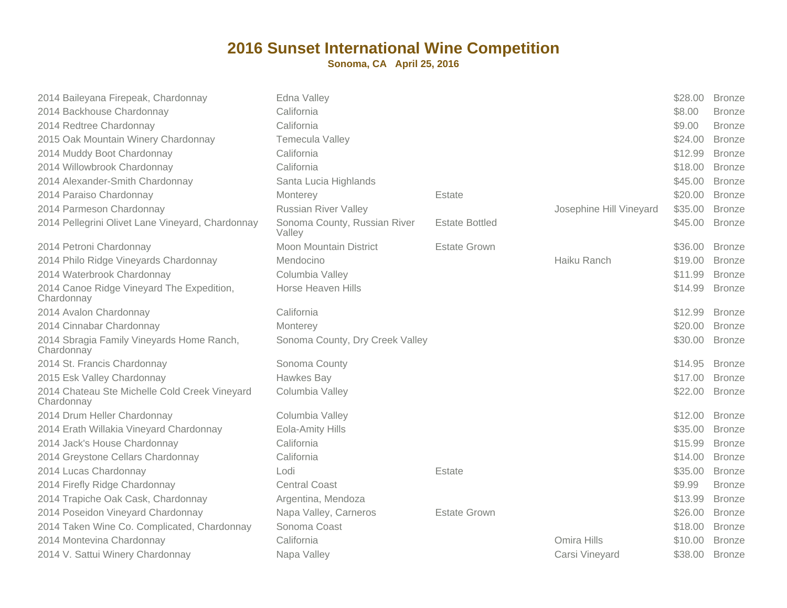| 2014 Baileyana Firepeak, Chardonnay                         | Edna Valley                            |                       |                         | \$28.00 | <b>Bronze</b> |
|-------------------------------------------------------------|----------------------------------------|-----------------------|-------------------------|---------|---------------|
| 2014 Backhouse Chardonnay                                   | California                             |                       |                         | \$8.00  | <b>Bronze</b> |
| 2014 Redtree Chardonnay                                     | California                             |                       |                         | \$9.00  | <b>Bronze</b> |
| 2015 Oak Mountain Winery Chardonnay                         | Temecula Valley                        |                       |                         | \$24.00 | <b>Bronze</b> |
| 2014 Muddy Boot Chardonnay                                  | California                             |                       |                         | \$12.99 | <b>Bronze</b> |
| 2014 Willowbrook Chardonnay                                 | California                             |                       |                         | \$18.00 | <b>Bronze</b> |
| 2014 Alexander-Smith Chardonnay                             | Santa Lucia Highlands                  |                       |                         | \$45.00 | <b>Bronze</b> |
| 2014 Paraiso Chardonnay                                     | Monterey                               | Estate                |                         | \$20.00 | <b>Bronze</b> |
| 2014 Parmeson Chardonnay                                    | <b>Russian River Valley</b>            |                       | Josephine Hill Vineyard | \$35.00 | <b>Bronze</b> |
| 2014 Pellegrini Olivet Lane Vineyard, Chardonnay            | Sonoma County, Russian River<br>Valley | <b>Estate Bottled</b> |                         | \$45.00 | <b>Bronze</b> |
| 2014 Petroni Chardonnay                                     | Moon Mountain District                 | <b>Estate Grown</b>   |                         | \$36.00 | <b>Bronze</b> |
| 2014 Philo Ridge Vineyards Chardonnay                       | Mendocino                              |                       | Haiku Ranch             | \$19.00 | <b>Bronze</b> |
| 2014 Waterbrook Chardonnay                                  | Columbia Valley                        |                       |                         | \$11.99 | <b>Bronze</b> |
| 2014 Canoe Ridge Vineyard The Expedition,<br>Chardonnay     | Horse Heaven Hills                     |                       |                         | \$14.99 | <b>Bronze</b> |
| 2014 Avalon Chardonnay                                      | California                             |                       |                         | \$12.99 | <b>Bronze</b> |
| 2014 Cinnabar Chardonnay                                    | Monterey                               |                       |                         | \$20.00 | <b>Bronze</b> |
| 2014 Sbragia Family Vineyards Home Ranch,<br>Chardonnay     | Sonoma County, Dry Creek Valley        |                       |                         | \$30.00 | <b>Bronze</b> |
| 2014 St. Francis Chardonnay                                 | Sonoma County                          |                       |                         | \$14.95 | <b>Bronze</b> |
| 2015 Esk Valley Chardonnay                                  | Hawkes Bay                             |                       |                         | \$17.00 | <b>Bronze</b> |
| 2014 Chateau Ste Michelle Cold Creek Vineyard<br>Chardonnay | Columbia Valley                        |                       |                         | \$22.00 | <b>Bronze</b> |
| 2014 Drum Heller Chardonnay                                 | Columbia Valley                        |                       |                         | \$12.00 | <b>Bronze</b> |
| 2014 Erath Willakia Vineyard Chardonnay                     | Eola-Amity Hills                       |                       |                         | \$35.00 | <b>Bronze</b> |
| 2014 Jack's House Chardonnay                                | California                             |                       |                         | \$15.99 | <b>Bronze</b> |
| 2014 Greystone Cellars Chardonnay                           | California                             |                       |                         | \$14.00 | <b>Bronze</b> |
| 2014 Lucas Chardonnay                                       | Lodi                                   | Estate                |                         | \$35.00 | <b>Bronze</b> |
| 2014 Firefly Ridge Chardonnay                               | <b>Central Coast</b>                   |                       |                         | \$9.99  | <b>Bronze</b> |
| 2014 Trapiche Oak Cask, Chardonnay                          | Argentina, Mendoza                     |                       |                         | \$13.99 | <b>Bronze</b> |
| 2014 Poseidon Vineyard Chardonnay                           | Napa Valley, Carneros                  | <b>Estate Grown</b>   |                         | \$26.00 | <b>Bronze</b> |
| 2014 Taken Wine Co. Complicated, Chardonnay                 | Sonoma Coast                           |                       |                         | \$18.00 | <b>Bronze</b> |
| 2014 Montevina Chardonnay                                   | California                             |                       | Omira Hills             | \$10.00 | <b>Bronze</b> |
| 2014 V. Sattui Winery Chardonnay                            | Napa Valley                            |                       | Carsi Vineyard          | \$38.00 | <b>Bronze</b> |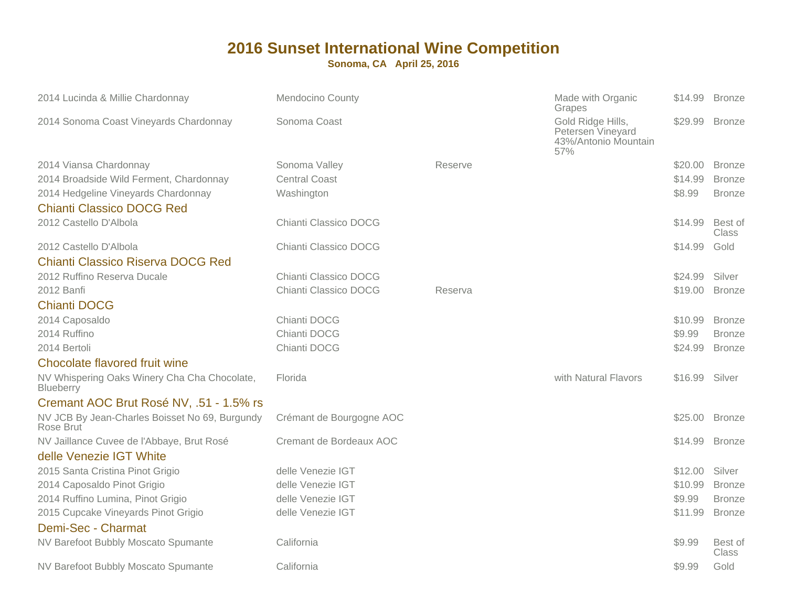| 2014 Lucinda & Millie Chardonnay                                 | <b>Mendocino County</b>  |         | Made with Organic<br>Grapes                                           | \$14.99 | <b>Bronze</b>           |
|------------------------------------------------------------------|--------------------------|---------|-----------------------------------------------------------------------|---------|-------------------------|
| 2014 Sonoma Coast Vineyards Chardonnay                           | Sonoma Coast             |         | Gold Ridge Hills,<br>Petersen Vineyard<br>43%/Antonio Mountain<br>57% | \$29.99 | <b>Bronze</b>           |
| 2014 Viansa Chardonnay                                           | Sonoma Valley            | Reserve |                                                                       | \$20.00 | <b>Bronze</b>           |
| 2014 Broadside Wild Ferment, Chardonnay                          | <b>Central Coast</b>     |         |                                                                       | \$14.99 | <b>Bronze</b>           |
| 2014 Hedgeline Vineyards Chardonnay                              | Washington               |         |                                                                       | \$8.99  | <b>Bronze</b>           |
| <b>Chianti Classico DOCG Red</b>                                 |                          |         |                                                                       |         |                         |
| 2012 Castello D'Albola                                           | Chianti Classico DOCG    |         |                                                                       | \$14.99 | Best of<br><b>Class</b> |
| 2012 Castello D'Albola                                           | Chianti Classico DOCG    |         |                                                                       | \$14.99 | Gold                    |
| <b>Chianti Classico Riserva DOCG Red</b>                         |                          |         |                                                                       |         |                         |
| 2012 Ruffino Reserva Ducale                                      | Chianti Classico DOCG    |         |                                                                       | \$24.99 | Silver                  |
| 2012 Banfi                                                       | Chianti Classico DOCG    | Reserva |                                                                       | \$19.00 | <b>Bronze</b>           |
| <b>Chianti DOCG</b>                                              |                          |         |                                                                       |         |                         |
| 2014 Caposaldo                                                   | Chianti DOCG             |         |                                                                       | \$10.99 | <b>Bronze</b>           |
| 2014 Ruffino                                                     | Chianti DOCG             |         |                                                                       | \$9.99  | <b>Bronze</b>           |
| 2014 Bertoli                                                     | Chianti DOCG             |         |                                                                       | \$24.99 | <b>Bronze</b>           |
| Chocolate flavored fruit wine                                    |                          |         |                                                                       |         |                         |
| NV Whispering Oaks Winery Cha Cha Chocolate,<br><b>Blueberry</b> | Florida                  |         | with Natural Flavors                                                  | \$16.99 | Silver                  |
| Cremant AOC Brut Rosé NV, .51 - 1.5% rs                          |                          |         |                                                                       |         |                         |
| NV JCB By Jean-Charles Boisset No 69, Burgundy<br>Rose Brut      | Crémant de Bourgogne AOC |         |                                                                       | \$25.00 | <b>Bronze</b>           |
| NV Jaillance Cuvee de l'Abbaye, Brut Rosé                        | Cremant de Bordeaux AOC  |         |                                                                       | \$14.99 | <b>Bronze</b>           |
| delle Venezie IGT White                                          |                          |         |                                                                       |         |                         |
| 2015 Santa Cristina Pinot Grigio                                 | delle Venezie IGT        |         |                                                                       | \$12.00 | Silver                  |
| 2014 Caposaldo Pinot Grigio                                      | delle Venezie IGT        |         |                                                                       | \$10.99 | <b>Bronze</b>           |
| 2014 Ruffino Lumina, Pinot Grigio                                | delle Venezie IGT        |         |                                                                       | \$9.99  | <b>Bronze</b>           |
| 2015 Cupcake Vineyards Pinot Grigio                              | delle Venezie IGT        |         |                                                                       | \$11.99 | <b>Bronze</b>           |
| Demi-Sec - Charmat                                               |                          |         |                                                                       |         |                         |
| NV Barefoot Bubbly Moscato Spumante                              | California               |         |                                                                       | \$9.99  | Best of<br>Class        |
| NV Barefoot Bubbly Moscato Spumante                              | California               |         |                                                                       | \$9.99  | Gold                    |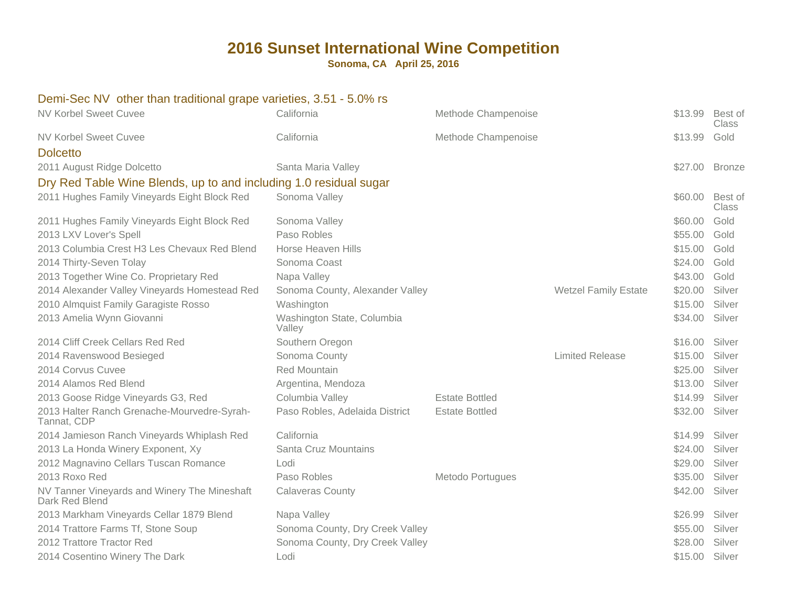**Sonoma, CA April 25, 2016**

#### Demi-Sec NV other than traditional grape varieties, 3.51 - 5.0% rs

| <b>NV Korbel Sweet Cuvee</b>                                      | California                           | Methode Champenoise   |                             | \$13.99 | Best of<br>Class        |
|-------------------------------------------------------------------|--------------------------------------|-----------------------|-----------------------------|---------|-------------------------|
| <b>NV Korbel Sweet Cuvee</b><br><b>Dolcetto</b>                   | California                           | Methode Champenoise   |                             | \$13.99 | Gold                    |
| 2011 August Ridge Dolcetto                                        | Santa Maria Valley                   |                       |                             |         | \$27.00 Bronze          |
| Dry Red Table Wine Blends, up to and including 1.0 residual sugar |                                      |                       |                             |         |                         |
| 2011 Hughes Family Vineyards Eight Block Red                      | Sonoma Valley                        |                       |                             | \$60.00 | Best of<br><b>Class</b> |
| 2011 Hughes Family Vineyards Eight Block Red                      | Sonoma Valley                        |                       |                             | \$60.00 | Gold                    |
| 2013 LXV Lover's Spell                                            | Paso Robles                          |                       |                             | \$55.00 | Gold                    |
| 2013 Columbia Crest H3 Les Chevaux Red Blend                      | <b>Horse Heaven Hills</b>            |                       |                             | \$15.00 | Gold                    |
| 2014 Thirty-Seven Tolay                                           | Sonoma Coast                         |                       |                             | \$24.00 | Gold                    |
| 2013 Together Wine Co. Proprietary Red                            | Napa Valley                          |                       |                             | \$43.00 | Gold                    |
| 2014 Alexander Valley Vineyards Homestead Red                     | Sonoma County, Alexander Valley      |                       | <b>Wetzel Family Estate</b> | \$20.00 | Silver                  |
| 2010 Almquist Family Garagiste Rosso                              | Washington                           |                       |                             | \$15.00 | Silver                  |
| 2013 Amelia Wynn Giovanni                                         | Washington State, Columbia<br>Valley |                       |                             | \$34.00 | Silver                  |
| 2014 Cliff Creek Cellars Red Red                                  | Southern Oregon                      |                       |                             | \$16.00 | Silver                  |
| 2014 Ravenswood Besieged                                          | Sonoma County                        |                       | <b>Limited Release</b>      | \$15.00 | Silver                  |
| 2014 Corvus Cuvee                                                 | Red Mountain                         |                       |                             | \$25.00 | Silver                  |
| 2014 Alamos Red Blend                                             | Argentina, Mendoza                   |                       |                             | \$13.00 | Silver                  |
| 2013 Goose Ridge Vineyards G3, Red                                | Columbia Valley                      | <b>Estate Bottled</b> |                             | \$14.99 | Silver                  |
| 2013 Halter Ranch Grenache-Mourvedre-Syrah-<br>Tannat, CDP        | Paso Robles, Adelaida District       | <b>Estate Bottled</b> |                             | \$32.00 | Silver                  |
| 2014 Jamieson Ranch Vineyards Whiplash Red                        | California                           |                       |                             | \$14.99 | Silver                  |
| 2013 La Honda Winery Exponent, Xy                                 | Santa Cruz Mountains                 |                       |                             | \$24.00 | Silver                  |
| 2012 Magnavino Cellars Tuscan Romance                             | Lodi                                 |                       |                             | \$29.00 | Silver                  |
| 2013 Roxo Red                                                     | Paso Robles                          | Metodo Portugues      |                             | \$35.00 | Silver                  |
| NV Tanner Vineyards and Winery The Mineshaft<br>Dark Red Blend    | <b>Calaveras County</b>              |                       |                             | \$42.00 | Silver                  |
| 2013 Markham Vineyards Cellar 1879 Blend                          | Napa Valley                          |                       |                             | \$26.99 | Silver                  |
| 2014 Trattore Farms Tf, Stone Soup                                | Sonoma County, Dry Creek Valley      |                       |                             | \$55.00 | Silver                  |
| 2012 Trattore Tractor Red                                         | Sonoma County, Dry Creek Valley      |                       |                             | \$28.00 | Silver                  |
| 2014 Cosentino Winery The Dark                                    | Lodi                                 |                       |                             | \$15.00 | Silver                  |
|                                                                   |                                      |                       |                             |         |                         |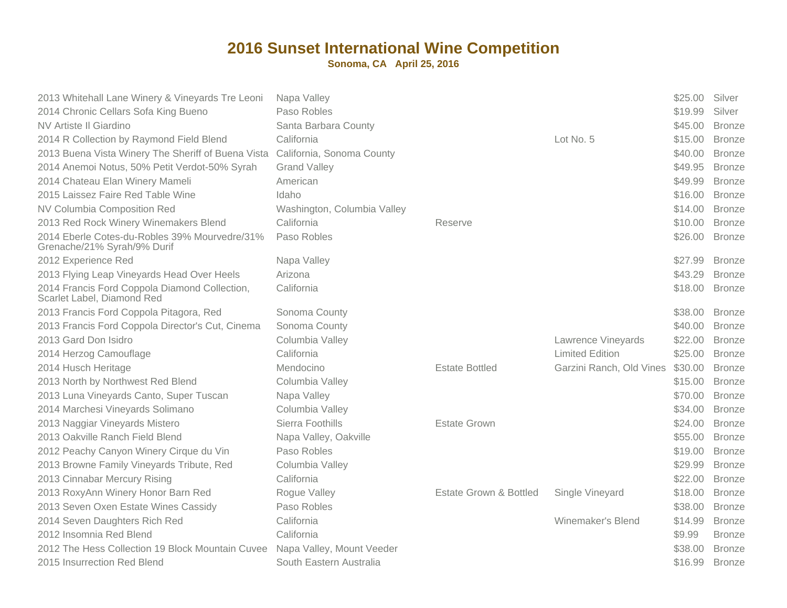| 2013 Whitehall Lane Winery & Vineyards Tre Leoni<br>2014 Chronic Cellars Sofa King Bueno | Napa Valley<br>Paso Robles  |                                   |                          | \$25.00 Silver<br>\$19.99 | Silver        |
|------------------------------------------------------------------------------------------|-----------------------------|-----------------------------------|--------------------------|---------------------------|---------------|
| NV Artiste II Giardino                                                                   | Santa Barbara County        |                                   |                          | \$45.00                   | <b>Bronze</b> |
| 2014 R Collection by Raymond Field Blend                                                 | California                  |                                   | Lot No. 5                | \$15.00                   | <b>Bronze</b> |
| 2013 Buena Vista Winery The Sheriff of Buena Vista                                       | California, Sonoma County   |                                   |                          | \$40.00                   | <b>Bronze</b> |
| 2014 Anemoi Notus, 50% Petit Verdot-50% Syrah                                            | <b>Grand Valley</b>         |                                   |                          | \$49.95                   | <b>Bronze</b> |
| 2014 Chateau Elan Winery Mameli                                                          | American                    |                                   |                          | \$49.99                   | <b>Bronze</b> |
| 2015 Laissez Faire Red Table Wine                                                        | Idaho                       |                                   |                          | \$16.00                   | <b>Bronze</b> |
| NV Columbia Composition Red                                                              | Washington, Columbia Valley |                                   |                          | \$14.00                   | <b>Bronze</b> |
| 2013 Red Rock Winery Winemakers Blend                                                    | California                  | Reserve                           |                          | \$10.00                   | <b>Bronze</b> |
| 2014 Eberle Cotes-du-Robles 39% Mourvedre/31%<br>Grenache/21% Syrah/9% Durif             | Paso Robles                 |                                   |                          | \$26.00                   | <b>Bronze</b> |
| 2012 Experience Red                                                                      | Napa Valley                 |                                   |                          | \$27.99                   | <b>Bronze</b> |
| 2013 Flying Leap Vineyards Head Over Heels                                               | Arizona                     |                                   |                          | \$43.29                   | <b>Bronze</b> |
| 2014 Francis Ford Coppola Diamond Collection,<br>Scarlet Label, Diamond Red              | California                  |                                   |                          | \$18.00                   | <b>Bronze</b> |
| 2013 Francis Ford Coppola Pitagora, Red                                                  | Sonoma County               |                                   |                          | \$38.00                   | <b>Bronze</b> |
| 2013 Francis Ford Coppola Director's Cut, Cinema                                         | Sonoma County               |                                   |                          | \$40.00                   | <b>Bronze</b> |
| 2013 Gard Don Isidro                                                                     | Columbia Valley             |                                   | Lawrence Vineyards       | \$22.00                   | <b>Bronze</b> |
| 2014 Herzog Camouflage                                                                   | California                  |                                   | <b>Limited Edition</b>   | \$25.00                   | <b>Bronze</b> |
| 2014 Husch Heritage                                                                      | Mendocino                   | <b>Estate Bottled</b>             | Garzini Ranch, Old Vines | \$30.00                   | <b>Bronze</b> |
| 2013 North by Northwest Red Blend                                                        | Columbia Valley             |                                   |                          | \$15.00                   | <b>Bronze</b> |
| 2013 Luna Vineyards Canto, Super Tuscan                                                  | Napa Valley                 |                                   |                          | \$70.00                   | <b>Bronze</b> |
| 2014 Marchesi Vineyards Solimano                                                         | Columbia Valley             |                                   |                          | \$34.00                   | <b>Bronze</b> |
| 2013 Naggiar Vineyards Mistero                                                           | Sierra Foothills            | <b>Estate Grown</b>               |                          | \$24.00                   | <b>Bronze</b> |
| 2013 Oakville Ranch Field Blend                                                          | Napa Valley, Oakville       |                                   |                          | \$55.00                   | <b>Bronze</b> |
| 2012 Peachy Canyon Winery Cirque du Vin                                                  | Paso Robles                 |                                   |                          | \$19.00                   | <b>Bronze</b> |
| 2013 Browne Family Vineyards Tribute, Red                                                | Columbia Valley             |                                   |                          | \$29.99                   | <b>Bronze</b> |
| 2013 Cinnabar Mercury Rising                                                             | California                  |                                   |                          | \$22.00                   | <b>Bronze</b> |
| 2013 RoxyAnn Winery Honor Barn Red                                                       | Rogue Valley                | <b>Estate Grown &amp; Bottled</b> | Single Vineyard          | \$18.00                   | <b>Bronze</b> |
| 2013 Seven Oxen Estate Wines Cassidy                                                     | Paso Robles                 |                                   |                          | \$38.00                   | <b>Bronze</b> |
| 2014 Seven Daughters Rich Red                                                            | California                  |                                   | Winemaker's Blend        | \$14.99                   | <b>Bronze</b> |
| 2012 Insomnia Red Blend                                                                  | California                  |                                   |                          | \$9.99                    | <b>Bronze</b> |
| 2012 The Hess Collection 19 Block Mountain Cuvee                                         | Napa Valley, Mount Veeder   |                                   |                          | \$38.00                   | <b>Bronze</b> |
| 2015 Insurrection Red Blend                                                              | South Eastern Australia     |                                   |                          | \$16.99                   | <b>Bronze</b> |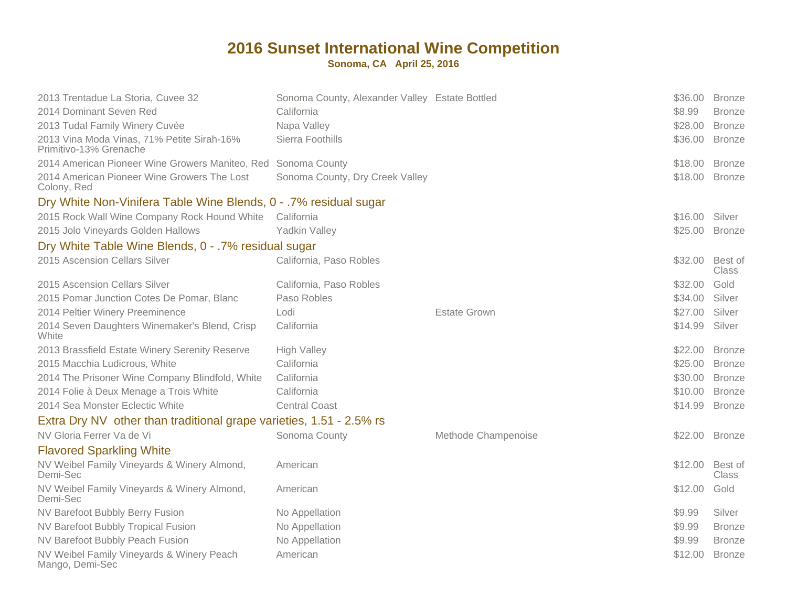| 2013 Trentadue La Storia, Cuvee 32                                   | Sonoma County, Alexander Valley Estate Bottled |                     | \$36.00 | <b>Bronze</b>           |
|----------------------------------------------------------------------|------------------------------------------------|---------------------|---------|-------------------------|
| 2014 Dominant Seven Red                                              | California                                     |                     | \$8.99  | <b>Bronze</b>           |
| 2013 Tudal Family Winery Cuvée                                       | Napa Valley                                    |                     | \$28.00 | <b>Bronze</b>           |
| 2013 Vina Moda Vinas, 71% Petite Sirah-16%<br>Primitivo-13% Grenache | Sierra Foothills                               |                     | \$36.00 | <b>Bronze</b>           |
| 2014 American Pioneer Wine Growers Maniteo, Red Sonoma County        |                                                |                     | \$18.00 | <b>Bronze</b>           |
| 2014 American Pioneer Wine Growers The Lost<br>Colony, Red           | Sonoma County, Dry Creek Valley                |                     | \$18.00 | <b>Bronze</b>           |
| Dry White Non-Vinifera Table Wine Blends, 0 - .7% residual sugar     |                                                |                     |         |                         |
| 2015 Rock Wall Wine Company Rock Hound White                         | California                                     |                     | \$16.00 | Silver                  |
| 2015 Jolo Vineyards Golden Hallows                                   | <b>Yadkin Valley</b>                           |                     | \$25.00 | <b>Bronze</b>           |
| Dry White Table Wine Blends, 0 - .7% residual sugar                  |                                                |                     |         |                         |
| 2015 Ascension Cellars Silver                                        | California, Paso Robles                        |                     | \$32.00 | Best of<br><b>Class</b> |
| 2015 Ascension Cellars Silver                                        | California, Paso Robles                        |                     | \$32.00 | Gold                    |
| 2015 Pomar Junction Cotes De Pomar, Blanc                            | Paso Robles                                    |                     | \$34.00 | Silver                  |
| 2014 Peltier Winery Preeminence                                      | Lodi                                           | <b>Estate Grown</b> | \$27.00 | Silver                  |
| 2014 Seven Daughters Winemaker's Blend, Crisp<br>White               | California                                     |                     | \$14.99 | Silver                  |
| 2013 Brassfield Estate Winery Serenity Reserve                       | <b>High Valley</b>                             |                     | \$22.00 | <b>Bronze</b>           |
| 2015 Macchia Ludicrous, White                                        | California                                     |                     | \$25.00 | <b>Bronze</b>           |
| 2014 The Prisoner Wine Company Blindfold, White                      | California                                     |                     | \$30.00 | <b>Bronze</b>           |
| 2014 Folie à Deux Menage a Trois White                               | California                                     |                     | \$10.00 | <b>Bronze</b>           |
| 2014 Sea Monster Eclectic White                                      | <b>Central Coast</b>                           |                     | \$14.99 | <b>Bronze</b>           |
| Extra Dry NV other than traditional grape varieties, 1.51 - 2.5% rs  |                                                |                     |         |                         |
| NV Gloria Ferrer Va de Vi                                            | Sonoma County                                  | Methode Champenoise | \$22.00 | <b>Bronze</b>           |
| <b>Flavored Sparkling White</b>                                      |                                                |                     |         |                         |
| NV Weibel Family Vineyards & Winery Almond,<br>Demi-Sec              | American                                       |                     | \$12.00 | Best of<br><b>Class</b> |
| NV Weibel Family Vineyards & Winery Almond,<br>Demi-Sec              | American                                       |                     | \$12.00 | Gold                    |
| NV Barefoot Bubbly Berry Fusion                                      | No Appellation                                 |                     | \$9.99  | Silver                  |
| NV Barefoot Bubbly Tropical Fusion                                   | No Appellation                                 |                     | \$9.99  | <b>Bronze</b>           |
| NV Barefoot Bubbly Peach Fusion                                      | No Appellation                                 |                     | \$9.99  | <b>Bronze</b>           |
| NV Weibel Family Vineyards & Winery Peach<br>Mango, Demi-Sec         | American                                       |                     | \$12.00 | <b>Bronze</b>           |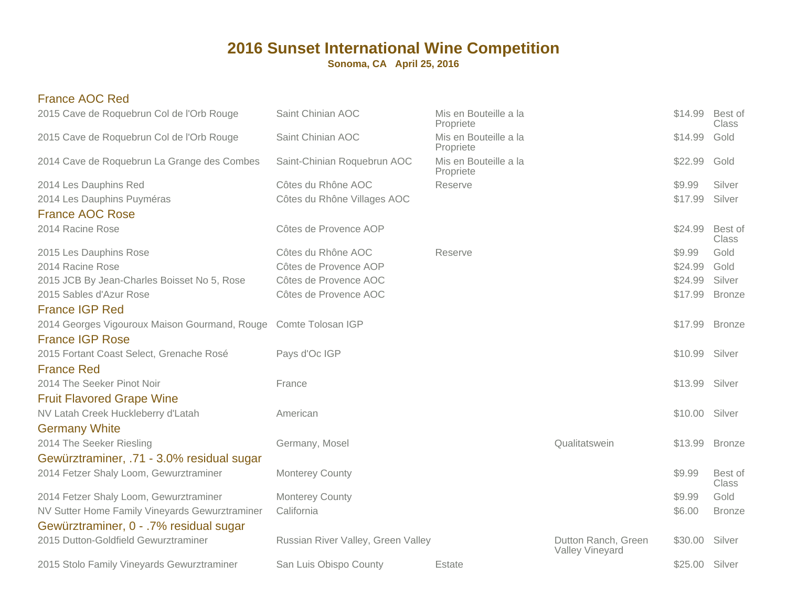**Sonoma, CA April 25, 2016**

#### France AOC Red

| Saint Chinian AOC                                               | Mis en Bouteille a la<br>Propriete |                                               | \$14.99        | Best of<br>Class |
|-----------------------------------------------------------------|------------------------------------|-----------------------------------------------|----------------|------------------|
| Saint Chinian AOC                                               | Mis en Bouteille a la<br>Propriete |                                               | \$14.99        | Gold             |
| Saint-Chinian Roquebrun AOC                                     | Mis en Bouteille a la<br>Propriete |                                               | \$22.99        | Gold             |
| Côtes du Rhône AOC                                              | Reserve                            |                                               | \$9.99         | Silver           |
| Côtes du Rhône Villages AOC                                     |                                    |                                               | \$17.99        | Silver           |
|                                                                 |                                    |                                               |                |                  |
| Côtes de Provence AOP                                           |                                    |                                               | \$24.99        | Best of<br>Class |
| Côtes du Rhône AOC                                              | Reserve                            |                                               | \$9.99         | Gold             |
| Côtes de Provence AOP                                           |                                    |                                               | \$24.99        | Gold             |
| Côtes de Provence AOC                                           |                                    |                                               | \$24.99        | Silver           |
| Côtes de Provence AOC                                           |                                    |                                               | \$17.99        | <b>Bronze</b>    |
|                                                                 |                                    |                                               |                |                  |
| 2014 Georges Vigouroux Maison Gourmand, Rouge Comte Tolosan IGP |                                    |                                               | \$17.99        | <b>Bronze</b>    |
|                                                                 |                                    |                                               |                |                  |
| Pays d'Oc IGP                                                   |                                    |                                               | \$10.99 Silver |                  |
|                                                                 |                                    |                                               |                |                  |
| France                                                          |                                    |                                               | \$13.99        | Silver           |
|                                                                 |                                    |                                               |                |                  |
| American                                                        |                                    |                                               | \$10.00 Silver |                  |
|                                                                 |                                    |                                               |                |                  |
|                                                                 |                                    | Qualitatswein                                 | \$13.99        | <b>Bronze</b>    |
|                                                                 |                                    |                                               |                |                  |
| Monterey County                                                 |                                    |                                               | \$9.99         | Best of<br>Class |
| <b>Monterey County</b>                                          |                                    |                                               | \$9.99         | Gold             |
| California                                                      |                                    |                                               | \$6.00         | <b>Bronze</b>    |
|                                                                 |                                    |                                               |                |                  |
|                                                                 |                                    | Dutton Ranch, Green<br><b>Valley Vineyard</b> | \$30.00        | Silver           |
| San Luis Obispo County                                          | Estate                             |                                               | \$25.00 Silver |                  |
|                                                                 | Germany, Mosel                     | Russian River Valley, Green Valley            |                |                  |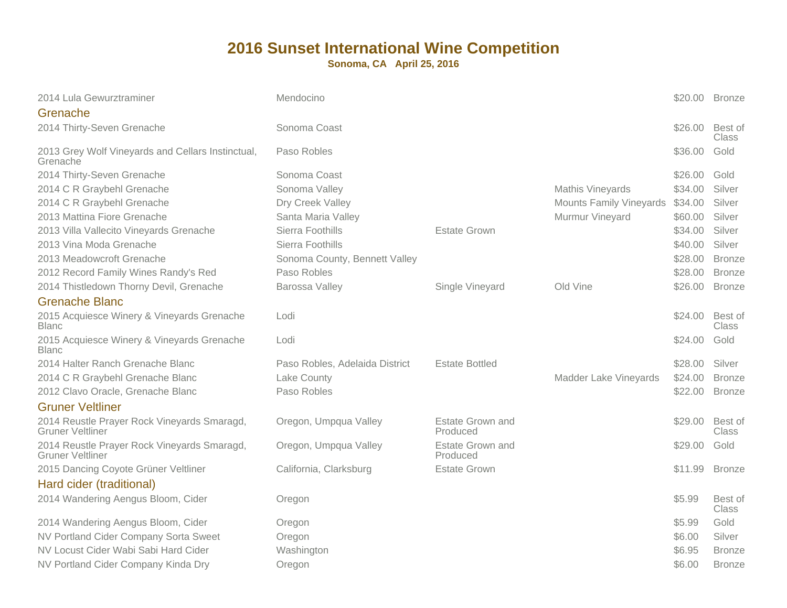| \$26.00<br>Sonoma Coast<br><b>Best of</b><br><b>Class</b><br>Paso Robles<br>\$36.00<br>Gold<br>Grenache<br>Sonoma Coast<br>\$26.00<br>Gold<br>Silver<br>Sonoma Valley<br>Mathis Vineyards<br>\$34.00<br><b>Mounts Family Vineyards</b><br>Silver<br>Dry Creek Valley<br>\$34.00<br>Murmur Vineyard<br>Santa Maria Valley<br>\$60.00<br>Silver<br>Sierra Foothills<br>\$34.00<br>Silver<br><b>Estate Grown</b><br>Sierra Foothills<br>Silver<br>\$40.00<br>Sonoma County, Bennett Valley<br>\$28.00<br><b>Bronze</b><br>Paso Robles<br>\$28.00<br><b>Bronze</b><br>Barossa Valley<br>Single Vineyard<br>Old Vine<br>\$26.00<br><b>Bronze</b><br>Lodi<br>\$24.00<br>Best of<br>Class<br>\$24.00<br>Gold<br>2015 Acquiesce Winery & Vineyards Grenache<br>Lodi<br>Silver<br>Paso Robles, Adelaida District<br><b>Estate Bottled</b><br>\$28.00<br>Lake County<br>\$24.00<br>Madder Lake Vineyards<br><b>Bronze</b><br>Paso Robles<br>\$22.00<br><b>Bronze</b><br><b>Gruner Veltliner</b><br><b>Estate Grown and</b><br>Oregon, Umpqua Valley<br>\$29.00<br>Best of<br>Produced<br>Class<br>Estate Grown and<br>Oregon, Umpqua Valley<br>\$29.00<br>Gold<br>Produced<br><b>Estate Grown</b><br>California, Clarksburg<br>\$11.99<br><b>Bronze</b><br>Hard cider (traditional)<br>\$5.99<br>Best of<br>Oregon<br>Class<br>Gold<br>\$5.99<br>Oregon<br>\$6.00<br>Silver<br>Oregon<br>\$6.95<br>Washington<br><b>Bronze</b><br>\$6.00<br>Oregon<br><b>Bronze</b> | 2014 Lula Gewurztraminer                                               | Mendocino |  | \$20.00 Bronze |  |
|-----------------------------------------------------------------------------------------------------------------------------------------------------------------------------------------------------------------------------------------------------------------------------------------------------------------------------------------------------------------------------------------------------------------------------------------------------------------------------------------------------------------------------------------------------------------------------------------------------------------------------------------------------------------------------------------------------------------------------------------------------------------------------------------------------------------------------------------------------------------------------------------------------------------------------------------------------------------------------------------------------------------------------------------------------------------------------------------------------------------------------------------------------------------------------------------------------------------------------------------------------------------------------------------------------------------------------------------------------------------------------------------------------------------------------------------------------------|------------------------------------------------------------------------|-----------|--|----------------|--|
|                                                                                                                                                                                                                                                                                                                                                                                                                                                                                                                                                                                                                                                                                                                                                                                                                                                                                                                                                                                                                                                                                                                                                                                                                                                                                                                                                                                                                                                           | Grenache                                                               |           |  |                |  |
|                                                                                                                                                                                                                                                                                                                                                                                                                                                                                                                                                                                                                                                                                                                                                                                                                                                                                                                                                                                                                                                                                                                                                                                                                                                                                                                                                                                                                                                           | 2014 Thirty-Seven Grenache                                             |           |  |                |  |
|                                                                                                                                                                                                                                                                                                                                                                                                                                                                                                                                                                                                                                                                                                                                                                                                                                                                                                                                                                                                                                                                                                                                                                                                                                                                                                                                                                                                                                                           | 2013 Grey Wolf Vineyards and Cellars Instinctual,                      |           |  |                |  |
|                                                                                                                                                                                                                                                                                                                                                                                                                                                                                                                                                                                                                                                                                                                                                                                                                                                                                                                                                                                                                                                                                                                                                                                                                                                                                                                                                                                                                                                           | 2014 Thirty-Seven Grenache                                             |           |  |                |  |
|                                                                                                                                                                                                                                                                                                                                                                                                                                                                                                                                                                                                                                                                                                                                                                                                                                                                                                                                                                                                                                                                                                                                                                                                                                                                                                                                                                                                                                                           | 2014 C R Graybehl Grenache                                             |           |  |                |  |
|                                                                                                                                                                                                                                                                                                                                                                                                                                                                                                                                                                                                                                                                                                                                                                                                                                                                                                                                                                                                                                                                                                                                                                                                                                                                                                                                                                                                                                                           | 2014 C R Graybehl Grenache                                             |           |  |                |  |
|                                                                                                                                                                                                                                                                                                                                                                                                                                                                                                                                                                                                                                                                                                                                                                                                                                                                                                                                                                                                                                                                                                                                                                                                                                                                                                                                                                                                                                                           | 2013 Mattina Fiore Grenache                                            |           |  |                |  |
|                                                                                                                                                                                                                                                                                                                                                                                                                                                                                                                                                                                                                                                                                                                                                                                                                                                                                                                                                                                                                                                                                                                                                                                                                                                                                                                                                                                                                                                           | 2013 Villa Vallecito Vineyards Grenache                                |           |  |                |  |
|                                                                                                                                                                                                                                                                                                                                                                                                                                                                                                                                                                                                                                                                                                                                                                                                                                                                                                                                                                                                                                                                                                                                                                                                                                                                                                                                                                                                                                                           | 2013 Vina Moda Grenache                                                |           |  |                |  |
|                                                                                                                                                                                                                                                                                                                                                                                                                                                                                                                                                                                                                                                                                                                                                                                                                                                                                                                                                                                                                                                                                                                                                                                                                                                                                                                                                                                                                                                           | 2013 Meadowcroft Grenache                                              |           |  |                |  |
|                                                                                                                                                                                                                                                                                                                                                                                                                                                                                                                                                                                                                                                                                                                                                                                                                                                                                                                                                                                                                                                                                                                                                                                                                                                                                                                                                                                                                                                           | 2012 Record Family Wines Randy's Red                                   |           |  |                |  |
|                                                                                                                                                                                                                                                                                                                                                                                                                                                                                                                                                                                                                                                                                                                                                                                                                                                                                                                                                                                                                                                                                                                                                                                                                                                                                                                                                                                                                                                           | 2014 Thistledown Thorny Devil, Grenache                                |           |  |                |  |
|                                                                                                                                                                                                                                                                                                                                                                                                                                                                                                                                                                                                                                                                                                                                                                                                                                                                                                                                                                                                                                                                                                                                                                                                                                                                                                                                                                                                                                                           | <b>Grenache Blanc</b>                                                  |           |  |                |  |
|                                                                                                                                                                                                                                                                                                                                                                                                                                                                                                                                                                                                                                                                                                                                                                                                                                                                                                                                                                                                                                                                                                                                                                                                                                                                                                                                                                                                                                                           | 2015 Acquiesce Winery & Vineyards Grenache<br><b>Blanc</b>             |           |  |                |  |
|                                                                                                                                                                                                                                                                                                                                                                                                                                                                                                                                                                                                                                                                                                                                                                                                                                                                                                                                                                                                                                                                                                                                                                                                                                                                                                                                                                                                                                                           | <b>Blanc</b>                                                           |           |  |                |  |
|                                                                                                                                                                                                                                                                                                                                                                                                                                                                                                                                                                                                                                                                                                                                                                                                                                                                                                                                                                                                                                                                                                                                                                                                                                                                                                                                                                                                                                                           | 2014 Halter Ranch Grenache Blanc                                       |           |  |                |  |
|                                                                                                                                                                                                                                                                                                                                                                                                                                                                                                                                                                                                                                                                                                                                                                                                                                                                                                                                                                                                                                                                                                                                                                                                                                                                                                                                                                                                                                                           | 2014 C R Graybehl Grenache Blanc                                       |           |  |                |  |
|                                                                                                                                                                                                                                                                                                                                                                                                                                                                                                                                                                                                                                                                                                                                                                                                                                                                                                                                                                                                                                                                                                                                                                                                                                                                                                                                                                                                                                                           | 2012 Clavo Oracle, Grenache Blanc                                      |           |  |                |  |
|                                                                                                                                                                                                                                                                                                                                                                                                                                                                                                                                                                                                                                                                                                                                                                                                                                                                                                                                                                                                                                                                                                                                                                                                                                                                                                                                                                                                                                                           |                                                                        |           |  |                |  |
|                                                                                                                                                                                                                                                                                                                                                                                                                                                                                                                                                                                                                                                                                                                                                                                                                                                                                                                                                                                                                                                                                                                                                                                                                                                                                                                                                                                                                                                           | 2014 Reustle Prayer Rock Vineyards Smaragd,<br><b>Gruner Veltliner</b> |           |  |                |  |
|                                                                                                                                                                                                                                                                                                                                                                                                                                                                                                                                                                                                                                                                                                                                                                                                                                                                                                                                                                                                                                                                                                                                                                                                                                                                                                                                                                                                                                                           | 2014 Reustle Prayer Rock Vineyards Smaragd,<br><b>Gruner Veltliner</b> |           |  |                |  |
|                                                                                                                                                                                                                                                                                                                                                                                                                                                                                                                                                                                                                                                                                                                                                                                                                                                                                                                                                                                                                                                                                                                                                                                                                                                                                                                                                                                                                                                           | 2015 Dancing Coyote Grüner Veltliner                                   |           |  |                |  |
|                                                                                                                                                                                                                                                                                                                                                                                                                                                                                                                                                                                                                                                                                                                                                                                                                                                                                                                                                                                                                                                                                                                                                                                                                                                                                                                                                                                                                                                           |                                                                        |           |  |                |  |
|                                                                                                                                                                                                                                                                                                                                                                                                                                                                                                                                                                                                                                                                                                                                                                                                                                                                                                                                                                                                                                                                                                                                                                                                                                                                                                                                                                                                                                                           | 2014 Wandering Aengus Bloom, Cider                                     |           |  |                |  |
|                                                                                                                                                                                                                                                                                                                                                                                                                                                                                                                                                                                                                                                                                                                                                                                                                                                                                                                                                                                                                                                                                                                                                                                                                                                                                                                                                                                                                                                           | 2014 Wandering Aengus Bloom, Cider                                     |           |  |                |  |
|                                                                                                                                                                                                                                                                                                                                                                                                                                                                                                                                                                                                                                                                                                                                                                                                                                                                                                                                                                                                                                                                                                                                                                                                                                                                                                                                                                                                                                                           | NV Portland Cider Company Sorta Sweet                                  |           |  |                |  |
|                                                                                                                                                                                                                                                                                                                                                                                                                                                                                                                                                                                                                                                                                                                                                                                                                                                                                                                                                                                                                                                                                                                                                                                                                                                                                                                                                                                                                                                           | NV Locust Cider Wabi Sabi Hard Cider                                   |           |  |                |  |
|                                                                                                                                                                                                                                                                                                                                                                                                                                                                                                                                                                                                                                                                                                                                                                                                                                                                                                                                                                                                                                                                                                                                                                                                                                                                                                                                                                                                                                                           | NV Portland Cider Company Kinda Dry                                    |           |  |                |  |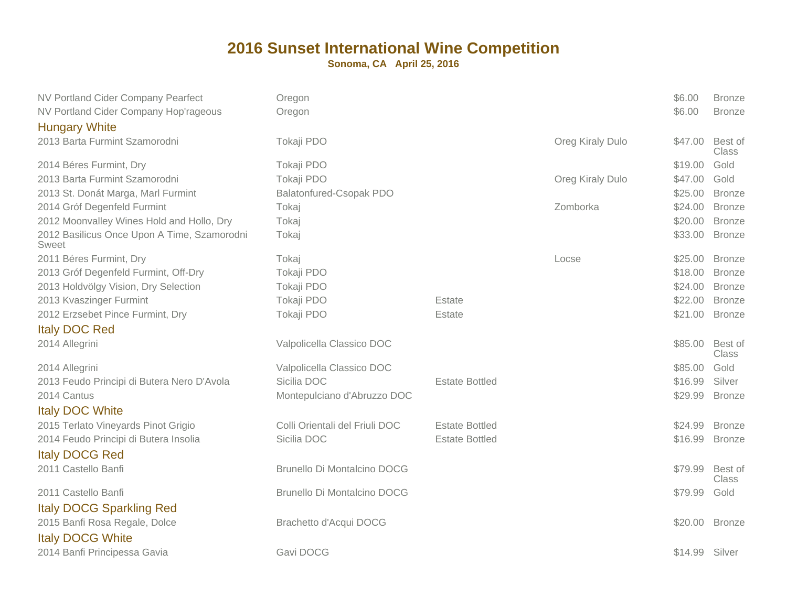| NV Portland Cider Company Pearfect<br>NV Portland Cider Company Hop'rageous<br><b>Hungary White</b> | Oregon<br>Oregon                   |                       |                  | \$6.00<br>\$6.00 | <b>Bronze</b><br><b>Bronze</b> |
|-----------------------------------------------------------------------------------------------------|------------------------------------|-----------------------|------------------|------------------|--------------------------------|
| 2013 Barta Furmint Szamorodni                                                                       | Tokaji PDO                         |                       | Oreg Kiraly Dulo | \$47.00          | Best of<br>Class               |
| 2014 Béres Furmint, Dry                                                                             | Tokaji PDO                         |                       |                  | \$19.00          | Gold                           |
| 2013 Barta Furmint Szamorodni                                                                       | Tokaji PDO                         |                       | Oreg Kiraly Dulo | \$47.00          | Gold                           |
| 2013 St. Donát Marga, Marl Furmint                                                                  | Balatonfured-Csopak PDO            |                       |                  | \$25.00          | <b>Bronze</b>                  |
| 2014 Gróf Degenfeld Furmint                                                                         | Tokaj                              |                       | Zomborka         | \$24.00          | <b>Bronze</b>                  |
| 2012 Moonvalley Wines Hold and Hollo, Dry                                                           | Tokaj                              |                       |                  | \$20.00          | <b>Bronze</b>                  |
| 2012 Basilicus Once Upon A Time, Szamorodni<br>Sweet                                                | Tokaj                              |                       |                  | \$33.00          | <b>Bronze</b>                  |
| 2011 Béres Furmint, Dry                                                                             | Tokaj                              |                       | Locse            | \$25.00          | <b>Bronze</b>                  |
| 2013 Gróf Degenfeld Furmint, Off-Dry                                                                | Tokaji PDO                         |                       |                  | \$18.00          | <b>Bronze</b>                  |
| 2013 Holdvölgy Vision, Dry Selection                                                                | Tokaji PDO                         |                       |                  | \$24.00          | <b>Bronze</b>                  |
| 2013 Kvaszinger Furmint                                                                             | Tokaji PDO                         | Estate                |                  | \$22.00          | <b>Bronze</b>                  |
| 2012 Erzsebet Pince Furmint, Dry                                                                    | Tokaji PDO                         | Estate                |                  | \$21.00          | <b>Bronze</b>                  |
| <b>Italy DOC Red</b>                                                                                |                                    |                       |                  |                  |                                |
| 2014 Allegrini                                                                                      | Valpolicella Classico DOC          |                       |                  | \$85.00          | Best of<br>Class               |
| 2014 Allegrini                                                                                      | Valpolicella Classico DOC          |                       |                  | \$85.00          | Gold                           |
| 2013 Feudo Principi di Butera Nero D'Avola                                                          | Sicilia DOC                        | <b>Estate Bottled</b> |                  | \$16.99          | Silver                         |
| 2014 Cantus                                                                                         | Montepulciano d'Abruzzo DOC        |                       |                  | \$29.99          | <b>Bronze</b>                  |
| <b>Italy DOC White</b>                                                                              |                                    |                       |                  |                  |                                |
| 2015 Terlato Vineyards Pinot Grigio                                                                 | Colli Orientali del Friuli DOC     | <b>Estate Bottled</b> |                  | \$24.99          | <b>Bronze</b>                  |
| 2014 Feudo Principi di Butera Insolia                                                               | Sicilia DOC                        | <b>Estate Bottled</b> |                  | \$16.99          | <b>Bronze</b>                  |
| <b>Italy DOCG Red</b>                                                                               |                                    |                       |                  |                  |                                |
| 2011 Castello Banfi                                                                                 | <b>Brunello Di Montalcino DOCG</b> |                       |                  | \$79.99          | Best of<br>Class               |
| 2011 Castello Banfi<br><b>Italy DOCG Sparkling Red</b>                                              | <b>Brunello Di Montalcino DOCG</b> |                       |                  | \$79.99          | Gold                           |
| 2015 Banfi Rosa Regale, Dolce<br><b>Italy DOCG White</b>                                            | Brachetto d'Acqui DOCG             |                       |                  | \$20.00 Bronze   |                                |
| 2014 Banfi Principessa Gavia                                                                        | Gavi DOCG                          |                       |                  | \$14.99          | Silver                         |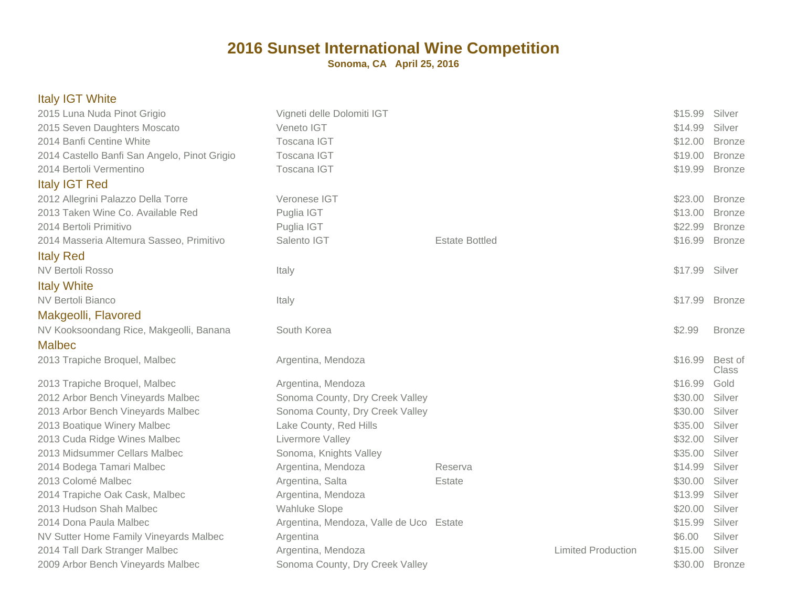| <b>Italy IGT White</b>                       |                                         |                       |                           |                |                  |
|----------------------------------------------|-----------------------------------------|-----------------------|---------------------------|----------------|------------------|
| 2015 Luna Nuda Pinot Grigio                  | Vigneti delle Dolomiti IGT              |                       |                           | \$15.99        | Silver           |
| 2015 Seven Daughters Moscato                 | Veneto IGT                              |                       |                           | \$14.99        | Silver           |
| 2014 Banfi Centine White                     | Toscana IGT                             |                       |                           | \$12.00        | <b>Bronze</b>    |
| 2014 Castello Banfi San Angelo, Pinot Grigio | Toscana IGT                             |                       |                           | \$19.00        | <b>Bronze</b>    |
| 2014 Bertoli Vermentino                      | Toscana IGT                             |                       |                           | \$19.99        | <b>Bronze</b>    |
| <b>Italy IGT Red</b>                         |                                         |                       |                           |                |                  |
| 2012 Allegrini Palazzo Della Torre           | Veronese IGT                            |                       |                           | \$23.00        | <b>Bronze</b>    |
| 2013 Taken Wine Co. Available Red            | Puglia IGT                              |                       |                           | \$13.00        | <b>Bronze</b>    |
| 2014 Bertoli Primitivo                       | Puglia IGT                              |                       |                           | \$22.99        | <b>Bronze</b>    |
| 2014 Masseria Altemura Sasseo, Primitivo     | Salento IGT                             | <b>Estate Bottled</b> |                           | \$16.99        | <b>Bronze</b>    |
| <b>Italy Red</b>                             |                                         |                       |                           |                |                  |
| NV Bertoli Rosso                             | Italy                                   |                       |                           | \$17.99        | Silver           |
| <b>Italy White</b>                           |                                         |                       |                           |                |                  |
| NV Bertoli Bianco                            | Italy                                   |                       |                           | \$17.99        | <b>Bronze</b>    |
| Makgeolli, Flavored                          |                                         |                       |                           |                |                  |
| NV Kooksoondang Rice, Makgeolli, Banana      | South Korea                             |                       |                           | \$2.99         | <b>Bronze</b>    |
| <b>Malbec</b>                                |                                         |                       |                           |                |                  |
| 2013 Trapiche Broquel, Malbec                | Argentina, Mendoza                      |                       |                           | \$16.99        | Best of<br>Class |
| 2013 Trapiche Broquel, Malbec                | Argentina, Mendoza                      |                       |                           | \$16.99        | Gold             |
| 2012 Arbor Bench Vineyards Malbec            | Sonoma County, Dry Creek Valley         |                       |                           | \$30.00        | Silver           |
| 2013 Arbor Bench Vineyards Malbec            | Sonoma County, Dry Creek Valley         |                       |                           | \$30.00        | Silver           |
| 2013 Boatique Winery Malbec                  | Lake County, Red Hills                  |                       |                           | \$35.00        | Silver           |
| 2013 Cuda Ridge Wines Malbec                 | Livermore Valley                        |                       |                           | \$32.00        | Silver           |
| 2013 Midsummer Cellars Malbec                | Sonoma, Knights Valley                  |                       |                           | \$35.00        | Silver           |
| 2014 Bodega Tamari Malbec                    | Argentina, Mendoza                      | Reserva               |                           | \$14.99        | Silver           |
| 2013 Colomé Malbec                           | Argentina, Salta                        | Estate                |                           | \$30.00        | Silver           |
| 2014 Trapiche Oak Cask, Malbec               | Argentina, Mendoza                      |                       |                           | \$13.99        | Silver           |
| 2013 Hudson Shah Malbec                      | Wahluke Slope                           |                       |                           | \$20.00        | Silver           |
| 2014 Dona Paula Malbec                       | Argentina, Mendoza, Valle de Uco Estate |                       |                           | \$15.99        | Silver           |
| NV Sutter Home Family Vineyards Malbec       | Argentina                               |                       |                           | \$6.00         | Silver           |
| 2014 Tall Dark Stranger Malbec               | Argentina, Mendoza                      |                       | <b>Limited Production</b> | \$15.00        | Silver           |
| 2009 Arbor Bench Vineyards Malbec            | Sonoma County, Dry Creek Valley         |                       |                           | \$30.00 Bronze |                  |
|                                              |                                         |                       |                           |                |                  |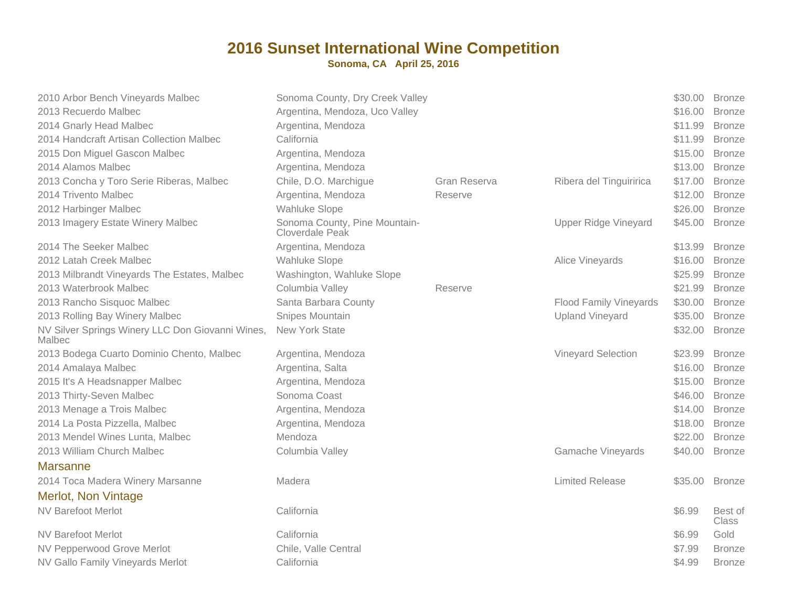| 2010 Arbor Bench Vineyards Malbec                          | Sonoma County, Dry Creek Valley                  |              |                               | \$30.00 | <b>Bronze</b>    |
|------------------------------------------------------------|--------------------------------------------------|--------------|-------------------------------|---------|------------------|
| 2013 Recuerdo Malbec                                       | Argentina, Mendoza, Uco Valley                   |              |                               | \$16.00 | <b>Bronze</b>    |
| 2014 Gnarly Head Malbec                                    | Argentina, Mendoza                               |              |                               | \$11.99 | <b>Bronze</b>    |
| 2014 Handcraft Artisan Collection Malbec                   | California                                       |              |                               | \$11.99 | <b>Bronze</b>    |
| 2015 Don Miguel Gascon Malbec                              | Argentina, Mendoza                               |              |                               | \$15.00 | <b>Bronze</b>    |
| 2014 Alamos Malbec                                         | Argentina, Mendoza                               |              |                               | \$13.00 | <b>Bronze</b>    |
| 2013 Concha y Toro Serie Riberas, Malbec                   | Chile, D.O. Marchigue                            | Gran Reserva | Ribera del Tinguiririca       | \$17.00 | <b>Bronze</b>    |
| 2014 Trivento Malbec                                       | Argentina, Mendoza                               | Reserve      |                               | \$12.00 | <b>Bronze</b>    |
| 2012 Harbinger Malbec                                      | Wahluke Slope                                    |              |                               | \$26.00 | <b>Bronze</b>    |
| 2013 Imagery Estate Winery Malbec                          | Sonoma County, Pine Mountain-<br>Cloverdale Peak |              | <b>Upper Ridge Vineyard</b>   | \$45.00 | <b>Bronze</b>    |
| 2014 The Seeker Malbec                                     | Argentina, Mendoza                               |              |                               | \$13.99 | <b>Bronze</b>    |
| 2012 Latah Creek Malbec                                    | <b>Wahluke Slope</b>                             |              | Alice Vineyards               | \$16.00 | <b>Bronze</b>    |
| 2013 Milbrandt Vineyards The Estates, Malbec               | Washington, Wahluke Slope                        |              |                               | \$25.99 | <b>Bronze</b>    |
| 2013 Waterbrook Malbec                                     | Columbia Valley                                  | Reserve      |                               | \$21.99 | <b>Bronze</b>    |
| 2013 Rancho Sisquoc Malbec                                 | Santa Barbara County                             |              | <b>Flood Family Vineyards</b> | \$30.00 | <b>Bronze</b>    |
| 2013 Rolling Bay Winery Malbec                             | Snipes Mountain                                  |              | <b>Upland Vineyard</b>        | \$35.00 | <b>Bronze</b>    |
| NV Silver Springs Winery LLC Don Giovanni Wines,<br>Malbec | <b>New York State</b>                            |              |                               | \$32.00 | <b>Bronze</b>    |
| 2013 Bodega Cuarto Dominio Chento, Malbec                  | Argentina, Mendoza                               |              | Vineyard Selection            | \$23.99 | <b>Bronze</b>    |
| 2014 Amalaya Malbec                                        | Argentina, Salta                                 |              |                               | \$16.00 | <b>Bronze</b>    |
| 2015 It's A Headsnapper Malbec                             | Argentina, Mendoza                               |              |                               | \$15.00 | <b>Bronze</b>    |
| 2013 Thirty-Seven Malbec                                   | Sonoma Coast                                     |              |                               | \$46.00 | <b>Bronze</b>    |
| 2013 Menage a Trois Malbec                                 | Argentina, Mendoza                               |              |                               | \$14.00 | <b>Bronze</b>    |
| 2014 La Posta Pizzella, Malbec                             | Argentina, Mendoza                               |              |                               | \$18.00 | <b>Bronze</b>    |
| 2013 Mendel Wines Lunta, Malbec                            | Mendoza                                          |              |                               | \$22.00 | <b>Bronze</b>    |
| 2013 William Church Malbec                                 | Columbia Valley                                  |              | <b>Gamache Vineyards</b>      | \$40.00 | <b>Bronze</b>    |
| <b>Marsanne</b>                                            |                                                  |              |                               |         |                  |
| 2014 Toca Madera Winery Marsanne                           | Madera                                           |              | <b>Limited Release</b>        | \$35.00 | <b>Bronze</b>    |
| <b>Merlot, Non Vintage</b>                                 |                                                  |              |                               |         |                  |
| <b>NV Barefoot Merlot</b>                                  | California                                       |              |                               | \$6.99  | Best of<br>Class |
| <b>NV Barefoot Merlot</b>                                  | California                                       |              |                               | \$6.99  | Gold             |
| NV Pepperwood Grove Merlot                                 | Chile, Valle Central                             |              |                               | \$7.99  | <b>Bronze</b>    |
| NV Gallo Family Vineyards Merlot                           | California                                       |              |                               | \$4.99  | <b>Bronze</b>    |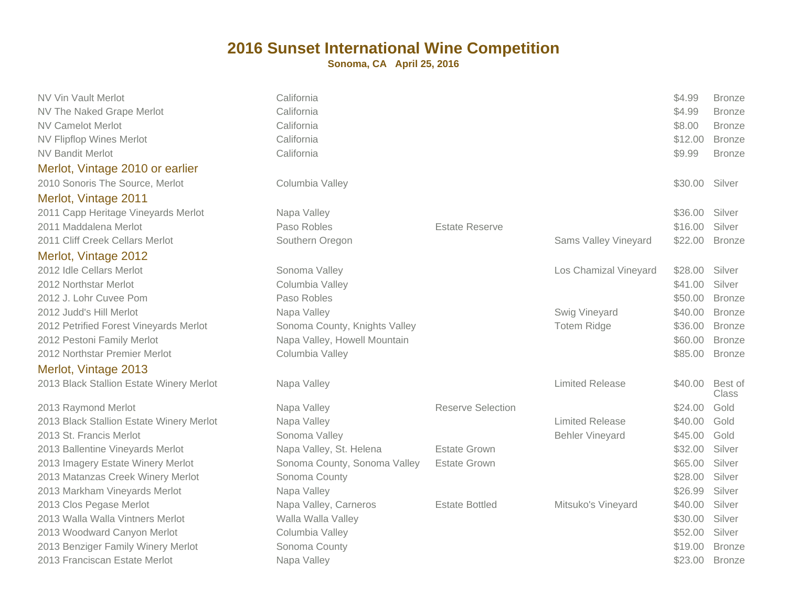| <b>NV Vin Vault Merlot</b><br>NV The Naked Grape Merlot<br><b>NV Camelot Merlot</b><br><b>NV Flipflop Wines Merlot</b> | California<br>California<br>California<br>California |                          |                        | \$4.99<br>\$4.99<br>\$8.00<br>\$12.00 | <b>Bronze</b><br><b>Bronze</b><br><b>Bronze</b><br><b>Bronze</b> |
|------------------------------------------------------------------------------------------------------------------------|------------------------------------------------------|--------------------------|------------------------|---------------------------------------|------------------------------------------------------------------|
| <b>NV Bandit Merlot</b><br>Merlot, Vintage 2010 or earlier                                                             | California                                           |                          |                        | \$9.99                                | <b>Bronze</b>                                                    |
| 2010 Sonoris The Source, Merlot                                                                                        | Columbia Valley                                      |                          |                        | \$30.00                               | Silver                                                           |
| Merlot, Vintage 2011                                                                                                   |                                                      |                          |                        |                                       |                                                                  |
| 2011 Capp Heritage Vineyards Merlot                                                                                    | Napa Valley                                          |                          |                        | \$36.00                               | Silver                                                           |
| 2011 Maddalena Merlot                                                                                                  | Paso Robles                                          | <b>Estate Reserve</b>    |                        | \$16.00                               | Silver                                                           |
| 2011 Cliff Creek Cellars Merlot                                                                                        | Southern Oregon                                      |                          | Sams Valley Vineyard   | \$22.00                               | <b>Bronze</b>                                                    |
| Merlot, Vintage 2012                                                                                                   |                                                      |                          |                        |                                       |                                                                  |
| 2012 Idle Cellars Merlot                                                                                               | Sonoma Valley                                        |                          | Los Chamizal Vineyard  | \$28.00                               | Silver                                                           |
| 2012 Northstar Merlot                                                                                                  | Columbia Valley                                      |                          |                        | \$41.00                               | Silver                                                           |
| 2012 J. Lohr Cuvee Pom                                                                                                 | Paso Robles                                          |                          |                        | \$50.00                               | <b>Bronze</b>                                                    |
| 2012 Judd's Hill Merlot                                                                                                | Napa Valley                                          |                          | Swig Vineyard          | \$40.00                               | <b>Bronze</b>                                                    |
| 2012 Petrified Forest Vineyards Merlot                                                                                 | Sonoma County, Knights Valley                        |                          | <b>Totem Ridge</b>     | \$36.00                               | <b>Bronze</b>                                                    |
| 2012 Pestoni Family Merlot                                                                                             | Napa Valley, Howell Mountain                         |                          |                        | \$60.00                               | <b>Bronze</b>                                                    |
| 2012 Northstar Premier Merlot                                                                                          | Columbia Valley                                      |                          |                        | \$85.00                               | <b>Bronze</b>                                                    |
| Merlot, Vintage 2013                                                                                                   |                                                      |                          |                        |                                       |                                                                  |
| 2013 Black Stallion Estate Winery Merlot                                                                               | Napa Valley                                          |                          | <b>Limited Release</b> | \$40.00                               | Best of<br>Class                                                 |
| 2013 Raymond Merlot                                                                                                    | Napa Valley                                          | <b>Reserve Selection</b> |                        | \$24.00                               | Gold                                                             |
| 2013 Black Stallion Estate Winery Merlot                                                                               | Napa Valley                                          |                          | <b>Limited Release</b> | \$40.00                               | Gold                                                             |
| 2013 St. Francis Merlot                                                                                                | Sonoma Valley                                        |                          | <b>Behler Vineyard</b> | \$45.00                               | Gold                                                             |
| 2013 Ballentine Vineyards Merlot                                                                                       | Napa Valley, St. Helena                              | <b>Estate Grown</b>      |                        | \$32.00                               | Silver                                                           |
| 2013 Imagery Estate Winery Merlot                                                                                      | Sonoma County, Sonoma Valley                         | <b>Estate Grown</b>      |                        | \$65.00                               | Silver                                                           |
| 2013 Matanzas Creek Winery Merlot                                                                                      | Sonoma County                                        |                          |                        | \$28.00                               | Silver                                                           |
| 2013 Markham Vineyards Merlot                                                                                          | Napa Valley                                          |                          |                        | \$26.99                               | Silver                                                           |
| 2013 Clos Pegase Merlot                                                                                                | Napa Valley, Carneros                                | <b>Estate Bottled</b>    | Mitsuko's Vineyard     | \$40.00                               | Silver                                                           |
| 2013 Walla Walla Vintners Merlot                                                                                       | Walla Walla Valley                                   |                          |                        | \$30.00                               | Silver                                                           |
| 2013 Woodward Canyon Merlot                                                                                            | Columbia Valley                                      |                          |                        | \$52.00                               | Silver                                                           |
| 2013 Benziger Family Winery Merlot                                                                                     | Sonoma County                                        |                          |                        | \$19.00                               | <b>Bronze</b>                                                    |
| 2013 Franciscan Estate Merlot                                                                                          | Napa Valley                                          |                          |                        | \$23.00                               | <b>Bronze</b>                                                    |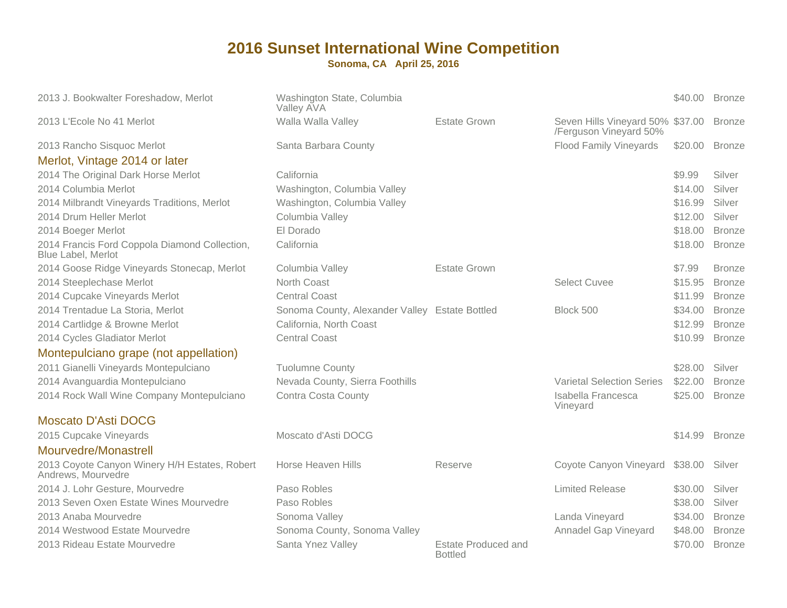| 2013 J. Bookwalter Foreshadow, Merlot                                      | Washington State, Columbia<br>Valley AVA       |                                              |                                                            |         | \$40.00 Bronze |
|----------------------------------------------------------------------------|------------------------------------------------|----------------------------------------------|------------------------------------------------------------|---------|----------------|
| 2013 L'Ecole No 41 Merlot                                                  | Walla Walla Valley                             | <b>Estate Grown</b>                          | Seven Hills Vineyard 50% \$37.00<br>/Ferguson Vineyard 50% |         | <b>Bronze</b>  |
| 2013 Rancho Sisquoc Merlot                                                 | Santa Barbara County                           |                                              | <b>Flood Family Vineyards</b>                              | \$20.00 | <b>Bronze</b>  |
| Merlot, Vintage 2014 or later                                              |                                                |                                              |                                                            |         |                |
| 2014 The Original Dark Horse Merlot                                        | California                                     |                                              |                                                            | \$9.99  | Silver         |
| 2014 Columbia Merlot                                                       | Washington, Columbia Valley                    |                                              |                                                            | \$14.00 | Silver         |
| 2014 Milbrandt Vineyards Traditions, Merlot                                | Washington, Columbia Valley                    |                                              |                                                            | \$16.99 | Silver         |
| 2014 Drum Heller Merlot                                                    | Columbia Valley                                |                                              |                                                            | \$12.00 | Silver         |
| 2014 Boeger Merlot                                                         | El Dorado                                      |                                              |                                                            | \$18.00 | <b>Bronze</b>  |
| 2014 Francis Ford Coppola Diamond Collection,<br><b>Blue Label, Merlot</b> | California                                     |                                              |                                                            | \$18.00 | <b>Bronze</b>  |
| 2014 Goose Ridge Vineyards Stonecap, Merlot                                | Columbia Valley                                | <b>Estate Grown</b>                          |                                                            | \$7.99  | <b>Bronze</b>  |
| 2014 Steeplechase Merlot                                                   | North Coast                                    |                                              | <b>Select Cuvee</b>                                        | \$15.95 | <b>Bronze</b>  |
| 2014 Cupcake Vineyards Merlot                                              | <b>Central Coast</b>                           |                                              |                                                            | \$11.99 | <b>Bronze</b>  |
| 2014 Trentadue La Storia, Merlot                                           | Sonoma County, Alexander Valley Estate Bottled |                                              | Block 500                                                  | \$34.00 | <b>Bronze</b>  |
| 2014 Cartlidge & Browne Merlot                                             | California, North Coast                        |                                              |                                                            | \$12.99 | <b>Bronze</b>  |
| 2014 Cycles Gladiator Merlot                                               | <b>Central Coast</b>                           |                                              |                                                            | \$10.99 | <b>Bronze</b>  |
| Montepulciano grape (not appellation)                                      |                                                |                                              |                                                            |         |                |
| 2011 Gianelli Vineyards Montepulciano                                      | <b>Tuolumne County</b>                         |                                              |                                                            | \$28.00 | Silver         |
| 2014 Avanguardia Montepulciano                                             | Nevada County, Sierra Foothills                |                                              | <b>Varietal Selection Series</b>                           | \$22.00 | <b>Bronze</b>  |
| 2014 Rock Wall Wine Company Montepulciano                                  | <b>Contra Costa County</b>                     |                                              | Isabella Francesca<br>Vineyard                             | \$25.00 | <b>Bronze</b>  |
| <b>Moscato D'Asti DOCG</b>                                                 |                                                |                                              |                                                            |         |                |
| 2015 Cupcake Vineyards                                                     | Moscato d'Asti DOCG                            |                                              |                                                            | \$14.99 | <b>Bronze</b>  |
| Mourvedre/Monastrell                                                       |                                                |                                              |                                                            |         |                |
| 2013 Coyote Canyon Winery H/H Estates, Robert<br>Andrews, Mourvedre        | Horse Heaven Hills                             | Reserve                                      | Coyote Canyon Vineyard                                     | \$38.00 | Silver         |
| 2014 J. Lohr Gesture, Mourvedre                                            | Paso Robles                                    |                                              | <b>Limited Release</b>                                     | \$30.00 | Silver         |
| 2013 Seven Oxen Estate Wines Mourvedre                                     | Paso Robles                                    |                                              |                                                            | \$38.00 | Silver         |
| 2013 Anaba Mourvedre                                                       | Sonoma Valley                                  |                                              | Landa Vineyard                                             | \$34.00 | <b>Bronze</b>  |
| 2014 Westwood Estate Mourvedre                                             | Sonoma County, Sonoma Valley                   |                                              | Annadel Gap Vineyard                                       | \$48.00 | <b>Bronze</b>  |
| 2013 Rideau Estate Mourvedre                                               | Santa Ynez Valley                              | <b>Estate Produced and</b><br><b>Bottled</b> |                                                            | \$70.00 | <b>Bronze</b>  |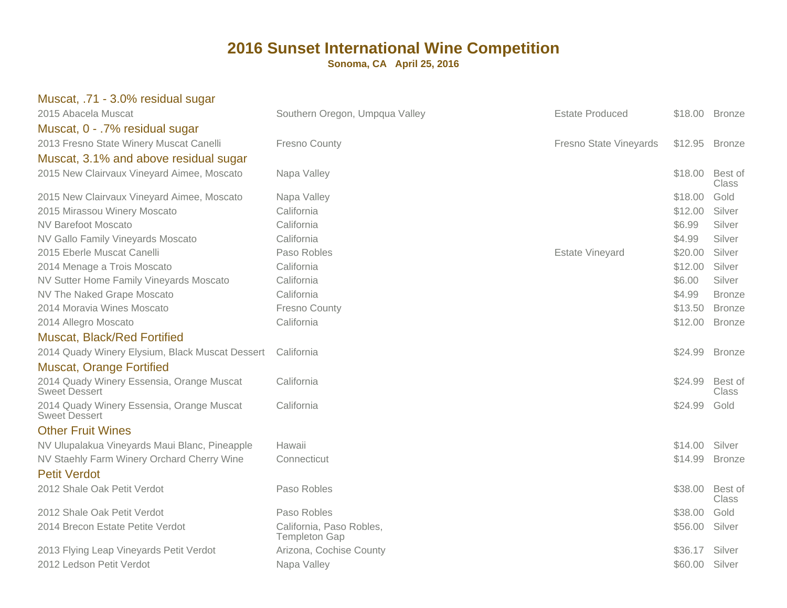| Muscat, .71 - 3.0% residual sugar                                 |                                                  |                        |                |                         |
|-------------------------------------------------------------------|--------------------------------------------------|------------------------|----------------|-------------------------|
| 2015 Abacela Muscat                                               | Southern Oregon, Umpqua Valley                   | <b>Estate Produced</b> |                | \$18.00 Bronze          |
| Muscat, 0 - .7% residual sugar                                    |                                                  |                        |                |                         |
| 2013 Fresno State Winery Muscat Canelli                           | <b>Fresno County</b>                             | Fresno State Vineyards | \$12.95        | <b>Bronze</b>           |
| Muscat, 3.1% and above residual sugar                             |                                                  |                        |                |                         |
| 2015 New Clairvaux Vineyard Aimee, Moscato                        | Napa Valley                                      |                        | \$18.00        | Best of<br>Class        |
| 2015 New Clairvaux Vineyard Aimee, Moscato                        | Napa Valley                                      |                        | \$18.00        | Gold                    |
| 2015 Mirassou Winery Moscato                                      | California                                       |                        | \$12.00        | Silver                  |
| <b>NV Barefoot Moscato</b>                                        | California                                       |                        | \$6.99         | Silver                  |
| NV Gallo Family Vineyards Moscato                                 | California                                       |                        | \$4.99         | Silver                  |
| 2015 Eberle Muscat Canelli                                        | Paso Robles                                      | <b>Estate Vineyard</b> | \$20.00        | Silver                  |
| 2014 Menage a Trois Moscato                                       | California                                       |                        | \$12.00        | Silver                  |
| NV Sutter Home Family Vineyards Moscato                           | California                                       |                        | \$6.00         | Silver                  |
| NV The Naked Grape Moscato                                        | California                                       |                        | \$4.99         | <b>Bronze</b>           |
| 2014 Moravia Wines Moscato                                        | <b>Fresno County</b>                             |                        | \$13.50        | <b>Bronze</b>           |
| 2014 Allegro Moscato                                              | California                                       |                        | \$12.00        | <b>Bronze</b>           |
| <b>Muscat, Black/Red Fortified</b>                                |                                                  |                        |                |                         |
| 2014 Quady Winery Elysium, Black Muscat Dessert                   | California                                       |                        | \$24.99 Bronze |                         |
| <b>Muscat, Orange Fortified</b>                                   |                                                  |                        |                |                         |
| 2014 Quady Winery Essensia, Orange Muscat<br><b>Sweet Dessert</b> | California                                       |                        | \$24.99        | Best of<br><b>Class</b> |
| 2014 Quady Winery Essensia, Orange Muscat<br><b>Sweet Dessert</b> | California                                       |                        | \$24.99        | Gold                    |
| <b>Other Fruit Wines</b>                                          |                                                  |                        |                |                         |
| NV Ulupalakua Vineyards Maui Blanc, Pineapple                     | Hawaii                                           |                        | \$14.00        | Silver                  |
| NV Staehly Farm Winery Orchard Cherry Wine                        | Connecticut                                      |                        | \$14.99        | <b>Bronze</b>           |
| <b>Petit Verdot</b>                                               |                                                  |                        |                |                         |
| 2012 Shale Oak Petit Verdot                                       | Paso Robles                                      |                        | \$38.00        | Best of<br>Class        |
| 2012 Shale Oak Petit Verdot                                       | Paso Robles                                      |                        | \$38.00        | Gold                    |
| 2014 Brecon Estate Petite Verdot                                  | California, Paso Robles,<br><b>Templeton Gap</b> |                        | \$56.00        | Silver                  |
| 2013 Flying Leap Vineyards Petit Verdot                           | Arizona, Cochise County                          |                        | \$36.17        | Silver                  |
| 2012 Ledson Petit Verdot                                          | Napa Valley                                      |                        | \$60.00        | Silver                  |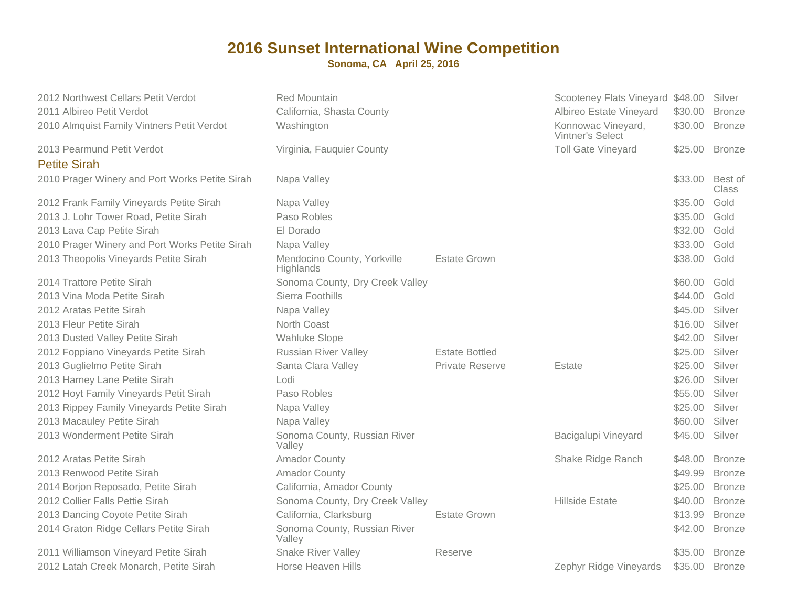| 2012 Northwest Cellars Petit Verdot               | <b>Red Mountain</b>                      |                        | Scooteney Flats Vineyard \$48.00              |         | Silver           |
|---------------------------------------------------|------------------------------------------|------------------------|-----------------------------------------------|---------|------------------|
| 2011 Albireo Petit Verdot                         | California, Shasta County                |                        | Albireo Estate Vineyard                       | \$30.00 | <b>Bronze</b>    |
| 2010 Almquist Family Vintners Petit Verdot        | Washington                               |                        | Konnowac Vineyard,<br><b>Vintner's Select</b> | \$30.00 | <b>Bronze</b>    |
| 2013 Pearmund Petit Verdot<br><b>Petite Sirah</b> | Virginia, Fauquier County                |                        | <b>Toll Gate Vineyard</b>                     |         | \$25.00 Bronze   |
| 2010 Prager Winery and Port Works Petite Sirah    | Napa Valley                              |                        |                                               | \$33.00 | Best of<br>Class |
| 2012 Frank Family Vineyards Petite Sirah          | Napa Valley                              |                        |                                               | \$35.00 | Gold             |
| 2013 J. Lohr Tower Road, Petite Sirah             | Paso Robles                              |                        |                                               | \$35.00 | Gold             |
| 2013 Lava Cap Petite Sirah                        | El Dorado                                |                        |                                               | \$32.00 | Gold             |
| 2010 Prager Winery and Port Works Petite Sirah    | Napa Valley                              |                        |                                               | \$33.00 | Gold             |
| 2013 Theopolis Vineyards Petite Sirah             | Mendocino County, Yorkville<br>Highlands | <b>Estate Grown</b>    |                                               | \$38.00 | Gold             |
| 2014 Trattore Petite Sirah                        | Sonoma County, Dry Creek Valley          |                        |                                               | \$60.00 | Gold             |
| 2013 Vina Moda Petite Sirah                       | Sierra Foothills                         |                        |                                               | \$44.00 | Gold             |
| 2012 Aratas Petite Sirah                          | Napa Valley                              |                        |                                               | \$45.00 | Silver           |
| 2013 Fleur Petite Sirah                           | North Coast                              |                        |                                               | \$16.00 | Silver           |
| 2013 Dusted Valley Petite Sirah                   | <b>Wahluke Slope</b>                     |                        |                                               | \$42.00 | Silver           |
| 2012 Foppiano Vineyards Petite Sirah              | <b>Russian River Valley</b>              | <b>Estate Bottled</b>  |                                               | \$25.00 | Silver           |
| 2013 Guglielmo Petite Sirah                       | Santa Clara Valley                       | <b>Private Reserve</b> | Estate                                        | \$25.00 | Silver           |
| 2013 Harney Lane Petite Sirah                     | Lodi                                     |                        |                                               | \$26.00 | Silver           |
| 2012 Hoyt Family Vineyards Petit Sirah            | Paso Robles                              |                        |                                               | \$55.00 | Silver           |
| 2013 Rippey Family Vineyards Petite Sirah         | Napa Valley                              |                        |                                               | \$25.00 | Silver           |
| 2013 Macauley Petite Sirah                        | Napa Valley                              |                        |                                               | \$60.00 | Silver           |
| 2013 Wonderment Petite Sirah                      | Sonoma County, Russian River<br>Valley   |                        | Bacigalupi Vineyard                           | \$45.00 | Silver           |
| 2012 Aratas Petite Sirah                          | <b>Amador County</b>                     |                        | Shake Ridge Ranch                             | \$48.00 | <b>Bronze</b>    |
| 2013 Renwood Petite Sirah                         | <b>Amador County</b>                     |                        |                                               | \$49.99 | <b>Bronze</b>    |
| 2014 Borjon Reposado, Petite Sirah                | California, Amador County                |                        |                                               | \$25.00 | <b>Bronze</b>    |
| 2012 Collier Falls Pettie Sirah                   | Sonoma County, Dry Creek Valley          |                        | Hillside Estate                               | \$40.00 | <b>Bronze</b>    |
| 2013 Dancing Coyote Petite Sirah                  | California, Clarksburg                   | <b>Estate Grown</b>    |                                               | \$13.99 | <b>Bronze</b>    |
| 2014 Graton Ridge Cellars Petite Sirah            | Sonoma County, Russian River<br>Valley   |                        |                                               | \$42.00 | <b>Bronze</b>    |
| 2011 Williamson Vineyard Petite Sirah             | <b>Snake River Valley</b>                | Reserve                |                                               | \$35.00 | <b>Bronze</b>    |
| 2012 Latah Creek Monarch, Petite Sirah            | Horse Heaven Hills                       |                        | Zephyr Ridge Vineyards                        | \$35.00 | <b>Bronze</b>    |
|                                                   |                                          |                        |                                               |         |                  |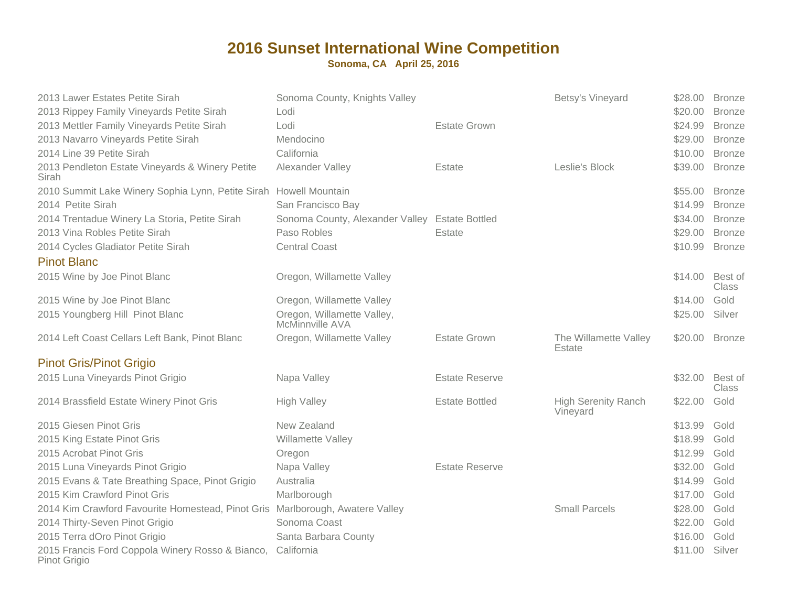| 2013 Lawer Estates Petite Sirah<br>2013 Rippey Family Vineyards Petite Sirah  | Sonoma County, Knights Valley<br>Lodi          |                       | Betsy's Vineyard                       | \$28.00<br>\$20.00 | <b>Bronze</b><br><b>Bronze</b> |
|-------------------------------------------------------------------------------|------------------------------------------------|-----------------------|----------------------------------------|--------------------|--------------------------------|
| 2013 Mettler Family Vineyards Petite Sirah                                    | Lodi                                           | <b>Estate Grown</b>   |                                        | \$24.99            | <b>Bronze</b>                  |
| 2013 Navarro Vineyards Petite Sirah                                           | Mendocino                                      |                       |                                        | \$29.00            | <b>Bronze</b>                  |
| 2014 Line 39 Petite Sirah                                                     | California                                     |                       |                                        | \$10.00            | <b>Bronze</b>                  |
| 2013 Pendleton Estate Vineyards & Winery Petite<br>Sirah                      | Alexander Valley                               | Estate                | Leslie's Block                         | \$39.00            | <b>Bronze</b>                  |
| 2010 Summit Lake Winery Sophia Lynn, Petite Sirah Howell Mountain             |                                                |                       |                                        | \$55.00            | <b>Bronze</b>                  |
| 2014 Petite Sirah                                                             | San Francisco Bay                              |                       |                                        | \$14.99            | <b>Bronze</b>                  |
| 2014 Trentadue Winery La Storia, Petite Sirah                                 | Sonoma County, Alexander Valley Estate Bottled |                       |                                        | \$34.00            | <b>Bronze</b>                  |
| 2013 Vina Robles Petite Sirah                                                 | Paso Robles                                    | Estate                |                                        | \$29.00            | <b>Bronze</b>                  |
| 2014 Cycles Gladiator Petite Sirah                                            | <b>Central Coast</b>                           |                       |                                        | \$10.99            | <b>Bronze</b>                  |
| <b>Pinot Blanc</b>                                                            |                                                |                       |                                        |                    |                                |
| 2015 Wine by Joe Pinot Blanc                                                  | Oregon, Willamette Valley                      |                       |                                        | \$14.00            | Best of<br><b>Class</b>        |
| 2015 Wine by Joe Pinot Blanc                                                  | Oregon, Willamette Valley                      |                       |                                        | \$14.00            | Gold                           |
| 2015 Youngberg Hill Pinot Blanc                                               | Oregon, Willamette Valley,<br>McMinnville AVA  |                       |                                        | \$25.00            | Silver                         |
| 2014 Left Coast Cellars Left Bank, Pinot Blanc                                | Oregon, Willamette Valley                      | <b>Estate Grown</b>   | The Willamette Valley<br>Estate        | \$20.00 Bronze     |                                |
| <b>Pinot Gris/Pinot Grigio</b>                                                |                                                |                       |                                        |                    |                                |
| 2015 Luna Vineyards Pinot Grigio                                              | Napa Valley                                    | <b>Estate Reserve</b> |                                        | \$32.00            | Best of<br>Class               |
| 2014 Brassfield Estate Winery Pinot Gris                                      | <b>High Valley</b>                             | <b>Estate Bottled</b> | <b>High Serenity Ranch</b><br>Vineyard | \$22.00            | Gold                           |
| 2015 Giesen Pinot Gris                                                        | New Zealand                                    |                       |                                        | \$13.99            | Gold                           |
| 2015 King Estate Pinot Gris                                                   | Willamette Valley                              |                       |                                        | \$18.99            | Gold                           |
| 2015 Acrobat Pinot Gris                                                       | Oregon                                         |                       |                                        | \$12.99            | Gold                           |
| 2015 Luna Vineyards Pinot Grigio                                              | Napa Valley                                    | <b>Estate Reserve</b> |                                        | \$32.00            | Gold                           |
| 2015 Evans & Tate Breathing Space, Pinot Grigio                               | Australia                                      |                       |                                        | \$14.99            | Gold                           |
| 2015 Kim Crawford Pinot Gris                                                  | Marlborough                                    |                       |                                        | \$17.00            | Gold                           |
| 2014 Kim Crawford Favourite Homestead, Pinot Gris Marlborough, Awatere Valley |                                                |                       | <b>Small Parcels</b>                   | \$28.00            | Gold                           |
| 2014 Thirty-Seven Pinot Grigio                                                | Sonoma Coast                                   |                       |                                        | \$22.00            | Gold                           |
| 2015 Terra dOro Pinot Grigio                                                  | Santa Barbara County                           |                       |                                        | \$16.00            | Gold                           |
| 2015 Francis Ford Coppola Winery Rosso & Bianco, California<br>Pinot Grigio   |                                                |                       |                                        | \$11.00            | Silver                         |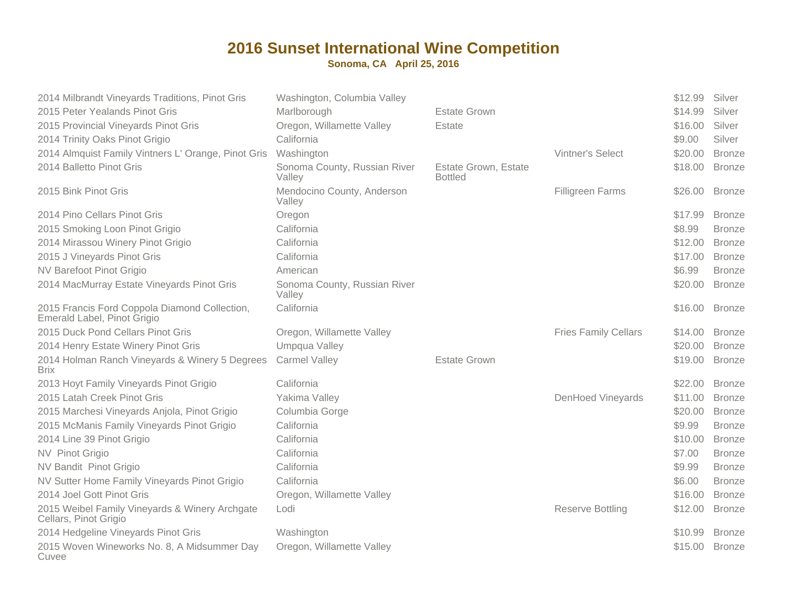| 2014 Milbrandt Vineyards Traditions, Pinot Gris                              | Washington, Columbia Valley            |                                        |                             | \$12.99 | Silver        |
|------------------------------------------------------------------------------|----------------------------------------|----------------------------------------|-----------------------------|---------|---------------|
| 2015 Peter Yealands Pinot Gris                                               | Marlborough                            | <b>Estate Grown</b>                    |                             | \$14.99 | Silver        |
| 2015 Provincial Vineyards Pinot Gris                                         | Oregon, Willamette Valley              | Estate                                 |                             | \$16.00 | Silver        |
| 2014 Trinity Oaks Pinot Grigio                                               | California                             |                                        |                             | \$9.00  | Silver        |
| 2014 Almquist Family Vintners L' Orange, Pinot Gris                          | Washington                             |                                        | Vintner's Select            | \$20.00 | <b>Bronze</b> |
| 2014 Balletto Pinot Gris                                                     | Sonoma County, Russian River<br>Valley | Estate Grown, Estate<br><b>Bottled</b> |                             | \$18.00 | <b>Bronze</b> |
| 2015 Bink Pinot Gris                                                         | Mendocino County, Anderson<br>Valley   |                                        | <b>Filligreen Farms</b>     | \$26.00 | <b>Bronze</b> |
| 2014 Pino Cellars Pinot Gris                                                 | Oregon                                 |                                        |                             | \$17.99 | <b>Bronze</b> |
| 2015 Smoking Loon Pinot Grigio                                               | California                             |                                        |                             | \$8.99  | <b>Bronze</b> |
| 2014 Mirassou Winery Pinot Grigio                                            | California                             |                                        |                             | \$12.00 | <b>Bronze</b> |
| 2015 J Vineyards Pinot Gris                                                  | California                             |                                        |                             | \$17.00 | <b>Bronze</b> |
| NV Barefoot Pinot Grigio                                                     | American                               |                                        |                             | \$6.99  | <b>Bronze</b> |
| 2014 MacMurray Estate Vineyards Pinot Gris                                   | Sonoma County, Russian River<br>Valley |                                        |                             | \$20.00 | <b>Bronze</b> |
| 2015 Francis Ford Coppola Diamond Collection,<br>Emerald Label, Pinot Grigio | California                             |                                        |                             | \$16.00 | <b>Bronze</b> |
| 2015 Duck Pond Cellars Pinot Gris                                            | Oregon, Willamette Valley              |                                        | <b>Fries Family Cellars</b> | \$14.00 | <b>Bronze</b> |
| 2014 Henry Estate Winery Pinot Gris                                          | Umpqua Valley                          |                                        |                             | \$20.00 | <b>Bronze</b> |
| 2014 Holman Ranch Vineyards & Winery 5 Degrees<br><b>Brix</b>                | <b>Carmel Valley</b>                   | <b>Estate Grown</b>                    |                             | \$19.00 | <b>Bronze</b> |
| 2013 Hoyt Family Vineyards Pinot Grigio                                      | California                             |                                        |                             | \$22.00 | <b>Bronze</b> |
| 2015 Latah Creek Pinot Gris                                                  | Yakima Valley                          |                                        | <b>DenHoed Vineyards</b>    | \$11.00 | <b>Bronze</b> |
| 2015 Marchesi Vineyards Anjola, Pinot Grigio                                 | Columbia Gorge                         |                                        |                             | \$20.00 | <b>Bronze</b> |
| 2015 McManis Family Vineyards Pinot Grigio                                   | California                             |                                        |                             | \$9.99  | <b>Bronze</b> |
| 2014 Line 39 Pinot Grigio                                                    | California                             |                                        |                             | \$10.00 | <b>Bronze</b> |
| NV Pinot Grigio                                                              | California                             |                                        |                             | \$7.00  | <b>Bronze</b> |
| NV Bandit Pinot Grigio                                                       | California                             |                                        |                             | \$9.99  | <b>Bronze</b> |
| NV Sutter Home Family Vineyards Pinot Grigio                                 | California                             |                                        |                             | \$6.00  | <b>Bronze</b> |
| 2014 Joel Gott Pinot Gris                                                    | Oregon, Willamette Valley              |                                        |                             | \$16.00 | <b>Bronze</b> |
| 2015 Weibel Family Vineyards & Winery Archgate<br>Cellars, Pinot Grigio      | Lodi                                   |                                        | <b>Reserve Bottling</b>     | \$12.00 | <b>Bronze</b> |
| 2014 Hedgeline Vineyards Pinot Gris                                          | Washington                             |                                        |                             | \$10.99 | <b>Bronze</b> |
| 2015 Woven Wineworks No. 8, A Midsummer Day<br>Cuvee                         | Oregon, Willamette Valley              |                                        |                             | \$15.00 | <b>Bronze</b> |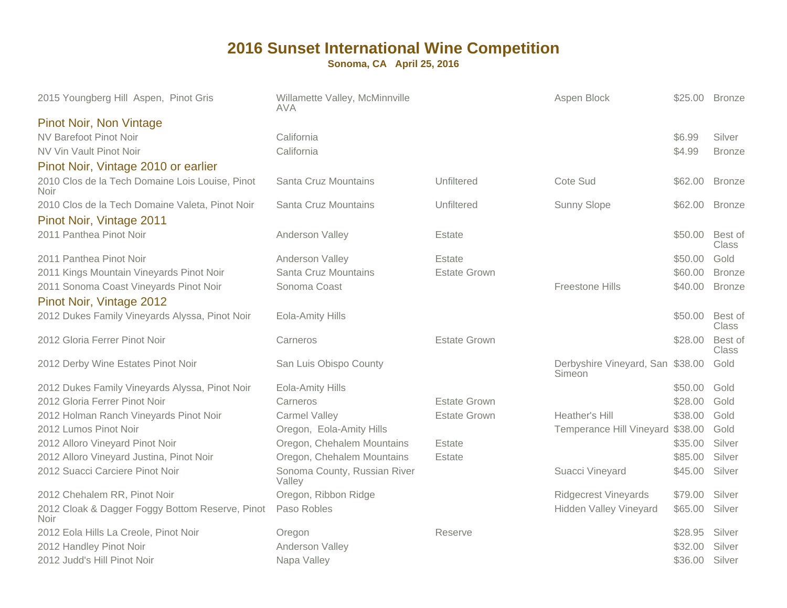| 2015 Youngberg Hill Aspen, Pinot Gris                          | Willamette Valley, McMinnville<br>ava  |                     | Aspen Block                                | \$25.00 | <b>Bronze</b>    |
|----------------------------------------------------------------|----------------------------------------|---------------------|--------------------------------------------|---------|------------------|
| <b>Pinot Noir, Non Vintage</b>                                 |                                        |                     |                                            |         |                  |
| NV Barefoot Pinot Noir                                         | California                             |                     |                                            | \$6.99  | Silver           |
| NV Vin Vault Pinot Noir                                        | California                             |                     |                                            | \$4.99  | <b>Bronze</b>    |
| Pinot Noir, Vintage 2010 or earlier                            |                                        |                     |                                            |         |                  |
| 2010 Clos de la Tech Domaine Lois Louise, Pinot<br><b>Noir</b> | <b>Santa Cruz Mountains</b>            | Unfiltered          | Cote Sud                                   | \$62.00 | <b>Bronze</b>    |
| 2010 Clos de la Tech Domaine Valeta, Pinot Noir                | Santa Cruz Mountains                   | Unfiltered          | Sunny Slope                                | \$62.00 | <b>Bronze</b>    |
| Pinot Noir, Vintage 2011                                       |                                        |                     |                                            |         |                  |
| 2011 Panthea Pinot Noir                                        | Anderson Valley                        | Estate              |                                            | \$50.00 | Best of<br>Class |
| 2011 Panthea Pinot Noir                                        | Anderson Valley                        | Estate              |                                            | \$50.00 | Gold             |
| 2011 Kings Mountain Vineyards Pinot Noir                       | Santa Cruz Mountains                   | <b>Estate Grown</b> |                                            | \$60.00 | <b>Bronze</b>    |
| 2011 Sonoma Coast Vineyards Pinot Noir                         | Sonoma Coast                           |                     | Freestone Hills                            | \$40.00 | <b>Bronze</b>    |
| Pinot Noir, Vintage 2012                                       |                                        |                     |                                            |         |                  |
| 2012 Dukes Family Vineyards Alyssa, Pinot Noir                 | <b>Eola-Amity Hills</b>                |                     |                                            | \$50.00 | Best of<br>Class |
| 2012 Gloria Ferrer Pinot Noir                                  | Carneros                               | <b>Estate Grown</b> |                                            | \$28.00 | Best of<br>Class |
| 2012 Derby Wine Estates Pinot Noir                             | San Luis Obispo County                 |                     | Derbyshire Vineyard, San \$38.00<br>Simeon |         | Gold             |
| 2012 Dukes Family Vineyards Alyssa, Pinot Noir                 | Eola-Amity Hills                       |                     |                                            | \$50.00 | Gold             |
| 2012 Gloria Ferrer Pinot Noir                                  | Carneros                               | <b>Estate Grown</b> |                                            | \$28.00 | Gold             |
| 2012 Holman Ranch Vineyards Pinot Noir                         | <b>Carmel Valley</b>                   | <b>Estate Grown</b> | Heather's Hill                             | \$38.00 | Gold             |
| 2012 Lumos Pinot Noir                                          | Oregon, Eola-Amity Hills               |                     | Temperance Hill Vineyard \$38.00           |         | Gold             |
| 2012 Alloro Vineyard Pinot Noir                                | Oregon, Chehalem Mountains             | Estate              |                                            | \$35.00 | Silver           |
| 2012 Alloro Vineyard Justina, Pinot Noir                       | Oregon, Chehalem Mountains             | Estate              |                                            | \$85.00 | Silver           |
| 2012 Suacci Carciere Pinot Noir                                | Sonoma County, Russian River<br>Valley |                     | Suacci Vineyard                            | \$45.00 | Silver           |
| 2012 Chehalem RR, Pinot Noir                                   | Oregon, Ribbon Ridge                   |                     | <b>Ridgecrest Vineyards</b>                | \$79.00 | Silver           |
| 2012 Cloak & Dagger Foggy Bottom Reserve, Pinot<br><b>Noir</b> | Paso Robles                            |                     | <b>Hidden Valley Vineyard</b>              | \$65.00 | Silver           |
| 2012 Eola Hills La Creole, Pinot Noir                          | Oregon                                 | Reserve             |                                            | \$28.95 | Silver           |
| 2012 Handley Pinot Noir                                        | Anderson Valley                        |                     |                                            | \$32.00 | Silver           |
| 2012 Judd's Hill Pinot Noir                                    | Napa Valley                            |                     |                                            | \$36.00 | Silver           |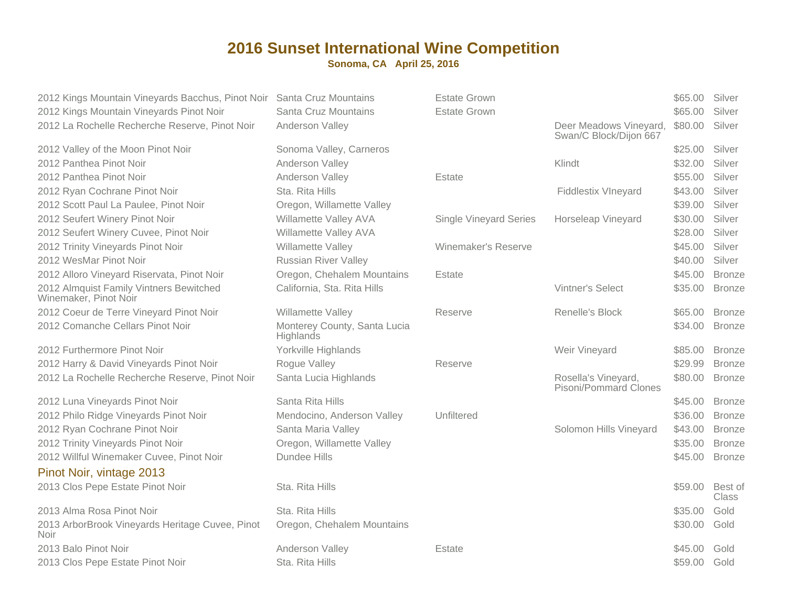| 2012 Kings Mountain Vineyards Bacchus, Pinot Noir Santa Cruz Mountains<br>2012 Kings Mountain Vineyards Pinot Noir | Santa Cruz Mountains                      | <b>Estate Grown</b><br><b>Estate Grown</b> |                                                  | \$65.00<br>\$65.00 | Silver<br>Silver        |
|--------------------------------------------------------------------------------------------------------------------|-------------------------------------------|--------------------------------------------|--------------------------------------------------|--------------------|-------------------------|
| 2012 La Rochelle Recherche Reserve, Pinot Noir                                                                     | Anderson Valley                           |                                            | Deer Meadows Vineyard,<br>Swan/C Block/Dijon 667 | \$80.00            | Silver                  |
| 2012 Valley of the Moon Pinot Noir                                                                                 | Sonoma Valley, Carneros                   |                                            |                                                  | \$25.00            | Silver                  |
| 2012 Panthea Pinot Noir                                                                                            | Anderson Valley                           |                                            | Klindt                                           | \$32.00            | Silver                  |
| 2012 Panthea Pinot Noir                                                                                            | Anderson Valley                           | Estate                                     |                                                  | \$55.00            | Silver                  |
| 2012 Ryan Cochrane Pinot Noir                                                                                      | Sta. Rita Hills                           |                                            | <b>Fiddlestix VIneyard</b>                       | \$43.00            | Silver                  |
| 2012 Scott Paul La Paulee, Pinot Noir                                                                              | Oregon, Willamette Valley                 |                                            |                                                  | \$39.00            | Silver                  |
| 2012 Seufert Winery Pinot Noir                                                                                     | Willamette Valley AVA                     | <b>Single Vineyard Series</b>              | Horseleap Vineyard                               | \$30.00            | Silver                  |
| 2012 Seufert Winery Cuvee, Pinot Noir                                                                              | Willamette Valley AVA                     |                                            |                                                  | \$28.00            | Silver                  |
| 2012 Trinity Vineyards Pinot Noir                                                                                  | Willamette Valley                         | Winemaker's Reserve                        |                                                  | \$45.00            | Silver                  |
| 2012 WesMar Pinot Noir                                                                                             | <b>Russian River Valley</b>               |                                            |                                                  | \$40.00            | Silver                  |
| 2012 Alloro Vineyard Riservata, Pinot Noir                                                                         | Oregon, Chehalem Mountains                | Estate                                     |                                                  | \$45.00            | <b>Bronze</b>           |
| 2012 Almquist Family Vintners Bewitched<br>Winemaker, Pinot Noir                                                   | California, Sta. Rita Hills               |                                            | <b>Vintner's Select</b>                          | \$35.00            | <b>Bronze</b>           |
| 2012 Coeur de Terre Vineyard Pinot Noir                                                                            | Willamette Valley                         | Reserve                                    | Renelle's Block                                  | \$65.00            | <b>Bronze</b>           |
| 2012 Comanche Cellars Pinot Noir                                                                                   | Monterey County, Santa Lucia<br>Highlands |                                            |                                                  | \$34.00            | <b>Bronze</b>           |
| 2012 Furthermore Pinot Noir                                                                                        | Yorkville Highlands                       |                                            | Weir Vineyard                                    | \$85.00            | <b>Bronze</b>           |
| 2012 Harry & David Vineyards Pinot Noir                                                                            | Rogue Valley                              | Reserve                                    |                                                  | \$29.99            | <b>Bronze</b>           |
| 2012 La Rochelle Recherche Reserve, Pinot Noir                                                                     | Santa Lucia Highlands                     |                                            | Rosella's Vineyard,<br>Pisoni/Pommard Clones     | \$80.00            | <b>Bronze</b>           |
| 2012 Luna Vineyards Pinot Noir                                                                                     | Santa Rita Hills                          |                                            |                                                  | \$45.00            | <b>Bronze</b>           |
| 2012 Philo Ridge Vineyards Pinot Noir                                                                              | Mendocino, Anderson Valley                | Unfiltered                                 |                                                  | \$36.00            | <b>Bronze</b>           |
| 2012 Ryan Cochrane Pinot Noir                                                                                      | Santa Maria Valley                        |                                            | Solomon Hills Vineyard                           | \$43.00            | <b>Bronze</b>           |
| 2012 Trinity Vineyards Pinot Noir                                                                                  | Oregon, Willamette Valley                 |                                            |                                                  | \$35.00            | <b>Bronze</b>           |
| 2012 Willful Winemaker Cuvee, Pinot Noir                                                                           | <b>Dundee Hills</b>                       |                                            |                                                  | \$45.00            | <b>Bronze</b>           |
| Pinot Noir, vintage 2013                                                                                           |                                           |                                            |                                                  |                    |                         |
| 2013 Clos Pepe Estate Pinot Noir                                                                                   | Sta. Rita Hills                           |                                            |                                                  | \$59.00            | Best of<br><b>Class</b> |
| 2013 Alma Rosa Pinot Noir                                                                                          | Sta. Rita Hills                           |                                            |                                                  | \$35.00            | Gold                    |
| 2013 ArborBrook Vineyards Heritage Cuvee, Pinot<br><b>Noir</b>                                                     | Oregon, Chehalem Mountains                |                                            |                                                  | \$30.00            | Gold                    |
| 2013 Balo Pinot Noir                                                                                               | Anderson Valley                           | Estate                                     |                                                  | \$45.00            | Gold                    |
| 2013 Clos Pepe Estate Pinot Noir                                                                                   | Sta. Rita Hills                           |                                            |                                                  | \$59.00            | Gold                    |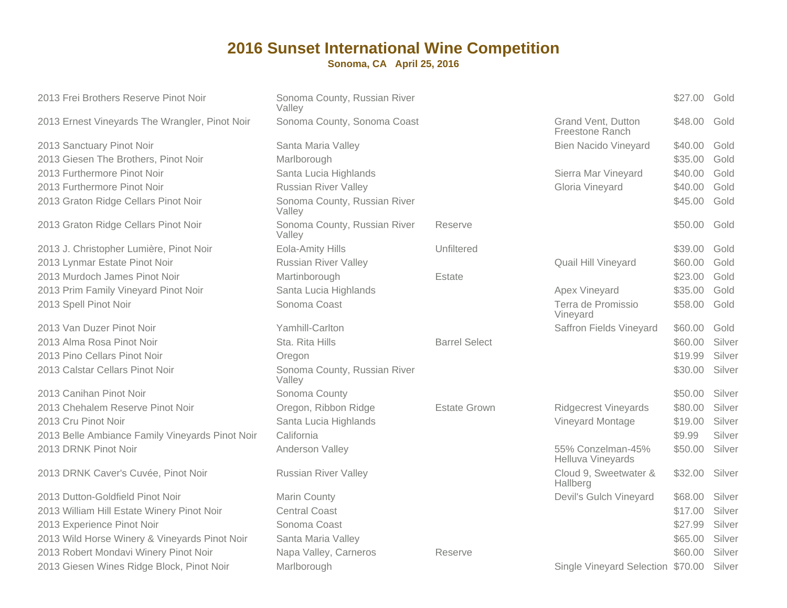| 2013 Frei Brothers Reserve Pinot Noir           | Sonoma County, Russian River<br>Valley |                      |                                        | \$27.00 | Gold   |
|-------------------------------------------------|----------------------------------------|----------------------|----------------------------------------|---------|--------|
| 2013 Ernest Vineyards The Wrangler, Pinot Noir  | Sonoma County, Sonoma Coast            |                      | Grand Vent, Dutton<br>Freestone Ranch  | \$48.00 | Gold   |
| 2013 Sanctuary Pinot Noir                       | Santa Maria Valley                     |                      | <b>Bien Nacido Vineyard</b>            | \$40.00 | Gold   |
| 2013 Giesen The Brothers, Pinot Noir            | Marlborough                            |                      |                                        | \$35.00 | Gold   |
| 2013 Furthermore Pinot Noir                     | Santa Lucia Highlands                  |                      | Sierra Mar Vineyard                    | \$40.00 | Gold   |
| 2013 Furthermore Pinot Noir                     | <b>Russian River Valley</b>            |                      | Gloria Vineyard                        | \$40.00 | Gold   |
| 2013 Graton Ridge Cellars Pinot Noir            | Sonoma County, Russian River<br>Valley |                      |                                        | \$45.00 | Gold   |
| 2013 Graton Ridge Cellars Pinot Noir            | Sonoma County, Russian River<br>Valley | Reserve              |                                        | \$50.00 | Gold   |
| 2013 J. Christopher Lumière, Pinot Noir         | Eola-Amity Hills                       | Unfiltered           |                                        | \$39.00 | Gold   |
| 2013 Lynmar Estate Pinot Noir                   | <b>Russian River Valley</b>            |                      | Quail Hill Vineyard                    | \$60.00 | Gold   |
| 2013 Murdoch James Pinot Noir                   | Martinborough                          | Estate               |                                        | \$23.00 | Gold   |
| 2013 Prim Family Vineyard Pinot Noir            | Santa Lucia Highlands                  |                      | Apex Vineyard                          | \$35.00 | Gold   |
| 2013 Spell Pinot Noir                           | Sonoma Coast                           |                      | Terra de Promissio<br>Vineyard         | \$58.00 | Gold   |
| 2013 Van Duzer Pinot Noir                       | Yamhill-Carlton                        |                      | Saffron Fields Vineyard                | \$60.00 | Gold   |
| 2013 Alma Rosa Pinot Noir                       | Sta. Rita Hills                        | <b>Barrel Select</b> |                                        | \$60.00 | Silver |
| 2013 Pino Cellars Pinot Noir                    | Oregon                                 |                      |                                        | \$19.99 | Silver |
| 2013 Calstar Cellars Pinot Noir                 | Sonoma County, Russian River<br>Valley |                      |                                        | \$30.00 | Silver |
| 2013 Canihan Pinot Noir                         | Sonoma County                          |                      |                                        | \$50.00 | Silver |
| 2013 Chehalem Reserve Pinot Noir                | Oregon, Ribbon Ridge                   | <b>Estate Grown</b>  | <b>Ridgecrest Vineyards</b>            | \$80.00 | Silver |
| 2013 Cru Pinot Noir                             | Santa Lucia Highlands                  |                      | Vineyard Montage                       | \$19.00 | Silver |
| 2013 Belle Ambiance Family Vineyards Pinot Noir | California                             |                      |                                        | \$9.99  | Silver |
| 2013 DRNK Pinot Noir                            | Anderson Valley                        |                      | 55% Conzelman-45%<br>Helluva Vineyards | \$50.00 | Silver |
| 2013 DRNK Caver's Cuvée, Pinot Noir             | <b>Russian River Valley</b>            |                      | Cloud 9, Sweetwater &<br>Hallberg      | \$32.00 | Silver |
| 2013 Dutton-Goldfield Pinot Noir                | Marin County                           |                      | Devil's Gulch Vineyard                 | \$68.00 | Silver |
| 2013 William Hill Estate Winery Pinot Noir      | <b>Central Coast</b>                   |                      |                                        | \$17.00 | Silver |
| 2013 Experience Pinot Noir                      | Sonoma Coast                           |                      |                                        | \$27.99 | Silver |
| 2013 Wild Horse Winery & Vineyards Pinot Noir   | Santa Maria Valley                     |                      |                                        | \$65.00 | Silver |
| 2013 Robert Mondavi Winery Pinot Noir           | Napa Valley, Carneros                  | Reserve              |                                        | \$60.00 | Silver |
| 2013 Giesen Wines Ridge Block, Pinot Noir       | Marlborough                            |                      | Single Vineyard Selection \$70.00      |         | Silver |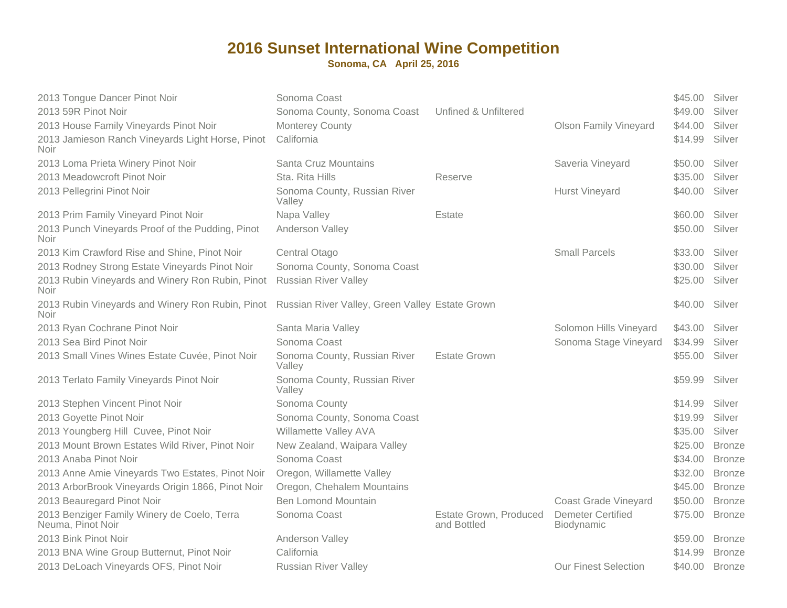| 2013 Tongue Dancer Pinot Noir<br>2013 59R Pinot Noir<br>2013 House Family Vineyards Pinot Noir<br>2013 Jamieson Ranch Vineyards Light Horse, Pinot<br>Noir | Sonoma Coast<br>Sonoma County, Sonoma Coast<br><b>Monterey County</b><br>California | Unfined & Unfiltered                  | <b>Olson Family Vineyard</b>           | \$45.00<br>\$49.00<br>\$44.00<br>\$14.99 | Silver<br>Silver<br>Silver<br>Silver |
|------------------------------------------------------------------------------------------------------------------------------------------------------------|-------------------------------------------------------------------------------------|---------------------------------------|----------------------------------------|------------------------------------------|--------------------------------------|
| 2013 Loma Prieta Winery Pinot Noir                                                                                                                         | Santa Cruz Mountains                                                                |                                       | Saveria Vineyard                       | \$50.00                                  | Silver                               |
| 2013 Meadowcroft Pinot Noir                                                                                                                                | Sta. Rita Hills                                                                     | Reserve                               |                                        | \$35.00                                  | Silver                               |
| 2013 Pellegrini Pinot Noir                                                                                                                                 | Sonoma County, Russian River<br>Valley                                              |                                       | <b>Hurst Vineyard</b>                  | \$40.00                                  | Silver                               |
| 2013 Prim Family Vineyard Pinot Noir                                                                                                                       | Napa Valley                                                                         | Estate                                |                                        | \$60.00                                  | Silver                               |
| 2013 Punch Vineyards Proof of the Pudding, Pinot<br>Noir.                                                                                                  | Anderson Valley                                                                     |                                       |                                        | \$50.00                                  | Silver                               |
| 2013 Kim Crawford Rise and Shine, Pinot Noir                                                                                                               | Central Otago                                                                       |                                       | <b>Small Parcels</b>                   | \$33.00                                  | Silver                               |
| 2013 Rodney Strong Estate Vineyards Pinot Noir                                                                                                             | Sonoma County, Sonoma Coast                                                         |                                       |                                        | \$30.00                                  | Silver                               |
| 2013 Rubin Vineyards and Winery Ron Rubin, Pinot<br>Noir                                                                                                   | <b>Russian River Valley</b>                                                         |                                       |                                        | \$25.00                                  | Silver                               |
| 2013 Rubin Vineyards and Winery Ron Rubin, Pinot Russian River Valley, Green Valley Estate Grown<br>Noir                                                   |                                                                                     |                                       |                                        | \$40.00 Silver                           |                                      |
| 2013 Ryan Cochrane Pinot Noir                                                                                                                              | Santa Maria Valley                                                                  |                                       | Solomon Hills Vineyard                 | \$43.00                                  | Silver                               |
| 2013 Sea Bird Pinot Noir                                                                                                                                   | Sonoma Coast                                                                        |                                       | Sonoma Stage Vineyard                  | \$34.99                                  | Silver                               |
| 2013 Small Vines Wines Estate Cuvée, Pinot Noir                                                                                                            | Sonoma County, Russian River<br>Valley                                              | <b>Estate Grown</b>                   |                                        | \$55.00                                  | Silver                               |
| 2013 Terlato Family Vineyards Pinot Noir                                                                                                                   | Sonoma County, Russian River<br>Valley                                              |                                       |                                        | \$59.99                                  | Silver                               |
| 2013 Stephen Vincent Pinot Noir                                                                                                                            | Sonoma County                                                                       |                                       |                                        | \$14.99                                  | Silver                               |
| 2013 Goyette Pinot Noir                                                                                                                                    | Sonoma County, Sonoma Coast                                                         |                                       |                                        | \$19.99                                  | Silver                               |
| 2013 Youngberg Hill Cuvee, Pinot Noir                                                                                                                      | Willamette Valley AVA                                                               |                                       |                                        | \$35.00                                  | Silver                               |
| 2013 Mount Brown Estates Wild River, Pinot Noir                                                                                                            | New Zealand, Waipara Valley                                                         |                                       |                                        | \$25.00                                  | <b>Bronze</b>                        |
| 2013 Anaba Pinot Noir                                                                                                                                      | Sonoma Coast                                                                        |                                       |                                        | \$34.00                                  | <b>Bronze</b>                        |
| 2013 Anne Amie Vineyards Two Estates, Pinot Noir                                                                                                           | Oregon, Willamette Valley                                                           |                                       |                                        | \$32.00                                  | <b>Bronze</b>                        |
| 2013 ArborBrook Vineyards Origin 1866, Pinot Noir                                                                                                          | Oregon, Chehalem Mountains                                                          |                                       |                                        | \$45.00                                  | <b>Bronze</b>                        |
| 2013 Beauregard Pinot Noir                                                                                                                                 | <b>Ben Lomond Mountain</b>                                                          |                                       | <b>Coast Grade Vineyard</b>            | \$50.00                                  | <b>Bronze</b>                        |
| 2013 Benziger Family Winery de Coelo, Terra<br>Neuma, Pinot Noir                                                                                           | Sonoma Coast                                                                        | Estate Grown, Produced<br>and Bottled | <b>Demeter Certified</b><br>Biodynamic | \$75.00                                  | <b>Bronze</b>                        |
| 2013 Bink Pinot Noir                                                                                                                                       | Anderson Valley                                                                     |                                       |                                        | \$59.00                                  | <b>Bronze</b>                        |
| 2013 BNA Wine Group Butternut, Pinot Noir                                                                                                                  | California                                                                          |                                       |                                        | \$14.99                                  | <b>Bronze</b>                        |
| 2013 DeLoach Vineyards OFS, Pinot Noir                                                                                                                     | <b>Russian River Valley</b>                                                         |                                       | <b>Our Finest Selection</b>            | \$40.00                                  | <b>Bronze</b>                        |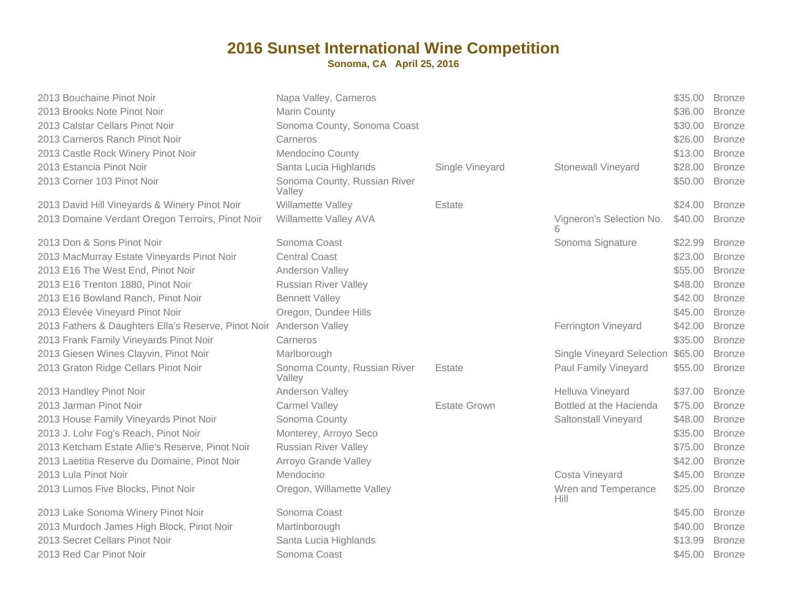| 2013 Bouchaine Pinot Noir                           | Napa Valley, Carneros                  |                     |                                   | \$35.00 | <b>Bronze</b> |
|-----------------------------------------------------|----------------------------------------|---------------------|-----------------------------------|---------|---------------|
| 2013 Brooks Note Pinot Noir                         | Marin County                           |                     |                                   | \$36.00 | <b>Bronze</b> |
| 2013 Calstar Cellars Pinot Noir                     | Sonoma County, Sonoma Coast            |                     |                                   | \$30.00 | <b>Bronze</b> |
| 2013 Carneros Ranch Pinot Noir                      | Carneros                               |                     |                                   | \$26.00 | <b>Bronze</b> |
| 2013 Castle Rock Winery Pinot Noir                  | Mendocino County                       |                     |                                   | \$13.00 | <b>Bronze</b> |
| 2013 Estancia Pinot Noir                            | Santa Lucia Highlands                  | Single Vineyard     | <b>Stonewall Vineyard</b>         | \$28.00 | <b>Bronze</b> |
| 2013 Corner 103 Pinot Noir                          | Sonoma County, Russian River<br>Valley |                     |                                   | \$50.00 | <b>Bronze</b> |
| 2013 David Hill Vineyards & Winery Pinot Noir       | Willamette Valley                      | Estate              |                                   | \$24.00 | <b>Bronze</b> |
| 2013 Domaine Verdant Oregon Terroirs, Pinot Noir    | Willamette Valley AVA                  |                     | Vigneron's Selection No.<br>6     | \$40.00 | <b>Bronze</b> |
| 2013 Don & Sons Pinot Noir                          | Sonoma Coast                           |                     | Sonoma Signature                  | \$22.99 | <b>Bronze</b> |
| 2013 MacMurray Estate Vineyards Pinot Noir          | <b>Central Coast</b>                   |                     |                                   | \$23.00 | <b>Bronze</b> |
| 2013 E16 The West End, Pinot Noir                   | Anderson Valley                        |                     |                                   | \$55.00 | <b>Bronze</b> |
| 2013 E16 Trenton 1880, Pinot Noir                   | <b>Russian River Valley</b>            |                     |                                   | \$48.00 | <b>Bronze</b> |
| 2013 E16 Bowland Ranch, Pinot Noir                  | <b>Bennett Valley</b>                  |                     |                                   | \$42.00 | <b>Bronze</b> |
| 2013 Élevée Vineyard Pinot Noir                     | Oregon, Dundee Hills                   |                     |                                   | \$45.00 | <b>Bronze</b> |
| 2013 Fathers & Daughters Ella's Reserve, Pinot Noir | Anderson Valley                        |                     | Ferrington Vineyard               | \$42.00 | <b>Bronze</b> |
| 2013 Frank Family Vineyards Pinot Noir              | Carneros                               |                     |                                   | \$35.00 | <b>Bronze</b> |
| 2013 Giesen Wines Clayvin, Pinot Noir               | Marlborough                            |                     | Single Vineyard Selection \$65.00 |         | <b>Bronze</b> |
| 2013 Graton Ridge Cellars Pinot Noir                | Sonoma County, Russian River<br>Valley | Estate              | Paul Family Vineyard              | \$55.00 | <b>Bronze</b> |
| 2013 Handley Pinot Noir                             | Anderson Valley                        |                     | Helluva Vineyard                  | \$37.00 | <b>Bronze</b> |
| 2013 Jarman Pinot Noir                              | <b>Carmel Valley</b>                   | <b>Estate Grown</b> | Bottled at the Hacienda           | \$75.00 | <b>Bronze</b> |
| 2013 House Family Vineyards Pinot Noir              | Sonoma County                          |                     | Saltonstall Vineyard              | \$48.00 | <b>Bronze</b> |
| 2013 J. Lohr Fog's Reach, Pinot Noir                | Monterey, Arroyo Seco                  |                     |                                   | \$35.00 | <b>Bronze</b> |
| 2013 Ketcham Estate Allie's Reserve, Pinot Noir     | <b>Russian River Valley</b>            |                     |                                   | \$75.00 | <b>Bronze</b> |
| 2013 Laetitia Reserve du Domaine, Pinot Noir        | Arroyo Grande Valley                   |                     |                                   | \$42.00 | <b>Bronze</b> |
| 2013 Lula Pinot Noir                                | Mendocino                              |                     | Costa Vineyard                    | \$45.00 | <b>Bronze</b> |
| 2013 Lumos Five Blocks, Pinot Noir                  | Oregon, Willamette Valley              |                     | Wren and Temperance<br>Hill       | \$25.00 | <b>Bronze</b> |
| 2013 Lake Sonoma Winery Pinot Noir                  | Sonoma Coast                           |                     |                                   | \$45.00 | <b>Bronze</b> |
| 2013 Murdoch James High Block, Pinot Noir           | Martinborough                          |                     |                                   | \$40.00 | <b>Bronze</b> |
| 2013 Secret Cellars Pinot Noir                      | Santa Lucia Highlands                  |                     |                                   | \$13.99 | <b>Bronze</b> |
| 2013 Red Car Pinot Noir                             | Sonoma Coast                           |                     |                                   | \$45.00 | <b>Bronze</b> |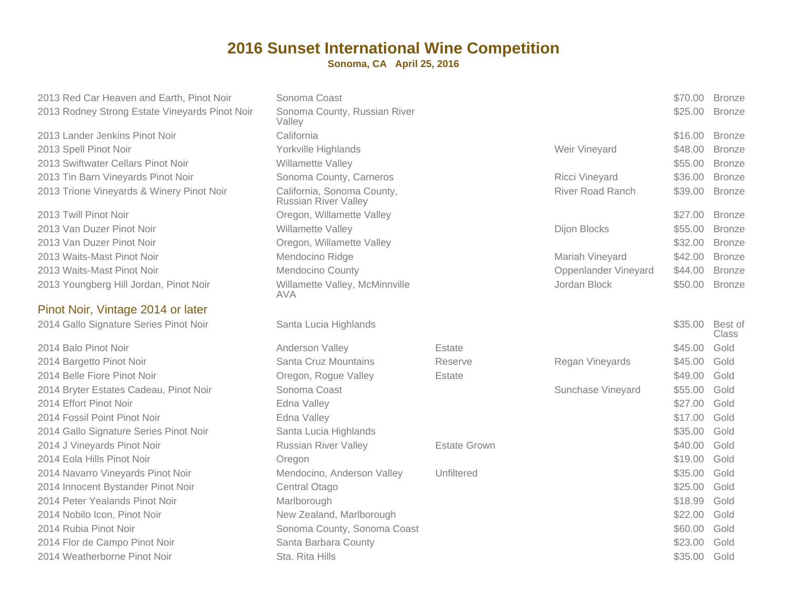**Sonoma, CA April 25, 2016**

2013 Red Car Heaven and Earth, Pinot Noir2013 Rodney Strong Estate Vineyards Pinot Noir

2013 Lander Jenkins Pinot Noirr **California** 2013 Spell Pinot Noirr **Markovi** Yorkville Highlands 2013 Swiftwater Cellars Pinot Noir2013 Tin Barn Vineyards Pinot Noir2013 Trione Vineyards & Winery Pinot Noir

2013 Twill Pinot Noir2013 Van Duzer Pinot Noir2013 Van Duzer Pinot Noir2013 Waits-Mast Pinot Noir2013 Waits-Mast Pinot Noir2013 Youngberg Hill Jordan, Pinot Noir

#### Pinot Noir, Vintage 2014 or later

2014 Gallo Signature Series Pinot Noir

2014 Balo Pinot Noirr **Anderson Valley** 2014 Bargetto Pinot Noir2014 Belle Fiore Pinot Noir2014 Bryter Estates Cadeau, Pinot Noir2014 Effort Pinot Noir Edna Valley2014 Fossil Point Pinot Noir2014 Gallo Signature Series Pinot Noir2014 J Vineyards Pinot Noir2014 Eola Hills Pinot Noirr **Oregon** 2014 Navarro Vineyards Pinot Noir2014 Innocent Bystander Pinot Noir2014 Peter Yealands Pinot Noir2014 Nobilo Icon, Pinot Noir2014 Rubia Pinot Noir2014 Flor de Campo Pinot Noir2014 Weatherborne Pinot Noir

| en and Earth, Pinot Noir      | Sonoma Coast                                              |                     |                         | \$70.00 | <b>Bronze</b>           |
|-------------------------------|-----------------------------------------------------------|---------------------|-------------------------|---------|-------------------------|
| g Estate Vineyards Pinot Noir | Sonoma County, Russian River<br>Valley                    |                     |                         | \$25.00 | <b>Bronze</b>           |
| s Pinot Noir                  | California                                                |                     |                         | \$16.00 | <b>Bronze</b>           |
| ir                            | Yorkville Highlands                                       |                     | Weir Vineyard           | \$48.00 | <b>Bronze</b>           |
| lars Pinot Noir               | Willamette Valley                                         |                     |                         | \$55.00 | <b>Bronze</b>           |
| vards Pinot Noir              | Sonoma County, Carneros                                   |                     | <b>Ricci Vineyard</b>   | \$36.00 | <b>Bronze</b>           |
| ds & Winery Pinot Noir        | California, Sonoma County,<br><b>Russian River Valley</b> |                     | <b>River Road Ranch</b> | \$39.00 | <b>Bronze</b>           |
| r                             | Oregon, Willamette Valley                                 |                     |                         | \$27.00 | <b>Bronze</b>           |
| ot Noir                       | Willamette Valley                                         |                     | Dijon Blocks            | \$55.00 | <b>Bronze</b>           |
| ot Noir                       | Oregon, Willamette Valley                                 |                     |                         | \$32.00 | <b>Bronze</b>           |
| not Noir                      | Mendocino Ridge                                           |                     | Mariah Vineyard         | \$42.00 | <b>Bronze</b>           |
| าot Noir                      | Mendocino County                                          |                     | Oppenlander Vineyard    | \$44.00 | <b>Bronze</b>           |
| I Jordan, Pinot Noir          | Willamette Valley, McMinnville<br><b>AVA</b>              |                     | Jordan Block            | \$50.00 | <b>Bronze</b>           |
| ge 2014 or later              |                                                           |                     |                         |         |                         |
| e Series Pinot Noir           | Santa Lucia Highlands                                     |                     |                         | \$35.00 | Best of<br><b>Class</b> |
| r                             | Anderson Valley                                           | Estate              |                         | \$45.00 | Gold                    |
| <b>Noir</b>                   | Santa Cruz Mountains                                      | Reserve             | Regan Vineyards         | \$45.00 | Gold                    |
| ot Noir                       | Oregon, Rogue Valley                                      | Estate              |                         | \$49.00 | Gold                    |
| Cadeau, Pinot Noir            | Sonoma Coast                                              |                     | Sunchase Vineyard       | \$55.00 | Gold                    |
| ۱ir                           | Edna Valley                                               |                     |                         | \$27.00 | Gold                    |
| not Noir                      | Edna Valley                                               |                     |                         | \$17.00 | Gold                    |
| e Series Pinot Noir           | Santa Lucia Highlands                                     |                     |                         | \$35.00 | Gold                    |
| not Noir                      | <b>Russian River Valley</b>                               | <b>Estate Grown</b> |                         | \$40.00 | Gold                    |
| t Noir                        | Oregon                                                    |                     |                         | \$19.00 | Gold                    |
| ards Pinot Noir               | Mendocino, Anderson Valley                                | Unfiltered          |                         | \$35.00 | Gold                    |
| ander Pinot Noir              | Central Otago                                             |                     |                         | \$25.00 | Gold                    |
| s Pinot Noir                  | Marlborough                                               |                     |                         | \$18.99 | Gold                    |
| inot Noir                     | New Zealand, Marlborough                                  |                     |                         | \$22.00 | Gold                    |
| bir                           | Sonoma County, Sonoma Coast                               |                     |                         | \$60.00 | Gold                    |
| Pinot Noir                    | Santa Barbara County                                      |                     |                         | \$23.00 | Gold                    |
| Pinot Noir                    | Sta. Rita Hills                                           |                     |                         | \$35.00 | Gold                    |
|                               |                                                           |                     |                         |         |                         |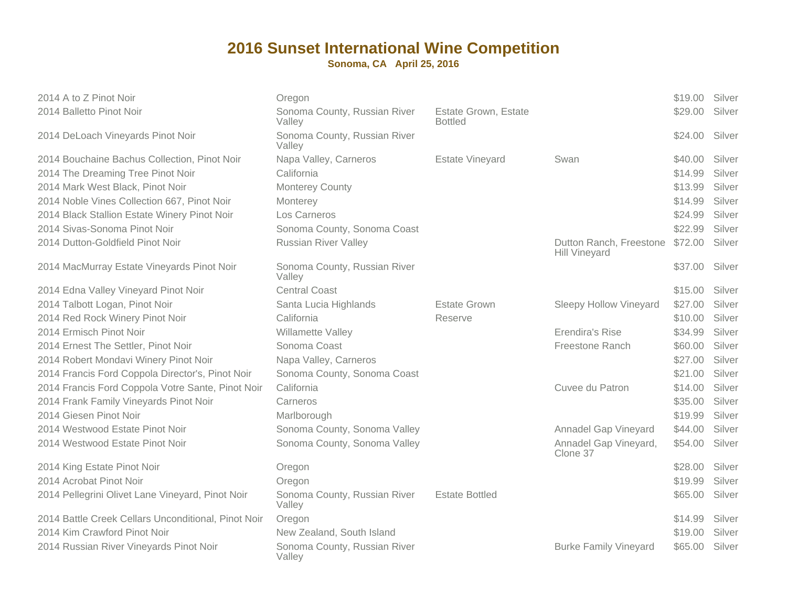| 2014 A to Z Pinot Noir                              | Oregon                                 |                                        |                                                 | \$19.00 | Silver |
|-----------------------------------------------------|----------------------------------------|----------------------------------------|-------------------------------------------------|---------|--------|
| 2014 Balletto Pinot Noir                            | Sonoma County, Russian River<br>Valley | Estate Grown, Estate<br><b>Bottled</b> |                                                 | \$29.00 | Silver |
| 2014 DeLoach Vineyards Pinot Noir                   | Sonoma County, Russian River<br>Valley |                                        |                                                 | \$24.00 | Silver |
| 2014 Bouchaine Bachus Collection, Pinot Noir        | Napa Valley, Carneros                  | <b>Estate Vineyard</b>                 | Swan                                            | \$40.00 | Silver |
| 2014 The Dreaming Tree Pinot Noir                   | California                             |                                        |                                                 | \$14.99 | Silver |
| 2014 Mark West Black, Pinot Noir                    | <b>Monterey County</b>                 |                                        |                                                 | \$13.99 | Silver |
| 2014 Noble Vines Collection 667, Pinot Noir         | Monterey                               |                                        |                                                 | \$14.99 | Silver |
| 2014 Black Stallion Estate Winery Pinot Noir        | Los Carneros                           |                                        |                                                 | \$24.99 | Silver |
| 2014 Sivas-Sonoma Pinot Noir                        | Sonoma County, Sonoma Coast            |                                        |                                                 | \$22.99 | Silver |
| 2014 Dutton-Goldfield Pinot Noir                    | <b>Russian River Valley</b>            |                                        | Dutton Ranch, Freestone<br><b>Hill Vineyard</b> | \$72.00 | Silver |
| 2014 MacMurray Estate Vineyards Pinot Noir          | Sonoma County, Russian River<br>Valley |                                        |                                                 | \$37.00 | Silver |
| 2014 Edna Valley Vineyard Pinot Noir                | <b>Central Coast</b>                   |                                        |                                                 | \$15.00 | Silver |
| 2014 Talbott Logan, Pinot Noir                      | Santa Lucia Highlands                  | <b>Estate Grown</b>                    | <b>Sleepy Hollow Vineyard</b>                   | \$27.00 | Silver |
| 2014 Red Rock Winery Pinot Noir                     | California                             | Reserve                                |                                                 | \$10.00 | Silver |
| 2014 Ermisch Pinot Noir                             | Willamette Valley                      |                                        | Erendira's Rise                                 | \$34.99 | Silver |
| 2014 Ernest The Settler, Pinot Noir                 | Sonoma Coast                           |                                        | Freestone Ranch                                 | \$60.00 | Silver |
| 2014 Robert Mondavi Winery Pinot Noir               | Napa Valley, Carneros                  |                                        |                                                 | \$27.00 | Silver |
| 2014 Francis Ford Coppola Director's, Pinot Noir    | Sonoma County, Sonoma Coast            |                                        |                                                 | \$21.00 | Silver |
| 2014 Francis Ford Coppola Votre Sante, Pinot Noir   | California                             |                                        | Cuvee du Patron                                 | \$14.00 | Silver |
| 2014 Frank Family Vineyards Pinot Noir              | Carneros                               |                                        |                                                 | \$35.00 | Silver |
| 2014 Giesen Pinot Noir                              | Marlborough                            |                                        |                                                 | \$19.99 | Silver |
| 2014 Westwood Estate Pinot Noir                     | Sonoma County, Sonoma Valley           |                                        | Annadel Gap Vineyard                            | \$44.00 | Silver |
| 2014 Westwood Estate Pinot Noir                     | Sonoma County, Sonoma Valley           |                                        | Annadel Gap Vineyard,<br>Clone 37               | \$54.00 | Silver |
| 2014 King Estate Pinot Noir                         | Oregon                                 |                                        |                                                 | \$28.00 | Silver |
| 2014 Acrobat Pinot Noir                             | Oregon                                 |                                        |                                                 | \$19.99 | Silver |
| 2014 Pellegrini Olivet Lane Vineyard, Pinot Noir    | Sonoma County, Russian River<br>Valley | <b>Estate Bottled</b>                  |                                                 | \$65.00 | Silver |
| 2014 Battle Creek Cellars Unconditional, Pinot Noir | Oregon                                 |                                        |                                                 | \$14.99 | Silver |
| 2014 Kim Crawford Pinot Noir                        | New Zealand, South Island              |                                        |                                                 | \$19.00 | Silver |
| 2014 Russian River Vineyards Pinot Noir             | Sonoma County, Russian River<br>Valley |                                        | <b>Burke Family Vineyard</b>                    | \$65.00 | Silver |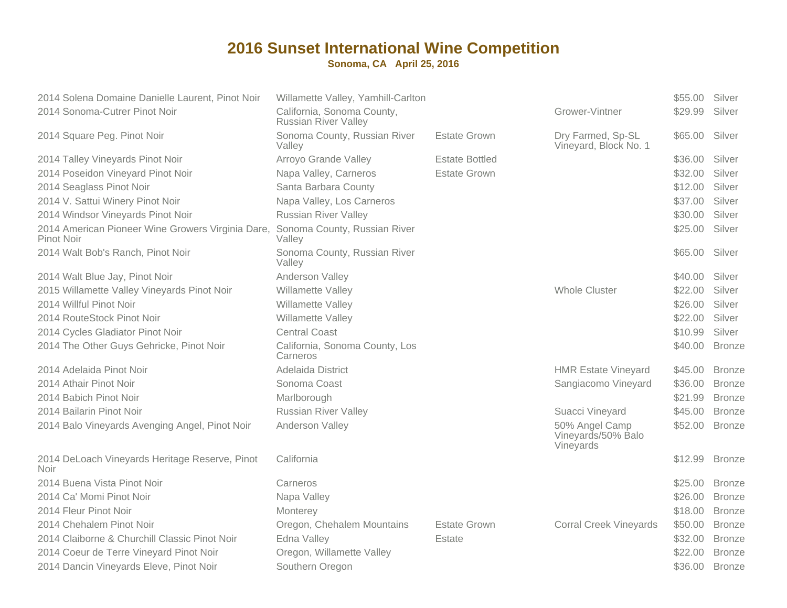| 2014 Solena Domaine Danielle Laurent, Pinot Noir<br>2014 Sonoma-Cutrer Pinot Noir | Willamette Valley, Yamhill-Carlton<br>California, Sonoma County, |                       | Grower-Vintner                                    | \$55.00<br>\$29.99 | Silver<br>Silver |
|-----------------------------------------------------------------------------------|------------------------------------------------------------------|-----------------------|---------------------------------------------------|--------------------|------------------|
|                                                                                   | <b>Russian River Valley</b>                                      |                       |                                                   |                    |                  |
| 2014 Square Peg. Pinot Noir                                                       | Sonoma County, Russian River<br>Valley                           | <b>Estate Grown</b>   | Dry Farmed, Sp-SL<br>Vineyard, Block No. 1        | \$65.00            | Silver           |
| 2014 Talley Vineyards Pinot Noir                                                  | Arroyo Grande Valley                                             | <b>Estate Bottled</b> |                                                   | \$36.00            | Silver           |
| 2014 Poseidon Vineyard Pinot Noir                                                 | Napa Valley, Carneros                                            | <b>Estate Grown</b>   |                                                   | \$32.00            | Silver           |
| 2014 Seaglass Pinot Noir                                                          | Santa Barbara County                                             |                       |                                                   | \$12.00            | Silver           |
| 2014 V. Sattui Winery Pinot Noir                                                  | Napa Valley, Los Carneros                                        |                       |                                                   | \$37.00            | Silver           |
| 2014 Windsor Vineyards Pinot Noir                                                 | <b>Russian River Valley</b>                                      |                       |                                                   | \$30.00            | Silver           |
| 2014 American Pioneer Wine Growers Virginia Dare,<br><b>Pinot Noir</b>            | Sonoma County, Russian River<br>Valley                           |                       |                                                   | \$25.00            | Silver           |
| 2014 Walt Bob's Ranch, Pinot Noir                                                 | Sonoma County, Russian River<br>Valley                           |                       |                                                   | \$65.00            | Silver           |
| 2014 Walt Blue Jay, Pinot Noir                                                    | Anderson Valley                                                  |                       |                                                   | \$40.00            | Silver           |
| 2015 Willamette Valley Vineyards Pinot Noir                                       | Willamette Valley                                                |                       | <b>Whole Cluster</b>                              | \$22.00            | Silver           |
| 2014 Willful Pinot Noir                                                           | Willamette Valley                                                |                       |                                                   | \$26.00            | Silver           |
| 2014 RouteStock Pinot Noir                                                        | Willamette Valley                                                |                       |                                                   | \$22.00            | Silver           |
| 2014 Cycles Gladiator Pinot Noir                                                  | <b>Central Coast</b>                                             |                       |                                                   | \$10.99            | Silver           |
| 2014 The Other Guys Gehricke, Pinot Noir                                          | California, Sonoma County, Los<br>Carneros                       |                       |                                                   | \$40.00            | <b>Bronze</b>    |
| 2014 Adelaida Pinot Noir                                                          | Adelaida District                                                |                       | <b>HMR Estate Vineyard</b>                        | \$45.00            | <b>Bronze</b>    |
| 2014 Athair Pinot Noir                                                            | Sonoma Coast                                                     |                       | Sangiacomo Vineyard                               | \$36.00            | <b>Bronze</b>    |
| 2014 Babich Pinot Noir                                                            | Marlborough                                                      |                       |                                                   | \$21.99            | <b>Bronze</b>    |
| 2014 Bailarin Pinot Noir                                                          | <b>Russian River Valley</b>                                      |                       | Suacci Vineyard                                   | \$45.00            | <b>Bronze</b>    |
| 2014 Balo Vineyards Avenging Angel, Pinot Noir                                    | Anderson Valley                                                  |                       | 50% Angel Camp<br>Vineyards/50% Balo<br>Vineyards | \$52.00            | <b>Bronze</b>    |
| 2014 DeLoach Vineyards Heritage Reserve, Pinot<br><b>Noir</b>                     | California                                                       |                       |                                                   | \$12.99            | <b>Bronze</b>    |
| 2014 Buena Vista Pinot Noir                                                       | Carneros                                                         |                       |                                                   | \$25.00            | <b>Bronze</b>    |
| 2014 Ca' Momi Pinot Noir                                                          | Napa Valley                                                      |                       |                                                   | \$26.00            | <b>Bronze</b>    |
| 2014 Fleur Pinot Noir                                                             | Monterey                                                         |                       |                                                   | \$18.00            | <b>Bronze</b>    |
| 2014 Chehalem Pinot Noir                                                          | Oregon, Chehalem Mountains                                       | Estate Grown          | <b>Corral Creek Vineyards</b>                     | \$50.00            | <b>Bronze</b>    |
| 2014 Claiborne & Churchill Classic Pinot Noir                                     | Edna Valley                                                      | Estate                |                                                   | \$32.00            | <b>Bronze</b>    |
| 2014 Coeur de Terre Vineyard Pinot Noir                                           | Oregon, Willamette Valley                                        |                       |                                                   | \$22.00            | <b>Bronze</b>    |
| 2014 Dancin Vineyards Eleve, Pinot Noir                                           | Southern Oregon                                                  |                       |                                                   | \$36.00            | <b>Bronze</b>    |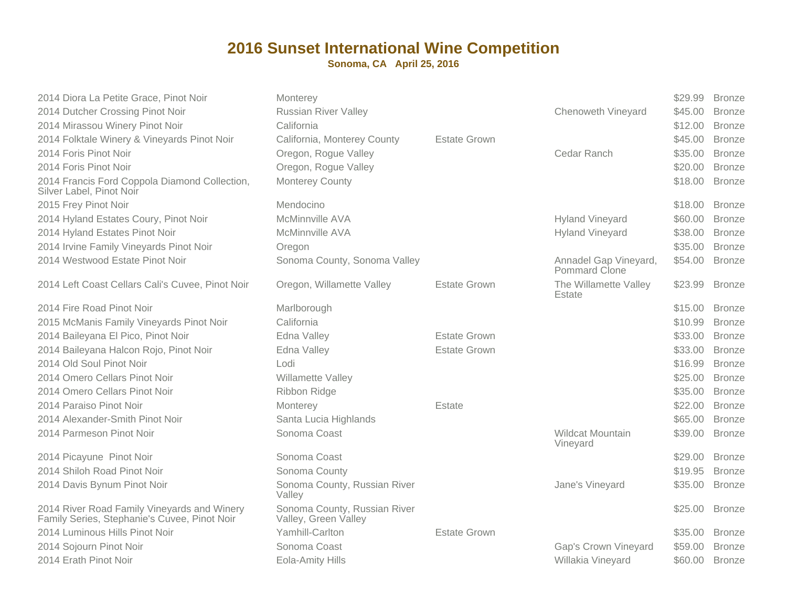| 2014 Diora La Petite Grace, Pinot Noir                                                      | Monterey                                             |                     |                                        | \$29.99 | <b>Bronze</b> |
|---------------------------------------------------------------------------------------------|------------------------------------------------------|---------------------|----------------------------------------|---------|---------------|
| 2014 Dutcher Crossing Pinot Noir                                                            | <b>Russian River Valley</b>                          |                     | Chenoweth Vineyard                     | \$45.00 | <b>Bronze</b> |
| 2014 Mirassou Winery Pinot Noir                                                             | California                                           |                     |                                        | \$12.00 | <b>Bronze</b> |
| 2014 Folktale Winery & Vineyards Pinot Noir                                                 | California, Monterey County                          | <b>Estate Grown</b> |                                        | \$45.00 | <b>Bronze</b> |
| 2014 Foris Pinot Noir                                                                       | Oregon, Rogue Valley                                 |                     | Cedar Ranch                            | \$35.00 | <b>Bronze</b> |
| 2014 Foris Pinot Noir                                                                       | Oregon, Rogue Valley                                 |                     |                                        | \$20.00 | <b>Bronze</b> |
| 2014 Francis Ford Coppola Diamond Collection,<br>Silver Label, Pinot Noir                   | Monterey County                                      |                     |                                        | \$18.00 | <b>Bronze</b> |
| 2015 Frey Pinot Noir                                                                        | Mendocino                                            |                     |                                        | \$18.00 | <b>Bronze</b> |
| 2014 Hyland Estates Coury, Pinot Noir                                                       | <b>McMinnville AVA</b>                               |                     | <b>Hyland Vineyard</b>                 | \$60.00 | <b>Bronze</b> |
| 2014 Hyland Estates Pinot Noir                                                              | <b>McMinnville AVA</b>                               |                     | <b>Hyland Vineyard</b>                 | \$38.00 | <b>Bronze</b> |
| 2014 Irvine Family Vineyards Pinot Noir                                                     | Oregon                                               |                     |                                        | \$35.00 | <b>Bronze</b> |
| 2014 Westwood Estate Pinot Noir                                                             | Sonoma County, Sonoma Valley                         |                     | Annadel Gap Vineyard,<br>Pommard Clone | \$54.00 | <b>Bronze</b> |
| 2014 Left Coast Cellars Cali's Cuvee, Pinot Noir                                            | Oregon, Willamette Valley                            | <b>Estate Grown</b> | The Willamette Valley<br>Estate        | \$23.99 | <b>Bronze</b> |
| 2014 Fire Road Pinot Noir                                                                   | Marlborough                                          |                     |                                        | \$15.00 | <b>Bronze</b> |
| 2015 McManis Family Vineyards Pinot Noir                                                    | California                                           |                     |                                        | \$10.99 | <b>Bronze</b> |
| 2014 Baileyana El Pico, Pinot Noir                                                          | Edna Valley                                          | <b>Estate Grown</b> |                                        | \$33.00 | <b>Bronze</b> |
| 2014 Baileyana Halcon Rojo, Pinot Noir                                                      | Edna Valley                                          | <b>Estate Grown</b> |                                        | \$33.00 | <b>Bronze</b> |
| 2014 Old Soul Pinot Noir                                                                    | Lodi                                                 |                     |                                        | \$16.99 | <b>Bronze</b> |
| 2014 Omero Cellars Pinot Noir                                                               | <b>Willamette Valley</b>                             |                     |                                        | \$25.00 | <b>Bronze</b> |
| 2014 Omero Cellars Pinot Noir                                                               | Ribbon Ridge                                         |                     |                                        | \$35.00 | <b>Bronze</b> |
| 2014 Paraiso Pinot Noir                                                                     | Monterey                                             | Estate              |                                        | \$22.00 | <b>Bronze</b> |
| 2014 Alexander-Smith Pinot Noir                                                             | Santa Lucia Highlands                                |                     |                                        | \$65.00 | <b>Bronze</b> |
| 2014 Parmeson Pinot Noir                                                                    | Sonoma Coast                                         |                     | <b>Wildcat Mountain</b><br>Vineyard    | \$39.00 | <b>Bronze</b> |
| 2014 Picayune Pinot Noir                                                                    | Sonoma Coast                                         |                     |                                        | \$29.00 | <b>Bronze</b> |
| 2014 Shiloh Road Pinot Noir                                                                 | Sonoma County                                        |                     |                                        | \$19.95 | <b>Bronze</b> |
| 2014 Davis Bynum Pinot Noir                                                                 | Sonoma County, Russian River<br>Valley               |                     | Jane's Vineyard                        | \$35.00 | <b>Bronze</b> |
| 2014 River Road Family Vineyards and Winery<br>Family Series, Stephanie's Cuvee, Pinot Noir | Sonoma County, Russian River<br>Valley, Green Valley |                     |                                        | \$25.00 | <b>Bronze</b> |
| 2014 Luminous Hills Pinot Noir                                                              | Yamhill-Carlton                                      | <b>Estate Grown</b> |                                        | \$35.00 | <b>Bronze</b> |
| 2014 Sojourn Pinot Noir                                                                     | Sonoma Coast                                         |                     | Gap's Crown Vineyard                   | \$59.00 | <b>Bronze</b> |
| 2014 Erath Pinot Noir                                                                       | <b>Eola-Amity Hills</b>                              |                     | Willakia Vineyard                      | \$60.00 | <b>Bronze</b> |
|                                                                                             |                                                      |                     |                                        |         |               |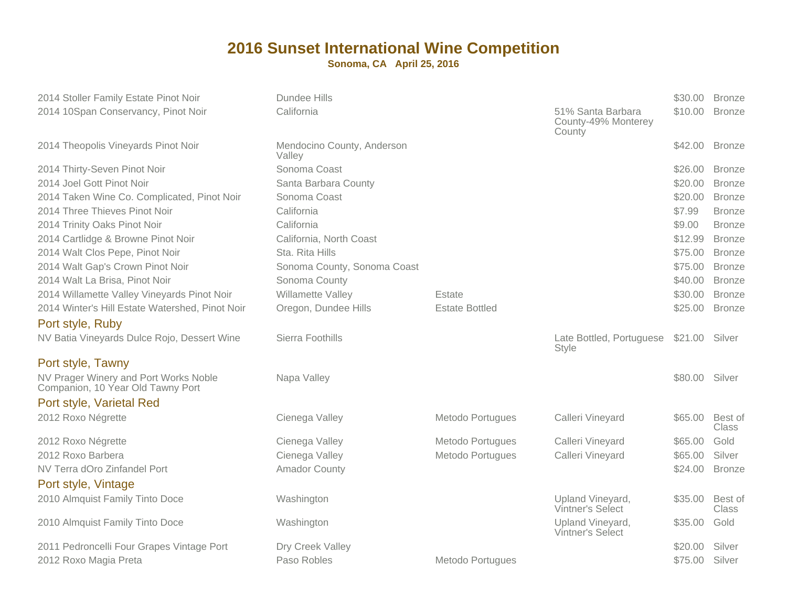| 2014 Stoller Family Estate Pinot Noir                                      | Dundee Hills                         |                       |                                                    | \$30.00 | <b>Bronze</b>           |
|----------------------------------------------------------------------------|--------------------------------------|-----------------------|----------------------------------------------------|---------|-------------------------|
| 2014 10Span Conservancy, Pinot Noir                                        | California                           |                       | 51% Santa Barbara<br>County-49% Monterey<br>County | \$10.00 | <b>Bronze</b>           |
| 2014 Theopolis Vineyards Pinot Noir                                        | Mendocino County, Anderson<br>Valley |                       |                                                    | \$42.00 | <b>Bronze</b>           |
| 2014 Thirty-Seven Pinot Noir                                               | Sonoma Coast                         |                       |                                                    | \$26.00 | <b>Bronze</b>           |
| 2014 Joel Gott Pinot Noir                                                  | Santa Barbara County                 |                       |                                                    | \$20.00 | <b>Bronze</b>           |
| 2014 Taken Wine Co. Complicated, Pinot Noir                                | Sonoma Coast                         |                       |                                                    | \$20.00 | <b>Bronze</b>           |
| 2014 Three Thieves Pinot Noir                                              | California                           |                       |                                                    | \$7.99  | <b>Bronze</b>           |
| 2014 Trinity Oaks Pinot Noir                                               | California                           |                       |                                                    | \$9.00  | <b>Bronze</b>           |
| 2014 Cartlidge & Browne Pinot Noir                                         | California, North Coast              |                       |                                                    | \$12.99 | <b>Bronze</b>           |
| 2014 Walt Clos Pepe, Pinot Noir                                            | Sta. Rita Hills                      |                       |                                                    | \$75.00 | <b>Bronze</b>           |
| 2014 Walt Gap's Crown Pinot Noir                                           | Sonoma County, Sonoma Coast          |                       |                                                    | \$75.00 | <b>Bronze</b>           |
| 2014 Walt La Brisa, Pinot Noir                                             | Sonoma County                        |                       |                                                    | \$40.00 | <b>Bronze</b>           |
| 2014 Willamette Valley Vineyards Pinot Noir                                | Willamette Valley                    | Estate                |                                                    | \$30.00 | <b>Bronze</b>           |
| 2014 Winter's Hill Estate Watershed, Pinot Noir                            | Oregon, Dundee Hills                 | <b>Estate Bottled</b> |                                                    | \$25.00 | <b>Bronze</b>           |
| Port style, Ruby                                                           |                                      |                       |                                                    |         |                         |
| NV Batia Vineyards Dulce Rojo, Dessert Wine                                | Sierra Foothills                     |                       | Late Bottled, Portuguese<br><b>Style</b>           | \$21.00 | Silver                  |
| Port style, Tawny                                                          |                                      |                       |                                                    |         |                         |
| NV Prager Winery and Port Works Noble<br>Companion, 10 Year Old Tawny Port | Napa Valley                          |                       |                                                    | \$80.00 | Silver                  |
| Port style, Varietal Red                                                   |                                      |                       |                                                    |         |                         |
| 2012 Roxo Négrette                                                         | Cienega Valley                       | Metodo Portugues      | Calleri Vineyard                                   | \$65.00 | Best of<br><b>Class</b> |
| 2012 Roxo Négrette                                                         | Cienega Valley                       | Metodo Portugues      | Calleri Vineyard                                   | \$65.00 | Gold                    |
| 2012 Roxo Barbera                                                          | Cienega Valley                       | Metodo Portugues      | Calleri Vineyard                                   | \$65.00 | Silver                  |
| NV Terra dOro Zinfandel Port                                               | <b>Amador County</b>                 |                       |                                                    | \$24.00 | <b>Bronze</b>           |
| Port style, Vintage                                                        |                                      |                       |                                                    |         |                         |
| 2010 Almquist Family Tinto Doce                                            | Washington                           |                       | Upland Vineyard,<br>Vintner's Select               | \$35.00 | Best of<br>Class        |
| 2010 Almquist Family Tinto Doce                                            | Washington                           |                       | Upland Vineyard,<br><b>Vintner's Select</b>        | \$35.00 | Gold                    |
| 2011 Pedroncelli Four Grapes Vintage Port                                  | Dry Creek Valley                     |                       |                                                    | \$20.00 | Silver                  |
| 2012 Roxo Magia Preta                                                      | Paso Robles                          | Metodo Portugues      |                                                    | \$75.00 | Silver                  |
|                                                                            |                                      |                       |                                                    |         |                         |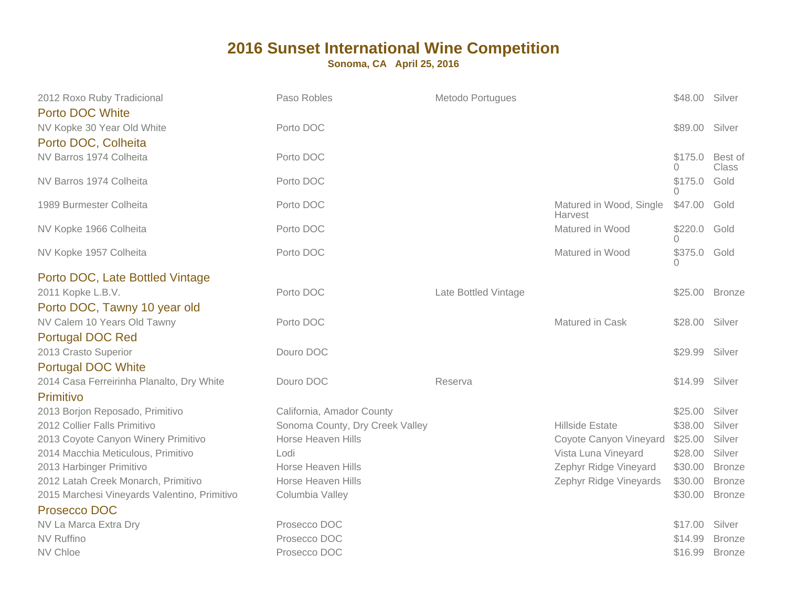| 2012 Roxo Ruby Tradicional<br><b>Porto DOC White</b> | Paso Robles                     | Metodo Portugues     |                                    | \$48.00 Silver    |                         |
|------------------------------------------------------|---------------------------------|----------------------|------------------------------------|-------------------|-------------------------|
| NV Kopke 30 Year Old White<br>Porto DOC, Colheita    | Porto DOC                       |                      |                                    | \$89.00 Silver    |                         |
| NV Barros 1974 Colheita                              | Porto DOC                       |                      |                                    | \$175.0<br>0      | Best of<br><b>Class</b> |
| NV Barros 1974 Colheita                              | Porto DOC                       |                      |                                    | \$175.0<br>0      | Gold                    |
| 1989 Burmester Colheita                              | Porto DOC                       |                      | Matured in Wood, Single<br>Harvest | \$47.00           | Gold                    |
| NV Kopke 1966 Colheita                               | Porto DOC                       |                      | Matured in Wood                    | \$220.0<br>$\cap$ | Gold                    |
| NV Kopke 1957 Colheita                               | Porto DOC                       |                      | Matured in Wood                    | \$375.0           | Gold                    |
| Porto DOC, Late Bottled Vintage                      |                                 |                      |                                    |                   |                         |
| 2011 Kopke L.B.V.                                    | Porto DOC                       | Late Bottled Vintage |                                    | \$25.00           | <b>Bronze</b>           |
| Porto DOC, Tawny 10 year old                         |                                 |                      |                                    |                   |                         |
| NV Calem 10 Years Old Tawny                          | Porto DOC                       |                      | Matured in Cask                    | \$28.00           | Silver                  |
| <b>Portugal DOC Red</b>                              |                                 |                      |                                    |                   |                         |
| 2013 Crasto Superior                                 | Douro DOC                       |                      |                                    | \$29.99           | Silver                  |
| <b>Portugal DOC White</b>                            |                                 |                      |                                    |                   |                         |
| 2014 Casa Ferreirinha Planalto, Dry White            | Douro DOC                       | Reserva              |                                    | \$14.99           | Silver                  |
| Primitivo                                            |                                 |                      |                                    |                   |                         |
| 2013 Borjon Reposado, Primitivo                      | California, Amador County       |                      |                                    | \$25.00           | Silver                  |
| 2012 Collier Falls Primitivo                         | Sonoma County, Dry Creek Valley |                      | <b>Hillside Estate</b>             | \$38.00           | Silver                  |
| 2013 Coyote Canyon Winery Primitivo                  | Horse Heaven Hills              |                      | Coyote Canyon Vineyard             | \$25.00           | Silver                  |
| 2014 Macchia Meticulous, Primitivo                   | Lodi                            |                      | Vista Luna Vineyard                | \$28.00           | Silver                  |
| 2013 Harbinger Primitivo                             | Horse Heaven Hills              |                      | Zephyr Ridge Vineyard              | \$30.00           | <b>Bronze</b>           |
| 2012 Latah Creek Monarch, Primitivo                  | Horse Heaven Hills              |                      | Zephyr Ridge Vineyards             | \$30.00           | <b>Bronze</b>           |
| 2015 Marchesi Vineyards Valentino, Primitivo         | Columbia Valley                 |                      |                                    | \$30.00           | <b>Bronze</b>           |
| Prosecco DOC                                         |                                 |                      |                                    |                   |                         |
| NV La Marca Extra Dry                                | Prosecco DOC                    |                      |                                    | \$17.00           | Silver                  |
| NV Ruffino                                           | Prosecco DOC                    |                      |                                    | \$14.99           | <b>Bronze</b>           |
| NV Chloe                                             | Prosecco DOC                    |                      |                                    | \$16.99           | <b>Bronze</b>           |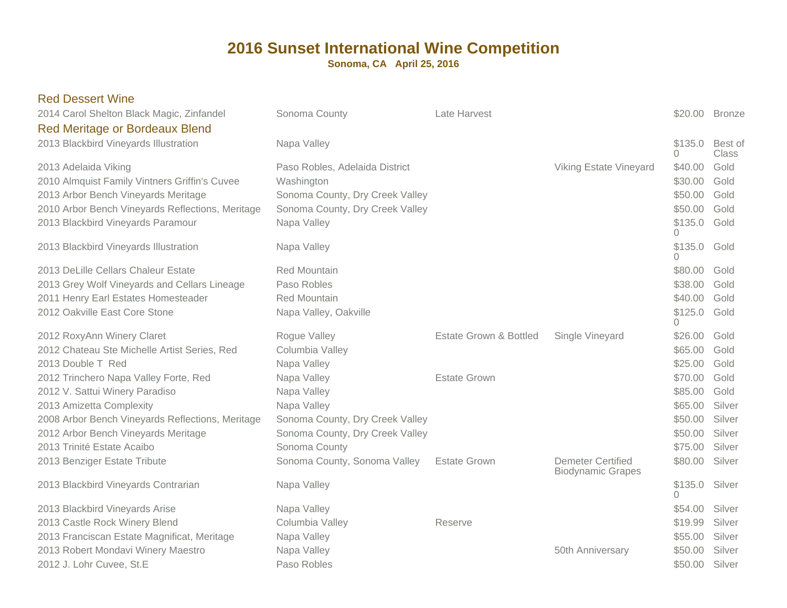| <b>Red Dessert Wine</b><br>2014 Carol Shelton Black Magic, Zinfandel                                                                                                                                  | Sonoma County                                                                                                                     | Late Harvest                      |                                                      |                                                                 | \$20.00 Bronze                       |
|-------------------------------------------------------------------------------------------------------------------------------------------------------------------------------------------------------|-----------------------------------------------------------------------------------------------------------------------------------|-----------------------------------|------------------------------------------------------|-----------------------------------------------------------------|--------------------------------------|
| <b>Red Meritage or Bordeaux Blend</b><br>2013 Blackbird Vineyards Illustration                                                                                                                        | Napa Valley                                                                                                                       |                                   |                                                      | \$135.0<br>$\Omega$                                             | Best of<br>Class                     |
| 2013 Adelaida Viking<br>2010 Almquist Family Vintners Griffin's Cuvee<br>2013 Arbor Bench Vineyards Meritage<br>2010 Arbor Bench Vineyards Reflections, Meritage<br>2013 Blackbird Vineyards Paramour | Paso Robles, Adelaida District<br>Washington<br>Sonoma County, Dry Creek Valley<br>Sonoma County, Dry Creek Valley<br>Napa Valley |                                   | <b>Viking Estate Vineyard</b>                        | \$40.00<br>\$30.00<br>\$50.00<br>\$50.00<br>\$135.0<br>$\Omega$ | Gold<br>Gold<br>Gold<br>Gold<br>Gold |
| 2013 Blackbird Vineyards Illustration                                                                                                                                                                 | Napa Valley                                                                                                                       |                                   |                                                      | \$135.0<br>$\Omega$                                             | Gold                                 |
| 2013 DeLille Cellars Chaleur Estate<br>2013 Grey Wolf Vineyards and Cellars Lineage<br>2011 Henry Earl Estates Homesteader<br>2012 Oakville East Core Stone                                           | <b>Red Mountain</b><br>Paso Robles<br><b>Red Mountain</b><br>Napa Valley, Oakville                                                |                                   |                                                      | \$80.00<br>\$38.00<br>\$40.00<br>\$125.0<br>$\Omega$            | Gold<br>Gold<br>Gold<br>Gold         |
| 2012 RoxyAnn Winery Claret<br>2012 Chateau Ste Michelle Artist Series, Red<br>2013 Double T Red                                                                                                       | Rogue Valley<br>Columbia Valley<br>Napa Valley                                                                                    | <b>Estate Grown &amp; Bottled</b> | Single Vineyard                                      | \$26.00<br>\$65.00<br>\$25.00                                   | Gold<br>Gold<br>Gold                 |
| 2012 Trinchero Napa Valley Forte, Red<br>2012 V. Sattui Winery Paradiso<br>2013 Amizetta Complexity<br>2008 Arbor Bench Vineyards Reflections, Meritage                                               | Napa Valley<br>Napa Valley<br>Napa Valley<br>Sonoma County, Dry Creek Valley                                                      | <b>Estate Grown</b>               |                                                      | \$70.00<br>\$85.00<br>\$65.00<br>\$50.00                        | Gold<br>Gold<br>Silver<br>Silver     |
| 2012 Arbor Bench Vineyards Meritage<br>2013 Trinité Estate Acaibo                                                                                                                                     | Sonoma County, Dry Creek Valley<br>Sonoma County                                                                                  |                                   |                                                      | \$50.00<br>\$75.00                                              | Silver<br>Silver                     |
| 2013 Benziger Estate Tribute                                                                                                                                                                          | Sonoma County, Sonoma Valley                                                                                                      | <b>Estate Grown</b>               | <b>Demeter Certified</b><br><b>Biodynamic Grapes</b> | \$80.00                                                         | Silver<br>Silver                     |
| 2013 Blackbird Vineyards Contrarian                                                                                                                                                                   | Napa Valley                                                                                                                       |                                   |                                                      | \$135.0<br>$\Omega$                                             |                                      |
| 2013 Blackbird Vineyards Arise<br>2013 Castle Rock Winery Blend<br>2013 Franciscan Estate Magnificat, Meritage<br>2013 Robert Mondavi Winery Maestro                                                  | Napa Valley<br>Columbia Valley<br>Napa Valley                                                                                     | Reserve                           |                                                      | \$54.00<br>\$19.99<br>\$55.00                                   | Silver<br>Silver<br>Silver<br>Silver |
| 2012 J. Lohr Cuvee, St.E.                                                                                                                                                                             | Napa Valley<br>Paso Robles                                                                                                        |                                   | 50th Anniversary                                     | \$50.00<br>\$50.00                                              | Silver                               |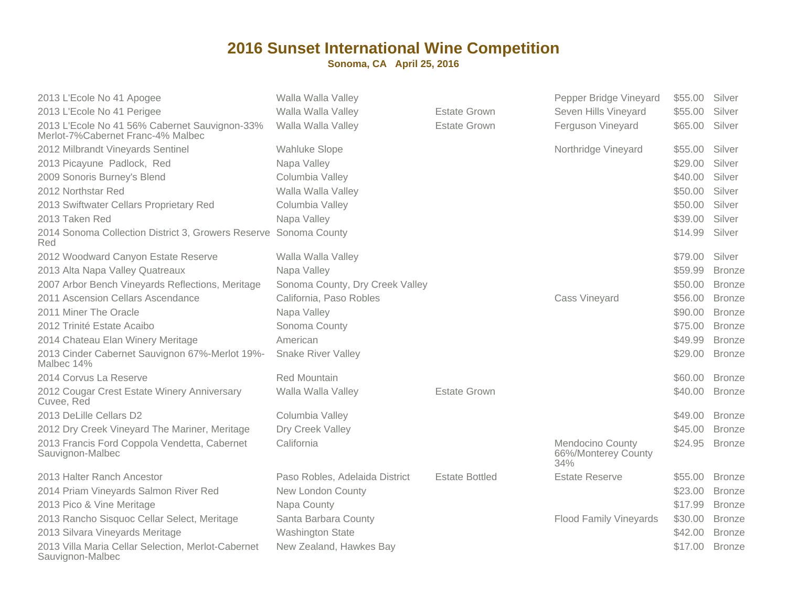| 2013 L'Ecole No 41 Apogee                                                          | Walla Walla Valley              |                       | Pepper Bridge Vineyard                                | \$55.00 | Silver        |
|------------------------------------------------------------------------------------|---------------------------------|-----------------------|-------------------------------------------------------|---------|---------------|
| 2013 L'Ecole No 41 Perigee                                                         | Walla Walla Valley              | <b>Estate Grown</b>   | Seven Hills Vineyard                                  | \$55.00 | Silver        |
| 2013 L'Ecole No 41 56% Cabernet Sauvignon-33%<br>Merlot-7%Cabernet Franc-4% Malbec | Walla Walla Valley              | <b>Estate Grown</b>   | Ferguson Vineyard                                     | \$65.00 | Silver        |
| 2012 Milbrandt Vineyards Sentinel                                                  | <b>Wahluke Slope</b>            |                       | Northridge Vineyard                                   | \$55.00 | Silver        |
| 2013 Picayune Padlock, Red                                                         | Napa Valley                     |                       |                                                       | \$29.00 | Silver        |
| 2009 Sonoris Burney's Blend                                                        | Columbia Valley                 |                       |                                                       | \$40.00 | Silver        |
| 2012 Northstar Red                                                                 | Walla Walla Valley              |                       |                                                       | \$50.00 | Silver        |
| 2013 Swiftwater Cellars Proprietary Red                                            | Columbia Valley                 |                       |                                                       | \$50.00 | Silver        |
| 2013 Taken Red                                                                     | Napa Valley                     |                       |                                                       | \$39.00 | Silver        |
| 2014 Sonoma Collection District 3, Growers Reserve Sonoma County<br>Red            |                                 |                       |                                                       | \$14.99 | Silver        |
| 2012 Woodward Canyon Estate Reserve                                                | Walla Walla Valley              |                       |                                                       | \$79.00 | Silver        |
| 2013 Alta Napa Valley Quatreaux                                                    | Napa Valley                     |                       |                                                       | \$59.99 | <b>Bronze</b> |
| 2007 Arbor Bench Vineyards Reflections, Meritage                                   | Sonoma County, Dry Creek Valley |                       |                                                       | \$50.00 | <b>Bronze</b> |
| 2011 Ascension Cellars Ascendance                                                  | California, Paso Robles         |                       | Cass Vineyard                                         | \$56.00 | <b>Bronze</b> |
| 2011 Miner The Oracle                                                              | Napa Valley                     |                       |                                                       | \$90.00 | <b>Bronze</b> |
| 2012 Trinité Estate Acaibo                                                         | Sonoma County                   |                       |                                                       | \$75.00 | <b>Bronze</b> |
| 2014 Chateau Elan Winery Meritage                                                  | American                        |                       |                                                       | \$49.99 | <b>Bronze</b> |
| 2013 Cinder Cabernet Sauvignon 67%-Merlot 19%-<br>Malbec 14%                       | <b>Snake River Valley</b>       |                       |                                                       | \$29.00 | <b>Bronze</b> |
| 2014 Corvus La Reserve                                                             | <b>Red Mountain</b>             |                       |                                                       | \$60.00 | <b>Bronze</b> |
| 2012 Cougar Crest Estate Winery Anniversary<br>Cuvee, Red                          | Walla Walla Valley              | <b>Estate Grown</b>   |                                                       | \$40.00 | <b>Bronze</b> |
| 2013 DeLille Cellars D2                                                            | Columbia Valley                 |                       |                                                       | \$49.00 | <b>Bronze</b> |
| 2012 Dry Creek Vineyard The Mariner, Meritage                                      | Dry Creek Valley                |                       |                                                       | \$45.00 | <b>Bronze</b> |
| 2013 Francis Ford Coppola Vendetta, Cabernet<br>Sauvignon-Malbec                   | California                      |                       | <b>Mendocino County</b><br>66%/Monterey County<br>34% | \$24.95 | <b>Bronze</b> |
| 2013 Halter Ranch Ancestor                                                         | Paso Robles, Adelaida District  | <b>Estate Bottled</b> | <b>Estate Reserve</b>                                 | \$55,00 | <b>Bronze</b> |
| 2014 Priam Vineyards Salmon River Red                                              | New London County               |                       |                                                       | \$23.00 | <b>Bronze</b> |
| 2013 Pico & Vine Meritage                                                          | Napa County                     |                       |                                                       | \$17.99 | <b>Bronze</b> |
| 2013 Rancho Sisquoc Cellar Select, Meritage                                        | Santa Barbara County            |                       | <b>Flood Family Vineyards</b>                         | \$30.00 | <b>Bronze</b> |
| 2013 Silvara Vineyards Meritage                                                    | <b>Washington State</b>         |                       |                                                       | \$42.00 | <b>Bronze</b> |
| 2013 Villa Maria Cellar Selection, Merlot-Cabernet<br>Sauvignon-Malbec             | New Zealand, Hawkes Bay         |                       |                                                       | \$17.00 | <b>Bronze</b> |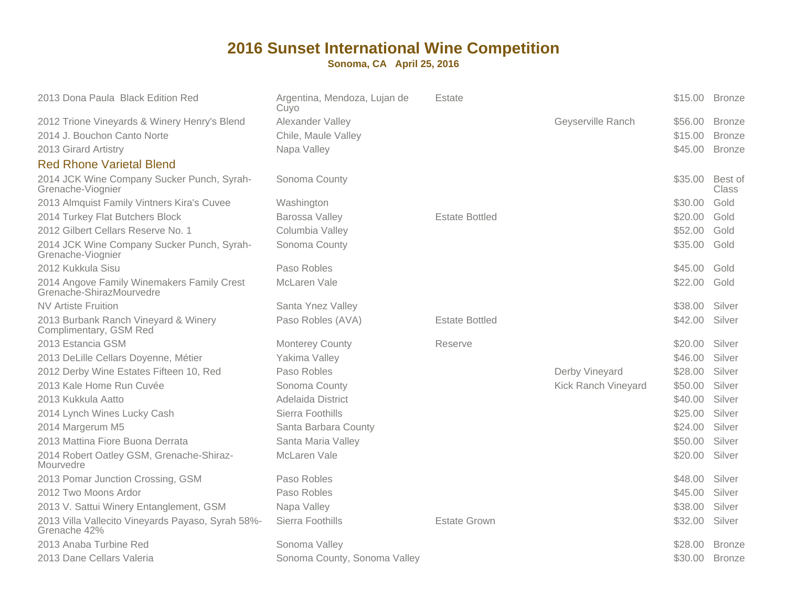| 2013 Dona Paula Black Edition Red                                      | Argentina, Mendoza, Lujan de<br>Cuyo | Estate                |                     | \$15.00 Bronze |                  |
|------------------------------------------------------------------------|--------------------------------------|-----------------------|---------------------|----------------|------------------|
| 2012 Trione Vineyards & Winery Henry's Blend                           | Alexander Valley                     |                       | Geyserville Ranch   | \$56.00        | <b>Bronze</b>    |
| 2014 J. Bouchon Canto Norte                                            | Chile, Maule Valley                  |                       |                     | \$15.00        | <b>Bronze</b>    |
| 2013 Girard Artistry                                                   | Napa Valley                          |                       |                     | \$45.00        | <b>Bronze</b>    |
| <b>Red Rhone Varietal Blend</b>                                        |                                      |                       |                     |                |                  |
| 2014 JCK Wine Company Sucker Punch, Syrah-<br>Grenache-Viognier        | Sonoma County                        |                       |                     | \$35.00        | Best of<br>Class |
| 2013 Almquist Family Vintners Kira's Cuvee                             | Washington                           |                       |                     | \$30.00        | Gold             |
| 2014 Turkey Flat Butchers Block                                        | Barossa Valley                       | <b>Estate Bottled</b> |                     | \$20.00        | Gold             |
| 2012 Gilbert Cellars Reserve No. 1                                     | Columbia Valley                      |                       |                     | \$52.00        | Gold             |
| 2014 JCK Wine Company Sucker Punch, Syrah-<br>Grenache-Viognier        | Sonoma County                        |                       |                     | \$35.00        | Gold             |
| 2012 Kukkula Sisu                                                      | Paso Robles                          |                       |                     | \$45.00        | Gold             |
| 2014 Angove Family Winemakers Family Crest<br>Grenache-ShirazMourvedre | McLaren Vale                         |                       |                     | \$22.00        | Gold             |
| <b>NV Artiste Fruition</b>                                             | Santa Ynez Valley                    |                       |                     | \$38.00        | Silver           |
| 2013 Burbank Ranch Vineyard & Winery<br>Complimentary, GSM Red         | Paso Robles (AVA)                    | <b>Estate Bottled</b> |                     | \$42.00        | Silver           |
| 2013 Estancia GSM                                                      | <b>Monterey County</b>               | Reserve               |                     | \$20.00        | Silver           |
| 2013 DeLille Cellars Doyenne, Métier                                   | Yakima Valley                        |                       |                     | \$46.00        | Silver           |
| 2012 Derby Wine Estates Fifteen 10, Red                                | Paso Robles                          |                       | Derby Vineyard      | \$28.00        | Silver           |
| 2013 Kale Home Run Cuvée                                               | Sonoma County                        |                       | Kick Ranch Vineyard | \$50.00        | Silver           |
| 2013 Kukkula Aatto                                                     | Adelaida District                    |                       |                     | \$40.00        | Silver           |
| 2014 Lynch Wines Lucky Cash                                            | Sierra Foothills                     |                       |                     | \$25.00        | Silver           |
| 2014 Margerum M5                                                       | Santa Barbara County                 |                       |                     | \$24.00        | Silver           |
| 2013 Mattina Fiore Buona Derrata                                       | Santa Maria Valley                   |                       |                     | \$50.00        | Silver           |
| 2014 Robert Oatley GSM, Grenache-Shiraz-<br>Mourvedre                  | McLaren Vale                         |                       |                     | \$20.00        | Silver           |
| 2013 Pomar Junction Crossing, GSM                                      | Paso Robles                          |                       |                     | \$48.00        | Silver           |
| 2012 Two Moons Ardor                                                   | Paso Robles                          |                       |                     | \$45.00        | Silver           |
| 2013 V. Sattui Winery Entanglement, GSM                                | Napa Valley                          |                       |                     | \$38.00        | Silver           |
| 2013 Villa Vallecito Vineyards Payaso, Syrah 58%-<br>Grenache 42%      | Sierra Foothills                     | <b>Estate Grown</b>   |                     | \$32.00        | Silver           |
| 2013 Anaba Turbine Red                                                 | Sonoma Valley                        |                       |                     | \$28.00        | <b>Bronze</b>    |
| 2013 Dane Cellars Valeria                                              | Sonoma County, Sonoma Valley         |                       |                     | \$30.00        | <b>Bronze</b>    |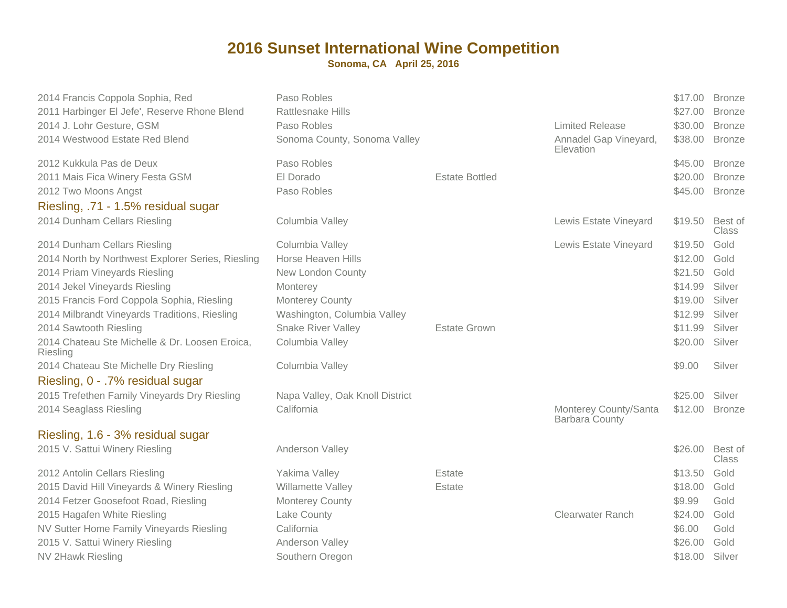| 2014 Francis Coppola Sophia, Red                                          | Paso Robles<br><b>Rattlesnake Hills</b> |                       |                                                | \$17.00<br>\$27.00 | <b>Bronze</b>                  |
|---------------------------------------------------------------------------|-----------------------------------------|-----------------------|------------------------------------------------|--------------------|--------------------------------|
| 2011 Harbinger El Jefe', Reserve Rhone Blend<br>2014 J. Lohr Gesture, GSM | Paso Robles                             |                       | <b>Limited Release</b>                         | \$30.00            | <b>Bronze</b><br><b>Bronze</b> |
| 2014 Westwood Estate Red Blend                                            | Sonoma County, Sonoma Valley            |                       | Annadel Gap Vineyard,<br>Elevation             | \$38.00            | <b>Bronze</b>                  |
| 2012 Kukkula Pas de Deux                                                  | Paso Robles                             |                       |                                                | \$45.00            | <b>Bronze</b>                  |
| 2011 Mais Fica Winery Festa GSM                                           | El Dorado                               | <b>Estate Bottled</b> |                                                | \$20.00            | <b>Bronze</b>                  |
| 2012 Two Moons Angst                                                      | Paso Robles                             |                       |                                                | \$45.00            | <b>Bronze</b>                  |
| Riesling, .71 - 1.5% residual sugar                                       |                                         |                       |                                                |                    |                                |
| 2014 Dunham Cellars Riesling                                              | Columbia Valley                         |                       | Lewis Estate Vineyard                          | \$19.50            | Best of<br>Class               |
| 2014 Dunham Cellars Riesling                                              | Columbia Valley                         |                       | Lewis Estate Vineyard                          | \$19.50            | Gold                           |
| 2014 North by Northwest Explorer Series, Riesling                         | Horse Heaven Hills                      |                       |                                                | \$12.00            | Gold                           |
| 2014 Priam Vineyards Riesling                                             | New London County                       |                       |                                                | \$21.50            | Gold                           |
| 2014 Jekel Vineyards Riesling                                             | Monterey                                |                       |                                                | \$14.99            | Silver                         |
| 2015 Francis Ford Coppola Sophia, Riesling                                | <b>Monterey County</b>                  |                       |                                                | \$19.00            | Silver                         |
| 2014 Milbrandt Vineyards Traditions, Riesling                             | Washington, Columbia Valley             |                       |                                                | \$12.99            | Silver                         |
| 2014 Sawtooth Riesling                                                    | <b>Snake River Valley</b>               | <b>Estate Grown</b>   |                                                | \$11.99            | Silver                         |
| 2014 Chateau Ste Michelle & Dr. Loosen Eroica,<br>Riesling                | Columbia Valley                         |                       |                                                | \$20.00            | Silver                         |
| 2014 Chateau Ste Michelle Dry Riesling                                    | Columbia Valley                         |                       |                                                | \$9.00             | Silver                         |
| Riesling, 0 - .7% residual sugar                                          |                                         |                       |                                                |                    |                                |
| 2015 Trefethen Family Vineyards Dry Riesling                              | Napa Valley, Oak Knoll District         |                       |                                                | \$25.00            | Silver                         |
| 2014 Seaglass Riesling                                                    | California                              |                       | Monterey County/Santa<br><b>Barbara County</b> | \$12.00            | <b>Bronze</b>                  |
| Riesling, 1.6 - 3% residual sugar                                         |                                         |                       |                                                |                    |                                |
| 2015 V. Sattui Winery Riesling                                            | Anderson Valley                         |                       |                                                | \$26.00            | Best of<br><b>Class</b>        |
| 2012 Antolin Cellars Riesling                                             | Yakima Valley                           | Estate                |                                                | \$13.50            | Gold                           |
| 2015 David Hill Vineyards & Winery Riesling                               | Willamette Valley                       | Estate                |                                                | \$18.00            | Gold                           |
| 2014 Fetzer Goosefoot Road, Riesling                                      | <b>Monterey County</b>                  |                       |                                                | \$9.99             | Gold                           |
| 2015 Hagafen White Riesling                                               | Lake County                             |                       | <b>Clearwater Ranch</b>                        | \$24.00            | Gold                           |
| NV Sutter Home Family Vineyards Riesling                                  | California                              |                       |                                                | \$6.00             | Gold                           |
| 2015 V. Sattui Winery Riesling                                            | Anderson Valley                         |                       |                                                | \$26.00            | Gold                           |
| <b>NV 2Hawk Riesling</b>                                                  | Southern Oregon                         |                       |                                                | \$18.00 Silver     |                                |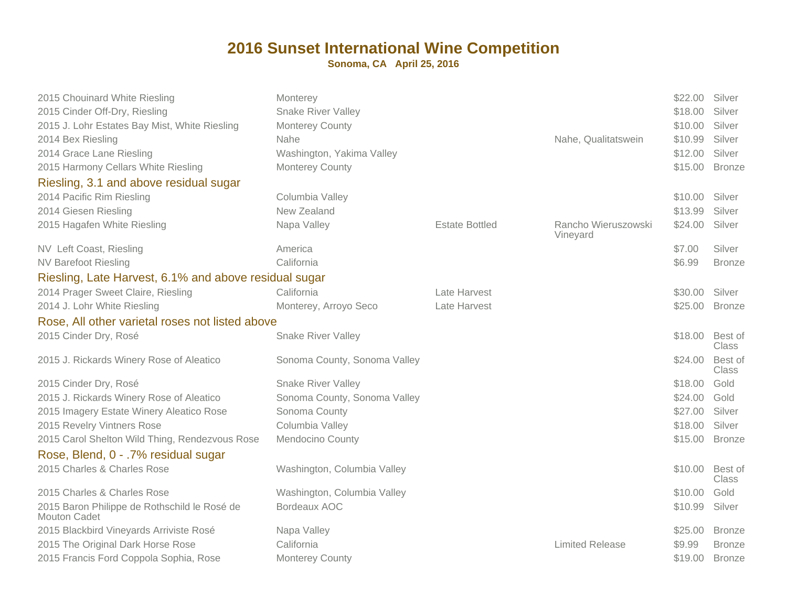| 2015 Chouinard White Riesling<br>2015 Cinder Off-Dry, Riesling<br>2015 J. Lohr Estates Bay Mist, White Riesling<br>2014 Bex Riesling<br>2014 Grace Lane Riesling<br>2015 Harmony Cellars White Riesling<br>Riesling, 3.1 and above residual sugar<br>2014 Pacific Rim Riesling<br>2014 Giesen Riesling | Monterey<br><b>Snake River Valley</b><br><b>Monterey County</b><br>Nahe<br>Washington, Yakima Valley<br><b>Monterey County</b><br>Columbia Valley<br>New Zealand |                       | Nahe, Qualitatswein             | \$22.00 Silver<br>\$18.00<br>\$10.00<br>\$10.99<br>\$12.00<br>\$15.00<br>\$10.00<br>\$13.99 | Silver<br>Silver<br>Silver<br>Silver<br><b>Bronze</b><br>Silver<br>Silver |
|--------------------------------------------------------------------------------------------------------------------------------------------------------------------------------------------------------------------------------------------------------------------------------------------------------|------------------------------------------------------------------------------------------------------------------------------------------------------------------|-----------------------|---------------------------------|---------------------------------------------------------------------------------------------|---------------------------------------------------------------------------|
| 2015 Hagafen White Riesling                                                                                                                                                                                                                                                                            | Napa Valley                                                                                                                                                      | <b>Estate Bottled</b> | Rancho Wieruszowski<br>Vineyard | \$24.00                                                                                     | Silver                                                                    |
| NV Left Coast, Riesling<br><b>NV Barefoot Riesling</b><br>Riesling, Late Harvest, 6.1% and above residual sugar                                                                                                                                                                                        | America<br>California                                                                                                                                            |                       |                                 | \$7.00<br>\$6.99                                                                            | Silver<br><b>Bronze</b>                                                   |
| 2014 Prager Sweet Claire, Riesling                                                                                                                                                                                                                                                                     | California                                                                                                                                                       | Late Harvest          |                                 | \$30.00                                                                                     | Silver                                                                    |
| 2014 J. Lohr White Riesling                                                                                                                                                                                                                                                                            | Monterey, Arroyo Seco                                                                                                                                            | Late Harvest          |                                 | \$25.00                                                                                     | <b>Bronze</b>                                                             |
| Rose, All other varietal roses not listed above                                                                                                                                                                                                                                                        |                                                                                                                                                                  |                       |                                 |                                                                                             |                                                                           |
| 2015 Cinder Dry, Rosé                                                                                                                                                                                                                                                                                  | <b>Snake River Valley</b>                                                                                                                                        |                       |                                 | \$18.00                                                                                     | Best of<br><b>Class</b>                                                   |
| 2015 J. Rickards Winery Rose of Aleatico                                                                                                                                                                                                                                                               | Sonoma County, Sonoma Valley                                                                                                                                     |                       |                                 | \$24.00                                                                                     | Best of<br><b>Class</b>                                                   |
| 2015 Cinder Dry, Rosé                                                                                                                                                                                                                                                                                  | <b>Snake River Valley</b>                                                                                                                                        |                       |                                 | \$18.00                                                                                     | Gold                                                                      |
| 2015 J. Rickards Winery Rose of Aleatico                                                                                                                                                                                                                                                               | Sonoma County, Sonoma Valley                                                                                                                                     |                       |                                 | \$24.00                                                                                     | Gold                                                                      |
| 2015 Imagery Estate Winery Aleatico Rose                                                                                                                                                                                                                                                               | Sonoma County                                                                                                                                                    |                       |                                 | \$27.00                                                                                     | Silver                                                                    |
| 2015 Revelry Vintners Rose                                                                                                                                                                                                                                                                             | Columbia Valley                                                                                                                                                  |                       |                                 | \$18.00                                                                                     | Silver                                                                    |
| 2015 Carol Shelton Wild Thing, Rendezvous Rose                                                                                                                                                                                                                                                         | Mendocino County                                                                                                                                                 |                       |                                 | \$15.00                                                                                     | <b>Bronze</b>                                                             |
| Rose, Blend, 0 - .7% residual sugar                                                                                                                                                                                                                                                                    |                                                                                                                                                                  |                       |                                 |                                                                                             |                                                                           |
| 2015 Charles & Charles Rose                                                                                                                                                                                                                                                                            | Washington, Columbia Valley                                                                                                                                      |                       |                                 | \$10.00                                                                                     | Best of<br><b>Class</b>                                                   |
| 2015 Charles & Charles Rose                                                                                                                                                                                                                                                                            | Washington, Columbia Valley                                                                                                                                      |                       |                                 | \$10.00                                                                                     | Gold                                                                      |
| 2015 Baron Philippe de Rothschild le Rosé de<br><b>Mouton Cadet</b>                                                                                                                                                                                                                                    | Bordeaux AOC                                                                                                                                                     |                       |                                 | \$10.99                                                                                     | Silver                                                                    |
| 2015 Blackbird Vineyards Arriviste Rosé                                                                                                                                                                                                                                                                | Napa Valley                                                                                                                                                      |                       |                                 | \$25.00                                                                                     | <b>Bronze</b>                                                             |
| 2015 The Original Dark Horse Rose                                                                                                                                                                                                                                                                      | California                                                                                                                                                       |                       | <b>Limited Release</b>          | \$9.99                                                                                      | <b>Bronze</b>                                                             |
| 2015 Francis Ford Coppola Sophia, Rose                                                                                                                                                                                                                                                                 | <b>Monterey County</b>                                                                                                                                           |                       |                                 | \$19.00                                                                                     | <b>Bronze</b>                                                             |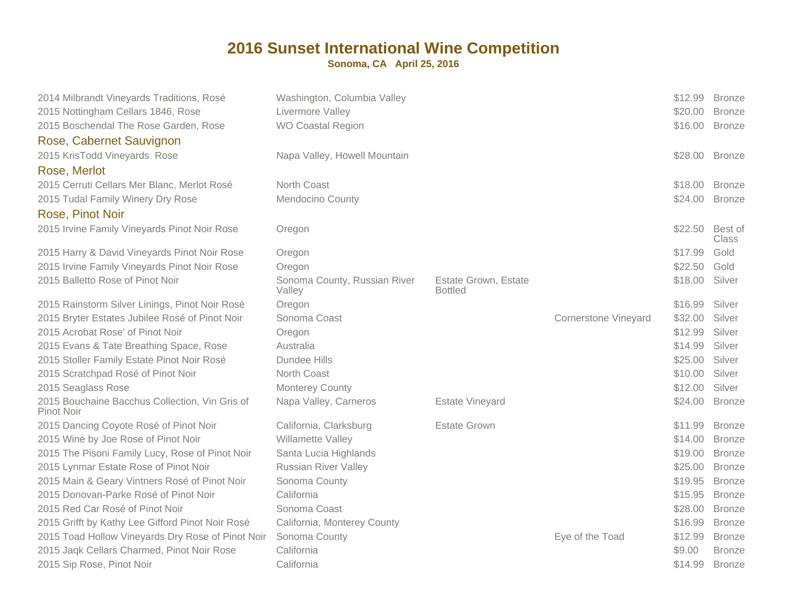| 2014 Milbrandt Vineyards Traditions, Rosé<br>2015 Nottingham Cellars 1846, Rose | Washington, Columbia Valley<br>Livermore Valley |                                        |                             | \$12.99<br>\$20.00 | <b>Bronze</b><br><b>Bronze</b> |
|---------------------------------------------------------------------------------|-------------------------------------------------|----------------------------------------|-----------------------------|--------------------|--------------------------------|
| 2015 Boschendal The Rose Garden, Rose                                           | <b>WO Coastal Region</b>                        |                                        |                             | \$16.00            | <b>Bronze</b>                  |
| Rose, Cabernet Sauvignon                                                        |                                                 |                                        |                             |                    |                                |
| 2015 KrisTodd Vineyards Rose                                                    | Napa Valley, Howell Mountain                    |                                        |                             | \$28.00            | <b>Bronze</b>                  |
|                                                                                 |                                                 |                                        |                             |                    |                                |
| Rose, Merlot                                                                    |                                                 |                                        |                             |                    |                                |
| 2015 Cerruti Cellars Mer Blanc, Merlot Rosé                                     | North Coast                                     |                                        |                             | \$18.00            | <b>Bronze</b>                  |
| 2015 Tudal Family Winery Dry Rose                                               | Mendocino County                                |                                        |                             | \$24.00            | <b>Bronze</b>                  |
| Rose, Pinot Noir                                                                |                                                 |                                        |                             |                    |                                |
| 2015 Irvine Family Vineyards Pinot Noir Rose                                    | Oregon                                          |                                        |                             | \$22.50            | Best of<br>Class               |
| 2015 Harry & David Vineyards Pinot Noir Rose                                    | Oregon                                          |                                        |                             | \$17.99            | Gold                           |
| 2015 Irvine Family Vineyards Pinot Noir Rose                                    | Oregon                                          |                                        |                             | \$22.50            | Gold                           |
| 2015 Balletto Rose of Pinot Noir                                                | Sonoma County, Russian River<br>Valley          | Estate Grown, Estate<br><b>Bottled</b> |                             | \$18.00            | Silver                         |
| 2015 Rainstorm Silver Linings, Pinot Noir Rosé                                  | Oregon                                          |                                        |                             | \$16.99            | Silver                         |
| 2015 Bryter Estates Jubilee Rosé of Pinot Noir                                  | Sonoma Coast                                    |                                        | <b>Cornerstone Vineyard</b> | \$32.00            | Silver                         |
| 2015 Acrobat Rose' of Pinot Noir                                                | Oregon                                          |                                        |                             | \$12.99            | Silver                         |
| 2015 Evans & Tate Breathing Space, Rose                                         | Australia                                       |                                        |                             | \$14.99            | Silver                         |
| 2015 Stoller Family Estate Pinot Noir Rosé                                      | Dundee Hills                                    |                                        |                             | \$25.00            | Silver                         |
| 2015 Scratchpad Rosé of Pinot Noir                                              | North Coast                                     |                                        |                             | \$10.00            | Silver                         |
| 2015 Seaglass Rose                                                              | Monterey County                                 |                                        |                             | \$12.00            | Silver                         |
| 2015 Bouchaine Bacchus Collection, Vin Gris of<br>Pinot Noir                    | Napa Valley, Carneros                           | <b>Estate Vineyard</b>                 |                             | \$24.00            | <b>Bronze</b>                  |
| 2015 Dancing Coyote Rosé of Pinot Noir                                          | California, Clarksburg                          | <b>Estate Grown</b>                    |                             | \$11.99            | <b>Bronze</b>                  |
| 2015 Wine by Joe Rose of Pinot Noir                                             | Willamette Valley                               |                                        |                             | \$14.00            | <b>Bronze</b>                  |
| 2015 The Pisoni Family Lucy, Rose of Pinot Noir                                 | Santa Lucia Highlands                           |                                        |                             | \$19.00            | <b>Bronze</b>                  |
| 2015 Lynmar Estate Rose of Pinot Noir                                           | <b>Russian River Valley</b>                     |                                        |                             | \$25.00            | <b>Bronze</b>                  |
| 2015 Main & Geary Vintners Rosé of Pinot Noir                                   | Sonoma County                                   |                                        |                             | \$19.95            | <b>Bronze</b>                  |
| 2015 Donovan-Parke Rosé of Pinot Noir                                           | California                                      |                                        |                             | \$15.95            | <b>Bronze</b>                  |
| 2015 Red Car Rosé of Pinot Noir                                                 | Sonoma Coast                                    |                                        |                             | \$28.00            | <b>Bronze</b>                  |
| 2015 Grifft by Kathy Lee Gifford Pinot Noir Rosé                                | California, Monterey County                     |                                        |                             | \$16.99            | <b>Bronze</b>                  |
| 2015 Toad Hollow Vineyards Dry Rose of Pinot Noir                               | Sonoma County                                   |                                        | Eye of the Toad             | \$12.99            | <b>Bronze</b>                  |
| 2015 Jaqk Cellars Charmed, Pinot Noir Rose                                      | California                                      |                                        |                             | \$9.00             | <b>Bronze</b>                  |
| 2015 Sip Rose, Pinot Noir                                                       | California                                      |                                        |                             | \$14.99            | <b>Bronze</b>                  |
|                                                                                 |                                                 |                                        |                             |                    |                                |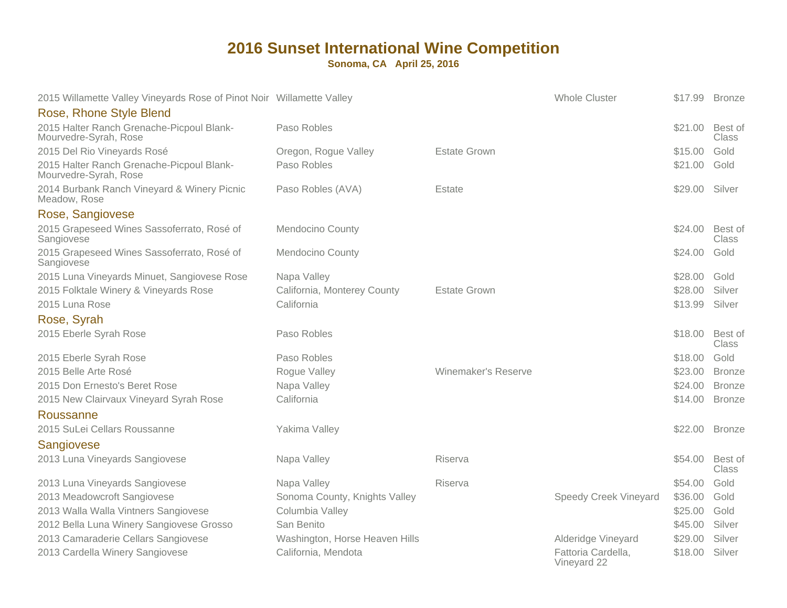| 2015 Willamette Valley Vineyards Rose of Pinot Noir Willamette Valley |                                |                     | <b>Whole Cluster</b>              |         | \$17.99 Bronze          |
|-----------------------------------------------------------------------|--------------------------------|---------------------|-----------------------------------|---------|-------------------------|
| Rose, Rhone Style Blend                                               |                                |                     |                                   |         |                         |
| 2015 Halter Ranch Grenache-Picpoul Blank-<br>Mourvedre-Syrah, Rose    | Paso Robles                    |                     |                                   | \$21.00 | Best of<br><b>Class</b> |
| 2015 Del Rio Vineyards Rosé                                           | Oregon, Rogue Valley           | <b>Estate Grown</b> |                                   | \$15.00 | Gold                    |
| 2015 Halter Ranch Grenache-Picpoul Blank-<br>Mourvedre-Syrah, Rose    | Paso Robles                    |                     |                                   | \$21.00 | Gold                    |
| 2014 Burbank Ranch Vineyard & Winery Picnic<br>Meadow, Rose           | Paso Robles (AVA)              | Estate              |                                   | \$29.00 | Silver                  |
| Rose, Sangiovese                                                      |                                |                     |                                   |         |                         |
| 2015 Grapeseed Wines Sassoferrato, Rosé of<br>Sangiovese              | <b>Mendocino County</b>        |                     |                                   | \$24.00 | Best of<br><b>Class</b> |
| 2015 Grapeseed Wines Sassoferrato, Rosé of<br>Sangiovese              | <b>Mendocino County</b>        |                     |                                   | \$24.00 | Gold                    |
| 2015 Luna Vineyards Minuet, Sangiovese Rose                           | Napa Valley                    |                     |                                   | \$28.00 | Gold                    |
| 2015 Folktale Winery & Vineyards Rose                                 | California, Monterey County    | <b>Estate Grown</b> |                                   | \$28.00 | Silver                  |
| 2015 Luna Rose                                                        | California                     |                     |                                   | \$13.99 | Silver                  |
| Rose, Syrah                                                           |                                |                     |                                   |         |                         |
| 2015 Eberle Syrah Rose                                                | Paso Robles                    |                     |                                   | \$18.00 | Best of<br><b>Class</b> |
| 2015 Eberle Syrah Rose                                                | Paso Robles                    |                     |                                   | \$18.00 | Gold                    |
| 2015 Belle Arte Rosé                                                  | Rogue Valley                   | Winemaker's Reserve |                                   | \$23.00 | <b>Bronze</b>           |
| 2015 Don Ernesto's Beret Rose                                         | Napa Valley                    |                     |                                   | \$24.00 | <b>Bronze</b>           |
| 2015 New Clairvaux Vineyard Syrah Rose                                | California                     |                     |                                   | \$14.00 | <b>Bronze</b>           |
| Roussanne                                                             |                                |                     |                                   |         |                         |
| 2015 SuLei Cellars Roussanne<br>Sangiovese                            | Yakima Valley                  |                     |                                   |         | \$22.00 Bronze          |
| 2013 Luna Vineyards Sangiovese                                        | Napa Valley                    | Riserva             |                                   | \$54.00 | Best of<br><b>Class</b> |
| 2013 Luna Vineyards Sangiovese                                        | Napa Valley                    | <b>Riserva</b>      |                                   | \$54.00 | Gold                    |
| 2013 Meadowcroft Sangiovese                                           | Sonoma County, Knights Valley  |                     | <b>Speedy Creek Vineyard</b>      | \$36.00 | Gold                    |
| 2013 Walla Walla Vintners Sangiovese                                  | Columbia Valley                |                     |                                   | \$25.00 | Gold                    |
| 2012 Bella Luna Winery Sangiovese Grosso                              | San Benito                     |                     |                                   | \$45.00 | Silver                  |
| 2013 Camaraderie Cellars Sangiovese                                   | Washington, Horse Heaven Hills |                     | Alderidge Vineyard                | \$29.00 | Silver                  |
| 2013 Cardella Winery Sangiovese                                       | California, Mendota            |                     | Fattoria Cardella,<br>Vineyard 22 | \$18.00 | Silver                  |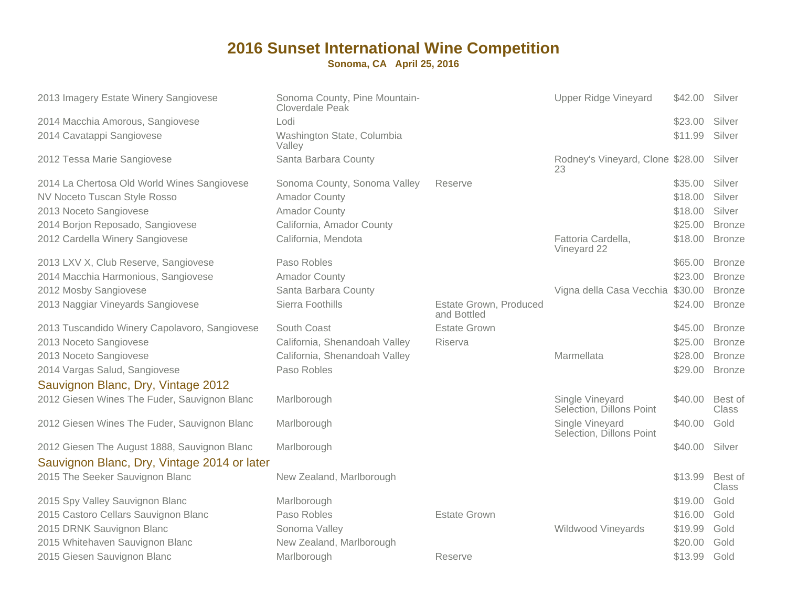| 2013 Imagery Estate Winery Sangiovese                                                       | Sonoma County, Pine Mountain-<br>Cloverdale Peak |                                       | <b>Upper Ridge Vineyard</b>                   | \$42.00 | Silver                  |
|---------------------------------------------------------------------------------------------|--------------------------------------------------|---------------------------------------|-----------------------------------------------|---------|-------------------------|
| 2014 Macchia Amorous, Sangiovese                                                            | Lodi                                             |                                       |                                               | \$23.00 | Silver                  |
| 2014 Cavatappi Sangiovese                                                                   | Washington State, Columbia<br>Valley             |                                       |                                               | \$11.99 | Silver                  |
| 2012 Tessa Marie Sangiovese                                                                 | Santa Barbara County                             |                                       | Rodney's Vineyard, Clone \$28.00 Silver<br>23 |         |                         |
| 2014 La Chertosa Old World Wines Sangiovese                                                 | Sonoma County, Sonoma Valley                     | Reserve                               |                                               | \$35.00 | Silver                  |
| NV Noceto Tuscan Style Rosso                                                                | <b>Amador County</b>                             |                                       |                                               | \$18.00 | Silver                  |
| 2013 Noceto Sangiovese                                                                      | <b>Amador County</b>                             |                                       |                                               | \$18.00 | Silver                  |
| 2014 Borjon Reposado, Sangiovese                                                            | California, Amador County                        |                                       |                                               | \$25.00 | <b>Bronze</b>           |
| 2012 Cardella Winery Sangiovese                                                             | California, Mendota                              |                                       | Fattoria Cardella,<br>Vineyard 22             | \$18.00 | <b>Bronze</b>           |
| 2013 LXV X, Club Reserve, Sangiovese                                                        | Paso Robles                                      |                                       |                                               | \$65.00 | <b>Bronze</b>           |
| 2014 Macchia Harmonious, Sangiovese                                                         | <b>Amador County</b>                             |                                       |                                               | \$23.00 | <b>Bronze</b>           |
| 2012 Mosby Sangiovese                                                                       | Santa Barbara County                             |                                       | Vigna della Casa Vecchia \$30.00              |         | <b>Bronze</b>           |
| 2013 Naggiar Vineyards Sangiovese                                                           | Sierra Foothills                                 | Estate Grown, Produced<br>and Bottled |                                               | \$24.00 | <b>Bronze</b>           |
| 2013 Tuscandido Winery Capolavoro, Sangiovese                                               | South Coast                                      | <b>Estate Grown</b>                   |                                               | \$45.00 | <b>Bronze</b>           |
| 2013 Noceto Sangiovese                                                                      | California, Shenandoah Valley                    | Riserva                               |                                               | \$25.00 | <b>Bronze</b>           |
| 2013 Noceto Sangiovese                                                                      | California, Shenandoah Valley                    |                                       | Marmellata                                    | \$28.00 | <b>Bronze</b>           |
| 2014 Vargas Salud, Sangiovese                                                               | Paso Robles                                      |                                       |                                               | \$29.00 | <b>Bronze</b>           |
| Sauvignon Blanc, Dry, Vintage 2012                                                          |                                                  |                                       |                                               |         |                         |
| 2012 Giesen Wines The Fuder, Sauvignon Blanc                                                | Marlborough                                      |                                       | Single Vineyard<br>Selection, Dillons Point   | \$40.00 | Best of<br>Class        |
| 2012 Giesen Wines The Fuder, Sauvignon Blanc                                                | Marlborough                                      |                                       | Single Vineyard<br>Selection, Dillons Point   | \$40.00 | Gold                    |
| 2012 Giesen The August 1888, Sauvignon Blanc<br>Sauvignon Blanc, Dry, Vintage 2014 or later | Marlborough                                      |                                       |                                               | \$40.00 | Silver                  |
| 2015 The Seeker Sauvignon Blanc                                                             | New Zealand, Marlborough                         |                                       |                                               | \$13.99 | Best of<br><b>Class</b> |
| 2015 Spy Valley Sauvignon Blanc                                                             | Marlborough                                      |                                       |                                               | \$19.00 | Gold                    |
| 2015 Castoro Cellars Sauvignon Blanc                                                        | Paso Robles                                      | <b>Estate Grown</b>                   |                                               | \$16.00 | Gold                    |
| 2015 DRNK Sauvignon Blanc                                                                   | Sonoma Valley                                    |                                       | <b>Wildwood Vineyards</b>                     | \$19.99 | Gold                    |
| 2015 Whitehaven Sauvignon Blanc                                                             | New Zealand, Marlborough                         |                                       |                                               | \$20.00 | Gold                    |
| 2015 Giesen Sauvignon Blanc                                                                 | Marlborough                                      | Reserve                               |                                               | \$13.99 | Gold                    |
|                                                                                             |                                                  |                                       |                                               |         |                         |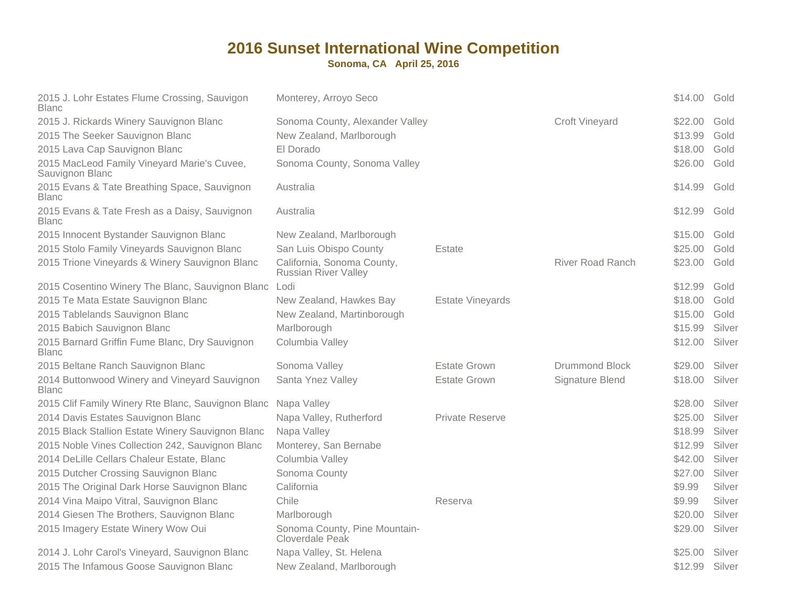| 2015 J. Lohr Estates Flume Crossing, Sauvigon<br><b>Blanc</b>  | Monterey, Arroyo Seco                                     |                        |                         | \$14.00 | Gold   |
|----------------------------------------------------------------|-----------------------------------------------------------|------------------------|-------------------------|---------|--------|
| 2015 J. Rickards Winery Sauvignon Blanc                        | Sonoma County, Alexander Valley                           |                        | <b>Croft Vineyard</b>   | \$22.00 | Gold   |
| 2015 The Seeker Sauvignon Blanc                                | New Zealand, Marlborough                                  |                        |                         | \$13.99 | Gold   |
| 2015 Lava Cap Sauvignon Blanc                                  | El Dorado                                                 |                        |                         | \$18.00 | Gold   |
| 2015 MacLeod Family Vineyard Marie's Cuvee,<br>Sauvignon Blanc | Sonoma County, Sonoma Valley                              |                        |                         | \$26.00 | Gold   |
| 2015 Evans & Tate Breathing Space, Sauvignon<br><b>Blanc</b>   | Australia                                                 |                        |                         | \$14.99 | Gold   |
| 2015 Evans & Tate Fresh as a Daisy, Sauvignon<br><b>Blanc</b>  | Australia                                                 |                        |                         | \$12.99 | Gold   |
| 2015 Innocent Bystander Sauvignon Blanc                        | New Zealand, Marlborough                                  |                        |                         | \$15.00 | Gold   |
| 2015 Stolo Family Vineyards Sauvignon Blanc                    | San Luis Obispo County                                    | Estate                 |                         | \$25.00 | Gold   |
| 2015 Trione Vineyards & Winery Sauvignon Blanc                 | California, Sonoma County,<br><b>Russian River Valley</b> |                        | <b>River Road Ranch</b> | \$23.00 | Gold   |
| 2015 Cosentino Winery The Blanc, Sauvignon Blanc               | Lodi                                                      |                        |                         | \$12.99 | Gold   |
| 2015 Te Mata Estate Sauvignon Blanc                            | New Zealand, Hawkes Bay                                   | Estate Vineyards       |                         | \$18.00 | Gold   |
| 2015 Tablelands Sauvignon Blanc                                | New Zealand, Martinborough                                |                        |                         | \$15.00 | Gold   |
| 2015 Babich Sauvignon Blanc                                    | Marlborough                                               |                        |                         | \$15.99 | Silver |
| 2015 Barnard Griffin Fume Blanc, Dry Sauvignon<br><b>Blanc</b> | Columbia Valley                                           |                        |                         | \$12.00 | Silver |
| 2015 Beltane Ranch Sauvignon Blanc                             | Sonoma Valley                                             | <b>Estate Grown</b>    | <b>Drummond Block</b>   | \$29.00 | Silver |
| 2014 Buttonwood Winery and Vineyard Sauvignon<br><b>Blanc</b>  | Santa Ynez Valley                                         | <b>Estate Grown</b>    | Signature Blend         | \$18.00 | Silver |
| 2015 Clif Family Winery Rte Blanc, Sauvignon Blanc             | Napa Valley                                               |                        |                         | \$28.00 | Silver |
| 2014 Davis Estates Sauvignon Blanc                             | Napa Valley, Rutherford                                   | <b>Private Reserve</b> |                         | \$25.00 | Silver |
| 2015 Black Stallion Estate Winery Sauvignon Blanc              | Napa Valley                                               |                        |                         | \$18.99 | Silver |
| 2015 Noble Vines Collection 242, Sauvignon Blanc               | Monterey, San Bernabe                                     |                        |                         | \$12.99 | Silver |
| 2014 DeLille Cellars Chaleur Estate, Blanc                     | Columbia Valley                                           |                        |                         | \$42.00 | Silver |
| 2015 Dutcher Crossing Sauvignon Blanc                          | Sonoma County                                             |                        |                         | \$27.00 | Silver |
| 2015 The Original Dark Horse Sauvignon Blanc                   | California                                                |                        |                         | \$9.99  | Silver |
| 2014 Vina Maipo Vitral, Sauvignon Blanc                        | Chile                                                     | Reserva                |                         | \$9.99  | Silver |
| 2014 Giesen The Brothers, Sauvignon Blanc                      | Marlborough                                               |                        |                         | \$20.00 | Silver |
| 2015 Imagery Estate Winery Wow Oui                             | Sonoma County, Pine Mountain-<br>Cloverdale Peak          |                        |                         | \$29.00 | Silver |
| 2014 J. Lohr Carol's Vineyard, Sauvignon Blanc                 | Napa Valley, St. Helena                                   |                        |                         | \$25.00 | Silver |
| 2015 The Infamous Goose Sauvignon Blanc                        | New Zealand, Marlborough                                  |                        |                         | \$12.99 | Silver |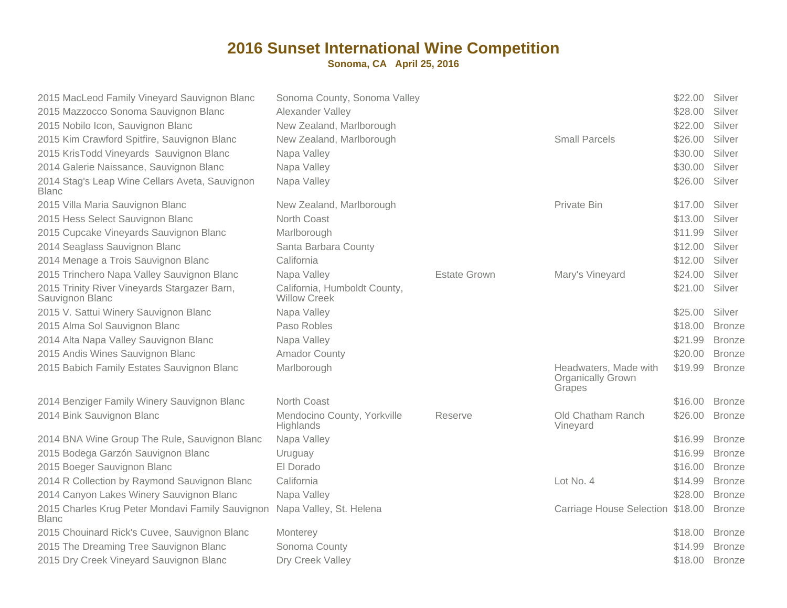| 2015 MacLeod Family Vineyard Sauvignon Blanc<br>2015 Mazzocco Sonoma Sauvignon Blanc<br>2015 Nobilo Icon, Sauvignon Blanc<br>2015 Kim Crawford Spitfire, Sauvignon Blanc<br>2015 KrisTodd Vineyards Sauvignon Blanc<br>2014 Galerie Naissance, Sauvignon Blanc<br>2014 Stag's Leap Wine Cellars Aveta, Sauvignon<br><b>Blanc</b> | Sonoma County, Sonoma Valley<br>Alexander Valley<br>New Zealand, Marlborough<br>New Zealand, Marlborough<br>Napa Valley<br>Napa Valley<br>Napa Valley |                     | <b>Small Parcels</b>                                        | \$22.00<br>\$28.00<br>\$22.00<br>\$26.00<br>\$30.00<br>\$30.00<br>\$26.00 | Silver<br>Silver<br>Silver<br>Silver<br>Silver<br>Silver<br>Silver |
|----------------------------------------------------------------------------------------------------------------------------------------------------------------------------------------------------------------------------------------------------------------------------------------------------------------------------------|-------------------------------------------------------------------------------------------------------------------------------------------------------|---------------------|-------------------------------------------------------------|---------------------------------------------------------------------------|--------------------------------------------------------------------|
| 2015 Villa Maria Sauvignon Blanc                                                                                                                                                                                                                                                                                                 | New Zealand, Marlborough                                                                                                                              |                     | Private Bin                                                 | \$17.00                                                                   | Silver                                                             |
| 2015 Hess Select Sauvignon Blanc                                                                                                                                                                                                                                                                                                 | North Coast                                                                                                                                           |                     |                                                             | \$13.00                                                                   | Silver                                                             |
| 2015 Cupcake Vineyards Sauvignon Blanc                                                                                                                                                                                                                                                                                           | Marlborough                                                                                                                                           |                     |                                                             | \$11.99                                                                   | Silver                                                             |
| 2014 Seaglass Sauvignon Blanc                                                                                                                                                                                                                                                                                                    | Santa Barbara County                                                                                                                                  |                     |                                                             | \$12.00                                                                   | Silver                                                             |
| 2014 Menage a Trois Sauvignon Blanc                                                                                                                                                                                                                                                                                              | California                                                                                                                                            |                     |                                                             | \$12.00                                                                   | Silver                                                             |
| 2015 Trinchero Napa Valley Sauvignon Blanc                                                                                                                                                                                                                                                                                       | Napa Valley                                                                                                                                           | <b>Estate Grown</b> | Mary's Vineyard                                             | \$24.00                                                                   | Silver                                                             |
| 2015 Trinity River Vineyards Stargazer Barn,<br>Sauvignon Blanc                                                                                                                                                                                                                                                                  | California, Humboldt County,<br><b>Willow Creek</b>                                                                                                   |                     |                                                             | \$21.00                                                                   | Silver                                                             |
| 2015 V. Sattui Winery Sauvignon Blanc                                                                                                                                                                                                                                                                                            | Napa Valley                                                                                                                                           |                     |                                                             | \$25.00                                                                   | Silver                                                             |
| 2015 Alma Sol Sauvignon Blanc                                                                                                                                                                                                                                                                                                    | Paso Robles                                                                                                                                           |                     |                                                             | \$18.00                                                                   | <b>Bronze</b>                                                      |
| 2014 Alta Napa Valley Sauvignon Blanc                                                                                                                                                                                                                                                                                            | Napa Valley                                                                                                                                           |                     |                                                             | \$21.99                                                                   | <b>Bronze</b>                                                      |
| 2015 Andis Wines Sauvignon Blanc                                                                                                                                                                                                                                                                                                 | <b>Amador County</b>                                                                                                                                  |                     |                                                             | \$20.00                                                                   | <b>Bronze</b>                                                      |
| 2015 Babich Family Estates Sauvignon Blanc                                                                                                                                                                                                                                                                                       | Marlborough                                                                                                                                           |                     | Headwaters, Made with<br><b>Organically Grown</b><br>Grapes | \$19.99                                                                   | <b>Bronze</b>                                                      |
| 2014 Benziger Family Winery Sauvignon Blanc                                                                                                                                                                                                                                                                                      | North Coast                                                                                                                                           |                     |                                                             | \$16.00                                                                   | <b>Bronze</b>                                                      |
| 2014 Bink Sauvignon Blanc                                                                                                                                                                                                                                                                                                        | Mendocino County, Yorkville<br>Highlands                                                                                                              | Reserve             | Old Chatham Ranch<br>Vineyard                               | \$26.00                                                                   | <b>Bronze</b>                                                      |
| 2014 BNA Wine Group The Rule, Sauvignon Blanc                                                                                                                                                                                                                                                                                    | Napa Valley                                                                                                                                           |                     |                                                             | \$16.99                                                                   | <b>Bronze</b>                                                      |
| 2015 Bodega Garzón Sauvignon Blanc                                                                                                                                                                                                                                                                                               | Uruguay                                                                                                                                               |                     |                                                             | \$16.99                                                                   | <b>Bronze</b>                                                      |
| 2015 Boeger Sauvignon Blanc                                                                                                                                                                                                                                                                                                      | El Dorado                                                                                                                                             |                     |                                                             | \$16.00                                                                   | <b>Bronze</b>                                                      |
| 2014 R Collection by Raymond Sauvignon Blanc                                                                                                                                                                                                                                                                                     | California                                                                                                                                            |                     | Lot No. 4                                                   | \$14.99                                                                   | <b>Bronze</b>                                                      |
| 2014 Canyon Lakes Winery Sauvignon Blanc                                                                                                                                                                                                                                                                                         | Napa Valley                                                                                                                                           |                     |                                                             | \$28.00                                                                   | <b>Bronze</b>                                                      |
| 2015 Charles Krug Peter Mondavi Family Sauvignon<br><b>Blanc</b>                                                                                                                                                                                                                                                                 | Napa Valley, St. Helena                                                                                                                               |                     | Carriage House Selection \$18.00                            |                                                                           | <b>Bronze</b>                                                      |
| 2015 Chouinard Rick's Cuvee, Sauvignon Blanc                                                                                                                                                                                                                                                                                     | Monterey                                                                                                                                              |                     |                                                             | \$18.00                                                                   | <b>Bronze</b>                                                      |
| 2015 The Dreaming Tree Sauvignon Blanc                                                                                                                                                                                                                                                                                           | Sonoma County                                                                                                                                         |                     |                                                             | \$14.99                                                                   | <b>Bronze</b>                                                      |
| 2015 Dry Creek Vineyard Sauvignon Blanc                                                                                                                                                                                                                                                                                          | Dry Creek Valley                                                                                                                                      |                     |                                                             | \$18.00                                                                   | <b>Bronze</b>                                                      |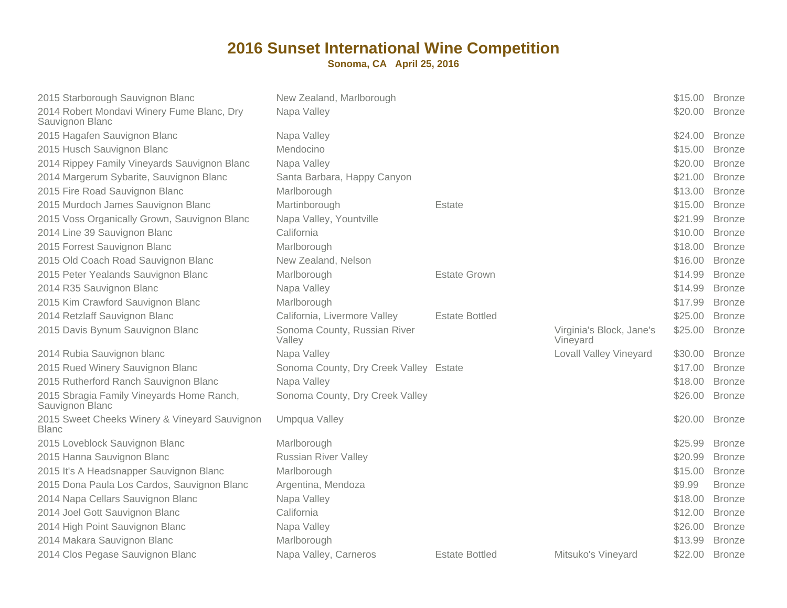| 2015 Starborough Sauvignon Blanc                              | New Zealand, Marlborough               |                       |                                      | \$15.00 | <b>Bronze</b> |
|---------------------------------------------------------------|----------------------------------------|-----------------------|--------------------------------------|---------|---------------|
| 2014 Robert Mondavi Winery Fume Blanc, Dry<br>Sauvignon Blanc | Napa Valley                            |                       |                                      | \$20.00 | <b>Bronze</b> |
| 2015 Hagafen Sauvignon Blanc                                  | Napa Valley                            |                       |                                      | \$24.00 | <b>Bronze</b> |
| 2015 Husch Sauvignon Blanc                                    | Mendocino                              |                       |                                      | \$15.00 | <b>Bronze</b> |
| 2014 Rippey Family Vineyards Sauvignon Blanc                  | Napa Valley                            |                       |                                      | \$20.00 | <b>Bronze</b> |
| 2014 Margerum Sybarite, Sauvignon Blanc                       | Santa Barbara, Happy Canyon            |                       |                                      | \$21.00 | <b>Bronze</b> |
| 2015 Fire Road Sauvignon Blanc                                | Marlborough                            |                       |                                      | \$13.00 | <b>Bronze</b> |
| 2015 Murdoch James Sauvignon Blanc                            | Martinborough                          | Estate                |                                      | \$15.00 | <b>Bronze</b> |
| 2015 Voss Organically Grown, Sauvignon Blanc                  | Napa Valley, Yountville                |                       |                                      | \$21.99 | <b>Bronze</b> |
| 2014 Line 39 Sauvignon Blanc                                  | California                             |                       |                                      | \$10.00 | <b>Bronze</b> |
| 2015 Forrest Sauvignon Blanc                                  | Marlborough                            |                       |                                      | \$18.00 | <b>Bronze</b> |
| 2015 Old Coach Road Sauvignon Blanc                           | New Zealand, Nelson                    |                       |                                      | \$16.00 | <b>Bronze</b> |
| 2015 Peter Yealands Sauvignon Blanc                           | Marlborough                            | <b>Estate Grown</b>   |                                      | \$14.99 | <b>Bronze</b> |
| 2014 R35 Sauvignon Blanc                                      | Napa Valley                            |                       |                                      | \$14.99 | <b>Bronze</b> |
| 2015 Kim Crawford Sauvignon Blanc                             | Marlborough                            |                       |                                      | \$17.99 | <b>Bronze</b> |
| 2014 Retzlaff Sauvignon Blanc                                 | California, Livermore Valley           | <b>Estate Bottled</b> |                                      | \$25.00 | <b>Bronze</b> |
| 2015 Davis Bynum Sauvignon Blanc                              | Sonoma County, Russian River<br>Valley |                       | Virginia's Block, Jane's<br>Vineyard | \$25.00 | <b>Bronze</b> |
| 2014 Rubia Sauvignon blanc                                    | Napa Valley                            |                       | <b>Lovall Valley Vineyard</b>        | \$30.00 | <b>Bronze</b> |
| 2015 Rued Winery Sauvignon Blanc                              | Sonoma County, Dry Creek Valley Estate |                       |                                      | \$17.00 | <b>Bronze</b> |
| 2015 Rutherford Ranch Sauvignon Blanc                         | Napa Valley                            |                       |                                      | \$18.00 | <b>Bronze</b> |
| 2015 Sbragia Family Vineyards Home Ranch,<br>Sauvignon Blanc  | Sonoma County, Dry Creek Valley        |                       |                                      | \$26.00 | <b>Bronze</b> |
| 2015 Sweet Cheeks Winery & Vineyard Sauvignon<br><b>Blanc</b> | Umpqua Valley                          |                       |                                      | \$20.00 | <b>Bronze</b> |
| 2015 Loveblock Sauvignon Blanc                                | Marlborough                            |                       |                                      | \$25.99 | <b>Bronze</b> |
| 2015 Hanna Sauvignon Blanc                                    | <b>Russian River Valley</b>            |                       |                                      | \$20.99 | <b>Bronze</b> |
| 2015 It's A Headsnapper Sauvignon Blanc                       | Marlborough                            |                       |                                      | \$15.00 | <b>Bronze</b> |
| 2015 Dona Paula Los Cardos, Sauvignon Blanc                   | Argentina, Mendoza                     |                       |                                      | \$9.99  | <b>Bronze</b> |
| 2014 Napa Cellars Sauvignon Blanc                             | Napa Valley                            |                       |                                      | \$18.00 | <b>Bronze</b> |
| 2014 Joel Gott Sauvignon Blanc                                | California                             |                       |                                      | \$12.00 | <b>Bronze</b> |
| 2014 High Point Sauvignon Blanc                               | Napa Valley                            |                       |                                      | \$26.00 | <b>Bronze</b> |
| 2014 Makara Sauvignon Blanc                                   | Marlborough                            |                       |                                      | \$13.99 | <b>Bronze</b> |
| 2014 Clos Pegase Sauvignon Blanc                              | Napa Valley, Carneros                  | <b>Estate Bottled</b> | Mitsuko's Vineyard                   | \$22.00 | <b>Bronze</b> |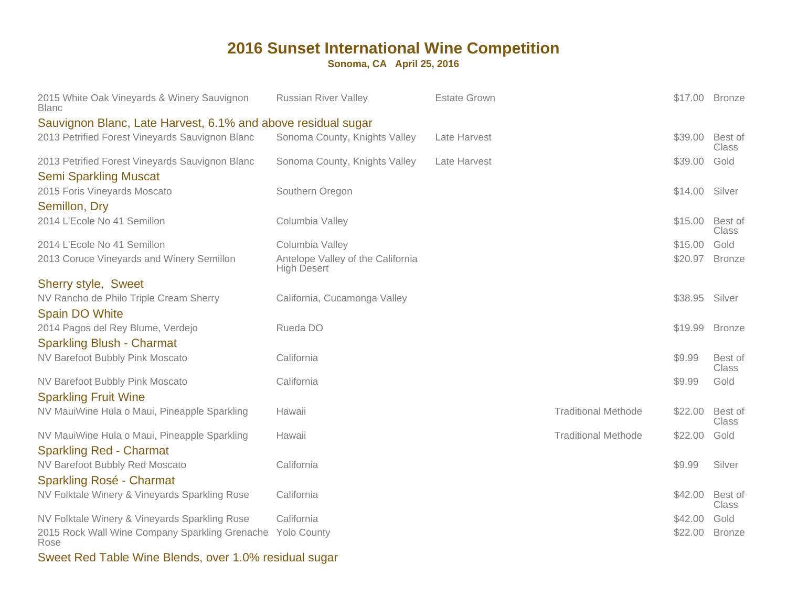**Sonoma, CA April 25, 2016**

| 2015 White Oak Vineyards & Winery Sauvignon<br><b>Blanc</b>                     | <b>Russian River Valley</b>                             | <b>Estate Grown</b> |                            |         | \$17.00 Bronze          |
|---------------------------------------------------------------------------------|---------------------------------------------------------|---------------------|----------------------------|---------|-------------------------|
| Sauvignon Blanc, Late Harvest, 6.1% and above residual sugar                    |                                                         |                     |                            |         |                         |
| 2013 Petrified Forest Vineyards Sauvignon Blanc                                 | Sonoma County, Knights Valley                           | Late Harvest        |                            | \$39.00 | Best of<br>Class        |
| 2013 Petrified Forest Vineyards Sauvignon Blanc<br><b>Semi Sparkling Muscat</b> | Sonoma County, Knights Valley                           | Late Harvest        |                            | \$39.00 | Gold                    |
| 2015 Foris Vineyards Moscato<br>Semillon, Dry                                   | Southern Oregon                                         |                     |                            | \$14.00 | Silver                  |
| 2014 L'Ecole No 41 Semillon                                                     | Columbia Valley                                         |                     |                            | \$15.00 | Best of<br><b>Class</b> |
| 2014 L'Ecole No 41 Semillon                                                     | Columbia Valley                                         |                     |                            | \$15.00 | Gold                    |
| 2013 Coruce Vineyards and Winery Semillon                                       | Antelope Valley of the California<br><b>High Desert</b> |                     |                            | \$20.97 | <b>Bronze</b>           |
| Sherry style, Sweet                                                             |                                                         |                     |                            |         |                         |
| NV Rancho de Philo Triple Cream Sherry<br><b>Spain DO White</b>                 | California, Cucamonga Valley                            |                     |                            | \$38.95 | Silver                  |
| 2014 Pagos del Rey Blume, Verdejo<br><b>Sparkling Blush - Charmat</b>           | Rueda DO                                                |                     |                            | \$19.99 | <b>Bronze</b>           |
| NV Barefoot Bubbly Pink Moscato                                                 | California                                              |                     |                            | \$9.99  | Best of<br>Class        |
| NV Barefoot Bubbly Pink Moscato<br><b>Sparkling Fruit Wine</b>                  | California                                              |                     |                            | \$9.99  | Gold                    |
| NV MauiWine Hula o Maui, Pineapple Sparkling                                    | Hawaii                                                  |                     | <b>Traditional Methode</b> | \$22.00 | Best of<br>Class        |
| NV MauiWine Hula o Maui, Pineapple Sparkling<br><b>Sparkling Red - Charmat</b>  | Hawaii                                                  |                     | <b>Traditional Methode</b> | \$22.00 | Gold                    |
| NV Barefoot Bubbly Red Moscato                                                  | California                                              |                     |                            | \$9.99  | Silver                  |
| Sparkling Rosé - Charmat<br>NV Folktale Winery & Vineyards Sparkling Rose       | California                                              |                     |                            | \$42.00 | Best of                 |
|                                                                                 |                                                         |                     |                            |         | Class                   |
| NV Folktale Winery & Vineyards Sparkling Rose                                   | California                                              |                     |                            | \$42.00 | Gold                    |
| 2015 Rock Wall Wine Company Sparkling Grenache Yolo County<br>Rose              |                                                         |                     |                            | \$22.00 | <b>Bronze</b>           |

Sweet Red Table Wine Blends, over 1.0% residual sugar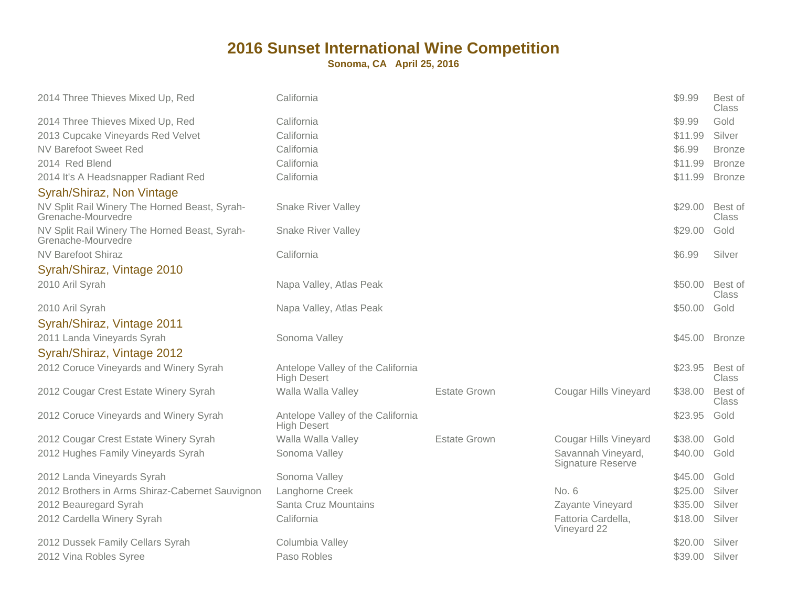| 2014 Three Thieves Mixed Up, Red                                    | California                                              |                     |                                                | \$9.99  | Best of<br><b>Class</b> |
|---------------------------------------------------------------------|---------------------------------------------------------|---------------------|------------------------------------------------|---------|-------------------------|
| 2014 Three Thieves Mixed Up, Red                                    | California                                              |                     |                                                | \$9.99  | Gold                    |
| 2013 Cupcake Vineyards Red Velvet                                   | California                                              |                     |                                                | \$11.99 | Silver                  |
| <b>NV Barefoot Sweet Red</b>                                        | California                                              |                     |                                                | \$6.99  | <b>Bronze</b>           |
| 2014 Red Blend                                                      | California                                              |                     |                                                | \$11.99 | <b>Bronze</b>           |
| 2014 It's A Headsnapper Radiant Red                                 | California                                              |                     |                                                | \$11.99 | <b>Bronze</b>           |
| Syrah/Shiraz, Non Vintage                                           |                                                         |                     |                                                |         |                         |
| NV Split Rail Winery The Horned Beast, Syrah-<br>Grenache-Mourvedre | <b>Snake River Valley</b>                               |                     |                                                | \$29.00 | Best of<br>Class        |
| NV Split Rail Winery The Horned Beast, Syrah-<br>Grenache-Mourvedre | <b>Snake River Valley</b>                               |                     |                                                | \$29.00 | Gold                    |
| <b>NV Barefoot Shiraz</b>                                           | California                                              |                     |                                                | \$6.99  | Silver                  |
| Syrah/Shiraz, Vintage 2010                                          |                                                         |                     |                                                |         |                         |
| 2010 Aril Syrah                                                     | Napa Valley, Atlas Peak                                 |                     |                                                | \$50.00 | Best of<br>Class        |
| 2010 Aril Syrah                                                     | Napa Valley, Atlas Peak                                 |                     |                                                | \$50.00 | Gold                    |
| Syrah/Shiraz, Vintage 2011                                          |                                                         |                     |                                                |         |                         |
| 2011 Landa Vineyards Syrah                                          | Sonoma Valley                                           |                     |                                                | \$45.00 | <b>Bronze</b>           |
| Syrah/Shiraz, Vintage 2012                                          |                                                         |                     |                                                |         |                         |
| 2012 Coruce Vineyards and Winery Syrah                              | Antelope Valley of the California<br><b>High Desert</b> |                     |                                                | \$23.95 | Best of<br><b>Class</b> |
| 2012 Cougar Crest Estate Winery Syrah                               | Walla Walla Valley                                      | <b>Estate Grown</b> | <b>Cougar Hills Vineyard</b>                   | \$38.00 | Best of<br>Class        |
| 2012 Coruce Vineyards and Winery Syrah                              | Antelope Valley of the California<br><b>High Desert</b> |                     |                                                | \$23.95 | Gold                    |
| 2012 Cougar Crest Estate Winery Syrah                               | Walla Walla Valley                                      | Estate Grown        | Cougar Hills Vineyard                          | \$38.00 | Gold                    |
| 2012 Hughes Family Vineyards Syrah                                  | Sonoma Valley                                           |                     | Savannah Vineyard,<br><b>Signature Reserve</b> | \$40.00 | Gold                    |
| 2012 Landa Vineyards Syrah                                          | Sonoma Valley                                           |                     |                                                | \$45.00 | Gold                    |
| 2012 Brothers in Arms Shiraz-Cabernet Sauvignon                     | Langhorne Creek                                         |                     | No. 6                                          | \$25.00 | Silver                  |
| 2012 Beauregard Syrah                                               | Santa Cruz Mountains                                    |                     | Zayante Vineyard                               | \$35.00 | Silver                  |
| 2012 Cardella Winery Syrah                                          | California                                              |                     | Fattoria Cardella,<br>Vineyard 22              | \$18.00 | Silver                  |
| 2012 Dussek Family Cellars Syrah                                    | Columbia Valley                                         |                     |                                                | \$20.00 | Silver                  |
| 2012 Vina Robles Syree                                              | Paso Robles                                             |                     |                                                | \$39.00 | Silver                  |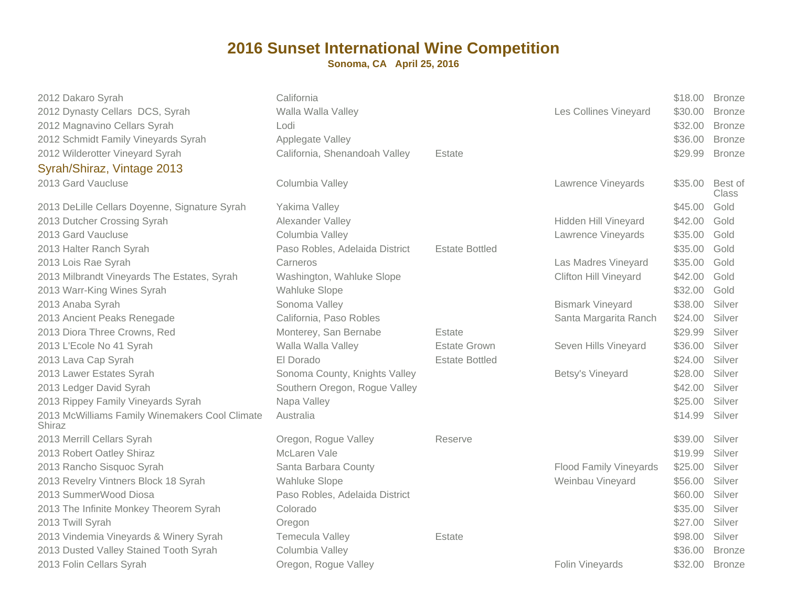| 2012 Dakaro Syrah<br>2012 Dynasty Cellars DCS, Syrah<br>2012 Magnavino Cellars Syrah<br>2012 Schmidt Family Vineyards Syrah<br>2012 Wilderotter Vineyard Syrah<br>Syrah/Shiraz, Vintage 2013<br>2013 Gard Vaucluse | California<br>Walla Walla Valley<br>Lodi<br>Applegate Valley<br>California, Shenandoah Valley<br>Columbia Valley | Estate                | Les Collines Vineyard<br>Lawrence Vineyards | \$18.00<br>\$30.00<br>\$32.00<br>\$36.00<br>\$29.99<br>\$35.00 | <b>Bronze</b><br><b>Bronze</b><br><b>Bronze</b><br><b>Bronze</b><br><b>Bronze</b><br>Best of |
|--------------------------------------------------------------------------------------------------------------------------------------------------------------------------------------------------------------------|------------------------------------------------------------------------------------------------------------------|-----------------------|---------------------------------------------|----------------------------------------------------------------|----------------------------------------------------------------------------------------------|
|                                                                                                                                                                                                                    |                                                                                                                  |                       |                                             |                                                                | Class                                                                                        |
| 2013 DeLille Cellars Doyenne, Signature Syrah                                                                                                                                                                      | Yakima Valley                                                                                                    |                       |                                             | \$45.00                                                        | Gold                                                                                         |
| 2013 Dutcher Crossing Syrah                                                                                                                                                                                        | Alexander Valley                                                                                                 |                       | Hidden Hill Vineyard                        | \$42.00                                                        | Gold                                                                                         |
| 2013 Gard Vaucluse                                                                                                                                                                                                 | Columbia Valley                                                                                                  |                       | Lawrence Vineyards                          | \$35.00                                                        | Gold                                                                                         |
| 2013 Halter Ranch Syrah                                                                                                                                                                                            | Paso Robles, Adelaida District                                                                                   | <b>Estate Bottled</b> |                                             | \$35.00                                                        | Gold                                                                                         |
| 2013 Lois Rae Syrah                                                                                                                                                                                                | Carneros                                                                                                         |                       | Las Madres Vineyard                         | \$35.00                                                        | Gold                                                                                         |
| 2013 Milbrandt Vineyards The Estates, Syrah                                                                                                                                                                        | Washington, Wahluke Slope                                                                                        |                       | <b>Clifton Hill Vineyard</b>                | \$42.00                                                        | Gold                                                                                         |
| 2013 Warr-King Wines Syrah                                                                                                                                                                                         | <b>Wahluke Slope</b>                                                                                             |                       |                                             | \$32.00                                                        | Gold                                                                                         |
| 2013 Anaba Syrah                                                                                                                                                                                                   | Sonoma Valley                                                                                                    |                       | <b>Bismark Vineyard</b>                     | \$38.00                                                        | Silver                                                                                       |
| 2013 Ancient Peaks Renegade                                                                                                                                                                                        | California, Paso Robles                                                                                          |                       | Santa Margarita Ranch                       | \$24.00                                                        | Silver                                                                                       |
| 2013 Diora Three Crowns, Red                                                                                                                                                                                       | Monterey, San Bernabe                                                                                            | Estate                |                                             | \$29.99                                                        | Silver                                                                                       |
| 2013 L'Ecole No 41 Syrah                                                                                                                                                                                           | Walla Walla Valley                                                                                               | <b>Estate Grown</b>   | Seven Hills Vineyard                        | \$36.00                                                        | Silver                                                                                       |
| 2013 Lava Cap Syrah                                                                                                                                                                                                | El Dorado                                                                                                        | <b>Estate Bottled</b> |                                             | \$24.00                                                        | Silver                                                                                       |
| 2013 Lawer Estates Syrah                                                                                                                                                                                           | Sonoma County, Knights Valley                                                                                    |                       | Betsy's Vineyard                            | \$28.00                                                        | Silver                                                                                       |
| 2013 Ledger David Syrah                                                                                                                                                                                            | Southern Oregon, Rogue Valley                                                                                    |                       |                                             | \$42.00                                                        | Silver                                                                                       |
| 2013 Rippey Family Vineyards Syrah                                                                                                                                                                                 | Napa Valley                                                                                                      |                       |                                             | \$25.00                                                        | Silver                                                                                       |
| 2013 McWilliams Family Winemakers Cool Climate<br>Shiraz                                                                                                                                                           | Australia                                                                                                        |                       |                                             | \$14.99                                                        | Silver                                                                                       |
| 2013 Merrill Cellars Syrah                                                                                                                                                                                         | Oregon, Rogue Valley                                                                                             | Reserve               |                                             | \$39.00                                                        | Silver                                                                                       |
| 2013 Robert Oatley Shiraz                                                                                                                                                                                          | McLaren Vale                                                                                                     |                       |                                             | \$19.99                                                        | Silver                                                                                       |
| 2013 Rancho Sisquoc Syrah                                                                                                                                                                                          | Santa Barbara County                                                                                             |                       | <b>Flood Family Vineyards</b>               | \$25.00                                                        | Silver                                                                                       |
| 2013 Revelry Vintners Block 18 Syrah                                                                                                                                                                               | <b>Wahluke Slope</b>                                                                                             |                       | Weinbau Vineyard                            | \$56.00                                                        | Silver                                                                                       |
| 2013 SummerWood Diosa                                                                                                                                                                                              | Paso Robles, Adelaida District                                                                                   |                       |                                             | \$60.00                                                        | Silver                                                                                       |
| 2013 The Infinite Monkey Theorem Syrah                                                                                                                                                                             | Colorado                                                                                                         |                       |                                             | \$35.00                                                        | Silver                                                                                       |
| 2013 Twill Syrah                                                                                                                                                                                                   | Oregon                                                                                                           |                       |                                             | \$27.00                                                        | Silver                                                                                       |
| 2013 Vindemia Vineyards & Winery Syrah                                                                                                                                                                             | Temecula Valley                                                                                                  | Estate                |                                             | \$98.00                                                        | Silver                                                                                       |
| 2013 Dusted Valley Stained Tooth Syrah                                                                                                                                                                             | Columbia Valley                                                                                                  |                       |                                             | \$36.00                                                        | <b>Bronze</b>                                                                                |
| 2013 Folin Cellars Syrah                                                                                                                                                                                           | Oregon, Rogue Valley                                                                                             |                       | Folin Vineyards                             | \$32.00                                                        | <b>Bronze</b>                                                                                |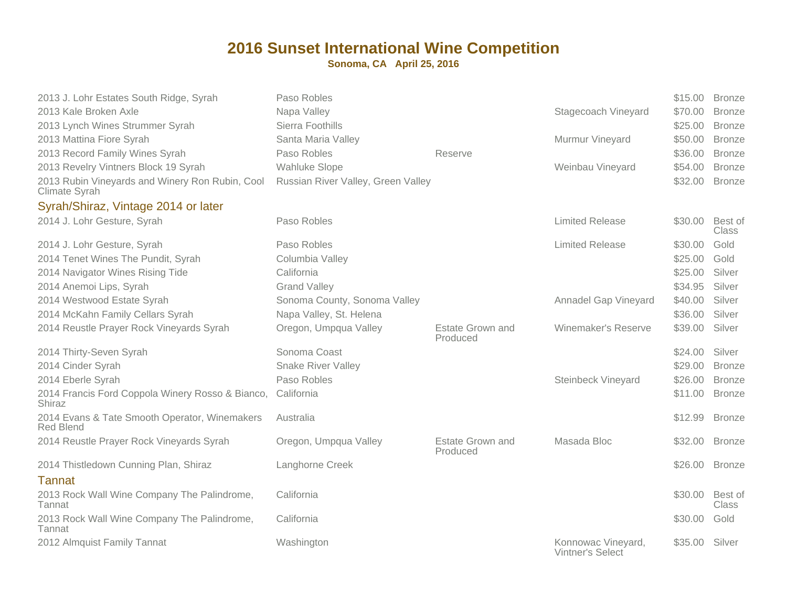| 2013 J. Lohr Estates South Ridge, Syrah                           | Paso Robles                        |                                     |                                               | \$15.00 | <b>Bronze</b>           |
|-------------------------------------------------------------------|------------------------------------|-------------------------------------|-----------------------------------------------|---------|-------------------------|
| 2013 Kale Broken Axle                                             | Napa Valley                        |                                     | Stagecoach Vineyard                           | \$70.00 | <b>Bronze</b>           |
| 2013 Lynch Wines Strummer Syrah                                   | Sierra Foothills                   |                                     |                                               | \$25.00 | <b>Bronze</b>           |
| 2013 Mattina Fiore Syrah                                          | Santa Maria Valley                 |                                     | Murmur Vineyard                               | \$50.00 | <b>Bronze</b>           |
| 2013 Record Family Wines Syrah                                    | Paso Robles                        | Reserve                             |                                               | \$36.00 | <b>Bronze</b>           |
| 2013 Revelry Vintners Block 19 Syrah                              | <b>Wahluke Slope</b>               |                                     | Weinbau Vineyard                              | \$54.00 | <b>Bronze</b>           |
| 2013 Rubin Vineyards and Winery Ron Rubin, Cool<br>Climate Syrah  | Russian River Valley, Green Valley |                                     |                                               | \$32.00 | <b>Bronze</b>           |
| Syrah/Shiraz, Vintage 2014 or later                               |                                    |                                     |                                               |         |                         |
| 2014 J. Lohr Gesture, Syrah                                       | Paso Robles                        |                                     | <b>Limited Release</b>                        | \$30.00 | Best of<br><b>Class</b> |
| 2014 J. Lohr Gesture, Syrah                                       | Paso Robles                        |                                     | <b>Limited Release</b>                        | \$30.00 | Gold                    |
| 2014 Tenet Wines The Pundit, Syrah                                | Columbia Valley                    |                                     |                                               | \$25.00 | Gold                    |
| 2014 Navigator Wines Rising Tide                                  | California                         |                                     |                                               | \$25.00 | Silver                  |
| 2014 Anemoi Lips, Syrah                                           | <b>Grand Valley</b>                |                                     |                                               | \$34.95 | Silver                  |
| 2014 Westwood Estate Syrah                                        | Sonoma County, Sonoma Valley       |                                     | Annadel Gap Vineyard                          | \$40.00 | Silver                  |
| 2014 McKahn Family Cellars Syrah                                  | Napa Valley, St. Helena            |                                     |                                               | \$36.00 | Silver                  |
| 2014 Reustle Prayer Rock Vineyards Syrah                          | Oregon, Umpqua Valley              | <b>Estate Grown and</b><br>Produced | Winemaker's Reserve                           | \$39.00 | Silver                  |
| 2014 Thirty-Seven Syrah                                           | Sonoma Coast                       |                                     |                                               | \$24.00 | Silver                  |
| 2014 Cinder Syrah                                                 | <b>Snake River Valley</b>          |                                     |                                               | \$29.00 | <b>Bronze</b>           |
| 2014 Eberle Syrah                                                 | Paso Robles                        |                                     | <b>Steinbeck Vineyard</b>                     | \$26.00 | <b>Bronze</b>           |
| 2014 Francis Ford Coppola Winery Rosso & Bianco,<br>Shiraz        | California                         |                                     |                                               | \$11.00 | <b>Bronze</b>           |
| 2014 Evans & Tate Smooth Operator, Winemakers<br><b>Red Blend</b> | Australia                          |                                     |                                               | \$12.99 | <b>Bronze</b>           |
| 2014 Reustle Prayer Rock Vineyards Syrah                          | Oregon, Umpqua Valley              | Estate Grown and<br>Produced        | Masada Bloc                                   | \$32.00 | <b>Bronze</b>           |
| 2014 Thistledown Cunning Plan, Shiraz                             | Langhorne Creek                    |                                     |                                               | \$26.00 | <b>Bronze</b>           |
| <b>Tannat</b>                                                     |                                    |                                     |                                               |         |                         |
| 2013 Rock Wall Wine Company The Palindrome,<br>Tannat             | California                         |                                     |                                               | \$30.00 | Best of<br><b>Class</b> |
| 2013 Rock Wall Wine Company The Palindrome,<br>Tannat             | California                         |                                     |                                               | \$30.00 | Gold                    |
| 2012 Almquist Family Tannat                                       | Washington                         |                                     | Konnowac Vineyard,<br><b>Vintner's Select</b> | \$35.00 | Silver                  |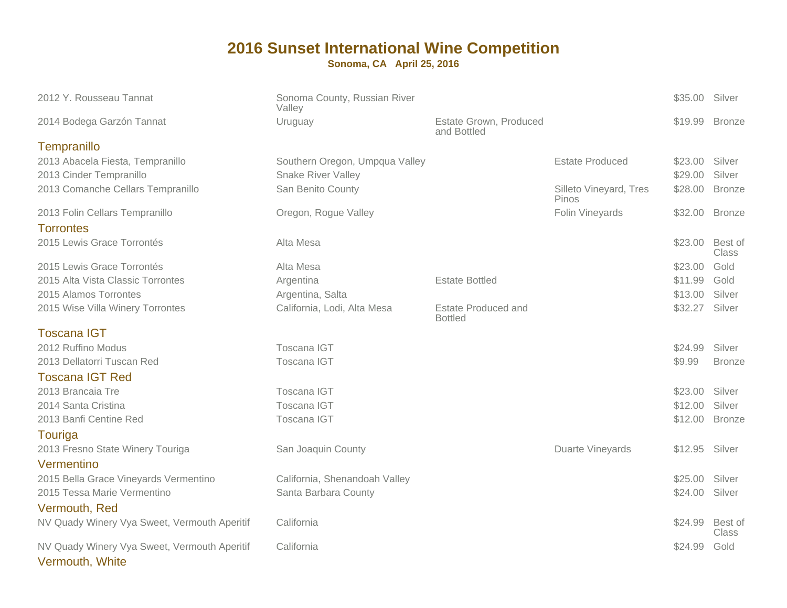| 2012 Y. Rousseau Tannat                                     | Sonoma County, Russian River<br>Valley                      |                                              |                        | \$35.00 Silver     |                  |
|-------------------------------------------------------------|-------------------------------------------------------------|----------------------------------------------|------------------------|--------------------|------------------|
| 2014 Bodega Garzón Tannat                                   | Uruguay                                                     | Estate Grown, Produced<br>and Bottled        |                        | \$19.99            | <b>Bronze</b>    |
| Tempranillo                                                 |                                                             |                                              |                        |                    |                  |
| 2013 Abacela Fiesta, Tempranillo<br>2013 Cinder Tempranillo | Southern Oregon, Umpqua Valley<br><b>Snake River Valley</b> |                                              | <b>Estate Produced</b> | \$23.00<br>\$29.00 | Silver<br>Silver |
| 2013 Comanche Cellars Tempranillo                           | San Benito County                                           |                                              | Silleto Vineyard, Tres | \$28.00            | <b>Bronze</b>    |
|                                                             |                                                             |                                              | Pinos                  |                    |                  |
| 2013 Folin Cellars Tempranillo<br><b>Torrontes</b>          | Oregon, Rogue Valley                                        |                                              | Folin Vineyards        | \$32.00            | <b>Bronze</b>    |
| 2015 Lewis Grace Torrontés                                  | Alta Mesa                                                   |                                              |                        | \$23.00            | Best of<br>Class |
| 2015 Lewis Grace Torrontés                                  | Alta Mesa                                                   |                                              |                        | \$23.00            | Gold             |
| 2015 Alta Vista Classic Torrontes                           | Argentina                                                   | <b>Estate Bottled</b>                        |                        | \$11.99            | Gold             |
| 2015 Alamos Torrontes                                       | Argentina, Salta                                            |                                              |                        | \$13.00            | Silver           |
| 2015 Wise Villa Winery Torrontes                            | California, Lodi, Alta Mesa                                 | <b>Estate Produced and</b><br><b>Bottled</b> |                        | \$32.27            | Silver           |
| <b>Toscana IGT</b>                                          |                                                             |                                              |                        |                    |                  |
| 2012 Ruffino Modus                                          | Toscana IGT                                                 |                                              |                        | \$24.99            | Silver           |
| 2013 Dellatorri Tuscan Red                                  | Toscana IGT                                                 |                                              |                        | \$9.99             | <b>Bronze</b>    |
| <b>Toscana IGT Red</b>                                      |                                                             |                                              |                        |                    |                  |
| 2013 Brancaia Tre                                           | Toscana IGT                                                 |                                              |                        | \$23.00            | Silver           |
| 2014 Santa Cristina                                         | Toscana IGT                                                 |                                              |                        | \$12.00            | Silver           |
| 2013 Banfi Centine Red                                      | Toscana IGT                                                 |                                              |                        | \$12.00            | <b>Bronze</b>    |
| Touriga                                                     |                                                             |                                              |                        |                    |                  |
| 2013 Fresno State Winery Touriga                            | San Joaquin County                                          |                                              | Duarte Vineyards       | \$12.95            | Silver           |
| Vermentino                                                  |                                                             |                                              |                        |                    |                  |
| 2015 Bella Grace Vineyards Vermentino                       | California, Shenandoah Valley                               |                                              |                        | \$25.00            | Silver           |
| 2015 Tessa Marie Vermentino                                 | Santa Barbara County                                        |                                              |                        | \$24.00            | Silver           |
| Vermouth, Red                                               |                                                             |                                              |                        |                    |                  |
| NV Quady Winery Vya Sweet, Vermouth Aperitif                | California                                                  |                                              |                        | \$24.99            | Best of<br>Class |
| NV Quady Winery Vya Sweet, Vermouth Aperitif                | California                                                  |                                              |                        | \$24.99            | Gold             |
|                                                             |                                                             |                                              |                        |                    |                  |

Vermouth, White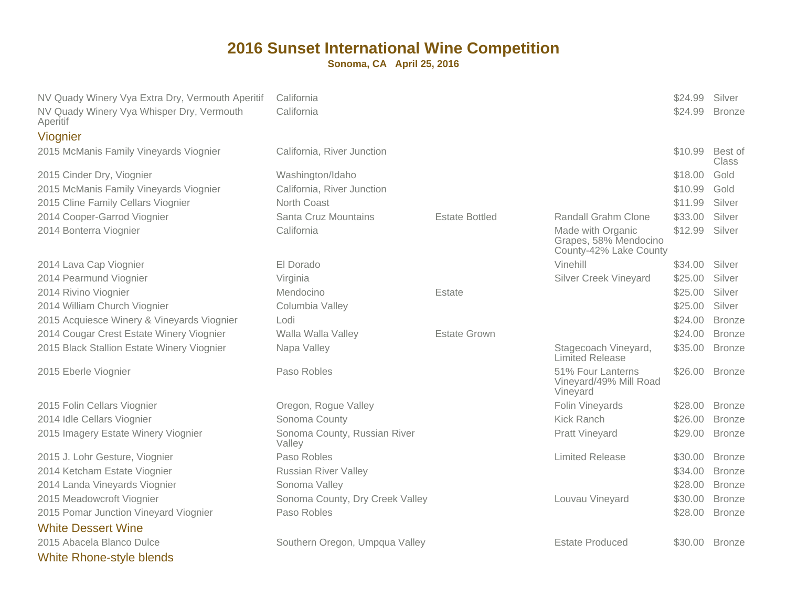| NV Quady Winery Vya Extra Dry, Vermouth Aperitif<br>NV Quady Winery Vya Whisper Dry, Vermouth | California<br>California               |                       |                                                                      | \$24.99<br>\$24.99 | Silver<br><b>Bronze</b> |
|-----------------------------------------------------------------------------------------------|----------------------------------------|-----------------------|----------------------------------------------------------------------|--------------------|-------------------------|
| Aperitif                                                                                      |                                        |                       |                                                                      |                    |                         |
| Viognier                                                                                      |                                        |                       |                                                                      |                    |                         |
| 2015 McManis Family Vineyards Viognier                                                        | California, River Junction             |                       |                                                                      | \$10.99            | Best of<br>Class        |
| 2015 Cinder Dry, Viognier                                                                     | Washington/Idaho                       |                       |                                                                      | \$18.00            | Gold                    |
| 2015 McManis Family Vineyards Viognier                                                        | California, River Junction             |                       |                                                                      | \$10.99            | Gold                    |
| 2015 Cline Family Cellars Viognier                                                            | North Coast                            |                       |                                                                      | \$11.99            | Silver                  |
| 2014 Cooper-Garrod Viognier                                                                   | Santa Cruz Mountains                   | <b>Estate Bottled</b> | <b>Randall Grahm Clone</b>                                           | \$33.00            | Silver                  |
| 2014 Bonterra Viognier                                                                        | California                             |                       | Made with Organic<br>Grapes, 58% Mendocino<br>County-42% Lake County | \$12.99            | Silver                  |
| 2014 Lava Cap Viognier                                                                        | El Dorado                              |                       | Vinehill                                                             | \$34.00            | Silver                  |
| 2014 Pearmund Viognier                                                                        | Virginia                               |                       | <b>Silver Creek Vineyard</b>                                         | \$25.00            | Silver                  |
| 2014 Rivino Viognier                                                                          | Mendocino                              | Estate                |                                                                      | \$25.00            | Silver                  |
| 2014 William Church Viognier                                                                  | Columbia Valley                        |                       |                                                                      | \$25.00            | Silver                  |
| 2015 Acquiesce Winery & Vineyards Viognier                                                    | Lodi                                   |                       |                                                                      | \$24.00            | <b>Bronze</b>           |
| 2014 Cougar Crest Estate Winery Viognier                                                      | Walla Walla Valley                     | <b>Estate Grown</b>   |                                                                      | \$24.00            | <b>Bronze</b>           |
| 2015 Black Stallion Estate Winery Viognier                                                    | Napa Valley                            |                       | Stagecoach Vineyard,<br>Limited Release                              | \$35.00            | <b>Bronze</b>           |
| 2015 Eberle Viognier                                                                          | Paso Robles                            |                       | 51% Four Lanterns<br>Vineyard/49% Mill Road<br>Vineyard              | \$26.00            | <b>Bronze</b>           |
| 2015 Folin Cellars Viognier                                                                   | Oregon, Rogue Valley                   |                       | Folin Vineyards                                                      | \$28.00            | <b>Bronze</b>           |
| 2014 Idle Cellars Viognier                                                                    | Sonoma County                          |                       | <b>Kick Ranch</b>                                                    | \$26.00            | <b>Bronze</b>           |
| 2015 Imagery Estate Winery Viognier                                                           | Sonoma County, Russian River<br>Valley |                       | <b>Pratt Vineyard</b>                                                | \$29.00            | <b>Bronze</b>           |
| 2015 J. Lohr Gesture, Viognier                                                                | Paso Robles                            |                       | <b>Limited Release</b>                                               | \$30.00            | <b>Bronze</b>           |
| 2014 Ketcham Estate Viognier                                                                  | <b>Russian River Valley</b>            |                       |                                                                      | \$34.00            | <b>Bronze</b>           |
| 2014 Landa Vineyards Viognier                                                                 | Sonoma Valley                          |                       |                                                                      | \$28.00            | <b>Bronze</b>           |
| 2015 Meadowcroft Viognier                                                                     | Sonoma County, Dry Creek Valley        |                       | Louvau Vineyard                                                      | \$30.00            | <b>Bronze</b>           |
| 2015 Pomar Junction Vineyard Viognier                                                         | Paso Robles                            |                       |                                                                      | \$28.00            | <b>Bronze</b>           |
| <b>White Dessert Wine</b>                                                                     |                                        |                       |                                                                      |                    |                         |
| 2015 Abacela Blanco Dulce                                                                     | Southern Oregon, Umpqua Valley         |                       | <b>Estate Produced</b>                                               | \$30.00            | <b>Bronze</b>           |
| <b>White Rhone-style blends</b>                                                               |                                        |                       |                                                                      |                    |                         |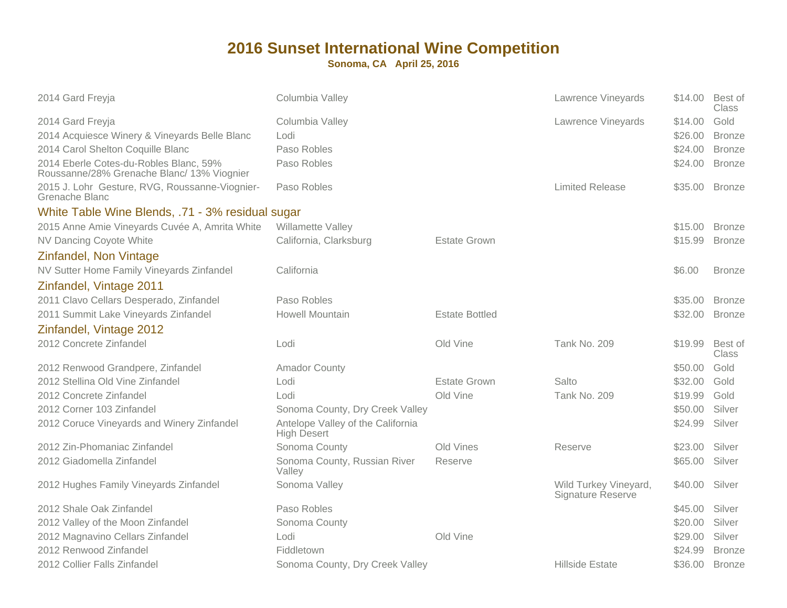| 2014 Gard Freyja                                                                                                                                                                               | Columbia Valley                                         |                       | Lawrence Vineyards                         | \$14.00                                  | Best of<br>Class                                        |
|------------------------------------------------------------------------------------------------------------------------------------------------------------------------------------------------|---------------------------------------------------------|-----------------------|--------------------------------------------|------------------------------------------|---------------------------------------------------------|
| 2014 Gard Freyja<br>2014 Acquiesce Winery & Vineyards Belle Blanc<br>2014 Carol Shelton Coquille Blanc<br>2014 Eberle Cotes-du-Robles Blanc, 59%<br>Roussanne/28% Grenache Blanc/ 13% Viognier | Columbia Valley<br>Lodi<br>Paso Robles<br>Paso Robles   |                       | Lawrence Vineyards                         | \$14.00<br>\$26.00<br>\$24.00<br>\$24.00 | Gold<br><b>Bronze</b><br><b>Bronze</b><br><b>Bronze</b> |
| 2015 J. Lohr Gesture, RVG, Roussanne-Viognier-<br>Grenache Blanc                                                                                                                               | Paso Robles                                             |                       | <b>Limited Release</b>                     | \$35.00                                  | <b>Bronze</b>                                           |
| White Table Wine Blends, .71 - 3% residual sugar                                                                                                                                               |                                                         |                       |                                            |                                          |                                                         |
| 2015 Anne Amie Vineyards Cuvée A, Amrita White                                                                                                                                                 | Willamette Valley                                       |                       |                                            | \$15.00                                  | <b>Bronze</b>                                           |
| <b>NV Dancing Coyote White</b>                                                                                                                                                                 | California, Clarksburg                                  | <b>Estate Grown</b>   |                                            | \$15.99                                  | <b>Bronze</b>                                           |
| Zinfandel, Non Vintage                                                                                                                                                                         |                                                         |                       |                                            |                                          |                                                         |
| NV Sutter Home Family Vineyards Zinfandel                                                                                                                                                      | California                                              |                       |                                            | \$6.00                                   | <b>Bronze</b>                                           |
| Zinfandel, Vintage 2011                                                                                                                                                                        |                                                         |                       |                                            |                                          |                                                         |
| 2011 Clavo Cellars Desperado, Zinfandel                                                                                                                                                        | Paso Robles                                             |                       |                                            | \$35.00                                  | <b>Bronze</b>                                           |
| 2011 Summit Lake Vineyards Zinfandel                                                                                                                                                           | <b>Howell Mountain</b>                                  | <b>Estate Bottled</b> |                                            | \$32.00                                  | <b>Bronze</b>                                           |
| Zinfandel, Vintage 2012                                                                                                                                                                        |                                                         |                       |                                            |                                          |                                                         |
| 2012 Concrete Zinfandel                                                                                                                                                                        | Lodi                                                    | Old Vine              | Tank No. 209                               | \$19.99                                  | Best of<br>Class                                        |
| 2012 Renwood Grandpere, Zinfandel                                                                                                                                                              | <b>Amador County</b>                                    |                       |                                            | \$50.00                                  | Gold                                                    |
| 2012 Stellina Old Vine Zinfandel                                                                                                                                                               | Lodi                                                    | <b>Estate Grown</b>   | Salto                                      | \$32.00                                  | Gold                                                    |
| 2012 Concrete Zinfandel                                                                                                                                                                        | Lodi                                                    | Old Vine              | Tank No. 209                               | \$19.99                                  | Gold                                                    |
| 2012 Corner 103 Zinfandel                                                                                                                                                                      | Sonoma County, Dry Creek Valley                         |                       |                                            | \$50.00                                  | Silver                                                  |
| 2012 Coruce Vineyards and Winery Zinfandel                                                                                                                                                     | Antelope Valley of the California<br><b>High Desert</b> |                       |                                            | \$24.99                                  | Silver                                                  |
| 2012 Zin-Phomaniac Zinfandel                                                                                                                                                                   | Sonoma County                                           | Old Vines             | Reserve                                    | \$23.00                                  | Silver                                                  |
| 2012 Giadomella Zinfandel                                                                                                                                                                      | Sonoma County, Russian River<br>Valley                  | Reserve               |                                            | \$65.00                                  | Silver                                                  |
| 2012 Hughes Family Vineyards Zinfandel                                                                                                                                                         | Sonoma Valley                                           |                       | Wild Turkey Vineyard,<br>Signature Reserve | \$40.00                                  | Silver                                                  |
| 2012 Shale Oak Zinfandel                                                                                                                                                                       | Paso Robles                                             |                       |                                            | \$45.00                                  | Silver                                                  |
| 2012 Valley of the Moon Zinfandel                                                                                                                                                              | Sonoma County                                           |                       |                                            | \$20.00                                  | Silver                                                  |
| 2012 Magnavino Cellars Zinfandel                                                                                                                                                               | Lodi                                                    | Old Vine              |                                            | \$29.00                                  | Silver                                                  |
| 2012 Renwood Zinfandel                                                                                                                                                                         | Fiddletown                                              |                       |                                            | \$24.99                                  | <b>Bronze</b>                                           |
| 2012 Collier Falls Zinfandel                                                                                                                                                                   | Sonoma County, Dry Creek Valley                         |                       | <b>Hillside Estate</b>                     | \$36.00                                  | <b>Bronze</b>                                           |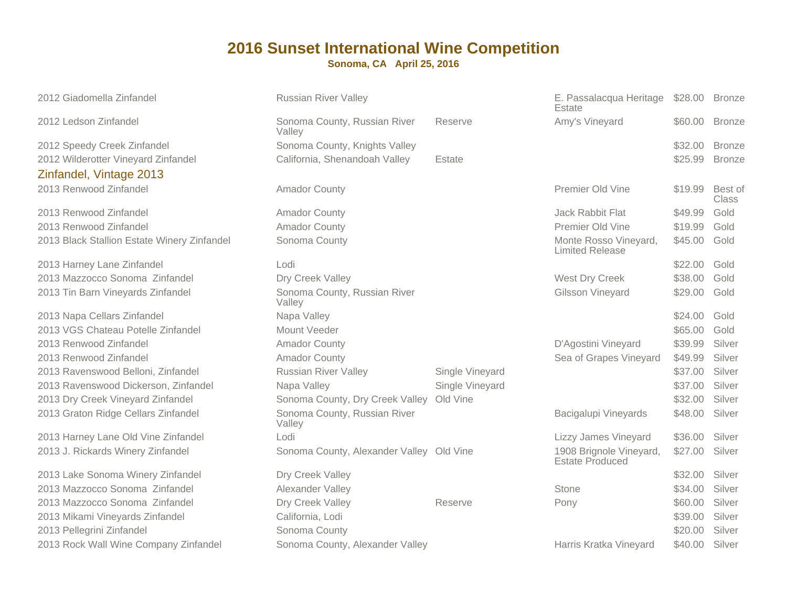| <b>Russian River Valley</b>            |                 | E. Passalacqua Heritage<br>Estate                                                    | \$28.00 | <b>Bronze</b>           |
|----------------------------------------|-----------------|--------------------------------------------------------------------------------------|---------|-------------------------|
| Sonoma County, Russian River<br>Valley | Reserve         | Amy's Vineyard                                                                       | \$60.00 | <b>Bronze</b>           |
| Sonoma County, Knights Valley          |                 |                                                                                      | \$32.00 | <b>Bronze</b>           |
| California, Shenandoah Valley          | Estate          |                                                                                      | \$25.99 | <b>Bronze</b>           |
|                                        |                 |                                                                                      |         |                         |
| <b>Amador County</b>                   |                 | Premier Old Vine                                                                     | \$19.99 | Best of<br><b>Class</b> |
| <b>Amador County</b>                   |                 | Jack Rabbit Flat                                                                     | \$49.99 | Gold                    |
| <b>Amador County</b>                   |                 | Premier Old Vine                                                                     | \$19.99 | Gold                    |
| Sonoma County                          |                 | Monte Rosso Vineyard,<br><b>Limited Release</b>                                      | \$45.00 | Gold                    |
| Lodi                                   |                 |                                                                                      | \$22.00 | Gold                    |
| Dry Creek Valley                       |                 | West Dry Creek                                                                       | \$38.00 | Gold                    |
| Sonoma County, Russian River<br>Valley |                 | Gilsson Vineyard                                                                     | \$29.00 | Gold                    |
| Napa Valley                            |                 |                                                                                      | \$24.00 | Gold                    |
| Mount Veeder                           |                 |                                                                                      | \$65.00 | Gold                    |
| <b>Amador County</b>                   |                 | D'Agostini Vineyard                                                                  | \$39.99 | Silver                  |
| <b>Amador County</b>                   |                 | Sea of Grapes Vineyard                                                               | \$49.99 | Silver                  |
| <b>Russian River Valley</b>            | Single Vineyard |                                                                                      | \$37.00 | Silver                  |
| Napa Valley                            | Single Vineyard |                                                                                      | \$37.00 | Silver                  |
|                                        |                 |                                                                                      | \$32.00 | Silver                  |
| Sonoma County, Russian River<br>Valley |                 | Bacigalupi Vineyards                                                                 | \$48.00 | Silver                  |
| Lodi                                   |                 | Lizzy James Vineyard                                                                 | \$36.00 | Silver                  |
|                                        |                 | 1908 Brignole Vineyard,<br><b>Estate Produced</b>                                    | \$27.00 | Silver                  |
| Dry Creek Valley                       |                 |                                                                                      | \$32.00 | Silver                  |
| Alexander Valley                       |                 | Stone                                                                                | \$34.00 | Silver                  |
| Dry Creek Valley                       | Reserve         | Pony                                                                                 | \$60.00 | Silver                  |
| California, Lodi                       |                 |                                                                                      | \$39.00 | Silver                  |
| Sonoma County                          |                 |                                                                                      | \$20.00 | Silver                  |
| Sonoma County, Alexander Valley        |                 | Harris Kratka Vineyard                                                               | \$40.00 | Silver                  |
|                                        |                 | Sonoma County, Dry Creek Valley Old Vine<br>Sonoma County, Alexander Valley Old Vine |         |                         |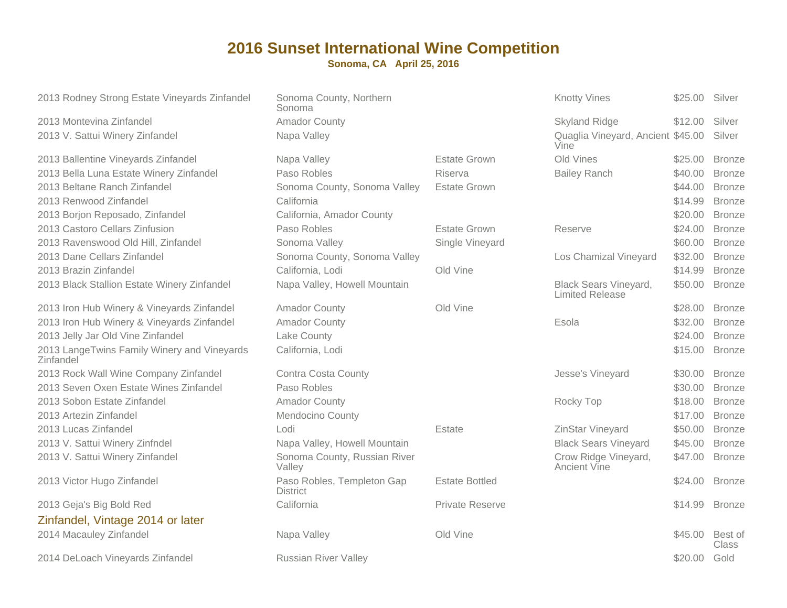| 2013 Rodney Strong Estate Vineyards Zinfandel            | Sonoma County, Northern<br>Sonoma             |                       | <b>Knotty Vines</b>                                    | \$25.00 | Silver                  |
|----------------------------------------------------------|-----------------------------------------------|-----------------------|--------------------------------------------------------|---------|-------------------------|
| 2013 Montevina Zinfandel                                 | <b>Amador County</b>                          |                       | <b>Skyland Ridge</b>                                   | \$12.00 | Silver                  |
| 2013 V. Sattui Winery Zinfandel                          | Napa Valley                                   |                       | Quaglia Vineyard, Ancient \$45.00<br>Vine              |         | Silver                  |
| 2013 Ballentine Vineyards Zinfandel                      | Napa Valley                                   | <b>Estate Grown</b>   | Old Vines                                              | \$25.00 | <b>Bronze</b>           |
| 2013 Bella Luna Estate Winery Zinfandel                  | Paso Robles                                   | Riserva               | <b>Bailey Ranch</b>                                    | \$40.00 | <b>Bronze</b>           |
| 2013 Beltane Ranch Zinfandel                             | Sonoma County, Sonoma Valley                  | <b>Estate Grown</b>   |                                                        | \$44.00 | <b>Bronze</b>           |
| 2013 Renwood Zinfandel                                   | California                                    |                       |                                                        | \$14.99 | <b>Bronze</b>           |
| 2013 Borjon Reposado, Zinfandel                          | California, Amador County                     |                       |                                                        | \$20.00 | <b>Bronze</b>           |
| 2013 Castoro Cellars Zinfusion                           | Paso Robles                                   | <b>Estate Grown</b>   | Reserve                                                | \$24.00 | <b>Bronze</b>           |
| 2013 Ravenswood Old Hill, Zinfandel                      | Sonoma Valley                                 | Single Vineyard       |                                                        | \$60.00 | <b>Bronze</b>           |
| 2013 Dane Cellars Zinfandel                              | Sonoma County, Sonoma Valley                  |                       | Los Chamizal Vineyard                                  | \$32.00 | <b>Bronze</b>           |
| 2013 Brazin Zinfandel                                    | California, Lodi                              | Old Vine              |                                                        | \$14.99 | <b>Bronze</b>           |
| 2013 Black Stallion Estate Winery Zinfandel              | Napa Valley, Howell Mountain                  |                       | <b>Black Sears Vineyard,</b><br><b>Limited Release</b> | \$50.00 | <b>Bronze</b>           |
| 2013 Iron Hub Winery & Vineyards Zinfandel               | <b>Amador County</b>                          | Old Vine              |                                                        | \$28.00 | <b>Bronze</b>           |
| 2013 Iron Hub Winery & Vineyards Zinfandel               | <b>Amador County</b>                          |                       | Esola                                                  | \$32.00 | <b>Bronze</b>           |
| 2013 Jelly Jar Old Vine Zinfandel                        | Lake County                                   |                       |                                                        | \$24.00 | <b>Bronze</b>           |
| 2013 LangeTwins Family Winery and Vineyards<br>Zinfandel | California, Lodi                              |                       |                                                        | \$15.00 | <b>Bronze</b>           |
| 2013 Rock Wall Wine Company Zinfandel                    | <b>Contra Costa County</b>                    |                       | Jesse's Vineyard                                       | \$30.00 | <b>Bronze</b>           |
| 2013 Seven Oxen Estate Wines Zinfandel                   | Paso Robles                                   |                       |                                                        | \$30.00 | <b>Bronze</b>           |
| 2013 Sobon Estate Zinfandel                              | <b>Amador County</b>                          |                       | Rocky Top                                              | \$18.00 | <b>Bronze</b>           |
| 2013 Artezin Zinfandel                                   | Mendocino County                              |                       |                                                        | \$17.00 | <b>Bronze</b>           |
| 2013 Lucas Zinfandel                                     | Lodi                                          | Estate                | ZinStar Vineyard                                       | \$50.00 | <b>Bronze</b>           |
| 2013 V. Sattui Winery Zinfndel                           | Napa Valley, Howell Mountain                  |                       | <b>Black Sears Vineyard</b>                            | \$45.00 | <b>Bronze</b>           |
| 2013 V. Sattui Winery Zinfandel                          | Sonoma County, Russian River<br>Valley        |                       | Crow Ridge Vineyard,<br>Ancient Vine                   | \$47.00 | <b>Bronze</b>           |
| 2013 Victor Hugo Zinfandel                               | Paso Robles, Templeton Gap<br><b>District</b> | <b>Estate Bottled</b> |                                                        | \$24.00 | <b>Bronze</b>           |
| 2013 Geja's Big Bold Red                                 | California                                    | Private Reserve       |                                                        | \$14.99 | <b>Bronze</b>           |
| Zinfandel, Vintage 2014 or later                         |                                               |                       |                                                        |         |                         |
| 2014 Macauley Zinfandel                                  | Napa Valley                                   | Old Vine              |                                                        | \$45.00 | Best of<br><b>Class</b> |
| 2014 DeLoach Vineyards Zinfandel                         | <b>Russian River Valley</b>                   |                       |                                                        | \$20.00 | Gold                    |
|                                                          |                                               |                       |                                                        |         |                         |